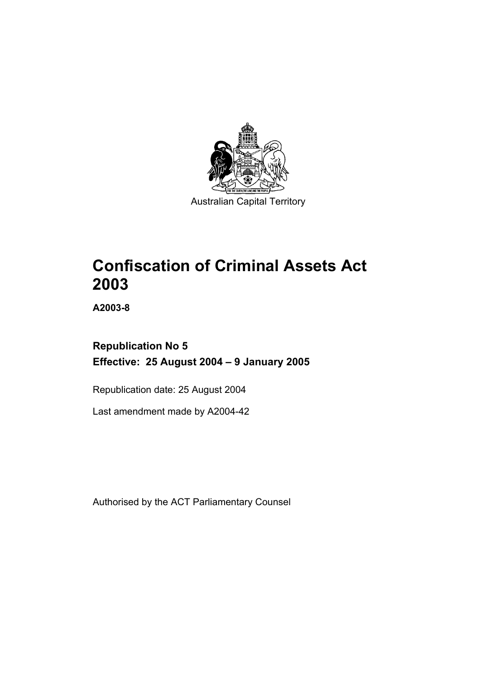

Australian Capital Territory

# **Confiscation of Criminal Assets Act 2003**

**A2003-8** 

## **Republication No 5 Effective: 25 August 2004 – 9 January 2005**

Republication date: 25 August 2004

Last amendment made by A2004-42

Authorised by the ACT Parliamentary Counsel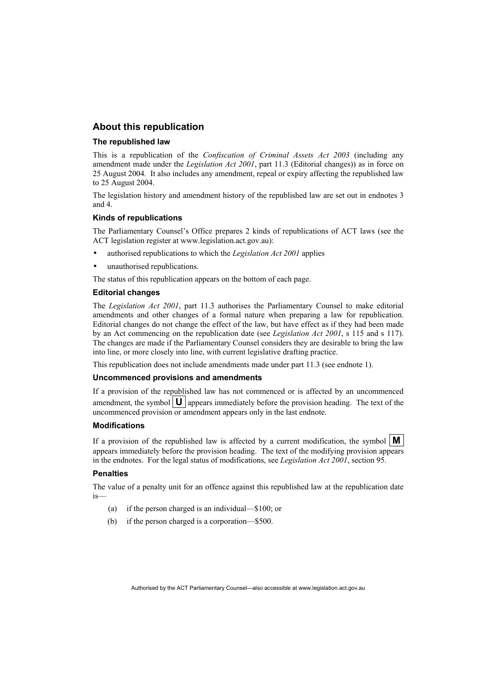## **About this republication**

### **The republished law**

This is a republication of the *Confiscation of Criminal Assets Act 2003* (including any amendment made under the *Legislation Act 2001*, part 11.3 (Editorial changes)) as in force on 25 August 2004*.* It also includes any amendment, repeal or expiry affecting the republished law to 25 August 2004.

The legislation history and amendment history of the republished law are set out in endnotes 3 and 4.

### **Kinds of republications**

The Parliamentary Counsel's Office prepares 2 kinds of republications of ACT laws (see the ACT legislation register at www.legislation.act.gov.au):

- authorised republications to which the *Legislation Act 2001* applies
- unauthorised republications.

The status of this republication appears on the bottom of each page.

### **Editorial changes**

The *Legislation Act 2001*, part 11.3 authorises the Parliamentary Counsel to make editorial amendments and other changes of a formal nature when preparing a law for republication. Editorial changes do not change the effect of the law, but have effect as if they had been made by an Act commencing on the republication date (see *Legislation Act 2001*, s 115 and s 117). The changes are made if the Parliamentary Counsel considers they are desirable to bring the law into line, or more closely into line, with current legislative drafting practice.

This republication does not include amendments made under part 11.3 (see endnote 1).

### **Uncommenced provisions and amendments**

If a provision of the republished law has not commenced or is affected by an uncommenced amendment, the symbol  $\mathbf{U}$  appears immediately before the provision heading. The text of the uncommenced provision or amendment appears only in the last endnote.

### **Modifications**

If a provision of the republished law is affected by a current modification, the symbol  $\mathbf{M}$ appears immediately before the provision heading. The text of the modifying provision appears in the endnotes. For the legal status of modifications, see *Legislation Act 2001*, section 95.

### **Penalties**

The value of a penalty unit for an offence against this republished law at the republication date is—

- (a) if the person charged is an individual—\$100; or
- (b) if the person charged is a corporation—\$500.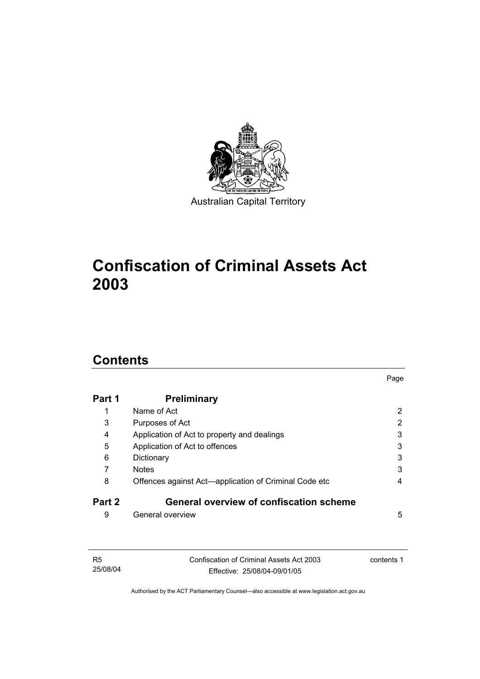

# **Confiscation of Criminal Assets Act 2003**

## **Contents**

| Part 1 | <b>Preliminary</b>                                    |   |
|--------|-------------------------------------------------------|---|
|        | Name of Act                                           | 2 |
| 3      | Purposes of Act                                       | 2 |
| 4      | Application of Act to property and dealings           | 3 |
| 5      | Application of Act to offences                        | 3 |
| 6      | Dictionary                                            | 3 |
|        | <b>Notes</b>                                          | 3 |
| 8      | Offences against Act-application of Criminal Code etc | 4 |
| Part 2 | <b>General overview of confiscation scheme</b>        |   |
| 9      | General overview                                      | 5 |

Page

| - R5     | Confiscation of Criminal Assets Act 2003 | contents 1 |
|----------|------------------------------------------|------------|
| 25/08/04 | Effective: 25/08/04-09/01/05             |            |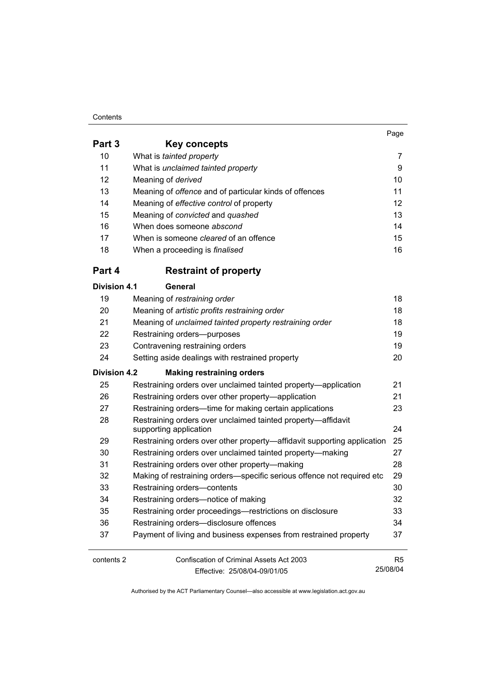### **Contents**

|                     |                                                                                                                                                                                                                                       | Page   |
|---------------------|---------------------------------------------------------------------------------------------------------------------------------------------------------------------------------------------------------------------------------------|--------|
| Part 3              | Key concepts                                                                                                                                                                                                                          |        |
| 10                  | What is tainted property                                                                                                                                                                                                              | 7      |
| 11                  | What is unclaimed tainted property                                                                                                                                                                                                    | 9      |
| 12                  | Meaning of derived                                                                                                                                                                                                                    | 10     |
| 13                  | Meaning of <i>offence</i> and of particular kinds of offences                                                                                                                                                                         | 11     |
| 14                  | Meaning of effective control of property                                                                                                                                                                                              | 12     |
| 15                  | Meaning of convicted and quashed                                                                                                                                                                                                      | 13     |
| 16                  | When does someone abscond                                                                                                                                                                                                             | 14     |
| 17                  | When is someone <i>cleared</i> of an offence                                                                                                                                                                                          | 15     |
| 18                  | When a proceeding is finalised                                                                                                                                                                                                        | 16     |
| Part 4              | <b>Restraint of property</b>                                                                                                                                                                                                          |        |
| Division 4.1        | General                                                                                                                                                                                                                               |        |
| 19                  | Meaning of restraining order                                                                                                                                                                                                          | 18     |
| 20                  | Meaning of artistic profits restraining order                                                                                                                                                                                         | 18     |
| 21                  | Meaning of unclaimed tainted property restraining order                                                                                                                                                                               | 18     |
| 22                  | Restraining orders--purposes                                                                                                                                                                                                          | 19     |
| 23                  | 19<br>Contravening restraining orders                                                                                                                                                                                                 |        |
| 24                  | Setting aside dealings with restrained property                                                                                                                                                                                       | 20     |
| <b>Division 4.2</b> | <b>Making restraining orders</b>                                                                                                                                                                                                      |        |
| 25                  | Restraining orders over unclaimed tainted property—application                                                                                                                                                                        | 21     |
| 26                  | Restraining orders over other property-application                                                                                                                                                                                    | 21     |
| 27                  | Restraining orders-time for making certain applications                                                                                                                                                                               | 23     |
| 28                  | Restraining orders over unclaimed tainted property-affidavit<br>supporting application                                                                                                                                                | 24     |
| 29                  | Restraining orders over other property-affidavit supporting application                                                                                                                                                               | 25     |
| 30                  | Restraining orders over unclaimed tainted property-making                                                                                                                                                                             | 27     |
| 31                  | Restraining orders over other property—making                                                                                                                                                                                         | 28     |
| 32                  | Making of restraining orders-specific serious offence not required etc                                                                                                                                                                | 29     |
| 33                  | Restraining orders-contents                                                                                                                                                                                                           | 30     |
| 34                  | Restraining orders-notice of making                                                                                                                                                                                                   | 32     |
| $\sim$ $\sim$       | $\mathbf{r}$ and $\mathbf{r}$ are associated to the contract of the contract of the contract of the contract of the contract of the contract of the contract of the contract of the contract of the contract of the contract of the c | $\sim$ |

| -94 | Restratified orders—rotice of frianting                          | -SZ |
|-----|------------------------------------------------------------------|-----|
| 35  | Restraining order proceedings—restrictions on disclosure         | 33  |
| 36  | Restraining orders—disclosure offences                           | 34  |
| -37 | Payment of living and business expenses from restrained property | 37  |

| contents 2 | Confiscation of Criminal Assets Act 2003 | R5       |
|------------|------------------------------------------|----------|
|            | Effective: 25/08/04-09/01/05             | 25/08/04 |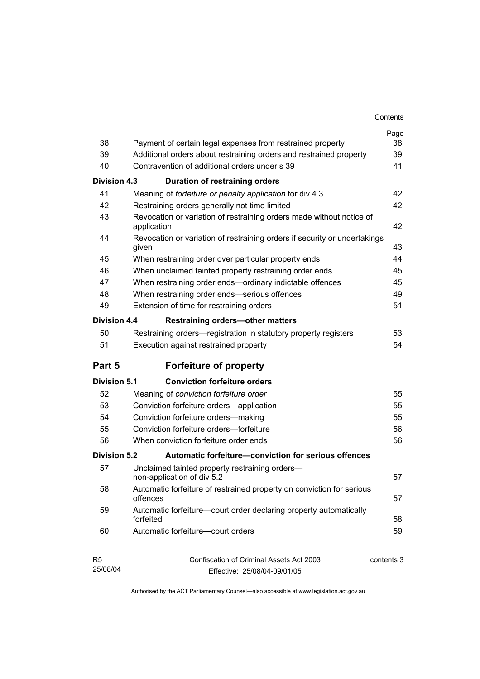| 38                  |                                                                                                                                  | Page<br>38 |  |
|---------------------|----------------------------------------------------------------------------------------------------------------------------------|------------|--|
| 39                  | Payment of certain legal expenses from restrained property<br>Additional orders about restraining orders and restrained property |            |  |
| 40                  | Contravention of additional orders under s 39                                                                                    | 39<br>41   |  |
|                     |                                                                                                                                  |            |  |
| Division 4.3        | Duration of restraining orders                                                                                                   |            |  |
| 41                  | Meaning of forfeiture or penalty application for div 4.3                                                                         | 42         |  |
| 42                  | Restraining orders generally not time limited                                                                                    | 42         |  |
| 43                  | Revocation or variation of restraining orders made without notice of<br>application                                              | 42         |  |
| 44                  | Revocation or variation of restraining orders if security or undertakings<br>given                                               | 43         |  |
| 45                  | When restraining order over particular property ends                                                                             | 44         |  |
| 46                  | When unclaimed tainted property restraining order ends                                                                           | 45         |  |
| 47                  | When restraining order ends-ordinary indictable offences                                                                         | 45         |  |
| 48                  | When restraining order ends-serious offences                                                                                     | 49         |  |
| 49                  | Extension of time for restraining orders                                                                                         | 51         |  |
| Division 4.4        | <b>Restraining orders-other matters</b>                                                                                          |            |  |
| 50                  | Restraining orders—registration in statutory property registers                                                                  | 53         |  |
| 51                  | Execution against restrained property                                                                                            | 54         |  |
| Part 5              | <b>Forfeiture of property</b>                                                                                                    |            |  |
| <b>Division 5.1</b> | <b>Conviction forfeiture orders</b>                                                                                              |            |  |
| 52                  | Meaning of conviction forfeiture order                                                                                           | 55         |  |
| 53                  | Conviction forfeiture orders-application                                                                                         | 55         |  |
| 54                  | Conviction forfeiture orders-making                                                                                              | 55         |  |
| 55                  | Conviction forfeiture orders-forfeiture                                                                                          | 56         |  |
| 56                  | When conviction forfeiture order ends                                                                                            | 56         |  |
| Division 5.2        | Automatic forfeiture-conviction for serious offences                                                                             |            |  |
| 57                  | Unclaimed tainted property restraining orders-<br>non-application of div 5.2                                                     | 57         |  |
| 58                  | Automatic forfeiture of restrained property on conviction for serious<br>57<br>offences                                          |            |  |
| 59                  | Automatic forfeiture-court order declaring property automatically<br>forfeited                                                   | 58         |  |
| 60                  | Automatic forfeiture-court orders                                                                                                | 59         |  |
| R5<br>25/08/04      | <b>Confiscation of Criminal Assets Act 2003</b><br>Fffective: 25/08/04-09/01/05                                                  | contents 3 |  |

Effective: 25/08/04-09/01/05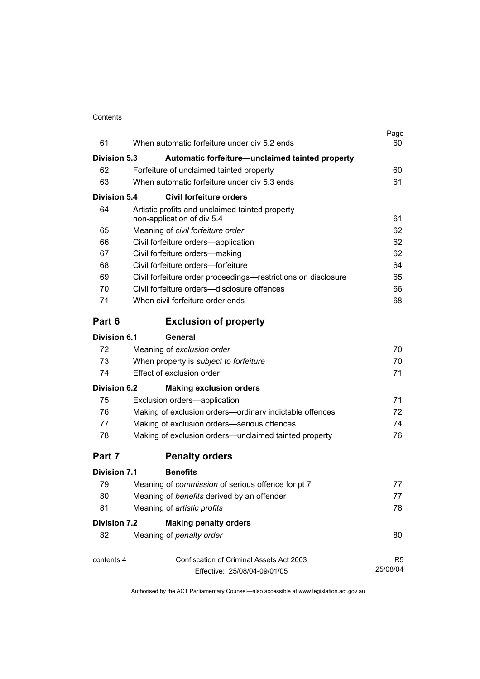| 61                  | When automatic forfeiture under div 5.2 ends                                   | Page<br>60 |
|---------------------|--------------------------------------------------------------------------------|------------|
| <b>Division 5.3</b> | Automatic forfeiture-unclaimed tainted property                                |            |
| 62                  | Forfeiture of unclaimed tainted property                                       | 60         |
| 63                  | When automatic forfeiture under div 5.3 ends                                   | 61         |
| Division 5.4        | <b>Civil forfeiture orders</b>                                                 |            |
| 64                  | Artistic profits and unclaimed tainted property-<br>non-application of div 5.4 | 61         |
| 65                  | Meaning of civil forfeiture order                                              | 62         |
| 66                  | Civil forfeiture orders-application                                            | 62         |
| 67                  | Civil forfeiture orders-making                                                 | 62         |
| 68                  | Civil forfeiture orders-forfeiture                                             | 64         |
| 69                  | Civil forfeiture order proceedings—restrictions on disclosure                  | 65         |
| 70                  | Civil forfeiture orders—disclosure offences                                    | 66         |
| 71                  | When civil forfeiture order ends                                               | 68         |
| Part 6              | <b>Exclusion of property</b>                                                   |            |
| Division 6.1        | General                                                                        |            |
| 72                  | Meaning of exclusion order                                                     | 70         |
| 73                  | When property is subject to forfeiture                                         | 70         |
| 74                  | Effect of exclusion order                                                      | 71         |
| Division 6.2        | <b>Making exclusion orders</b>                                                 |            |
| 75                  | Exclusion orders-application                                                   | 71         |
| 76                  | Making of exclusion orders-ordinary indictable offences                        | 72         |
| 77                  | Making of exclusion orders-serious offences                                    | 74         |
| 78                  | Making of exclusion orders-unclaimed tainted property                          | 76         |
| Part 7              | <b>Penalty orders</b>                                                          |            |
| <b>Division 7.1</b> | <b>Benefits</b>                                                                |            |
| 79                  | Meaning of commission of serious offence for pt 7                              | 77         |
| 80                  | Meaning of benefits derived by an offender                                     | 77         |
| 81                  | Meaning of artistic profits                                                    | 78         |
| Division 7.2        | <b>Making penalty orders</b>                                                   |            |
| 82                  | Meaning of penalty order                                                       | 80         |
| contents 4          | <b>Confiscation of Criminal Assets Act 2003</b>                                | R5         |
|                     | Effective: 25/08/04-09/01/05                                                   | 25/08/04   |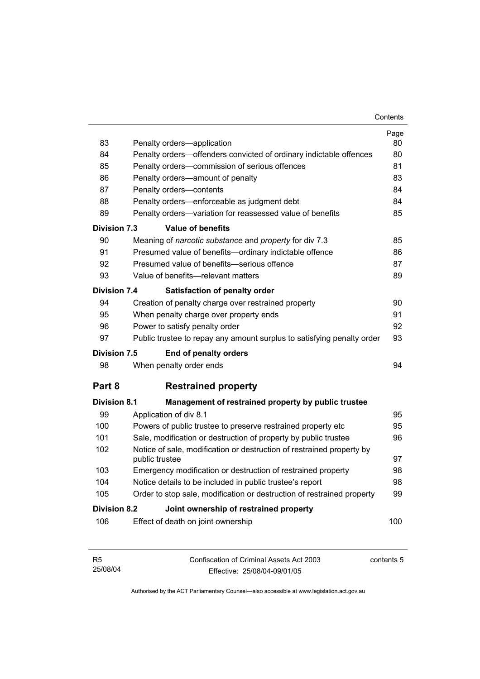| 83                  | Penalty orders-application                                                              | Page<br>80 |
|---------------------|-----------------------------------------------------------------------------------------|------------|
| 84                  | Penalty orders-offenders convicted of ordinary indictable offences                      | 80         |
| 85                  | Penalty orders-commission of serious offences                                           |            |
| 86                  | Penalty orders—amount of penalty                                                        |            |
| 87                  | Penalty orders-contents                                                                 | 83<br>84   |
| 88                  | Penalty orders—enforceable as judgment debt                                             | 84         |
| 89                  | Penalty orders-variation for reassessed value of benefits                               | 85         |
| <b>Division 7.3</b> | <b>Value of benefits</b>                                                                |            |
| 90                  | Meaning of narcotic substance and property for div 7.3                                  | 85         |
| 91                  | Presumed value of benefits-ordinary indictable offence                                  | 86         |
| 92                  | Presumed value of benefits-serious offence                                              | 87         |
| 93                  | Value of benefits-relevant matters                                                      | 89         |
| <b>Division 7.4</b> | <b>Satisfaction of penalty order</b>                                                    |            |
| 94                  | Creation of penalty charge over restrained property                                     | 90         |
| 95                  | 91<br>When penalty charge over property ends                                            |            |
| 96                  | Power to satisfy penalty order                                                          |            |
| 97                  | Public trustee to repay any amount surplus to satisfying penalty order                  | 93         |
| <b>Division 7.5</b> | End of penalty orders                                                                   |            |
| 98                  | When penalty order ends                                                                 | 94         |
| Part 8              | <b>Restrained property</b>                                                              |            |
| <b>Division 8.1</b> | Management of restrained property by public trustee                                     |            |
| 99                  | Application of div 8.1                                                                  | 95         |
| 100                 | Powers of public trustee to preserve restrained property etc                            | 95         |
| 101                 | Sale, modification or destruction of property by public trustee                         | 96         |
| 102                 | Notice of sale, modification or destruction of restrained property by<br>public trustee |            |
| 103                 | Emergency modification or destruction of restrained property                            | 98         |
| 104                 | Notice details to be included in public trustee's report                                | 98         |
| 105                 | Order to stop sale, modification or destruction of restrained property                  | 99         |
| Division 8.2        | Joint ownership of restrained property                                                  |            |
| 106                 | Effect of death on joint ownership                                                      | 100        |

| - R5     | Confiscation of Criminal Assets Act 2003 | contents 5 |
|----------|------------------------------------------|------------|
| 25/08/04 | Effective: 25/08/04-09/01/05             |            |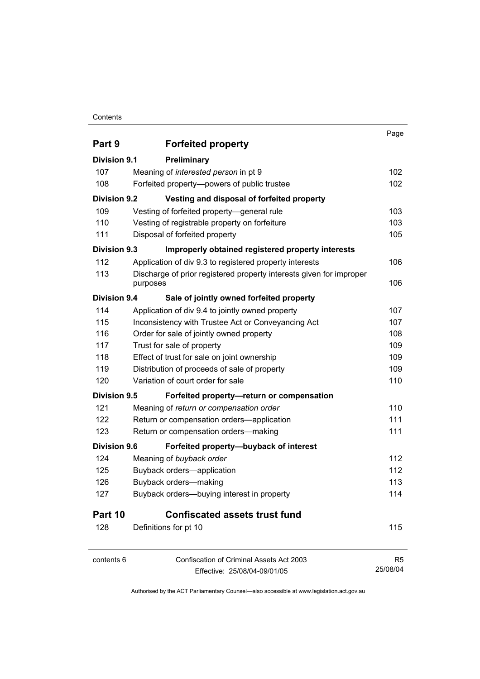## **Contents**

|                     |                                                                     | Page           |
|---------------------|---------------------------------------------------------------------|----------------|
| Part 9              | <b>Forfeited property</b>                                           |                |
| Division 9.1        | Preliminary                                                         |                |
| 107                 | Meaning of interested person in pt 9                                | 102            |
| 108                 | Forfeited property--powers of public trustee                        | 102            |
| <b>Division 9.2</b> | Vesting and disposal of forfeited property                          |                |
| 109                 | Vesting of forfeited property-general rule                          | 103            |
| 110                 | Vesting of registrable property on forfeiture                       | 103            |
| 111                 | Disposal of forfeited property                                      | 105            |
| Division 9.3        | Improperly obtained registered property interests                   |                |
| 112                 | Application of div 9.3 to registered property interests             | 106            |
| 113                 | Discharge of prior registered property interests given for improper |                |
|                     | purposes                                                            | 106            |
| Division 9.4        | Sale of jointly owned forfeited property                            |                |
| 114                 | Application of div 9.4 to jointly owned property                    | 107            |
| 115                 | Inconsistency with Trustee Act or Conveyancing Act                  | 107            |
| 116                 | Order for sale of jointly owned property                            | 108            |
| 117                 | Trust for sale of property                                          | 109            |
| 118                 | Effect of trust for sale on joint ownership                         | 109            |
| 119                 | Distribution of proceeds of sale of property                        | 109            |
| 120                 | Variation of court order for sale                                   | 110            |
| Division 9.5        | Forfeited property-return or compensation                           |                |
| 121                 | Meaning of return or compensation order                             | 110            |
| 122                 | Return or compensation orders-application                           | 111            |
| 123                 | Return or compensation orders-making                                | 111            |
| Division 9.6        | Forfeited property-buyback of interest                              |                |
| 124                 | Meaning of buyback order                                            | 112            |
| 125                 | Buyback orders-application                                          | 112            |
| 126                 | Buyback orders-making                                               | 113            |
| 127                 | Buyback orders-buying interest in property                          | 114            |
| Part 10             | <b>Confiscated assets trust fund</b>                                |                |
| 128                 | Definitions for pt 10                                               | 115            |
| contents 6          | Confiscation of Criminal Assets Act 2003                            | R <sub>5</sub> |
|                     | Effective: 25/08/04-09/01/05                                        | 25/08/04       |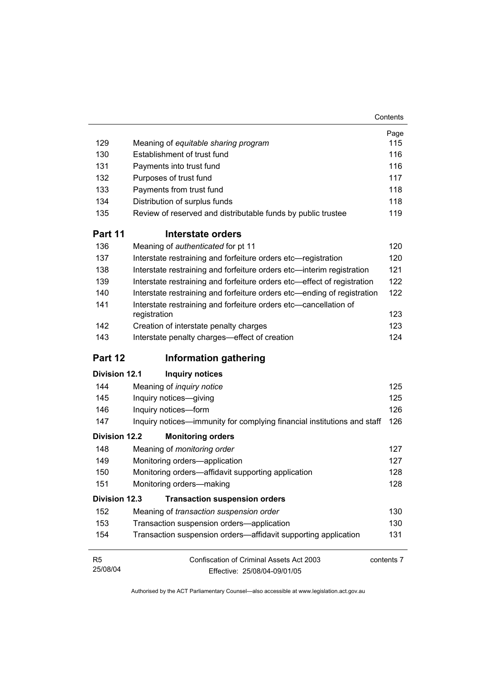|                      |                                                                                  | Page       |
|----------------------|----------------------------------------------------------------------------------|------------|
| 129                  | Meaning of equitable sharing program                                             | 115        |
| 130                  | Establishment of trust fund                                                      | 116        |
| 131                  | Payments into trust fund                                                         | 116        |
| 132                  | Purposes of trust fund                                                           | 117        |
| 133                  | Payments from trust fund                                                         | 118        |
| 134                  | Distribution of surplus funds                                                    | 118        |
| 135                  | Review of reserved and distributable funds by public trustee                     | 119        |
| Part 11              | Interstate orders                                                                |            |
| 136                  | Meaning of authenticated for pt 11                                               | 120        |
| 137                  | Interstate restraining and forfeiture orders etc-registration                    | 120        |
| 138                  | Interstate restraining and forfeiture orders etc-interim registration            | 121        |
| 139                  | Interstate restraining and forfeiture orders etc-effect of registration          | 122        |
| 140                  | Interstate restraining and forfeiture orders etc—ending of registration          | 122        |
| 141                  | Interstate restraining and forfeiture orders etc-cancellation of<br>registration | 123        |
| 142                  | Creation of interstate penalty charges                                           | 123        |
| 143                  | Interstate penalty charges-effect of creation                                    | 124        |
| Part 12              | <b>Information gathering</b>                                                     |            |
| <b>Division 12.1</b> | <b>Inquiry notices</b>                                                           |            |
| 144                  | Meaning of <i>inquiry notice</i>                                                 | 125        |
| 145                  | Inquiry notices-giving                                                           | 125        |
| 146                  | Inquiry notices-form                                                             | 126        |
| 147                  | Inquiry notices—immunity for complying financial institutions and staff          | 126        |
| <b>Division 12.2</b> | <b>Monitoring orders</b>                                                         |            |
| 148                  | Meaning of monitoring order                                                      | 127        |
| 149                  | Monitoring orders-application                                                    | 127        |
| 150                  | Monitoring orders-affidavit supporting application                               | 128        |
| 151                  | Monitoring orders-making                                                         | 128        |
| <b>Division 12.3</b> | <b>Transaction suspension orders</b>                                             |            |
| 152                  | Meaning of transaction suspension order                                          | 130        |
| 153                  | Transaction suspension orders-application                                        | 130        |
| 154                  | Transaction suspension orders—affidavit supporting application                   | 131        |
| R <sub>5</sub>       | Confiscation of Criminal Assets Act 2003                                         | contents 7 |
| 25/08/04             | Effective: 25/08/04-09/01/05                                                     |            |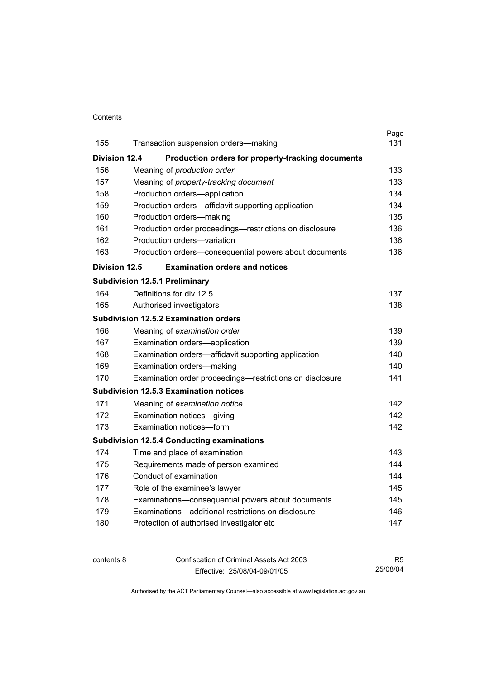### **Contents**

|                      |                                                          | Page |
|----------------------|----------------------------------------------------------|------|
| 155                  | Transaction suspension orders-making                     | 131  |
| <b>Division 12.4</b> | Production orders for property-tracking documents        |      |
| 156                  | Meaning of production order                              | 133  |
| 157                  | Meaning of property-tracking document                    | 133  |
| 158                  | Production orders-application                            | 134  |
| 159                  | Production orders—affidavit supporting application       | 134  |
| 160                  | Production orders-making                                 | 135  |
| 161                  | Production order proceedings—restrictions on disclosure  | 136  |
| 162                  | Production orders-variation                              | 136  |
| 163                  | Production orders-consequential powers about documents   | 136  |
| Division 12.5        | <b>Examination orders and notices</b>                    |      |
|                      | <b>Subdivision 12.5.1 Preliminary</b>                    |      |
| 164                  | Definitions for div 12.5                                 | 137  |
| 165                  | Authorised investigators                                 | 138  |
|                      | <b>Subdivision 12.5.2 Examination orders</b>             |      |
| 166                  | Meaning of examination order                             | 139  |
| 167                  | Examination orders-application                           | 139  |
| 168                  | Examination orders—affidavit supporting application      | 140  |
| 169                  | Examination orders-making                                | 140. |
| 170                  | Examination order proceedings—restrictions on disclosure | 141  |
|                      | <b>Subdivision 12.5.3 Examination notices</b>            |      |
| 171                  | Meaning of examination notice                            | 142  |
| 172                  | Examination notices-giving                               | 142  |
| 173                  | Examination notices-form                                 | 142  |
|                      | <b>Subdivision 12.5.4 Conducting examinations</b>        |      |
| 174                  | Time and place of examination                            | 143  |
| 175                  | Requirements made of person examined                     | 144  |
| 176                  | Conduct of examination                                   | 144  |
| 177                  | Role of the examinee's lawyer                            | 145  |
| 178                  | Examinations-consequential powers about documents        | 145  |
| 179                  | Examinations-additional restrictions on disclosure       | 146  |
| 180                  | Protection of authorised investigator etc                | 147  |
|                      |                                                          |      |

contents 8 Confiscation of Criminal Assets Act 2003 Effective: 25/08/04-09/01/05 R5 25/08/04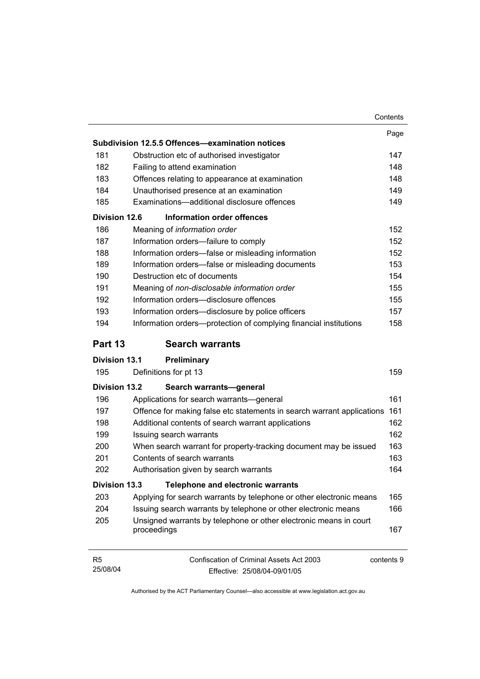|                            | Contents                                                                               |      |
|----------------------------|----------------------------------------------------------------------------------------|------|
|                            |                                                                                        | Page |
|                            | Subdivision 12.5.5 Offences-examination notices                                        |      |
| 181                        | Obstruction etc of authorised investigator                                             | 147  |
| 182                        | Failing to attend examination                                                          | 148  |
| 183                        | Offences relating to appearance at examination                                         | 148  |
| 184                        | Unauthorised presence at an examination                                                | 149  |
| 185                        | Examinations-additional disclosure offences                                            | 149  |
| Division 12.6              | Information order offences                                                             |      |
| 186                        | Meaning of information order                                                           | 152  |
| 187                        | Information orders-failure to comply                                                   | 152  |
| 188                        | Information orders-false or misleading information                                     | 152  |
| 189                        | Information orders-false or misleading documents                                       | 153  |
| 190                        | Destruction etc of documents                                                           | 154  |
| 191                        | Meaning of non-disclosable information order                                           | 155  |
| 192                        | Information orders-disclosure offences                                                 | 155  |
| 193                        | Information orders-disclosure by police officers                                       | 157  |
| 194                        | Information orders-protection of complying financial institutions                      | 158  |
| Part 13                    | <b>Search warrants</b>                                                                 |      |
| <b>Division 13.1</b>       | Preliminary                                                                            |      |
| 195                        | Definitions for pt 13                                                                  | 159  |
| <b>Division 13.2</b>       | Search warrants-general                                                                |      |
| 196                        | Applications for search warrants—general                                               | 161  |
| 197                        | Offence for making false etc statements in search warrant applications                 | 161  |
| 198                        | Additional contents of search warrant applications                                     | 162  |
| 199                        | Issuing search warrants                                                                | 162  |
| 200                        | When search warrant for property-tracking document may be issued                       | 163  |
| 201                        | Contents of search warrants                                                            | 163  |
| 202                        | Authorisation given by search warrants                                                 | 164  |
| <b>Division 13.3</b>       | <b>Telephone and electronic warrants</b>                                               |      |
| 203                        | Applying for search warrants by telephone or other electronic means                    | 165  |
| 204                        | Issuing search warrants by telephone or other electronic means                         | 166  |
| 205                        | Unsigned warrants by telephone or other electronic means in court<br>proceedings       | 167  |
| R <sub>5</sub><br>25/08/04 | Confiscation of Criminal Assets Act 2003<br>contents 9<br>Effective: 25/08/04-09/01/05 |      |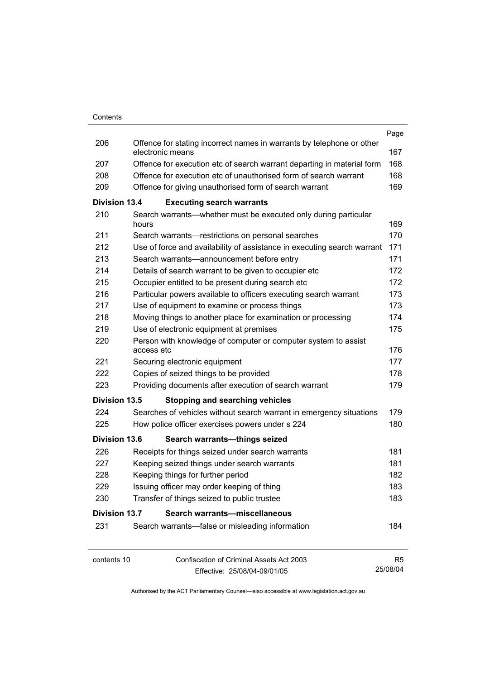|                      |                                                       |                                                                                           | Page           |
|----------------------|-------------------------------------------------------|-------------------------------------------------------------------------------------------|----------------|
| 206                  |                                                       | Offence for stating incorrect names in warrants by telephone or other<br>electronic means | 167            |
| 207                  |                                                       | Offence for execution etc of search warrant departing in material form                    | 168            |
| 208                  |                                                       | Offence for execution etc of unauthorised form of search warrant                          | 168            |
| 209                  |                                                       | Offence for giving unauthorised form of search warrant                                    | 169            |
| Division 13.4        |                                                       | <b>Executing search warrants</b>                                                          |                |
| 210                  | hours                                                 | Search warrants—whether must be executed only during particular                           | 169            |
| 211                  |                                                       | Search warrants-restrictions on personal searches                                         | 170            |
| 212                  |                                                       | Use of force and availability of assistance in executing search warrant                   | 171            |
| 213                  |                                                       | Search warrants-announcement before entry                                                 | 171            |
| 214                  |                                                       | Details of search warrant to be given to occupier etc                                     | 172            |
| 215                  |                                                       | Occupier entitled to be present during search etc                                         | 172            |
| 216                  |                                                       | Particular powers available to officers executing search warrant                          | 173            |
| 217                  |                                                       | Use of equipment to examine or process things                                             | 173            |
| 218                  |                                                       | Moving things to another place for examination or processing                              | 174            |
| 219                  |                                                       | Use of electronic equipment at premises                                                   | 175            |
| 220                  |                                                       | Person with knowledge of computer or computer system to assist                            |                |
|                      | access etc                                            |                                                                                           | 176            |
| 221                  |                                                       | Securing electronic equipment                                                             | 177            |
| 222                  |                                                       | Copies of seized things to be provided                                                    | 178            |
| 223                  | Providing documents after execution of search warrant |                                                                                           |                |
| Division 13.5        |                                                       | <b>Stopping and searching vehicles</b>                                                    |                |
| 224                  |                                                       | Searches of vehicles without search warrant in emergency situations                       | 179            |
| 225                  |                                                       | How police officer exercises powers under s 224                                           | 180            |
| <b>Division 13.6</b> |                                                       | Search warrants-things seized                                                             |                |
| 226                  |                                                       | Receipts for things seized under search warrants                                          | 181            |
| 227                  |                                                       | Keeping seized things under search warrants                                               | 181            |
| 228                  |                                                       | Keeping things for further period                                                         | 182            |
| 229                  |                                                       | Issuing officer may order keeping of thing                                                | 183            |
| 230                  |                                                       | Transfer of things seized to public trustee                                               | 183            |
| <b>Division 13.7</b> |                                                       | Search warrants-miscellaneous                                                             |                |
| 231                  |                                                       | Search warrants—false or misleading information                                           | 184            |
| contents 10          |                                                       | <b>Confiscation of Criminal Assets Act 2003</b>                                           | R <sub>5</sub> |
|                      |                                                       | Effective: 25/08/04-09/01/05                                                              | 25/08/04       |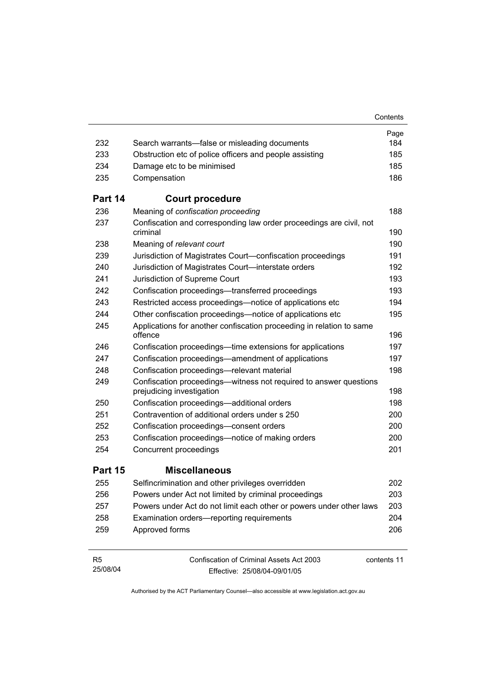|                            |                                                                                                 | Contents    |
|----------------------------|-------------------------------------------------------------------------------------------------|-------------|
|                            |                                                                                                 | Page        |
| 232                        | Search warrants—false or misleading documents                                                   | 184         |
| 233                        | Obstruction etc of police officers and people assisting                                         | 185         |
| 234                        | Damage etc to be minimised                                                                      | 185         |
| 235                        | Compensation                                                                                    | 186         |
| Part 14                    | <b>Court procedure</b>                                                                          |             |
| 236                        | Meaning of confiscation proceeding                                                              | 188         |
| 237                        | Confiscation and corresponding law order proceedings are civil, not<br>criminal                 | 190         |
| 238                        | Meaning of relevant court                                                                       | 190         |
| 239                        | Jurisdiction of Magistrates Court-confiscation proceedings                                      | 191         |
| 240                        | Jurisdiction of Magistrates Court-interstate orders                                             | 192         |
| 241                        | Jurisdiction of Supreme Court                                                                   | 193         |
| 242                        | Confiscation proceedings—transferred proceedings                                                | 193         |
| 243                        | Restricted access proceedings—notice of applications etc                                        | 194         |
| 244                        | Other confiscation proceedings—notice of applications etc                                       | 195         |
| 245                        | Applications for another confiscation proceeding in relation to same<br>offence                 | 196         |
| 246                        | Confiscation proceedings—time extensions for applications                                       | 197         |
| 247                        | Confiscation proceedings—amendment of applications                                              | 197         |
| 248                        | Confiscation proceedings-relevant material                                                      | 198         |
| 249                        | Confiscation proceedings--witness not required to answer questions<br>prejudicing investigation | 198         |
| 250                        | Confiscation proceedings-additional orders                                                      | 198         |
| 251                        | Contravention of additional orders under s 250                                                  | 200         |
| 252                        | Confiscation proceedings-consent orders                                                         | 200         |
| 253                        | Confiscation proceedings—notice of making orders                                                | 200         |
| 254                        | Concurrent proceedings                                                                          | 201         |
| Part 15                    | <b>Miscellaneous</b>                                                                            |             |
| 255                        | Selfincrimination and other privileges overridden                                               | 202         |
| 256                        | Powers under Act not limited by criminal proceedings                                            | 203         |
| 257                        | Powers under Act do not limit each other or powers under other laws                             | 203         |
| 258                        | Examination orders—reporting requirements                                                       | 204         |
| 259                        | Approved forms                                                                                  | 206         |
| R <sub>5</sub><br>25/08/04 | Confiscation of Criminal Assets Act 2003<br>Effective: 25/08/04-09/01/05                        | contents 11 |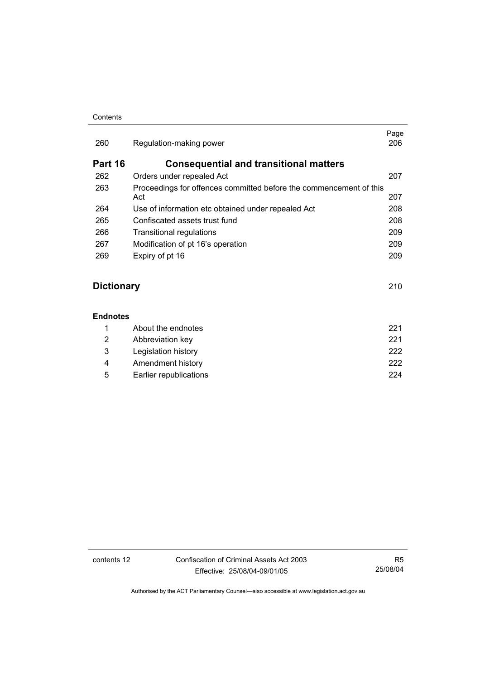### **Contents**

| 260     | Regulation-making power                                                   | Page<br>206 |
|---------|---------------------------------------------------------------------------|-------------|
| Part 16 | <b>Consequential and transitional matters</b>                             |             |
| 262     | Orders under repealed Act                                                 | 207         |
| 263     | Proceedings for offences committed before the commencement of this<br>Act | 207         |
| 264     | Use of information etc obtained under repealed Act                        | 208         |
| 265     | Confiscated assets trust fund                                             | 208         |
| 266     | Transitional regulations                                                  | 209         |
| 267     | Modification of pt 16's operation                                         | 209         |
| 269     | Expiry of pt 16                                                           | 209         |
|         |                                                                           |             |

## **Dictionary** 210

### **Endnotes**

|   | About the endnotes     | 221  |
|---|------------------------|------|
| 2 | Abbreviation key       | 221  |
| 3 | Legislation history    | 222. |
| 4 | Amendment history      | 222. |
| 5 | Earlier republications | 224  |

contents 12 Confiscation of Criminal Assets Act 2003 Effective: 25/08/04-09/01/05

R5 25/08/04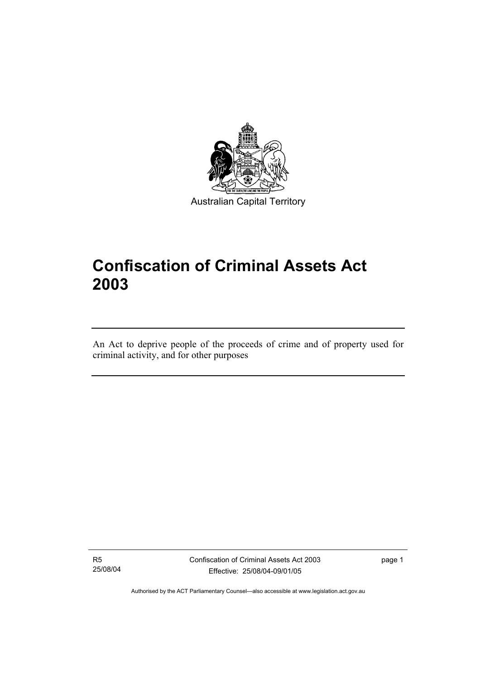

Australian Capital Territory

# **Confiscation of Criminal Assets Act 2003**

An Act to deprive people of the proceeds of crime and of property used for criminal activity, and for other purposes

R5 25/08/04

I

Confiscation of Criminal Assets Act 2003 Effective: 25/08/04-09/01/05

page 1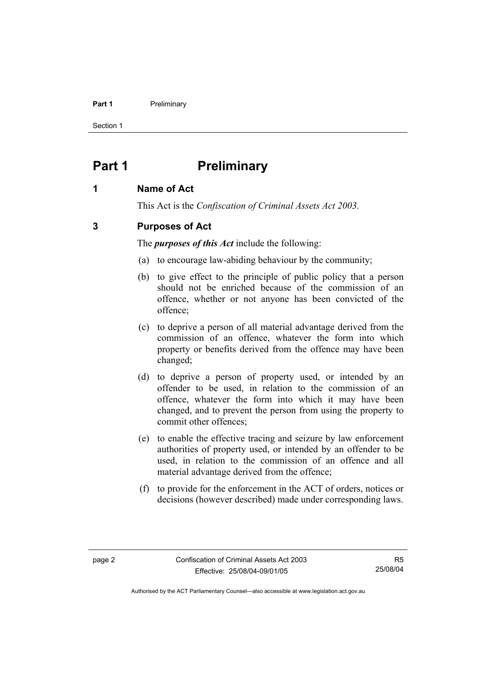### **Part 1** Preliminary

Section 1

## **Part 1** Preliminary

## **1 Name of Act**

This Act is the *Confiscation of Criminal Assets Act 2003.*

## **3 Purposes of Act**

The *purposes of this Act* include the following:

- (a) to encourage law-abiding behaviour by the community;
- (b) to give effect to the principle of public policy that a person should not be enriched because of the commission of an offence, whether or not anyone has been convicted of the offence;
- (c) to deprive a person of all material advantage derived from the commission of an offence, whatever the form into which property or benefits derived from the offence may have been changed;
- (d) to deprive a person of property used, or intended by an offender to be used, in relation to the commission of an offence, whatever the form into which it may have been changed, and to prevent the person from using the property to commit other offences;
- (e) to enable the effective tracing and seizure by law enforcement authorities of property used, or intended by an offender to be used, in relation to the commission of an offence and all material advantage derived from the offence;
- (f) to provide for the enforcement in the ACT of orders, notices or decisions (however described) made under corresponding laws.

R5 25/08/04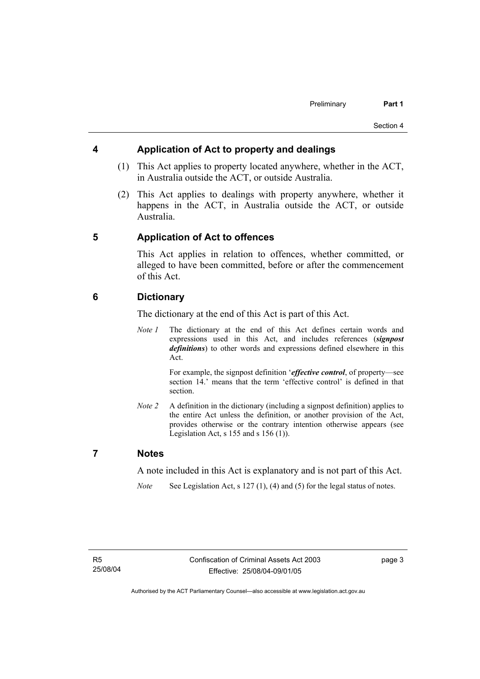## **4 Application of Act to property and dealings**

- (1) This Act applies to property located anywhere, whether in the ACT, in Australia outside the ACT, or outside Australia.
- (2) This Act applies to dealings with property anywhere, whether it happens in the ACT, in Australia outside the ACT, or outside Australia.

## **5 Application of Act to offences**

This Act applies in relation to offences, whether committed, or alleged to have been committed, before or after the commencement of this Act.

## **6 Dictionary**

The dictionary at the end of this Act is part of this Act.

*Note 1* The dictionary at the end of this Act defines certain words and expressions used in this Act, and includes references (*signpost definitions*) to other words and expressions defined elsewhere in this Act.

> For example, the signpost definition '*effective control*, of property—see section 14.' means that the term 'effective control' is defined in that section.

*Note 2* A definition in the dictionary (including a signpost definition) applies to the entire Act unless the definition, or another provision of the Act, provides otherwise or the contrary intention otherwise appears (see Legislation Act,  $s$  155 and  $s$  156 (1)).

## **7 Notes**

A note included in this Act is explanatory and is not part of this Act.

*Note* See Legislation Act, s 127 (1), (4) and (5) for the legal status of notes.

page 3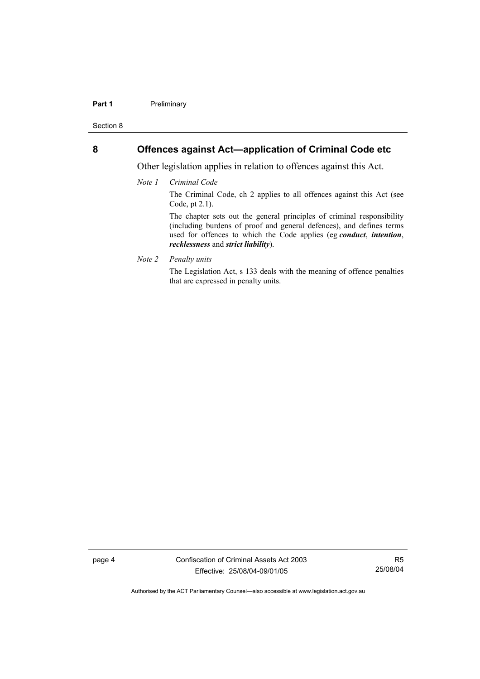### **Part 1** Preliminary

Section 8

## **8 Offences against Act—application of Criminal Code etc**

Other legislation applies in relation to offences against this Act.

*Note 1 Criminal Code*

The Criminal Code, ch 2 applies to all offences against this Act (see Code, pt 2.1).

The chapter sets out the general principles of criminal responsibility (including burdens of proof and general defences), and defines terms used for offences to which the Code applies (eg *conduct*, *intention*, *recklessness* and *strict liability*).

*Note 2 Penalty units* 

The Legislation Act, s 133 deals with the meaning of offence penalties that are expressed in penalty units.

page 4 Confiscation of Criminal Assets Act 2003 Effective: 25/08/04-09/01/05

R5 25/08/04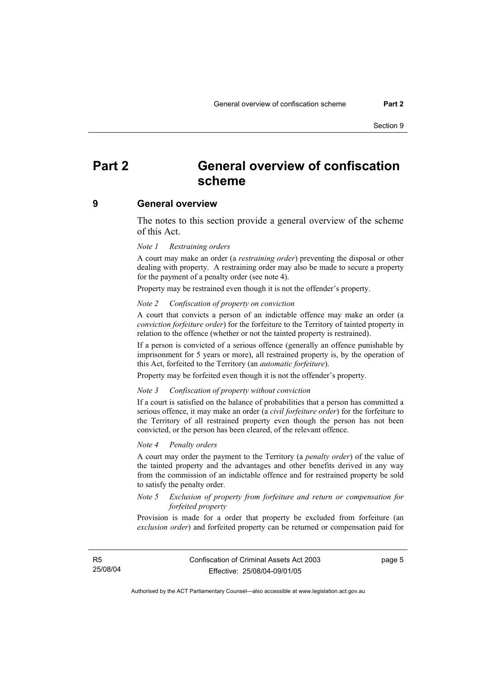## **Part 2 General overview of confiscation scheme**

### **9 General overview**

The notes to this section provide a general overview of the scheme of this Act.

#### *Note 1 Restraining orders*

A court may make an order (a *restraining order*) preventing the disposal or other dealing with property. A restraining order may also be made to secure a property for the payment of a penalty order (see note 4).

Property may be restrained even though it is not the offender's property.

### *Note 2 Confiscation of property on conviction*

A court that convicts a person of an indictable offence may make an order (a *conviction forfeiture order*) for the forfeiture to the Territory of tainted property in relation to the offence (whether or not the tainted property is restrained).

If a person is convicted of a serious offence (generally an offence punishable by imprisonment for 5 years or more), all restrained property is, by the operation of this Act, forfeited to the Territory (an *automatic forfeiture*).

Property may be forfeited even though it is not the offender's property.

#### *Note 3 Confiscation of property without conviction*

If a court is satisfied on the balance of probabilities that a person has committed a serious offence, it may make an order (a *civil forfeiture order*) for the forfeiture to the Territory of all restrained property even though the person has not been convicted, or the person has been cleared, of the relevant offence.

#### *Note 4 Penalty orders*

A court may order the payment to the Territory (a *penalty order*) of the value of the tainted property and the advantages and other benefits derived in any way from the commission of an indictable offence and for restrained property be sold to satisfy the penalty order.

### *Note 5 Exclusion of property from forfeiture and return or compensation for forfeited property*

Provision is made for a order that property be excluded from forfeiture (an *exclusion order*) and forfeited property can be returned or compensation paid for

R5 25/08/04 page 5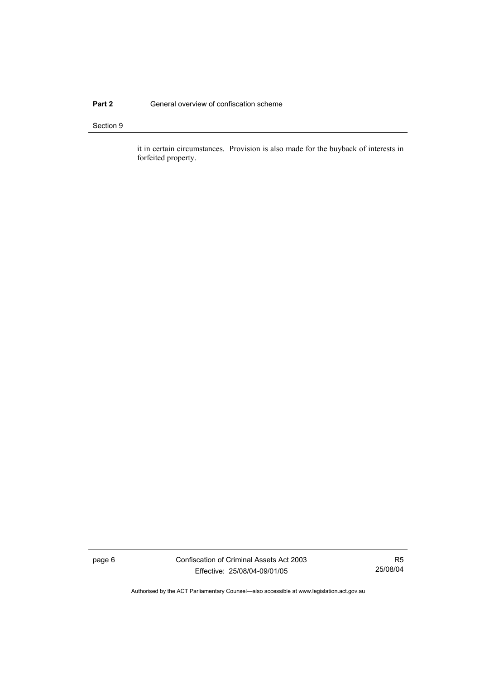### **Part 2 General overview of confiscation scheme**

### Section 9

it in certain circumstances. Provision is also made for the buyback of interests in forfeited property.

page 6 Confiscation of Criminal Assets Act 2003 Effective: 25/08/04-09/01/05

R5 25/08/04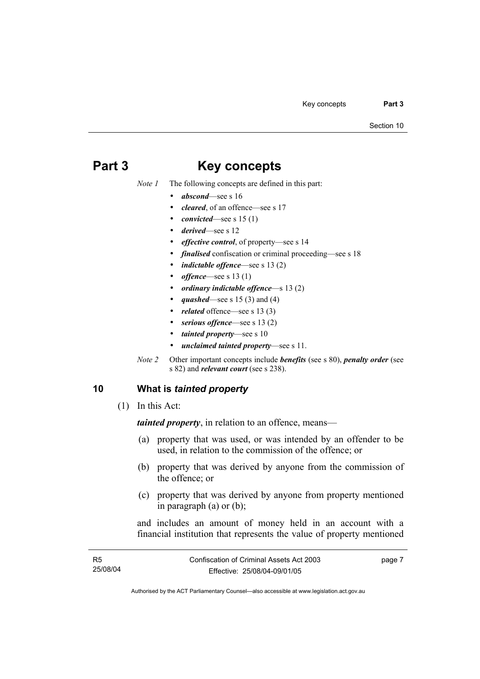## **Part 3 Key concepts**

*Note 1* The following concepts are defined in this part:

- *abscond*—see s 16
- *cleared*, of an offence—see s 17
- *convicted*—see s 15 (1)
- *derived*—see s 12
- *effective control*, of property—see s 14
- *finalised* confiscation or criminal proceeding—see s 18
- *indictable offence*—see s 13 (2)
- *offence*—see s 13 (1)
- *ordinary indictable offence*—s 13 (2)
- *quashed*—see s 15 (3) and (4)
- related offence—see s 13 (3)
- serious offence—see s 13 (2)
- *tainted property*—see s 10
- *unclaimed tainted property*—see s 11.
- *Note 2* Other important concepts include *benefits* (see s 80), *penalty order* (see s 82) and *relevant court* (see s 238).

## **10 What is** *tainted property*

(1) In this Act:

*tainted property*, in relation to an offence, means—

- (a) property that was used, or was intended by an offender to be used, in relation to the commission of the offence; or
- (b) property that was derived by anyone from the commission of the offence; or
- (c) property that was derived by anyone from property mentioned in paragraph (a) or (b);

and includes an amount of money held in an account with a financial institution that represents the value of property mentioned

| R5       | Confiscation of Criminal Assets Act 2003 | page 7 |
|----------|------------------------------------------|--------|
| 25/08/04 | Effective: 25/08/04-09/01/05             |        |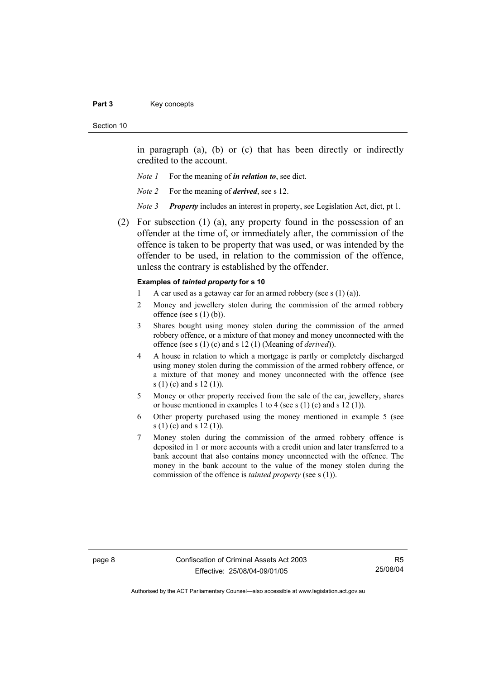#### Part 3 **Key concepts**

#### Section 10

in paragraph (a), (b) or (c) that has been directly or indirectly credited to the account.

- *Note 1* For the meaning of *in relation to*, see dict.
- *Note 2* For the meaning of *derived*, see s 12.
- *Note 3 Property* includes an interest in property, see Legislation Act, dict, pt 1.
- (2) For subsection (1) (a), any property found in the possession of an offender at the time of, or immediately after, the commission of the offence is taken to be property that was used, or was intended by the offender to be used, in relation to the commission of the offence, unless the contrary is established by the offender.

### **Examples of** *tainted property* **for s 10**

- 1 A car used as a getaway car for an armed robbery (see s  $(1)$  (a)).
- 2 Money and jewellery stolen during the commission of the armed robbery offence (see s  $(1)$  (b)).
- 3 Shares bought using money stolen during the commission of the armed robbery offence, or a mixture of that money and money unconnected with the offence (see s (1) (c) and s 12 (1) (Meaning of *derived*)).
- 4 A house in relation to which a mortgage is partly or completely discharged using money stolen during the commission of the armed robbery offence, or a mixture of that money and money unconnected with the offence (see s (1) (c) and s 12 (1)).
- 5 Money or other property received from the sale of the car, jewellery, shares or house mentioned in examples 1 to 4 (see s  $(1)$  (c) and s  $12$   $(1)$ ).
- 6 Other property purchased using the money mentioned in example 5 (see s (1) (c) and s 12 (1)).
- 7 Money stolen during the commission of the armed robbery offence is deposited in 1 or more accounts with a credit union and later transferred to a bank account that also contains money unconnected with the offence. The money in the bank account to the value of the money stolen during the commission of the offence is *tainted property* (see s (1)).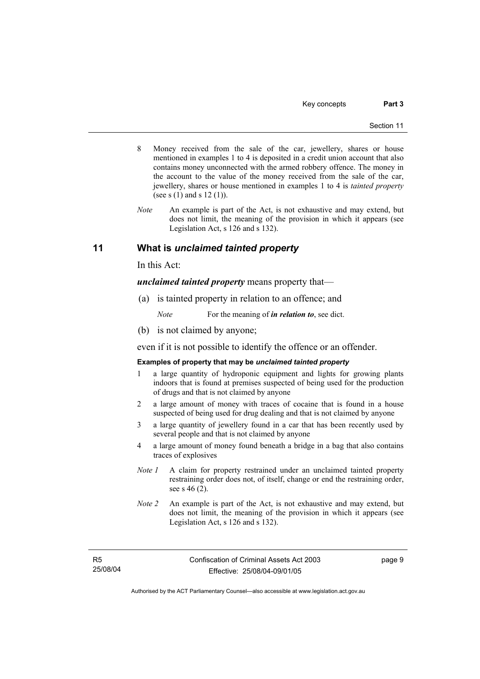- 8 Money received from the sale of the car, jewellery, shares or house mentioned in examples 1 to 4 is deposited in a credit union account that also contains money unconnected with the armed robbery offence. The money in the account to the value of the money received from the sale of the car, jewellery, shares or house mentioned in examples 1 to 4 is *tainted property* (see s (1) and s 12 (1)).
- *Note* An example is part of the Act, is not exhaustive and may extend, but does not limit, the meaning of the provision in which it appears (see Legislation Act, s 126 and s 132).

## **11 What is** *unclaimed tainted property*

In this Act:

*unclaimed tainted property* means property that—

(a) is tainted property in relation to an offence; and

*Note* For the meaning of *in relation to*, see dict.

(b) is not claimed by anyone;

even if it is not possible to identify the offence or an offender.

### **Examples of property that may be** *unclaimed tainted property*

- 1 a large quantity of hydroponic equipment and lights for growing plants indoors that is found at premises suspected of being used for the production of drugs and that is not claimed by anyone
- 2 a large amount of money with traces of cocaine that is found in a house suspected of being used for drug dealing and that is not claimed by anyone
- 3 a large quantity of jewellery found in a car that has been recently used by several people and that is not claimed by anyone
- 4 a large amount of money found beneath a bridge in a bag that also contains traces of explosives
- *Note 1* A claim for property restrained under an unclaimed tainted property restraining order does not, of itself, change or end the restraining order, see s 46 (2).
- *Note 2* An example is part of the Act, is not exhaustive and may extend, but does not limit, the meaning of the provision in which it appears (see Legislation Act, s 126 and s 132).

R5 25/08/04 page 9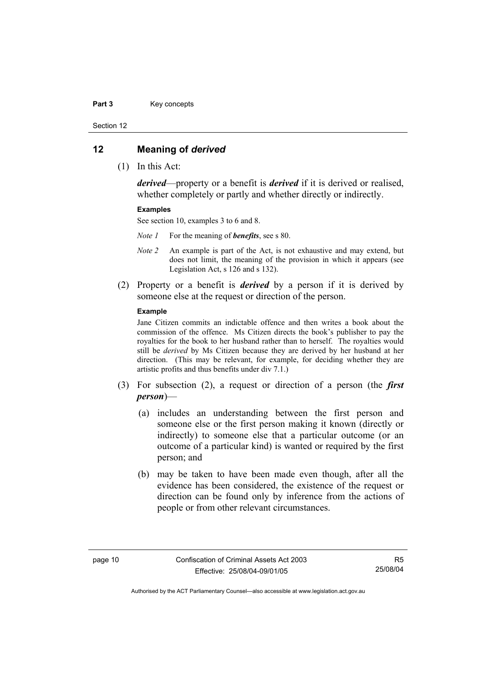#### Part 3 **Key concepts**

Section 12

### **12 Meaning of** *derived*

(1) In this Act:

*derived*—property or a benefit is *derived* if it is derived or realised, whether completely or partly and whether directly or indirectly.

### **Examples**

See section 10, examples 3 to 6 and 8.

*Note 1* For the meaning of *benefits*, see s 80.

- *Note 2* An example is part of the Act, is not exhaustive and may extend, but does not limit, the meaning of the provision in which it appears (see Legislation Act, s 126 and s 132).
- (2) Property or a benefit is *derived* by a person if it is derived by someone else at the request or direction of the person.

### **Example**

Jane Citizen commits an indictable offence and then writes a book about the commission of the offence. Ms Citizen directs the book's publisher to pay the royalties for the book to her husband rather than to herself. The royalties would still be *derived* by Ms Citizen because they are derived by her husband at her direction. (This may be relevant, for example, for deciding whether they are artistic profits and thus benefits under div 7.1.)

- (3) For subsection (2), a request or direction of a person (the *first person*)—
	- (a) includes an understanding between the first person and someone else or the first person making it known (directly or indirectly) to someone else that a particular outcome (or an outcome of a particular kind) is wanted or required by the first person; and
	- (b) may be taken to have been made even though, after all the evidence has been considered, the existence of the request or direction can be found only by inference from the actions of people or from other relevant circumstances.

R5 25/08/04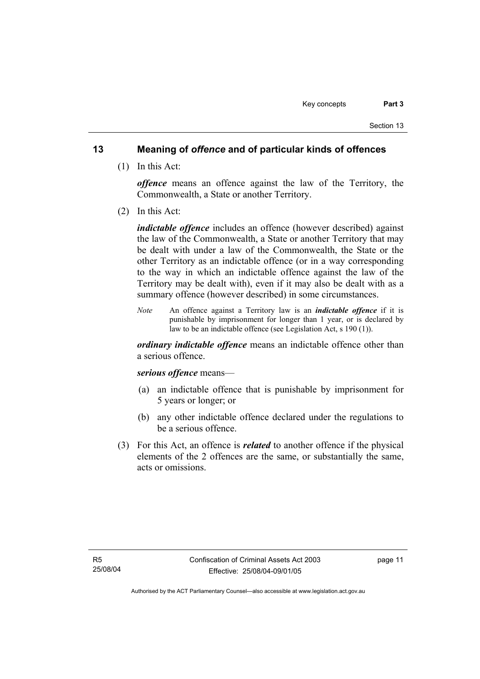## **13 Meaning of** *offence* **and of particular kinds of offences**

(1) In this Act:

*offence* means an offence against the law of the Territory, the Commonwealth, a State or another Territory.

(2) In this Act:

*indictable offence* includes an offence (however described) against the law of the Commonwealth, a State or another Territory that may be dealt with under a law of the Commonwealth, the State or the other Territory as an indictable offence (or in a way corresponding to the way in which an indictable offence against the law of the Territory may be dealt with), even if it may also be dealt with as a summary offence (however described) in some circumstances.

*Note* An offence against a Territory law is an *indictable offence* if it is punishable by imprisonment for longer than 1 year, or is declared by law to be an indictable offence (see Legislation Act, s 190 (1)).

*ordinary indictable offence* means an indictable offence other than a serious offence.

### *serious offence* means—

- (a) an indictable offence that is punishable by imprisonment for 5 years or longer; or
- (b) any other indictable offence declared under the regulations to be a serious offence.
- (3) For this Act, an offence is *related* to another offence if the physical elements of the 2 offences are the same, or substantially the same, acts or omissions.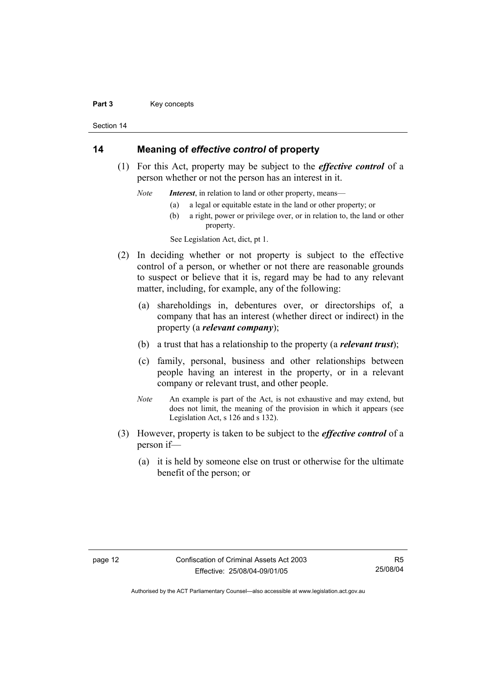#### Part 3 **Key concepts**

Section 14

## **14 Meaning of** *effective control* **of property**

 (1) For this Act, property may be subject to the *effective control* of a person whether or not the person has an interest in it.

*Note Interest*, in relation to land or other property, means—

- (a) a legal or equitable estate in the land or other property; or
- (b) a right, power or privilege over, or in relation to, the land or other property.

See Legislation Act, dict, pt 1.

- (2) In deciding whether or not property is subject to the effective control of a person, or whether or not there are reasonable grounds to suspect or believe that it is, regard may be had to any relevant matter, including, for example, any of the following:
	- (a) shareholdings in, debentures over, or directorships of, a company that has an interest (whether direct or indirect) in the property (a *relevant company*);
	- (b) a trust that has a relationship to the property (a *relevant trust*);
	- (c) family, personal, business and other relationships between people having an interest in the property, or in a relevant company or relevant trust, and other people.
	- *Note* An example is part of the Act, is not exhaustive and may extend, but does not limit, the meaning of the provision in which it appears (see Legislation Act, s 126 and s 132).
- (3) However, property is taken to be subject to the *effective control* of a person if—
	- (a) it is held by someone else on trust or otherwise for the ultimate benefit of the person; or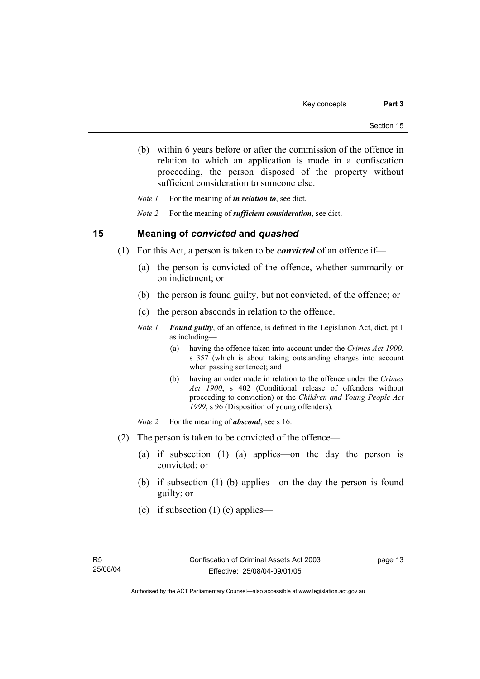(b) within 6 years before or after the commission of the offence in relation to which an application is made in a confiscation proceeding, the person disposed of the property without sufficient consideration to someone else.

*Note 1* For the meaning of *in relation to*, see dict.

*Note 2* For the meaning of *sufficient consideration*, see dict.

### **15 Meaning of** *convicted* **and** *quashed*

- (1) For this Act, a person is taken to be *convicted* of an offence if—
	- (a) the person is convicted of the offence, whether summarily or on indictment; or
	- (b) the person is found guilty, but not convicted, of the offence; or
	- (c) the person absconds in relation to the offence.
	- *Note 1 Found guilty*, of an offence, is defined in the Legislation Act, dict, pt 1 as including—
		- (a) having the offence taken into account under the *Crimes Act 1900*, s 357 (which is about taking outstanding charges into account when passing sentence); and
		- (b) having an order made in relation to the offence under the *Crimes Act 1900*, s 402 (Conditional release of offenders without proceeding to conviction) or the *Children and Young People Act 1999*, s 96 (Disposition of young offenders).
	- *Note 2* For the meaning of *abscond*, see s 16.
- (2) The person is taken to be convicted of the offence—
	- (a) if subsection (1) (a) applies—on the day the person is convicted; or
	- (b) if subsection (1) (b) applies—on the day the person is found guilty; or
	- (c) if subsection  $(1)$  (c) applies—

page 13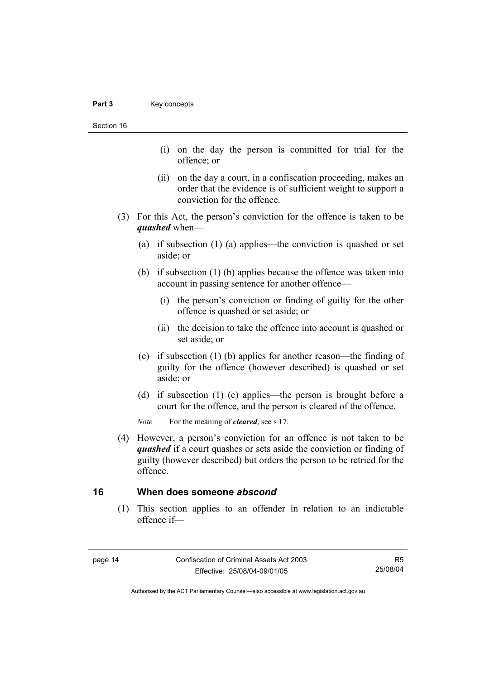Section 16

- (i) on the day the person is committed for trial for the offence; or
- (ii) on the day a court, in a confiscation proceeding, makes an order that the evidence is of sufficient weight to support a conviction for the offence.
- (3) For this Act, the person's conviction for the offence is taken to be *quashed* when—
	- (a) if subsection (1) (a) applies—the conviction is quashed or set aside; or
	- (b) if subsection (1) (b) applies because the offence was taken into account in passing sentence for another offence—
		- (i) the person's conviction or finding of guilty for the other offence is quashed or set aside; or
		- (ii) the decision to take the offence into account is quashed or set aside; or
	- (c) if subsection (1) (b) applies for another reason—the finding of guilty for the offence (however described) is quashed or set aside; or
	- (d) if subsection (1) (c) applies—the person is brought before a court for the offence, and the person is cleared of the offence.

*Note* For the meaning of *cleared*, see s 17.

 (4) However, a person's conviction for an offence is not taken to be *quashed* if a court quashes or sets aside the conviction or finding of guilty (however described) but orders the person to be retried for the offence.

## **16 When does someone** *abscond*

 (1) This section applies to an offender in relation to an indictable offence if—

R5 25/08/04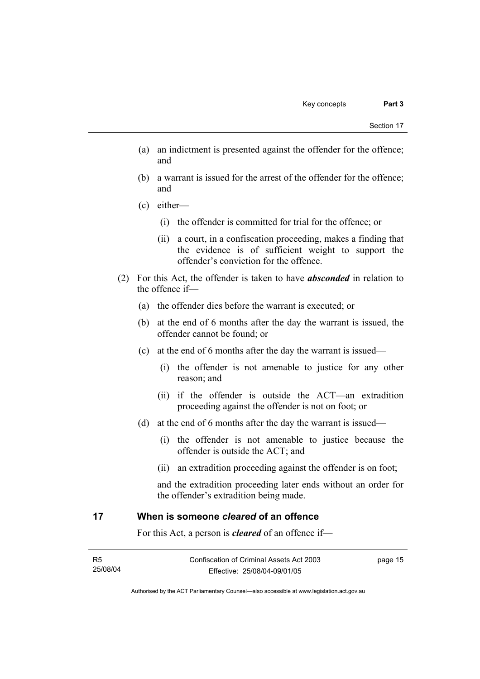- (a) an indictment is presented against the offender for the offence; and
- (b) a warrant is issued for the arrest of the offender for the offence; and
- (c) either—
	- (i) the offender is committed for trial for the offence; or
	- (ii) a court, in a confiscation proceeding, makes a finding that the evidence is of sufficient weight to support the offender's conviction for the offence.
- (2) For this Act, the offender is taken to have *absconded* in relation to the offence if—
	- (a) the offender dies before the warrant is executed; or
	- (b) at the end of 6 months after the day the warrant is issued, the offender cannot be found; or
	- (c) at the end of 6 months after the day the warrant is issued—
		- (i) the offender is not amenable to justice for any other reason; and
		- (ii) if the offender is outside the ACT—an extradition proceeding against the offender is not on foot; or
	- (d) at the end of 6 months after the day the warrant is issued—
		- (i) the offender is not amenable to justice because the offender is outside the ACT; and
		- (ii) an extradition proceeding against the offender is on foot;

and the extradition proceeding later ends without an order for the offender's extradition being made.

## **17 When is someone** *cleared* **of an offence**

For this Act, a person is *cleared* of an offence if—

| - R5     | Confiscation of Criminal Assets Act 2003 | page 15 |
|----------|------------------------------------------|---------|
| 25/08/04 | Effective: 25/08/04-09/01/05             |         |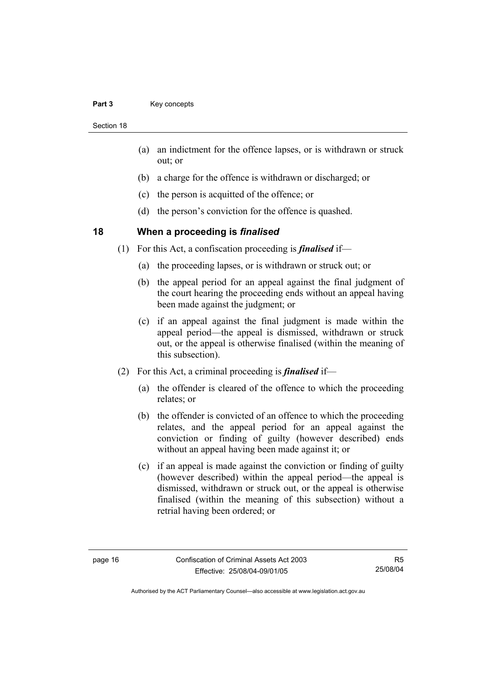### Part 3 **Key concepts**

Section 18

- (a) an indictment for the offence lapses, or is withdrawn or struck out; or
- (b) a charge for the offence is withdrawn or discharged; or
- (c) the person is acquitted of the offence; or
- (d) the person's conviction for the offence is quashed.

## **18 When a proceeding is** *finalised*

- (1) For this Act, a confiscation proceeding is *finalised* if—
	- (a) the proceeding lapses, or is withdrawn or struck out; or
	- (b) the appeal period for an appeal against the final judgment of the court hearing the proceeding ends without an appeal having been made against the judgment; or
	- (c) if an appeal against the final judgment is made within the appeal period—the appeal is dismissed, withdrawn or struck out, or the appeal is otherwise finalised (within the meaning of this subsection).
- (2) For this Act, a criminal proceeding is *finalised* if—
	- (a) the offender is cleared of the offence to which the proceeding relates; or
	- (b) the offender is convicted of an offence to which the proceeding relates, and the appeal period for an appeal against the conviction or finding of guilty (however described) ends without an appeal having been made against it; or
	- (c) if an appeal is made against the conviction or finding of guilty (however described) within the appeal period—the appeal is dismissed, withdrawn or struck out, or the appeal is otherwise finalised (within the meaning of this subsection) without a retrial having been ordered; or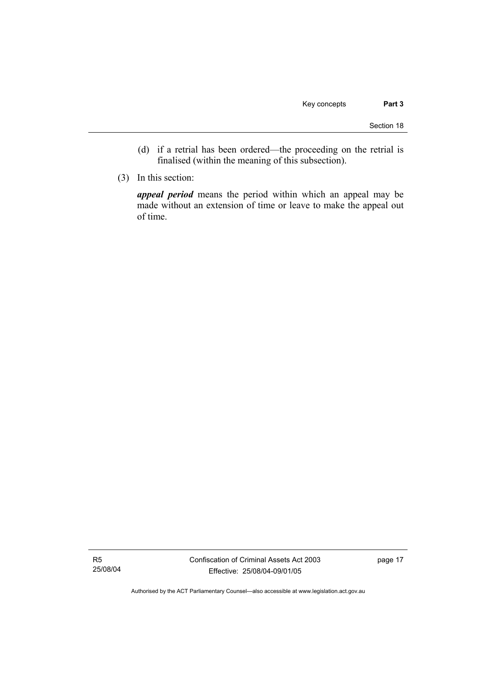- (d) if a retrial has been ordered—the proceeding on the retrial is finalised (within the meaning of this subsection).
- (3) In this section:

*appeal period* means the period within which an appeal may be made without an extension of time or leave to make the appeal out of time.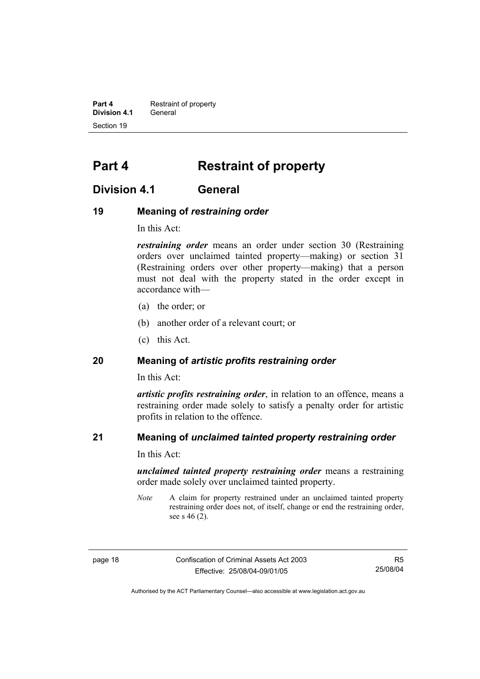**Part 4 Restraint of property Division 4.1** General Section 19

## **Part 4 Restraint of property**

## **Division 4.1 General**

## **19 Meaning of** *restraining order*

In this Act:

*restraining order* means an order under section 30 (Restraining orders over unclaimed tainted property—making) or section 31 (Restraining orders over other property—making) that a person must not deal with the property stated in the order except in accordance with—

- (a) the order; or
- (b) another order of a relevant court; or
- (c) this Act.

## **20 Meaning of** *artistic profits restraining order*

In this Act:

*artistic profits restraining order*, in relation to an offence, means a restraining order made solely to satisfy a penalty order for artistic profits in relation to the offence.

## **21 Meaning of** *unclaimed tainted property restraining order*

In this Act:

*unclaimed tainted property restraining order* means a restraining order made solely over unclaimed tainted property.

*Note* A claim for property restrained under an unclaimed tainted property restraining order does not, of itself, change or end the restraining order, see s 46 (2).

page 18 Confiscation of Criminal Assets Act 2003 Effective: 25/08/04-09/01/05

R5 25/08/04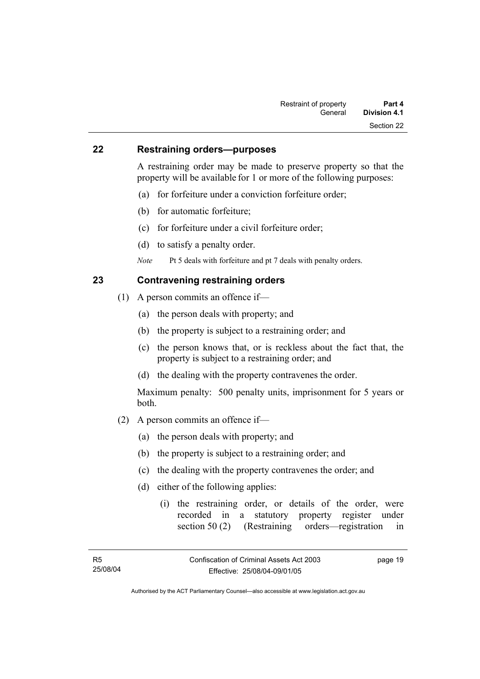### **22 Restraining orders—purposes**

A restraining order may be made to preserve property so that the property will be available for 1 or more of the following purposes:

- (a) for forfeiture under a conviction forfeiture order;
- (b) for automatic forfeiture;
- (c) for forfeiture under a civil forfeiture order;
- (d) to satisfy a penalty order.
- *Note* Pt 5 deals with forfeiture and pt 7 deals with penalty orders.

## **23 Contravening restraining orders**

- (1) A person commits an offence if—
	- (a) the person deals with property; and
	- (b) the property is subject to a restraining order; and
	- (c) the person knows that, or is reckless about the fact that, the property is subject to a restraining order; and
	- (d) the dealing with the property contravenes the order.

Maximum penalty: 500 penalty units, imprisonment for 5 years or both.

- (2) A person commits an offence if—
	- (a) the person deals with property; and
	- (b) the property is subject to a restraining order; and
	- (c) the dealing with the property contravenes the order; and
	- (d) either of the following applies:
		- (i) the restraining order, or details of the order, were recorded in a statutory property register under section 50 (2) (Restraining orders—registration in

page 19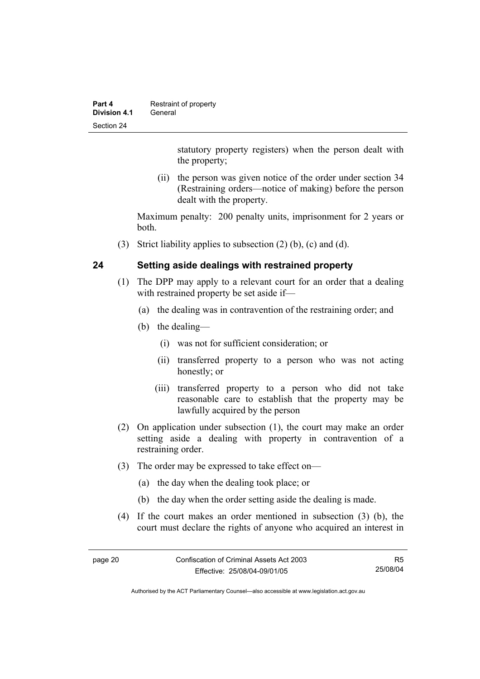| Part 4       | Restraint of property |
|--------------|-----------------------|
| Division 4.1 | General               |
| Section 24   |                       |

statutory property registers) when the person dealt with the property;

 (ii) the person was given notice of the order under section 34 (Restraining orders—notice of making) before the person dealt with the property.

Maximum penalty: 200 penalty units, imprisonment for 2 years or both.

(3) Strict liability applies to subsection (2) (b), (c) and (d).

## **24 Setting aside dealings with restrained property**

- (1) The DPP may apply to a relevant court for an order that a dealing with restrained property be set aside if—
	- (a) the dealing was in contravention of the restraining order; and
	- (b) the dealing—
		- (i) was not for sufficient consideration; or
		- (ii) transferred property to a person who was not acting honestly; or
		- (iii) transferred property to a person who did not take reasonable care to establish that the property may be lawfully acquired by the person
- (2) On application under subsection (1), the court may make an order setting aside a dealing with property in contravention of a restraining order.
- (3) The order may be expressed to take effect on—
	- (a) the day when the dealing took place; or
	- (b) the day when the order setting aside the dealing is made.
- (4) If the court makes an order mentioned in subsection (3) (b), the court must declare the rights of anyone who acquired an interest in

R5 25/08/04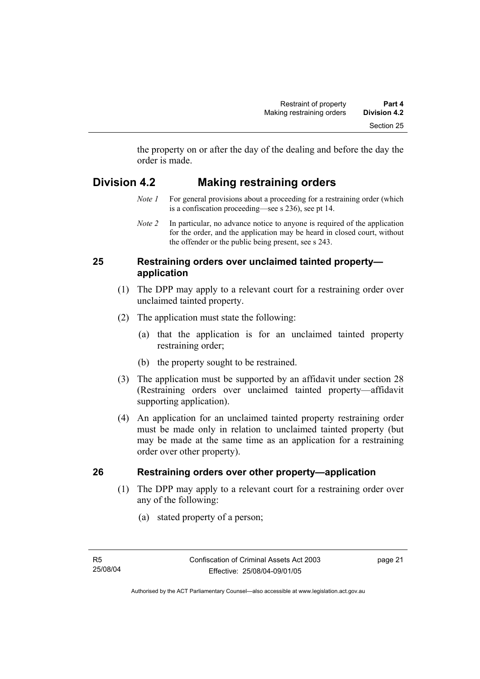the property on or after the day of the dealing and before the day the order is made.

## **Division 4.2 Making restraining orders**

- *Note 1* For general provisions about a proceeding for a restraining order (which is a confiscation proceeding—see s 236), see pt 14.
- *Note 2* In particular, no advance notice to anyone is required of the application for the order, and the application may be heard in closed court, without the offender or the public being present, see s 243.

## **25 Restraining orders over unclaimed tainted property application**

- (1) The DPP may apply to a relevant court for a restraining order over unclaimed tainted property.
- (2) The application must state the following:
	- (a) that the application is for an unclaimed tainted property restraining order;
	- (b) the property sought to be restrained.
- (3) The application must be supported by an affidavit under section 28 (Restraining orders over unclaimed tainted property—affidavit supporting application).
- (4) An application for an unclaimed tainted property restraining order must be made only in relation to unclaimed tainted property (but may be made at the same time as an application for a restraining order over other property).

## **26 Restraining orders over other property—application**

- (1) The DPP may apply to a relevant court for a restraining order over any of the following:
	- (a) stated property of a person;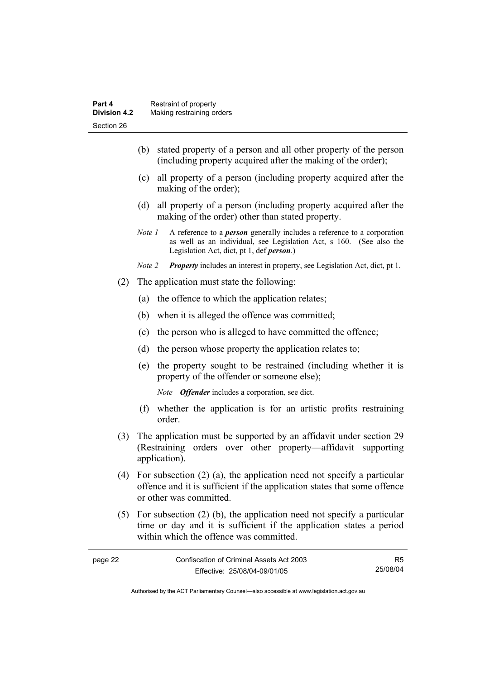- (b) stated property of a person and all other property of the person (including property acquired after the making of the order);
- (c) all property of a person (including property acquired after the making of the order);
- (d) all property of a person (including property acquired after the making of the order) other than stated property.
- *Note 1* A reference to a *person* generally includes a reference to a corporation as well as an individual, see Legislation Act, s 160. (See also the Legislation Act, dict, pt 1, def *person*.)
- *Note 2 Property* includes an interest in property, see Legislation Act, dict, pt 1.
- (2) The application must state the following:
	- (a) the offence to which the application relates;
	- (b) when it is alleged the offence was committed;
	- (c) the person who is alleged to have committed the offence;
	- (d) the person whose property the application relates to;
	- (e) the property sought to be restrained (including whether it is property of the offender or someone else);

*Note Offender* includes a corporation, see dict.

- (f) whether the application is for an artistic profits restraining order.
- (3) The application must be supported by an affidavit under section 29 (Restraining orders over other property—affidavit supporting application).
- (4) For subsection (2) (a), the application need not specify a particular offence and it is sufficient if the application states that some offence or other was committed.
- (5) For subsection (2) (b), the application need not specify a particular time or day and it is sufficient if the application states a period within which the offence was committed.

| page 22 | Confiscation of Criminal Assets Act 2003 |          |
|---------|------------------------------------------|----------|
|         | Effective: 25/08/04-09/01/05             | 25/08/04 |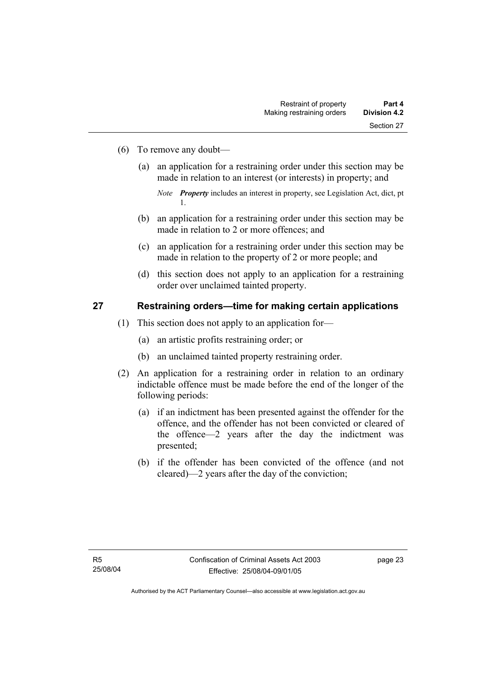- (6) To remove any doubt—
	- (a) an application for a restraining order under this section may be made in relation to an interest (or interests) in property; and

- (b) an application for a restraining order under this section may be made in relation to 2 or more offences; and
- (c) an application for a restraining order under this section may be made in relation to the property of 2 or more people; and
- (d) this section does not apply to an application for a restraining order over unclaimed tainted property.

# **27 Restraining orders—time for making certain applications**

- (1) This section does not apply to an application for—
	- (a) an artistic profits restraining order; or
	- (b) an unclaimed tainted property restraining order.
- (2) An application for a restraining order in relation to an ordinary indictable offence must be made before the end of the longer of the following periods:
	- (a) if an indictment has been presented against the offender for the offence, and the offender has not been convicted or cleared of the offence—2 years after the day the indictment was presented;
	- (b) if the offender has been convicted of the offence (and not cleared)—2 years after the day of the conviction;

*Note Property* includes an interest in property, see Legislation Act, dict, pt 1.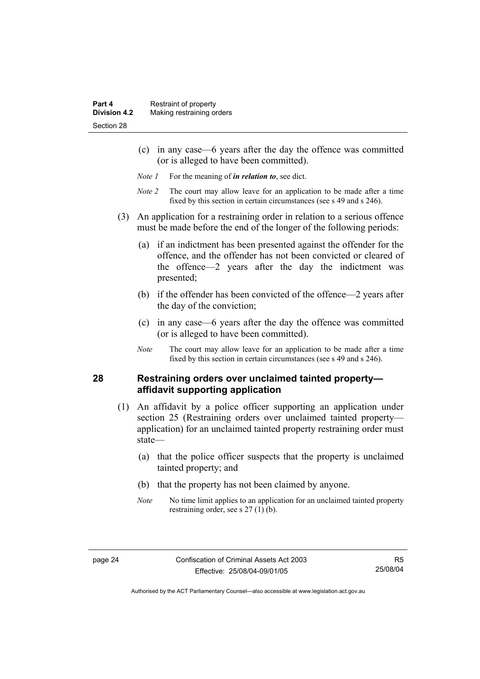- (c) in any case—6 years after the day the offence was committed (or is alleged to have been committed).
- *Note 1* For the meaning of *in relation to*, see dict.
- *Note 2* The court may allow leave for an application to be made after a time fixed by this section in certain circumstances (see s 49 and s 246).
- (3) An application for a restraining order in relation to a serious offence must be made before the end of the longer of the following periods:
	- (a) if an indictment has been presented against the offender for the offence, and the offender has not been convicted or cleared of the offence—2 years after the day the indictment was presented;
	- (b) if the offender has been convicted of the offence—2 years after the day of the conviction;
	- (c) in any case—6 years after the day the offence was committed (or is alleged to have been committed).
	- *Note* The court may allow leave for an application to be made after a time fixed by this section in certain circumstances (see s 49 and s 246).

# **28 Restraining orders over unclaimed tainted property affidavit supporting application**

- (1) An affidavit by a police officer supporting an application under section 25 (Restraining orders over unclaimed tainted property application) for an unclaimed tainted property restraining order must state—
	- (a) that the police officer suspects that the property is unclaimed tainted property; and
	- (b) that the property has not been claimed by anyone.
	- *Note* No time limit applies to an application for an unclaimed tainted property restraining order, see s 27 (1) (b).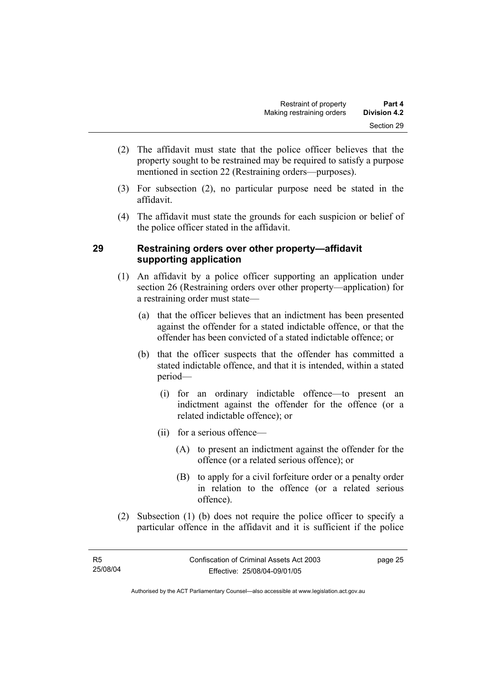- (2) The affidavit must state that the police officer believes that the property sought to be restrained may be required to satisfy a purpose mentioned in section 22 (Restraining orders—purposes).
- (3) For subsection (2), no particular purpose need be stated in the affidavit.
- (4) The affidavit must state the grounds for each suspicion or belief of the police officer stated in the affidavit.

# **29 Restraining orders over other property—affidavit supporting application**

- (1) An affidavit by a police officer supporting an application under section 26 (Restraining orders over other property—application) for a restraining order must state—
	- (a) that the officer believes that an indictment has been presented against the offender for a stated indictable offence, or that the offender has been convicted of a stated indictable offence; or
	- (b) that the officer suspects that the offender has committed a stated indictable offence, and that it is intended, within a stated period—
		- (i) for an ordinary indictable offence—to present an indictment against the offender for the offence (or a related indictable offence); or
		- (ii) for a serious offence—
			- (A) to present an indictment against the offender for the offence (or a related serious offence); or
			- (B) to apply for a civil forfeiture order or a penalty order in relation to the offence (or a related serious offence).
- (2) Subsection (1) (b) does not require the police officer to specify a particular offence in the affidavit and it is sufficient if the police

page 25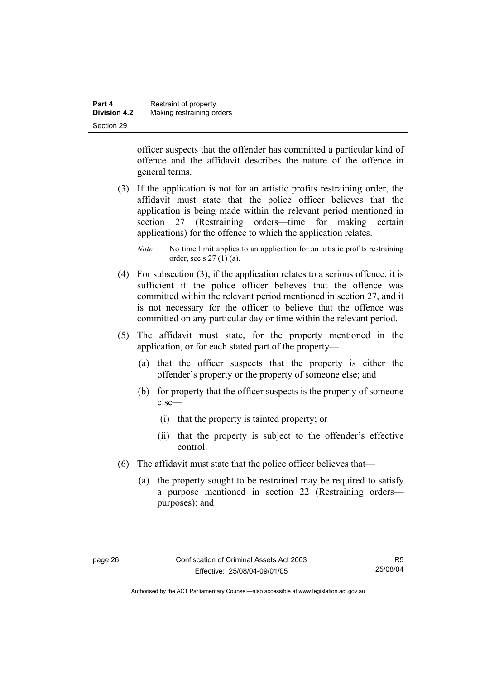| Part 4              | Restraint of property     |
|---------------------|---------------------------|
| <b>Division 4.2</b> | Making restraining orders |
| Section 29          |                           |

officer suspects that the offender has committed a particular kind of offence and the affidavit describes the nature of the offence in general terms.

- (3) If the application is not for an artistic profits restraining order, the affidavit must state that the police officer believes that the application is being made within the relevant period mentioned in section 27 (Restraining orders—time for making certain applications) for the offence to which the application relates.
	- *Note* No time limit applies to an application for an artistic profits restraining order, see s 27 (1) (a).
- (4) For subsection (3), if the application relates to a serious offence, it is sufficient if the police officer believes that the offence was committed within the relevant period mentioned in section 27, and it is not necessary for the officer to believe that the offence was committed on any particular day or time within the relevant period.
- (5) The affidavit must state, for the property mentioned in the application, or for each stated part of the property—
	- (a) that the officer suspects that the property is either the offender's property or the property of someone else; and
	- (b) for property that the officer suspects is the property of someone else—
		- (i) that the property is tainted property; or
		- (ii) that the property is subject to the offender's effective control.
- (6) The affidavit must state that the police officer believes that—
	- (a) the property sought to be restrained may be required to satisfy a purpose mentioned in section 22 (Restraining orders purposes); and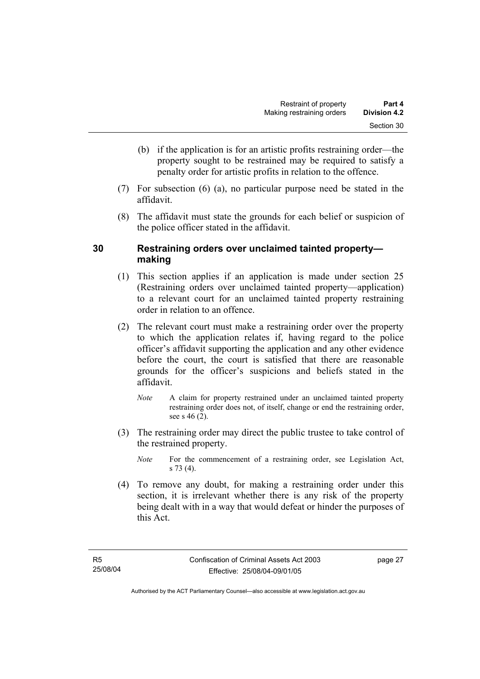- (b) if the application is for an artistic profits restraining order—the property sought to be restrained may be required to satisfy a penalty order for artistic profits in relation to the offence.
- (7) For subsection (6) (a), no particular purpose need be stated in the affidavit.
- (8) The affidavit must state the grounds for each belief or suspicion of the police officer stated in the affidavit.

# **30 Restraining orders over unclaimed tainted property making**

- (1) This section applies if an application is made under section 25 (Restraining orders over unclaimed tainted property—application) to a relevant court for an unclaimed tainted property restraining order in relation to an offence.
- (2) The relevant court must make a restraining order over the property to which the application relates if, having regard to the police officer's affidavit supporting the application and any other evidence before the court, the court is satisfied that there are reasonable grounds for the officer's suspicions and beliefs stated in the affidavit.
	- *Note* A claim for property restrained under an unclaimed tainted property restraining order does not, of itself, change or end the restraining order, see s 46 (2).
- (3) The restraining order may direct the public trustee to take control of the restrained property.
	- *Note* For the commencement of a restraining order, see Legislation Act, s 73 (4).
- (4) To remove any doubt, for making a restraining order under this section, it is irrelevant whether there is any risk of the property being dealt with in a way that would defeat or hinder the purposes of this Act.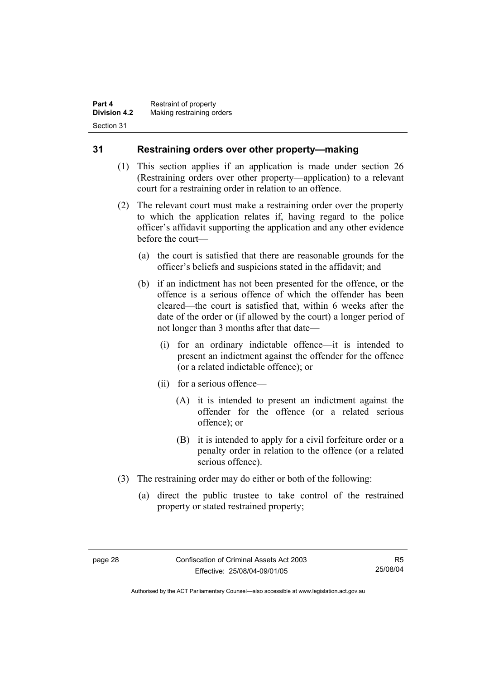# **31 Restraining orders over other property—making**

- (1) This section applies if an application is made under section 26 (Restraining orders over other property—application) to a relevant court for a restraining order in relation to an offence.
- (2) The relevant court must make a restraining order over the property to which the application relates if, having regard to the police officer's affidavit supporting the application and any other evidence before the court—
	- (a) the court is satisfied that there are reasonable grounds for the officer's beliefs and suspicions stated in the affidavit; and
	- (b) if an indictment has not been presented for the offence, or the offence is a serious offence of which the offender has been cleared—the court is satisfied that, within 6 weeks after the date of the order or (if allowed by the court) a longer period of not longer than 3 months after that date—
		- (i) for an ordinary indictable offence—it is intended to present an indictment against the offender for the offence (or a related indictable offence); or
		- (ii) for a serious offence—
			- (A) it is intended to present an indictment against the offender for the offence (or a related serious offence); or
			- (B) it is intended to apply for a civil forfeiture order or a penalty order in relation to the offence (or a related serious offence).
- (3) The restraining order may do either or both of the following:
	- (a) direct the public trustee to take control of the restrained property or stated restrained property;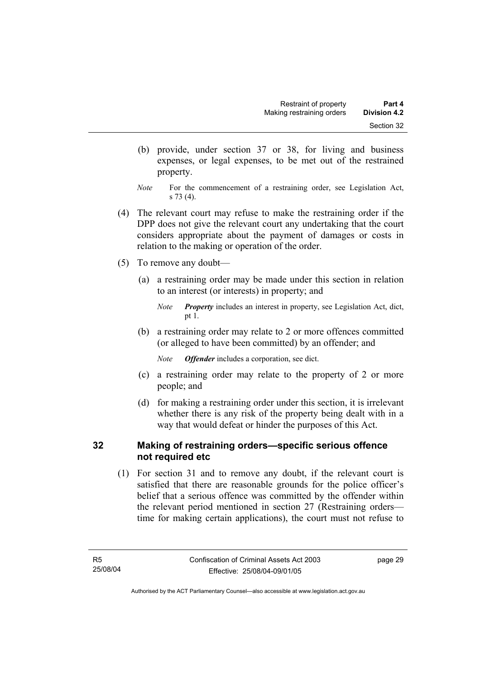- (b) provide, under section 37 or 38, for living and business expenses, or legal expenses, to be met out of the restrained property.
- *Note* For the commencement of a restraining order, see Legislation Act, s 73 (4).
- (4) The relevant court may refuse to make the restraining order if the DPP does not give the relevant court any undertaking that the court considers appropriate about the payment of damages or costs in relation to the making or operation of the order.
- (5) To remove any doubt—
	- (a) a restraining order may be made under this section in relation to an interest (or interests) in property; and

 (b) a restraining order may relate to 2 or more offences committed (or alleged to have been committed) by an offender; and

*Note Offender* includes a corporation, see dict.

- (c) a restraining order may relate to the property of 2 or more people; and
- (d) for making a restraining order under this section, it is irrelevant whether there is any risk of the property being dealt with in a way that would defeat or hinder the purposes of this Act.

# **32 Making of restraining orders—specific serious offence not required etc**

 (1) For section 31 and to remove any doubt, if the relevant court is satisfied that there are reasonable grounds for the police officer's belief that a serious offence was committed by the offender within the relevant period mentioned in section 27 (Restraining orders time for making certain applications), the court must not refuse to

*Note Property* includes an interest in property, see Legislation Act, dict, pt 1.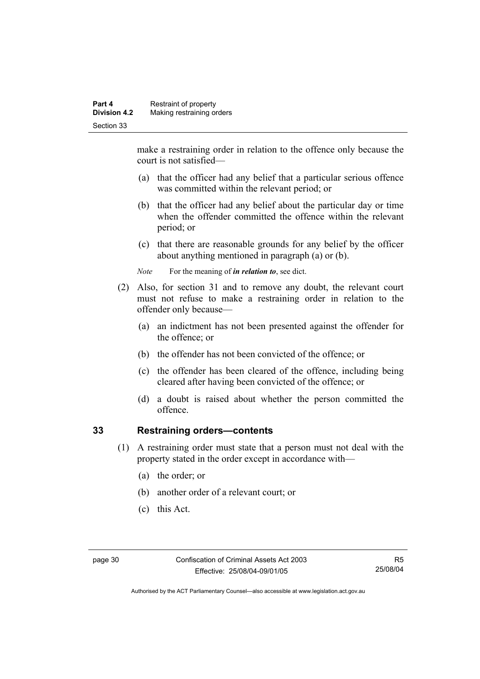make a restraining order in relation to the offence only because the court is not satisfied—

- (a) that the officer had any belief that a particular serious offence was committed within the relevant period; or
- (b) that the officer had any belief about the particular day or time when the offender committed the offence within the relevant period; or
- (c) that there are reasonable grounds for any belief by the officer about anything mentioned in paragraph (a) or (b).

*Note* For the meaning of *in relation to*, see dict.

- (2) Also, for section 31 and to remove any doubt, the relevant court must not refuse to make a restraining order in relation to the offender only because—
	- (a) an indictment has not been presented against the offender for the offence; or
	- (b) the offender has not been convicted of the offence; or
	- (c) the offender has been cleared of the offence, including being cleared after having been convicted of the offence; or
	- (d) a doubt is raised about whether the person committed the offence.

# **33 Restraining orders—contents**

- (1) A restraining order must state that a person must not deal with the property stated in the order except in accordance with—
	- (a) the order; or
	- (b) another order of a relevant court; or
	- (c) this Act.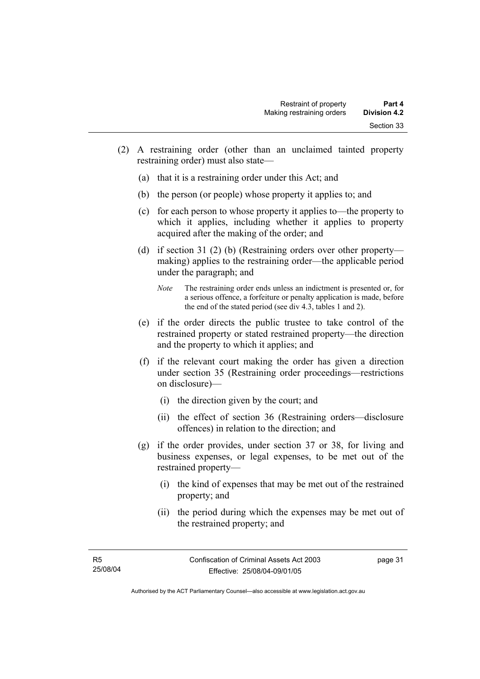- (2) A restraining order (other than an unclaimed tainted property restraining order) must also state—
	- (a) that it is a restraining order under this Act; and
	- (b) the person (or people) whose property it applies to; and
	- (c) for each person to whose property it applies to—the property to which it applies, including whether it applies to property acquired after the making of the order; and
	- (d) if section 31 (2) (b) (Restraining orders over other property making) applies to the restraining order—the applicable period under the paragraph; and
		- *Note* The restraining order ends unless an indictment is presented or, for a serious offence, a forfeiture or penalty application is made, before the end of the stated period (see div 4.3, tables 1 and 2).
	- (e) if the order directs the public trustee to take control of the restrained property or stated restrained property—the direction and the property to which it applies; and
	- (f) if the relevant court making the order has given a direction under section 35 (Restraining order proceedings—restrictions on disclosure)—
		- (i) the direction given by the court; and
		- (ii) the effect of section 36 (Restraining orders—disclosure offences) in relation to the direction; and
	- (g) if the order provides, under section 37 or 38, for living and business expenses, or legal expenses, to be met out of the restrained property—
		- (i) the kind of expenses that may be met out of the restrained property; and
		- (ii) the period during which the expenses may be met out of the restrained property; and

page 31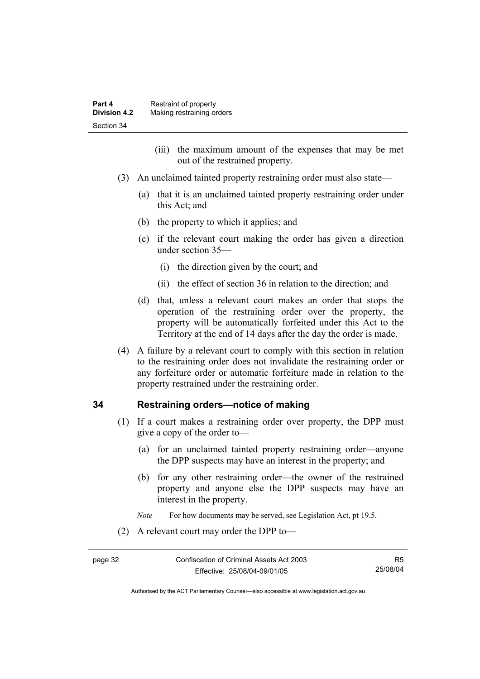- (iii) the maximum amount of the expenses that may be met out of the restrained property.
- (3) An unclaimed tainted property restraining order must also state—
	- (a) that it is an unclaimed tainted property restraining order under this Act; and
	- (b) the property to which it applies; and
	- (c) if the relevant court making the order has given a direction under section 35—
		- (i) the direction given by the court; and
		- (ii) the effect of section 36 in relation to the direction; and
	- (d) that, unless a relevant court makes an order that stops the operation of the restraining order over the property, the property will be automatically forfeited under this Act to the Territory at the end of 14 days after the day the order is made.
- (4) A failure by a relevant court to comply with this section in relation to the restraining order does not invalidate the restraining order or any forfeiture order or automatic forfeiture made in relation to the property restrained under the restraining order.

### **34 Restraining orders—notice of making**

- (1) If a court makes a restraining order over property, the DPP must give a copy of the order to—
	- (a) for an unclaimed tainted property restraining order—anyone the DPP suspects may have an interest in the property; and
	- (b) for any other restraining order—the owner of the restrained property and anyone else the DPP suspects may have an interest in the property.
	- *Note* For how documents may be served, see Legislation Act, pt 19.5.
- (2) A relevant court may order the DPP to—

R5 25/08/04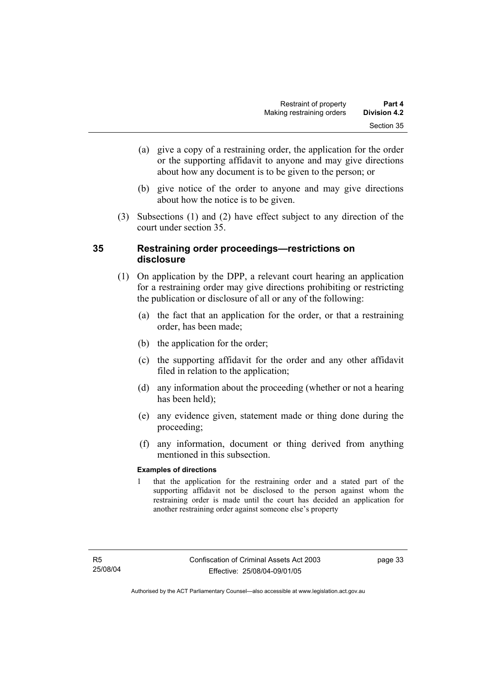- (a) give a copy of a restraining order, the application for the order or the supporting affidavit to anyone and may give directions about how any document is to be given to the person; or
- (b) give notice of the order to anyone and may give directions about how the notice is to be given.
- (3) Subsections (1) and (2) have effect subject to any direction of the court under section 35.

# **35 Restraining order proceedings—restrictions on disclosure**

- (1) On application by the DPP, a relevant court hearing an application for a restraining order may give directions prohibiting or restricting the publication or disclosure of all or any of the following:
	- (a) the fact that an application for the order, or that a restraining order, has been made;
	- (b) the application for the order;
	- (c) the supporting affidavit for the order and any other affidavit filed in relation to the application;
	- (d) any information about the proceeding (whether or not a hearing has been held);
	- (e) any evidence given, statement made or thing done during the proceeding;
	- (f) any information, document or thing derived from anything mentioned in this subsection.

#### **Examples of directions**

1 that the application for the restraining order and a stated part of the supporting affidavit not be disclosed to the person against whom the restraining order is made until the court has decided an application for another restraining order against someone else's property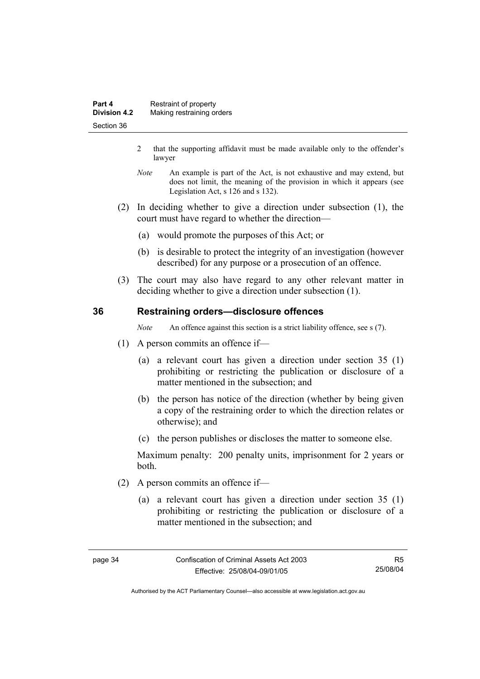- 2 that the supporting affidavit must be made available only to the offender's lawyer
- *Note* An example is part of the Act, is not exhaustive and may extend, but does not limit, the meaning of the provision in which it appears (see Legislation Act, s 126 and s 132).
- (2) In deciding whether to give a direction under subsection (1), the court must have regard to whether the direction—
	- (a) would promote the purposes of this Act; or
	- (b) is desirable to protect the integrity of an investigation (however described) for any purpose or a prosecution of an offence.
- (3) The court may also have regard to any other relevant matter in deciding whether to give a direction under subsection (1).

### **36 Restraining orders—disclosure offences**

*Note* An offence against this section is a strict liability offence, see s (7).

- (1) A person commits an offence if—
	- (a) a relevant court has given a direction under section 35 (1) prohibiting or restricting the publication or disclosure of a matter mentioned in the subsection; and
	- (b) the person has notice of the direction (whether by being given a copy of the restraining order to which the direction relates or otherwise); and
	- (c) the person publishes or discloses the matter to someone else.

Maximum penalty: 200 penalty units, imprisonment for 2 years or both.

- (2) A person commits an offence if—
	- (a) a relevant court has given a direction under section 35 (1) prohibiting or restricting the publication or disclosure of a matter mentioned in the subsection; and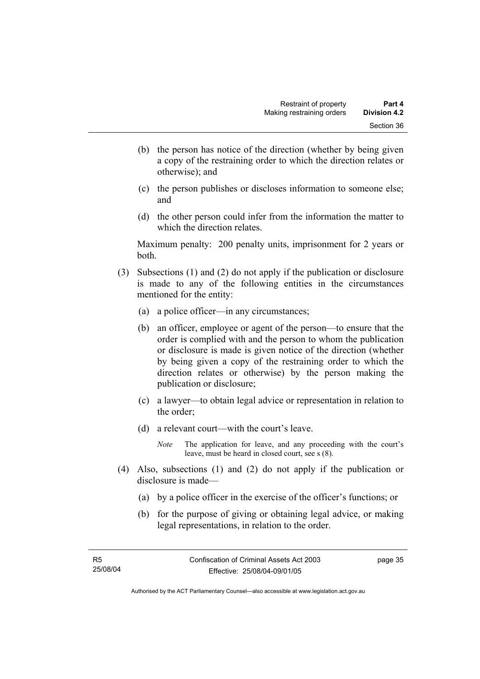- (b) the person has notice of the direction (whether by being given a copy of the restraining order to which the direction relates or otherwise); and
- (c) the person publishes or discloses information to someone else; and
- (d) the other person could infer from the information the matter to which the direction relates.

Maximum penalty: 200 penalty units, imprisonment for 2 years or both.

- (3) Subsections (1) and (2) do not apply if the publication or disclosure is made to any of the following entities in the circumstances mentioned for the entity:
	- (a) a police officer—in any circumstances;
	- (b) an officer, employee or agent of the person—to ensure that the order is complied with and the person to whom the publication or disclosure is made is given notice of the direction (whether by being given a copy of the restraining order to which the direction relates or otherwise) by the person making the publication or disclosure;
	- (c) a lawyer—to obtain legal advice or representation in relation to the order;
	- (d) a relevant court—with the court's leave.
		- *Note* The application for leave, and any proceeding with the court's leave, must be heard in closed court, see s (8).
- (4) Also, subsections (1) and (2) do not apply if the publication or disclosure is made—
	- (a) by a police officer in the exercise of the officer's functions; or
	- (b) for the purpose of giving or obtaining legal advice, or making legal representations, in relation to the order.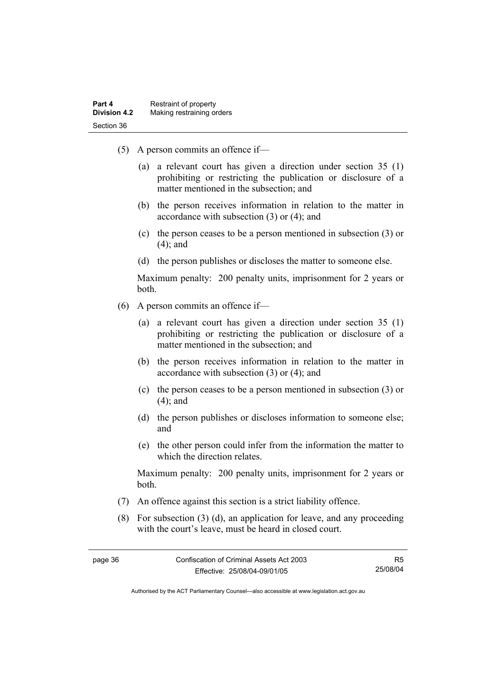- (5) A person commits an offence if—
	- (a) a relevant court has given a direction under section 35 (1) prohibiting or restricting the publication or disclosure of a matter mentioned in the subsection; and
	- (b) the person receives information in relation to the matter in accordance with subsection (3) or (4); and
	- (c) the person ceases to be a person mentioned in subsection (3) or (4); and
	- (d) the person publishes or discloses the matter to someone else.

Maximum penalty: 200 penalty units, imprisonment for 2 years or both.

- (6) A person commits an offence if—
	- (a) a relevant court has given a direction under section 35 (1) prohibiting or restricting the publication or disclosure of a matter mentioned in the subsection; and
	- (b) the person receives information in relation to the matter in accordance with subsection (3) or (4); and
	- (c) the person ceases to be a person mentioned in subsection (3) or (4); and
	- (d) the person publishes or discloses information to someone else; and
	- (e) the other person could infer from the information the matter to which the direction relates.

Maximum penalty: 200 penalty units, imprisonment for 2 years or both.

- (7) An offence against this section is a strict liability offence.
- (8) For subsection (3) (d), an application for leave, and any proceeding with the court's leave, must be heard in closed court.

Authorised by the ACT Parliamentary Counsel—also accessible at www.legislation.act.gov.au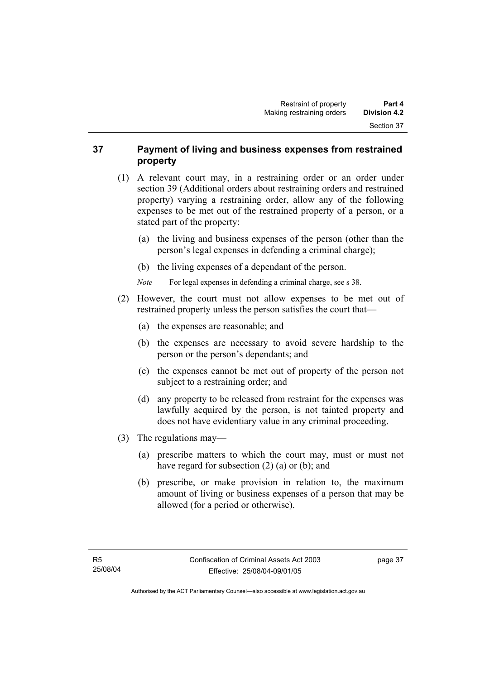# **37 Payment of living and business expenses from restrained property**

- (1) A relevant court may, in a restraining order or an order under section 39 (Additional orders about restraining orders and restrained property) varying a restraining order, allow any of the following expenses to be met out of the restrained property of a person, or a stated part of the property:
	- (a) the living and business expenses of the person (other than the person's legal expenses in defending a criminal charge);
	- (b) the living expenses of a dependant of the person.
	- *Note* For legal expenses in defending a criminal charge, see s 38.
- (2) However, the court must not allow expenses to be met out of restrained property unless the person satisfies the court that—
	- (a) the expenses are reasonable; and
	- (b) the expenses are necessary to avoid severe hardship to the person or the person's dependants; and
	- (c) the expenses cannot be met out of property of the person not subject to a restraining order; and
	- (d) any property to be released from restraint for the expenses was lawfully acquired by the person, is not tainted property and does not have evidentiary value in any criminal proceeding.
- (3) The regulations may—
	- (a) prescribe matters to which the court may, must or must not have regard for subsection (2) (a) or (b); and
	- (b) prescribe, or make provision in relation to, the maximum amount of living or business expenses of a person that may be allowed (for a period or otherwise).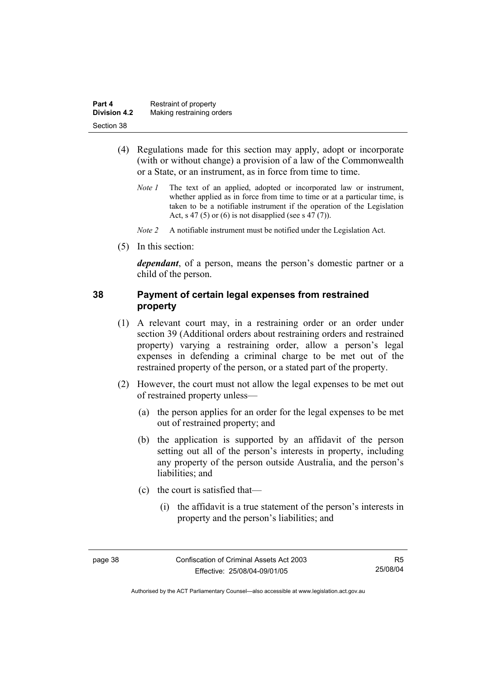| Part 4              | Restraint of property     |
|---------------------|---------------------------|
| <b>Division 4.2</b> | Making restraining orders |
| Section 38          |                           |

- (4) Regulations made for this section may apply, adopt or incorporate (with or without change) a provision of a law of the Commonwealth or a State, or an instrument, as in force from time to time.
	- *Note 1* The text of an applied, adopted or incorporated law or instrument, whether applied as in force from time to time or at a particular time, is taken to be a notifiable instrument if the operation of the Legislation Act, s 47 (5) or (6) is not disapplied (see s 47 (7)).
	- *Note 2* A notifiable instrument must be notified under the Legislation Act.
- (5) In this section:

*dependant*, of a person, means the person's domestic partner or a child of the person.

# **38 Payment of certain legal expenses from restrained property**

- (1) A relevant court may, in a restraining order or an order under section 39 (Additional orders about restraining orders and restrained property) varying a restraining order, allow a person's legal expenses in defending a criminal charge to be met out of the restrained property of the person, or a stated part of the property.
- (2) However, the court must not allow the legal expenses to be met out of restrained property unless—
	- (a) the person applies for an order for the legal expenses to be met out of restrained property; and
	- (b) the application is supported by an affidavit of the person setting out all of the person's interests in property, including any property of the person outside Australia, and the person's liabilities; and
	- (c) the court is satisfied that—
		- (i) the affidavit is a true statement of the person's interests in property and the person's liabilities; and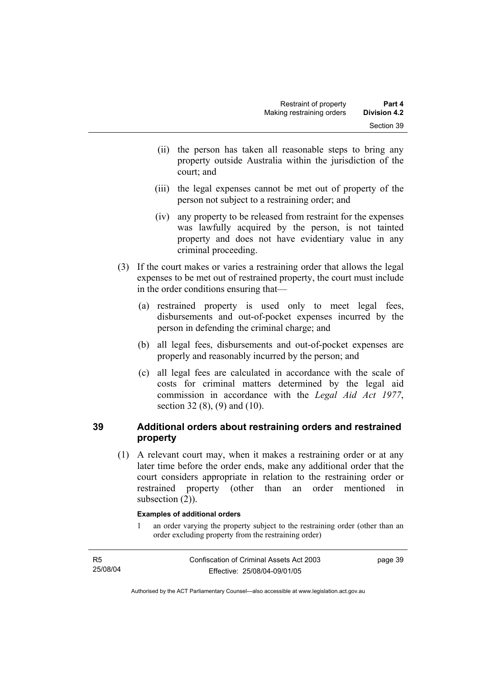- (ii) the person has taken all reasonable steps to bring any property outside Australia within the jurisdiction of the court; and
- (iii) the legal expenses cannot be met out of property of the person not subject to a restraining order; and
- (iv) any property to be released from restraint for the expenses was lawfully acquired by the person, is not tainted property and does not have evidentiary value in any criminal proceeding.
- (3) If the court makes or varies a restraining order that allows the legal expenses to be met out of restrained property, the court must include in the order conditions ensuring that—
	- (a) restrained property is used only to meet legal fees, disbursements and out-of-pocket expenses incurred by the person in defending the criminal charge; and
	- (b) all legal fees, disbursements and out-of-pocket expenses are properly and reasonably incurred by the person; and
	- (c) all legal fees are calculated in accordance with the scale of costs for criminal matters determined by the legal aid commission in accordance with the *Legal Aid Act 1977*, section 32 (8), (9) and (10).

# **39 Additional orders about restraining orders and restrained property**

 (1) A relevant court may, when it makes a restraining order or at any later time before the order ends, make any additional order that the court considers appropriate in relation to the restraining order or restrained property (other than an order mentioned in subsection  $(2)$ ).

#### **Examples of additional orders**

1 an order varying the property subject to the restraining order (other than an order excluding property from the restraining order)

| R <sub>5</sub> | Confiscation of Criminal Assets Act 2003 | page 39 |
|----------------|------------------------------------------|---------|
| 25/08/04       | Effective: 25/08/04-09/01/05             |         |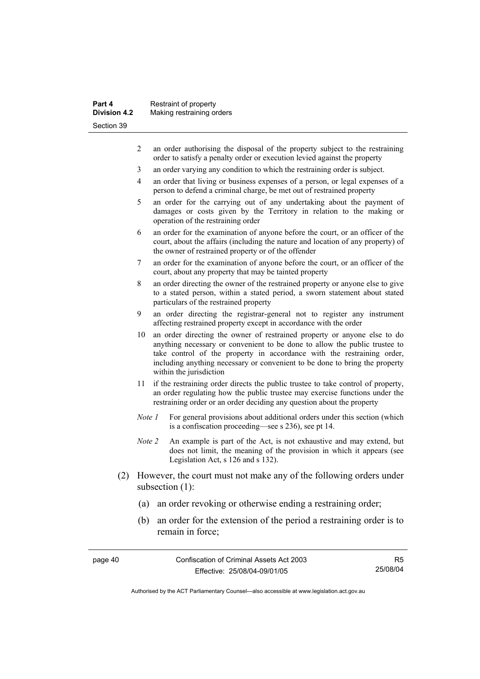| Part 4              | Restraint of property     |
|---------------------|---------------------------|
| <b>Division 4.2</b> | Making restraining orders |
| Section 39          |                           |

- 2 an order authorising the disposal of the property subject to the restraining order to satisfy a penalty order or execution levied against the property
- 3 an order varying any condition to which the restraining order is subject.
- 4 an order that living or business expenses of a person, or legal expenses of a person to defend a criminal charge, be met out of restrained property
- 5 an order for the carrying out of any undertaking about the payment of damages or costs given by the Territory in relation to the making or operation of the restraining order
- 6 an order for the examination of anyone before the court, or an officer of the court, about the affairs (including the nature and location of any property) of the owner of restrained property or of the offender
- 7 an order for the examination of anyone before the court, or an officer of the court, about any property that may be tainted property
- 8 an order directing the owner of the restrained property or anyone else to give to a stated person, within a stated period, a sworn statement about stated particulars of the restrained property
- 9 an order directing the registrar-general not to register any instrument affecting restrained property except in accordance with the order
- 10 an order directing the owner of restrained property or anyone else to do anything necessary or convenient to be done to allow the public trustee to take control of the property in accordance with the restraining order, including anything necessary or convenient to be done to bring the property within the jurisdiction
- 11 if the restraining order directs the public trustee to take control of property, an order regulating how the public trustee may exercise functions under the restraining order or an order deciding any question about the property
- *Note 1* For general provisions about additional orders under this section (which is a confiscation proceeding—see s 236), see pt 14.
- *Note 2* An example is part of the Act, is not exhaustive and may extend, but does not limit, the meaning of the provision in which it appears (see Legislation Act, s 126 and s 132).
- (2) However, the court must not make any of the following orders under subsection (1):
	- (a) an order revoking or otherwise ending a restraining order;
	- (b) an order for the extension of the period a restraining order is to remain in force;

page 40 Confiscation of Criminal Assets Act 2003 Effective: 25/08/04-09/01/05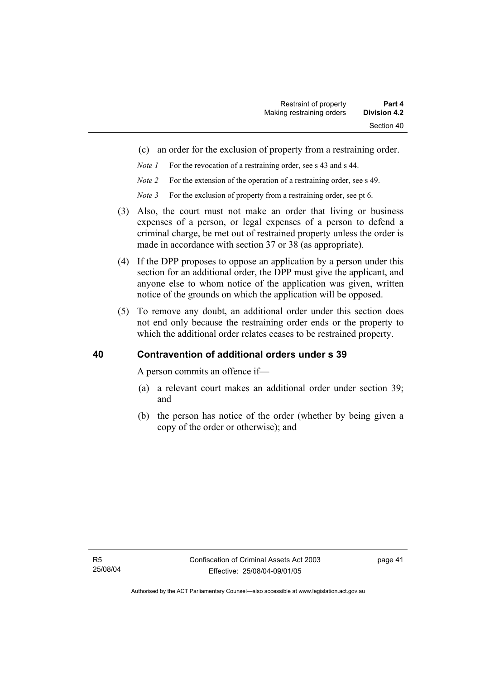- (c) an order for the exclusion of property from a restraining order.
- *Note 1* For the revocation of a restraining order, see s 43 and s 44.
- *Note 2* For the extension of the operation of a restraining order, see s 49.
- *Note 3* For the exclusion of property from a restraining order, see pt 6.
- (3) Also, the court must not make an order that living or business expenses of a person, or legal expenses of a person to defend a criminal charge, be met out of restrained property unless the order is made in accordance with section 37 or 38 (as appropriate).
- (4) If the DPP proposes to oppose an application by a person under this section for an additional order, the DPP must give the applicant, and anyone else to whom notice of the application was given, written notice of the grounds on which the application will be opposed.
- (5) To remove any doubt, an additional order under this section does not end only because the restraining order ends or the property to which the additional order relates ceases to be restrained property.

# **40 Contravention of additional orders under s 39**

A person commits an offence if—

- (a) a relevant court makes an additional order under section 39; and
- (b) the person has notice of the order (whether by being given a copy of the order or otherwise); and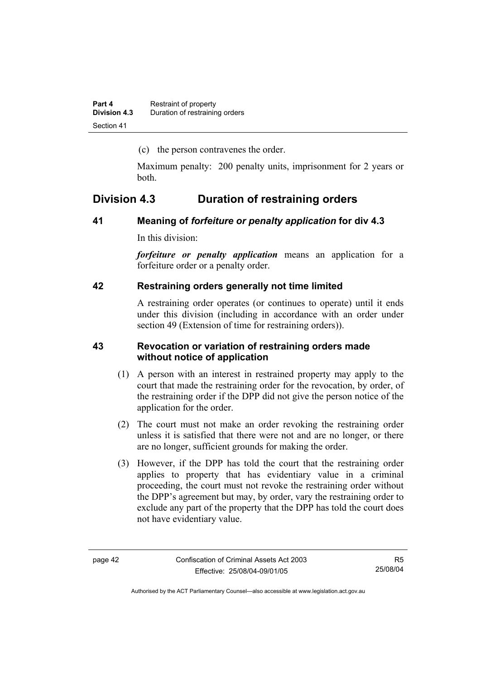(c) the person contravenes the order.

Maximum penalty: 200 penalty units, imprisonment for 2 years or both.

# **Division 4.3 Duration of restraining orders**

### **41 Meaning of** *forfeiture or penalty application* **for div 4.3**

In this division:

*forfeiture or penalty application* means an application for a forfeiture order or a penalty order.

### **42 Restraining orders generally not time limited**

A restraining order operates (or continues to operate) until it ends under this division (including in accordance with an order under section 49 (Extension of time for restraining orders)).

### **43 Revocation or variation of restraining orders made without notice of application**

- (1) A person with an interest in restrained property may apply to the court that made the restraining order for the revocation, by order, of the restraining order if the DPP did not give the person notice of the application for the order.
- (2) The court must not make an order revoking the restraining order unless it is satisfied that there were not and are no longer, or there are no longer, sufficient grounds for making the order.
- (3) However, if the DPP has told the court that the restraining order applies to property that has evidentiary value in a criminal proceeding, the court must not revoke the restraining order without the DPP's agreement but may, by order, vary the restraining order to exclude any part of the property that the DPP has told the court does not have evidentiary value.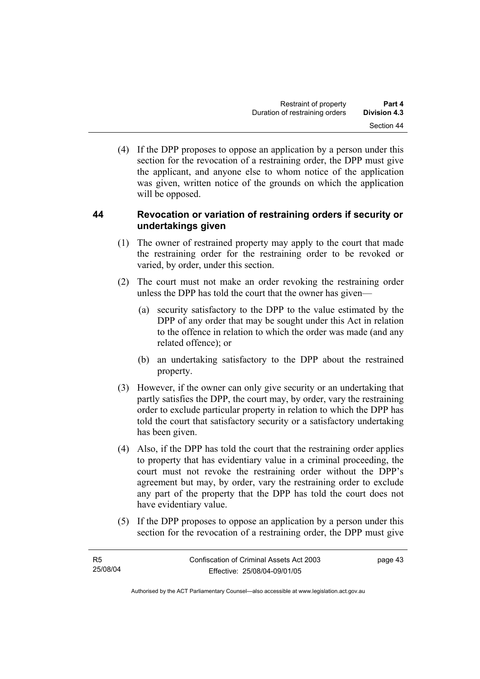(4) If the DPP proposes to oppose an application by a person under this section for the revocation of a restraining order, the DPP must give the applicant, and anyone else to whom notice of the application was given, written notice of the grounds on which the application will be opposed.

# **44 Revocation or variation of restraining orders if security or undertakings given**

- (1) The owner of restrained property may apply to the court that made the restraining order for the restraining order to be revoked or varied, by order, under this section.
- (2) The court must not make an order revoking the restraining order unless the DPP has told the court that the owner has given—
	- (a) security satisfactory to the DPP to the value estimated by the DPP of any order that may be sought under this Act in relation to the offence in relation to which the order was made (and any related offence); or
	- (b) an undertaking satisfactory to the DPP about the restrained property.
- (3) However, if the owner can only give security or an undertaking that partly satisfies the DPP, the court may, by order, vary the restraining order to exclude particular property in relation to which the DPP has told the court that satisfactory security or a satisfactory undertaking has been given.
- (4) Also, if the DPP has told the court that the restraining order applies to property that has evidentiary value in a criminal proceeding, the court must not revoke the restraining order without the DPP's agreement but may, by order, vary the restraining order to exclude any part of the property that the DPP has told the court does not have evidentiary value.
- (5) If the DPP proposes to oppose an application by a person under this section for the revocation of a restraining order, the DPP must give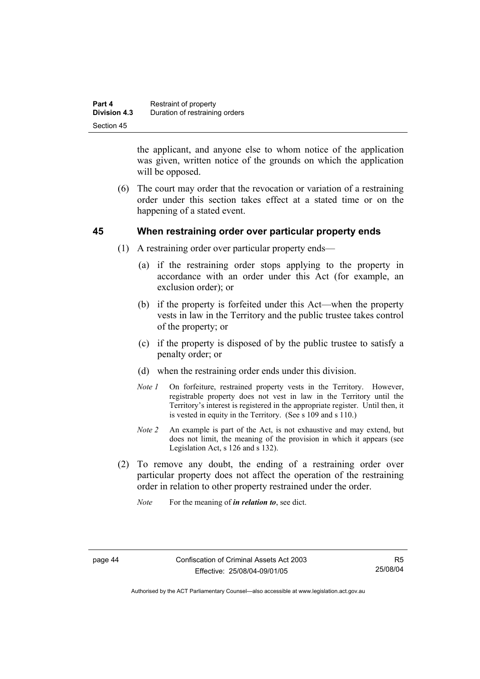| Part 4              | Restraint of property          |
|---------------------|--------------------------------|
| <b>Division 4.3</b> | Duration of restraining orders |
| Section 45          |                                |

the applicant, and anyone else to whom notice of the application was given, written notice of the grounds on which the application will be opposed.

 (6) The court may order that the revocation or variation of a restraining order under this section takes effect at a stated time or on the happening of a stated event.

### **45 When restraining order over particular property ends**

- (1) A restraining order over particular property ends—
	- (a) if the restraining order stops applying to the property in accordance with an order under this Act (for example, an exclusion order); or
	- (b) if the property is forfeited under this Act—when the property vests in law in the Territory and the public trustee takes control of the property; or
	- (c) if the property is disposed of by the public trustee to satisfy a penalty order; or
	- (d) when the restraining order ends under this division.
	- *Note 1* On forfeiture, restrained property vests in the Territory. However, registrable property does not vest in law in the Territory until the Territory's interest is registered in the appropriate register. Until then, it is vested in equity in the Territory. (See s 109 and s 110.)
	- *Note 2* An example is part of the Act, is not exhaustive and may extend, but does not limit, the meaning of the provision in which it appears (see Legislation Act, s 126 and s 132).
- (2) To remove any doubt, the ending of a restraining order over particular property does not affect the operation of the restraining order in relation to other property restrained under the order.
	- *Note* For the meaning of *in relation to*, see dict.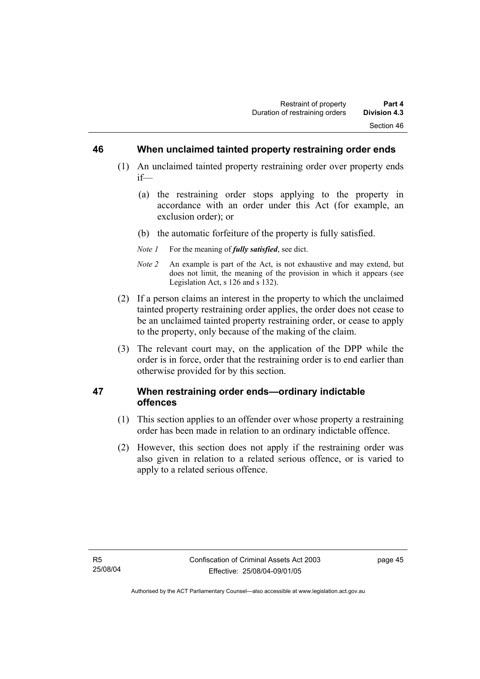### **46 When unclaimed tainted property restraining order ends**

- (1) An unclaimed tainted property restraining order over property ends if—
	- (a) the restraining order stops applying to the property in accordance with an order under this Act (for example, an exclusion order); or
	- (b) the automatic forfeiture of the property is fully satisfied.
	- *Note 1* For the meaning of *fully satisfied*, see dict.
	- *Note 2* An example is part of the Act, is not exhaustive and may extend, but does not limit, the meaning of the provision in which it appears (see Legislation Act, s 126 and s 132).
- (2) If a person claims an interest in the property to which the unclaimed tainted property restraining order applies, the order does not cease to be an unclaimed tainted property restraining order, or cease to apply to the property, only because of the making of the claim.
- (3) The relevant court may, on the application of the DPP while the order is in force, order that the restraining order is to end earlier than otherwise provided for by this section.

# **47 When restraining order ends—ordinary indictable offences**

- (1) This section applies to an offender over whose property a restraining order has been made in relation to an ordinary indictable offence.
- (2) However, this section does not apply if the restraining order was also given in relation to a related serious offence, or is varied to apply to a related serious offence.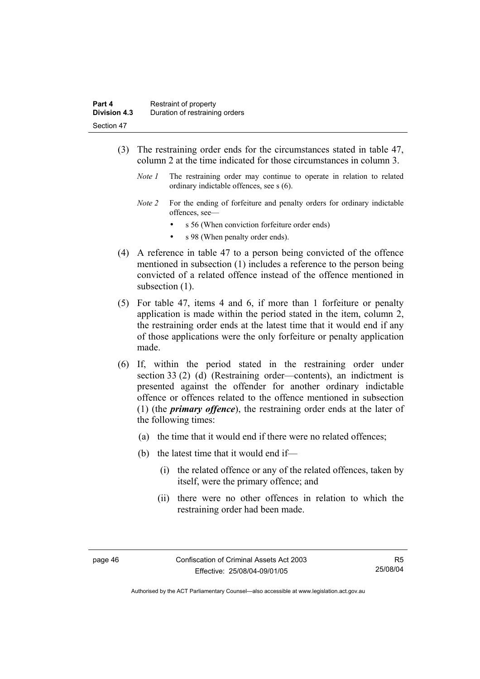- (3) The restraining order ends for the circumstances stated in table 47, column 2 at the time indicated for those circumstances in column 3.
	- *Note 1* The restraining order may continue to operate in relation to related ordinary indictable offences, see s (6).
	- *Note 2* For the ending of forfeiture and penalty orders for ordinary indictable offences, see
		- s 56 (When conviction forfeiture order ends)
		- s 98 (When penalty order ends).
- (4) A reference in table 47 to a person being convicted of the offence mentioned in subsection (1) includes a reference to the person being convicted of a related offence instead of the offence mentioned in subsection  $(1)$ .
- (5) For table 47, items 4 and 6, if more than 1 forfeiture or penalty application is made within the period stated in the item, column 2, the restraining order ends at the latest time that it would end if any of those applications were the only forfeiture or penalty application made.
- (6) If, within the period stated in the restraining order under section 33 (2) (d) (Restraining order—contents), an indictment is presented against the offender for another ordinary indictable offence or offences related to the offence mentioned in subsection (1) (the *primary offence*), the restraining order ends at the later of the following times:
	- (a) the time that it would end if there were no related offences;
	- (b) the latest time that it would end if—
		- (i) the related offence or any of the related offences, taken by itself, were the primary offence; and
		- (ii) there were no other offences in relation to which the restraining order had been made.

Authorised by the ACT Parliamentary Counsel—also accessible at www.legislation.act.gov.au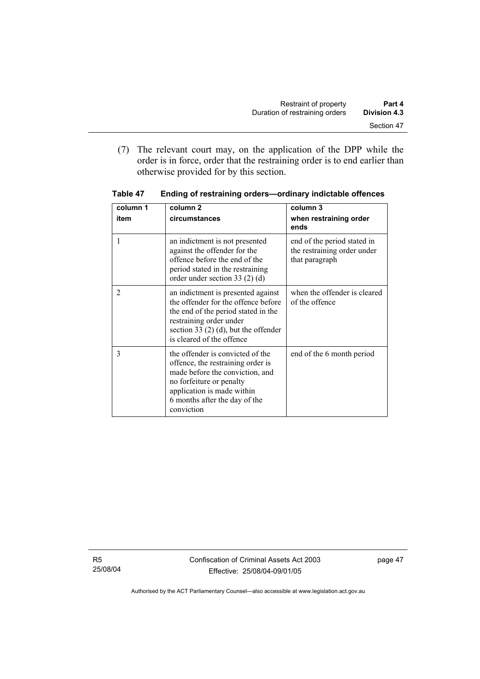(7) The relevant court may, on the application of the DPP while the order is in force, order that the restraining order is to end earlier than otherwise provided for by this section.

| column 1       | column <sub>2</sub>                                                                                                                                                                                                | column 3                                                                     |
|----------------|--------------------------------------------------------------------------------------------------------------------------------------------------------------------------------------------------------------------|------------------------------------------------------------------------------|
| item           | circumstances                                                                                                                                                                                                      | when restraining order<br>ends                                               |
|                | an indictment is not presented<br>against the offender for the<br>offence before the end of the<br>period stated in the restraining<br>order under section 33 $(2)$ $(d)$                                          | end of the period stated in<br>the restraining order under<br>that paragraph |
| $\overline{2}$ | an indictment is presented against<br>the offender for the offence before<br>the end of the period stated in the<br>restraining order under<br>section 33 $(2)$ (d), but the offender<br>is cleared of the offence | when the offender is cleared<br>of the offence                               |
| 3              | the offender is convicted of the<br>offence, the restraining order is<br>made before the conviction, and<br>no forfeiture or penalty<br>application is made within<br>6 months after the day of the<br>conviction  | end of the 6 month period                                                    |

**Table 47 Ending of restraining orders—ordinary indictable offences**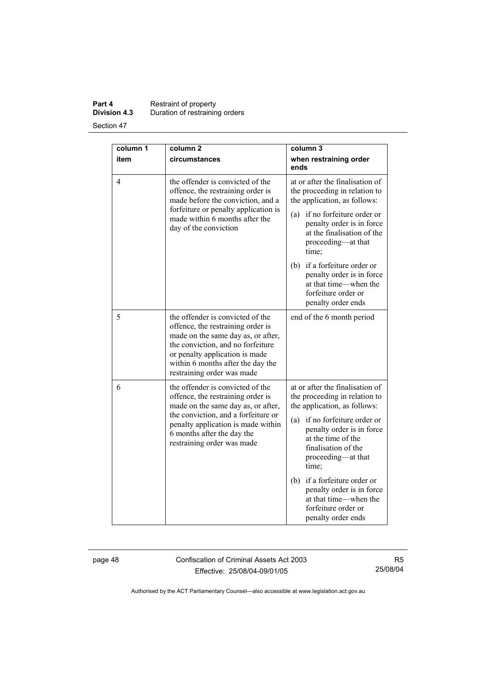# **Part 4 Restraint of property Division 4.3** Duration of restraining orders

Section 47

| column 1 | column <sub>2</sub>                                                                                                                                                                                                                                   | column 3                                                                                                                                                                                                                                                                                                                                                                            |
|----------|-------------------------------------------------------------------------------------------------------------------------------------------------------------------------------------------------------------------------------------------------------|-------------------------------------------------------------------------------------------------------------------------------------------------------------------------------------------------------------------------------------------------------------------------------------------------------------------------------------------------------------------------------------|
| item     | circumstances                                                                                                                                                                                                                                         | when restraining order<br>ends                                                                                                                                                                                                                                                                                                                                                      |
| 4        | the offender is convicted of the<br>offence, the restraining order is<br>made before the conviction, and a<br>forfeiture or penalty application is<br>made within 6 months after the<br>day of the conviction                                         | at or after the finalisation of<br>the proceeding in relation to<br>the application, as follows:<br>if no forfeiture order or<br>(a)<br>penalty order is in force<br>at the finalisation of the<br>proceeding—at that<br>time;<br>(b) if a forfeiture order or<br>penalty order is in force<br>at that time—when the<br>forfeiture order or<br>penalty order ends                   |
| 5        | the offender is convicted of the<br>offence, the restraining order is<br>made on the same day as, or after,<br>the conviction, and no forfeiture<br>or penalty application is made<br>within 6 months after the day the<br>restraining order was made | end of the 6 month period                                                                                                                                                                                                                                                                                                                                                           |
| 6        | the offender is convicted of the<br>offence, the restraining order is<br>made on the same day as, or after,<br>the conviction, and a forfeiture or<br>penalty application is made within<br>6 months after the day the<br>restraining order was made  | at or after the finalisation of<br>the proceeding in relation to<br>the application, as follows:<br>if no forfeiture order or<br>(a)<br>penalty order is in force<br>at the time of the<br>finalisation of the<br>proceeding-at that<br>time;<br>if a forfeiture order or<br>(b)<br>penalty order is in force<br>at that time—when the<br>forfeiture order or<br>penalty order ends |

page 48 Confiscation of Criminal Assets Act 2003 Effective: 25/08/04-09/01/05

R5 25/08/04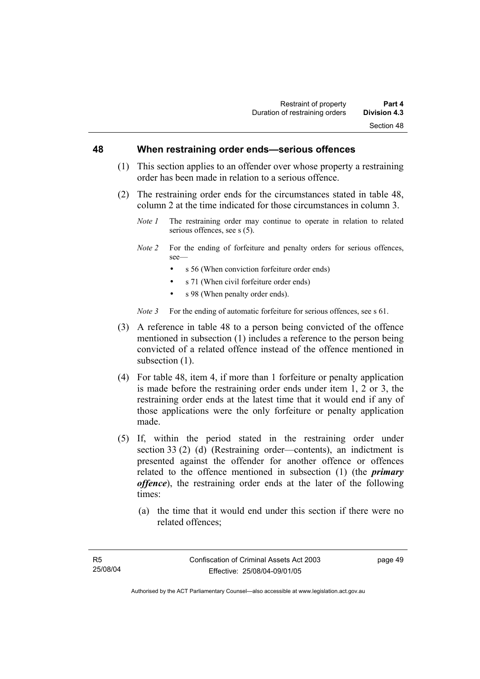#### **48 When restraining order ends—serious offences**

- (1) This section applies to an offender over whose property a restraining order has been made in relation to a serious offence.
- (2) The restraining order ends for the circumstances stated in table 48, column 2 at the time indicated for those circumstances in column 3.
	- *Note 1* The restraining order may continue to operate in relation to related serious offences, see s (5).
	- *Note 2* For the ending of forfeiture and penalty orders for serious offences, see—
		- s 56 (When conviction forfeiture order ends)
		- s 71 (When civil forfeiture order ends)
		- s 98 (When penalty order ends).

*Note 3* For the ending of automatic forfeiture for serious offences, see s 61.

- (3) A reference in table 48 to a person being convicted of the offence mentioned in subsection (1) includes a reference to the person being convicted of a related offence instead of the offence mentioned in subsection  $(1)$ .
- (4) For table 48, item 4, if more than 1 forfeiture or penalty application is made before the restraining order ends under item 1, 2 or 3, the restraining order ends at the latest time that it would end if any of those applications were the only forfeiture or penalty application made.
- (5) If, within the period stated in the restraining order under section 33 (2) (d) (Restraining order—contents), an indictment is presented against the offender for another offence or offences related to the offence mentioned in subsection (1) (the *primary offence*), the restraining order ends at the later of the following times:
	- (a) the time that it would end under this section if there were no related offences;

page 49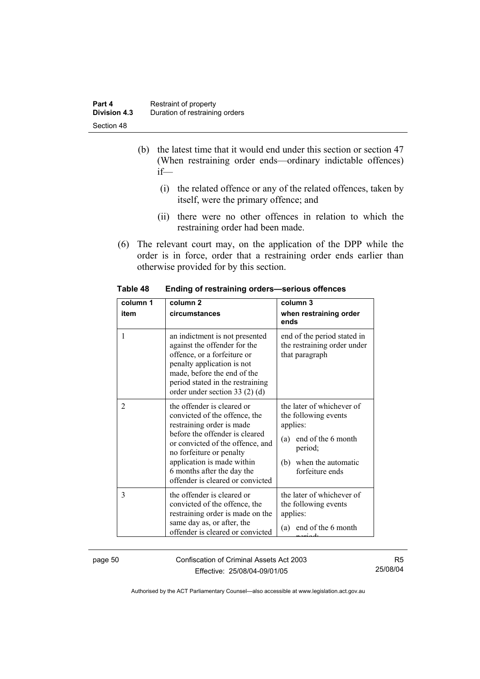| Part 4              | Restraint of property          |
|---------------------|--------------------------------|
| <b>Division 4.3</b> | Duration of restraining orders |
| Section 48          |                                |

- (b) the latest time that it would end under this section or section 47 (When restraining order ends—ordinary indictable offences) if—
	- (i) the related offence or any of the related offences, taken by itself, were the primary offence; and
	- (ii) there were no other offences in relation to which the restraining order had been made.
- (6) The relevant court may, on the application of the DPP while the order is in force, order that a restraining order ends earlier than otherwise provided for by this section.

| column 1<br>item | column <sub>2</sub><br>circumstances                                                                                                                                                                                                                                                       | column 3<br>when restraining order<br>ends                                                                                                         |
|------------------|--------------------------------------------------------------------------------------------------------------------------------------------------------------------------------------------------------------------------------------------------------------------------------------------|----------------------------------------------------------------------------------------------------------------------------------------------------|
| 1                | an indictment is not presented<br>against the offender for the<br>offence, or a forfeiture or<br>penalty application is not<br>made, before the end of the<br>period stated in the restraining<br>order under section 33 $(2)$ $(d)$                                                       | end of the period stated in<br>the restraining order under<br>that paragraph                                                                       |
| $\overline{c}$   | the offender is cleared or<br>convicted of the offence, the<br>restraining order is made<br>before the offender is cleared<br>or convicted of the offence, and<br>no forfeiture or penalty<br>application is made within<br>6 months after the day the<br>offender is cleared or convicted | the later of whichever of<br>the following events<br>applies:<br>(a) end of the 6 month<br>period;<br>when the automatic<br>(b)<br>forfeiture ends |
| 3                | the offender is cleared or<br>convicted of the offence, the<br>restraining order is made on the<br>same day as, or after, the<br>offender is cleared or convicted                                                                                                                          | the later of whichever of<br>the following events<br>applies:<br>end of the 6 month<br>(a)                                                         |

**Table 48 Ending of restraining orders—serious offences** 

page 50 Confiscation of Criminal Assets Act 2003 Effective: 25/08/04-09/01/05

R5 25/08/04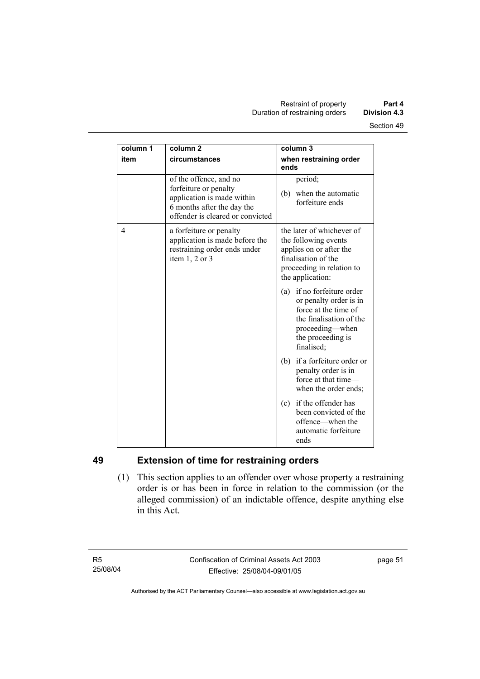| column 1 | column <sub>2</sub>                                                                                                                             | column 3                                                                                                                                                         |
|----------|-------------------------------------------------------------------------------------------------------------------------------------------------|------------------------------------------------------------------------------------------------------------------------------------------------------------------|
| item     | circumstances                                                                                                                                   | when restraining order<br>ends                                                                                                                                   |
|          | of the offence, and no<br>forfeiture or penalty<br>application is made within<br>6 months after the day the<br>offender is cleared or convicted | period;<br>(b) when the automatic<br>forfeiture ends                                                                                                             |
| 4        | a forfeiture or penalty<br>application is made before the<br>restraining order ends under<br>item $1, 2$ or $3$                                 | the later of whichever of<br>the following events<br>applies on or after the<br>finalisation of the<br>proceeding in relation to<br>the application:             |
|          |                                                                                                                                                 | if no forfeiture order<br>(a)<br>or penalty order is in<br>force at the time of<br>the finalisation of the<br>proceeding—when<br>the proceeding is<br>finalised; |
|          |                                                                                                                                                 | (b) if a forfeiture order or<br>penalty order is in<br>force at that time-<br>when the order ends;                                                               |
|          |                                                                                                                                                 | if the offender has<br>(c)<br>been convicted of the<br>offence—when the<br>automatic forfeiture<br>ends                                                          |

# **49 Extension of time for restraining orders**

 (1) This section applies to an offender over whose property a restraining order is or has been in force in relation to the commission (or the alleged commission) of an indictable offence, despite anything else in this Act.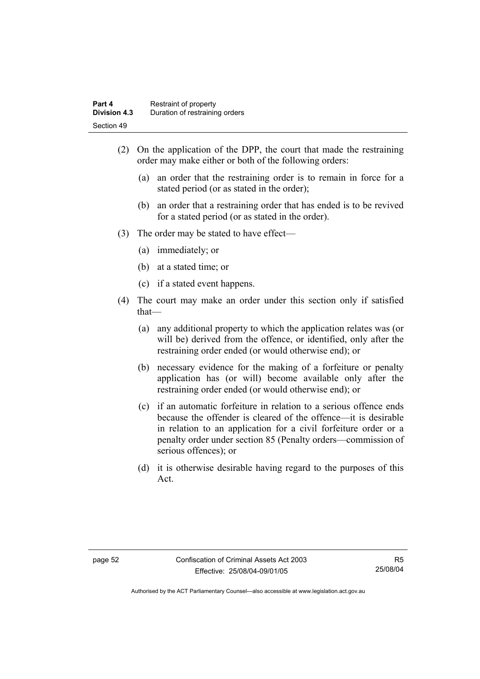- (2) On the application of the DPP, the court that made the restraining order may make either or both of the following orders:
	- (a) an order that the restraining order is to remain in force for a stated period (or as stated in the order);
	- (b) an order that a restraining order that has ended is to be revived for a stated period (or as stated in the order).
- (3) The order may be stated to have effect—
	- (a) immediately; or
	- (b) at a stated time; or
	- (c) if a stated event happens.
- (4) The court may make an order under this section only if satisfied that—
	- (a) any additional property to which the application relates was (or will be) derived from the offence, or identified, only after the restraining order ended (or would otherwise end); or
	- (b) necessary evidence for the making of a forfeiture or penalty application has (or will) become available only after the restraining order ended (or would otherwise end); or
	- (c) if an automatic forfeiture in relation to a serious offence ends because the offender is cleared of the offence—it is desirable in relation to an application for a civil forfeiture order or a penalty order under section 85 (Penalty orders—commission of serious offences); or
	- (d) it is otherwise desirable having regard to the purposes of this Act.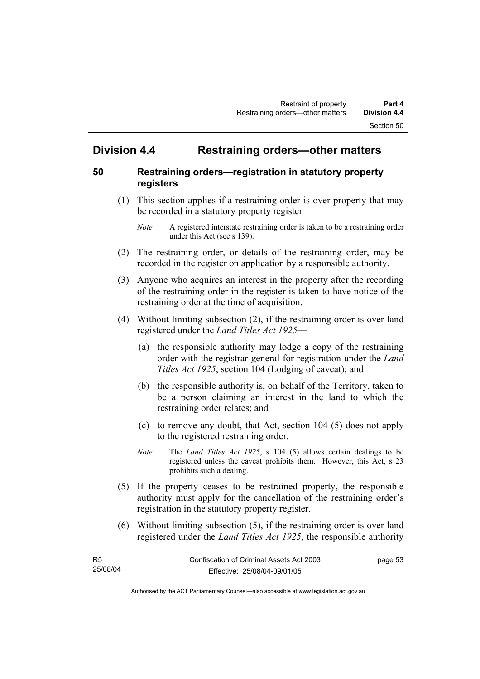# **Division 4.4 Restraining orders—other matters**

# **50 Restraining orders—registration in statutory property registers**

 (1) This section applies if a restraining order is over property that may be recorded in a statutory property register

- (2) The restraining order, or details of the restraining order, may be recorded in the register on application by a responsible authority.
- (3) Anyone who acquires an interest in the property after the recording of the restraining order in the register is taken to have notice of the restraining order at the time of acquisition.
- (4) Without limiting subsection (2), if the restraining order is over land registered under the *Land Titles Act 1925*—
	- (a) the responsible authority may lodge a copy of the restraining order with the registrar-general for registration under the *Land Titles Act 1925*, section 104 (Lodging of caveat); and
	- (b) the responsible authority is, on behalf of the Territory, taken to be a person claiming an interest in the land to which the restraining order relates; and
	- (c) to remove any doubt, that Act, section 104 (5) does not apply to the registered restraining order.
	- *Note* The *Land Titles Act 1925*, s 104 (5) allows certain dealings to be registered unless the caveat prohibits them. However, this Act, s 23 prohibits such a dealing.
- (5) If the property ceases to be restrained property, the responsible authority must apply for the cancellation of the restraining order's registration in the statutory property register.
- (6) Without limiting subsection (5), if the restraining order is over land registered under the *Land Titles Act 1925*, the responsible authority

| - R5     | Confiscation of Criminal Assets Act 2003 | page 53 |
|----------|------------------------------------------|---------|
| 25/08/04 | Effective: 25/08/04-09/01/05             |         |

*Note* A registered interstate restraining order is taken to be a restraining order under this Act (see s 139).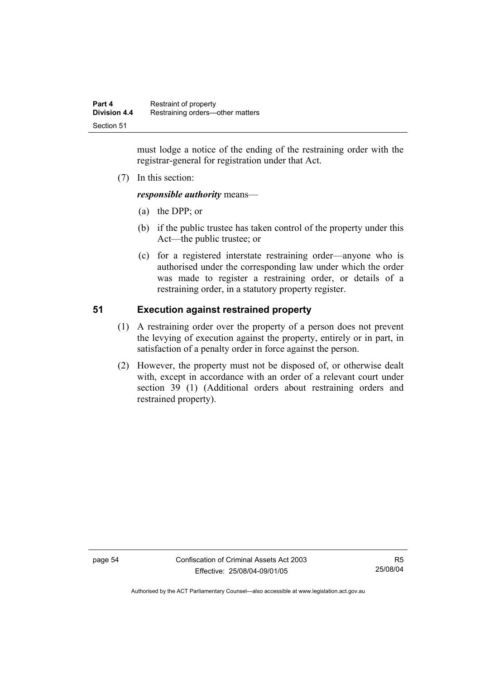must lodge a notice of the ending of the restraining order with the registrar-general for registration under that Act.

(7) In this section:

*responsible authority* means—

- (a) the DPP; or
- (b) if the public trustee has taken control of the property under this Act—the public trustee; or
- (c) for a registered interstate restraining order—anyone who is authorised under the corresponding law under which the order was made to register a restraining order, or details of a restraining order, in a statutory property register.

# **51 Execution against restrained property**

- (1) A restraining order over the property of a person does not prevent the levying of execution against the property, entirely or in part, in satisfaction of a penalty order in force against the person.
- (2) However, the property must not be disposed of, or otherwise dealt with, except in accordance with an order of a relevant court under section 39 (1) (Additional orders about restraining orders and restrained property).

page 54 Confiscation of Criminal Assets Act 2003 Effective: 25/08/04-09/01/05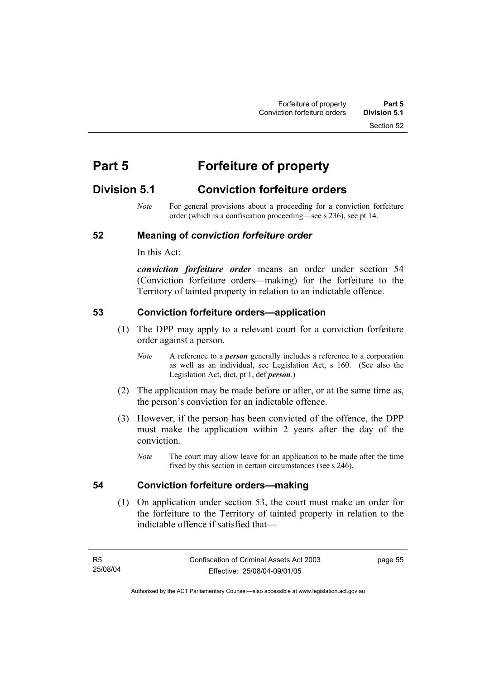Section 52

# **Part 5 Forfeiture of property**

# **Division 5.1 Conviction forfeiture orders**

*Note* For general provisions about a proceeding for a conviction forfeiture order (which is a confiscation proceeding—see s 236), see pt 14.

# **52 Meaning of** *conviction forfeiture order*

In this Act:

*conviction forfeiture order* means an order under section 54 (Conviction forfeiture orders—making) for the forfeiture to the Territory of tainted property in relation to an indictable offence.

### **53 Conviction forfeiture orders—application**

- (1) The DPP may apply to a relevant court for a conviction forfeiture order against a person.
	- *Note* A reference to a *person* generally includes a reference to a corporation as well as an individual, see Legislation Act, s 160. (See also the Legislation Act, dict, pt 1, def *person*.)
- (2) The application may be made before or after, or at the same time as, the person's conviction for an indictable offence.
- (3) However, if the person has been convicted of the offence, the DPP must make the application within 2 years after the day of the conviction.
	- *Note* The court may allow leave for an application to be made after the time fixed by this section in certain circumstances (see s 246).

#### **54 Conviction forfeiture orders—making**

 (1) On application under section 53, the court must make an order for the forfeiture to the Territory of tainted property in relation to the indictable offence if satisfied that—

page 55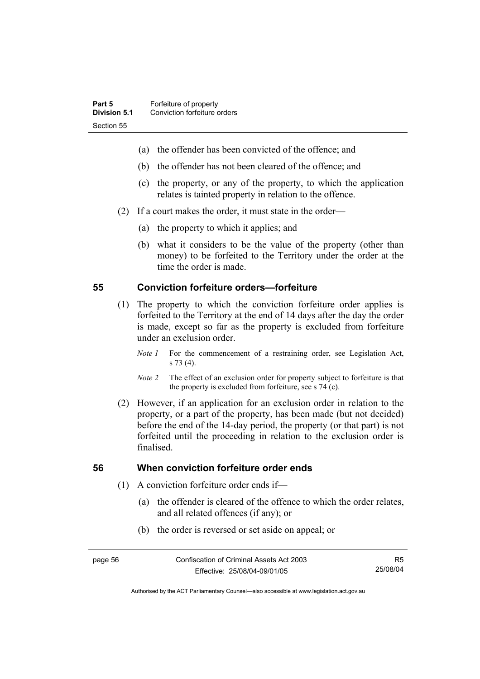- (a) the offender has been convicted of the offence; and
- (b) the offender has not been cleared of the offence; and
- (c) the property, or any of the property, to which the application relates is tainted property in relation to the offence.
- (2) If a court makes the order, it must state in the order—
	- (a) the property to which it applies; and
	- (b) what it considers to be the value of the property (other than money) to be forfeited to the Territory under the order at the time the order is made.

### **55 Conviction forfeiture orders—forfeiture**

- (1) The property to which the conviction forfeiture order applies is forfeited to the Territory at the end of 14 days after the day the order is made, except so far as the property is excluded from forfeiture under an exclusion order.
	- *Note 1* For the commencement of a restraining order, see Legislation Act, s 73 (4).
	- *Note 2* The effect of an exclusion order for property subject to forfeiture is that the property is excluded from forfeiture, see s 74 (c).
- (2) However, if an application for an exclusion order in relation to the property, or a part of the property, has been made (but not decided) before the end of the 14-day period, the property (or that part) is not forfeited until the proceeding in relation to the exclusion order is finalised.

#### **56 When conviction forfeiture order ends**

- (1) A conviction forfeiture order ends if—
	- (a) the offender is cleared of the offence to which the order relates, and all related offences (if any); or
	- (b) the order is reversed or set aside on appeal; or

R5 25/08/04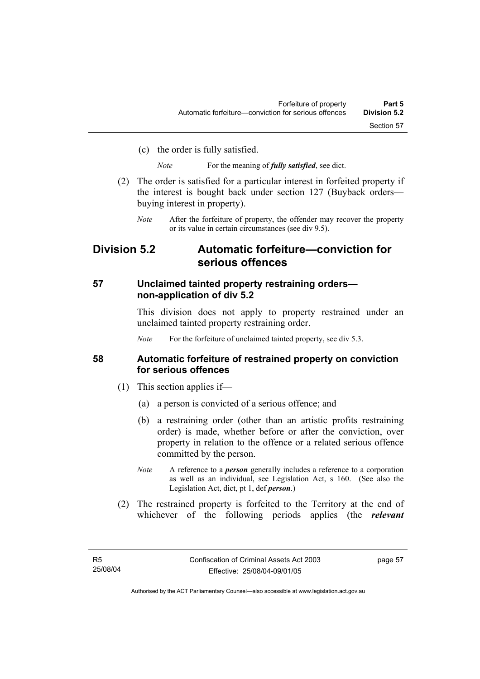(c) the order is fully satisfied.

*Note* For the meaning of *fully satisfied*, see dict.

- (2) The order is satisfied for a particular interest in forfeited property if the interest is bought back under section 127 (Buyback orders buying interest in property).
	- *Note* After the forfeiture of property, the offender may recover the property or its value in certain circumstances (see div 9.5).

# **Division 5.2 Automatic forfeiture—conviction for serious offences**

# **57 Unclaimed tainted property restraining orders non-application of div 5.2**

This division does not apply to property restrained under an unclaimed tainted property restraining order.

*Note* For the forfeiture of unclaimed tainted property, see div 5.3.

### **58 Automatic forfeiture of restrained property on conviction for serious offences**

- (1) This section applies if—
	- (a) a person is convicted of a serious offence; and
	- (b) a restraining order (other than an artistic profits restraining order) is made, whether before or after the conviction, over property in relation to the offence or a related serious offence committed by the person.
	- *Note* A reference to a *person* generally includes a reference to a corporation as well as an individual, see Legislation Act, s 160. (See also the Legislation Act, dict, pt 1, def *person*.)
- (2) The restrained property is forfeited to the Territory at the end of whichever of the following periods applies (the *relevant*

page 57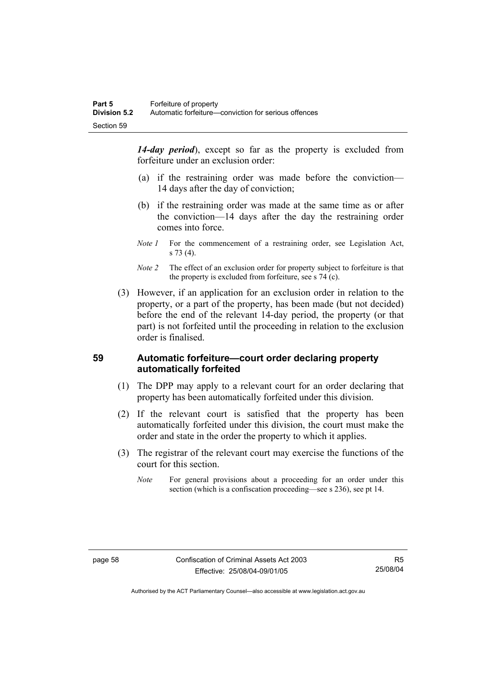*14-day period*), except so far as the property is excluded from forfeiture under an exclusion order:

- (a) if the restraining order was made before the conviction— 14 days after the day of conviction;
- (b) if the restraining order was made at the same time as or after the conviction—14 days after the day the restraining order comes into force.
- *Note 1* For the commencement of a restraining order, see Legislation Act, s 73 (4).
- *Note 2* The effect of an exclusion order for property subject to forfeiture is that the property is excluded from forfeiture, see s 74 (c).
- (3) However, if an application for an exclusion order in relation to the property, or a part of the property, has been made (but not decided) before the end of the relevant 14-day period, the property (or that part) is not forfeited until the proceeding in relation to the exclusion order is finalised.

# **59 Automatic forfeiture—court order declaring property automatically forfeited**

- (1) The DPP may apply to a relevant court for an order declaring that property has been automatically forfeited under this division.
- (2) If the relevant court is satisfied that the property has been automatically forfeited under this division, the court must make the order and state in the order the property to which it applies.
- (3) The registrar of the relevant court may exercise the functions of the court for this section.
	- *Note* For general provisions about a proceeding for an order under this section (which is a confiscation proceeding—see s 236), see pt 14.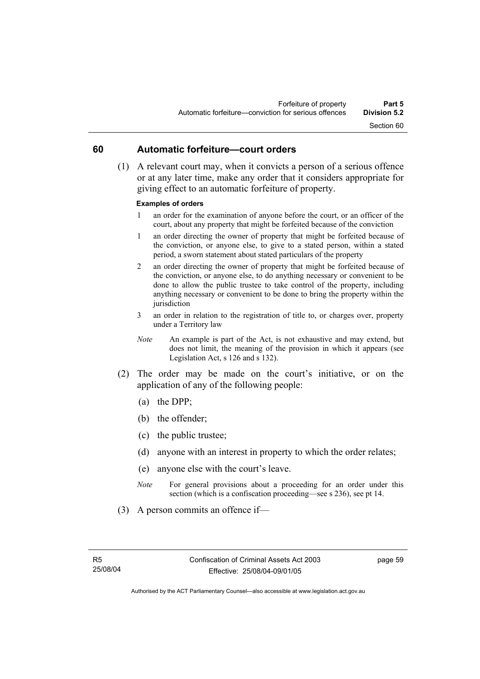#### **60 Automatic forfeiture—court orders**

 (1) A relevant court may, when it convicts a person of a serious offence or at any later time, make any order that it considers appropriate for giving effect to an automatic forfeiture of property.

#### **Examples of orders**

- 1 an order for the examination of anyone before the court, or an officer of the court, about any property that might be forfeited because of the conviction
- 1 an order directing the owner of property that might be forfeited because of the conviction, or anyone else, to give to a stated person, within a stated period, a sworn statement about stated particulars of the property
- 2 an order directing the owner of property that might be forfeited because of the conviction, or anyone else, to do anything necessary or convenient to be done to allow the public trustee to take control of the property, including anything necessary or convenient to be done to bring the property within the jurisdiction
- 3 an order in relation to the registration of title to, or charges over, property under a Territory law
- *Note* An example is part of the Act, is not exhaustive and may extend, but does not limit, the meaning of the provision in which it appears (see Legislation Act, s 126 and s 132).
- (2) The order may be made on the court's initiative, or on the application of any of the following people:
	- (a) the DPP;
	- (b) the offender;
	- (c) the public trustee;
	- (d) anyone with an interest in property to which the order relates;
	- (e) anyone else with the court's leave.
	- *Note* For general provisions about a proceeding for an order under this section (which is a confiscation proceeding—see s 236), see pt 14.
- (3) A person commits an offence if—

page 59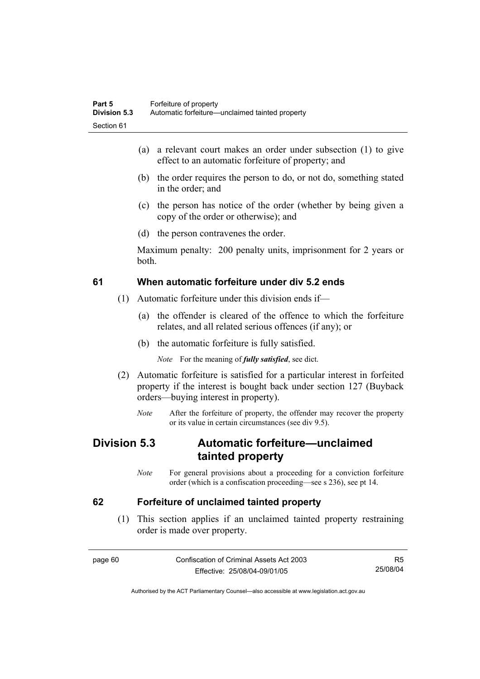- (a) a relevant court makes an order under subsection (1) to give effect to an automatic forfeiture of property; and
- (b) the order requires the person to do, or not do, something stated in the order; and
- (c) the person has notice of the order (whether by being given a copy of the order or otherwise); and
- (d) the person contravenes the order.

Maximum penalty: 200 penalty units, imprisonment for 2 years or both.

#### **61 When automatic forfeiture under div 5.2 ends**

- (1) Automatic forfeiture under this division ends if—
	- (a) the offender is cleared of the offence to which the forfeiture relates, and all related serious offences (if any); or
	- (b) the automatic forfeiture is fully satisfied.

*Note* For the meaning of *fully satisfied*, see dict.

- (2) Automatic forfeiture is satisfied for a particular interest in forfeited property if the interest is bought back under section 127 (Buyback orders—buying interest in property).
	- *Note* After the forfeiture of property, the offender may recover the property or its value in certain circumstances (see div 9.5).

# **Division 5.3 Automatic forfeiture—unclaimed tainted property**

*Note* For general provisions about a proceeding for a conviction forfeiture order (which is a confiscation proceeding—see s 236), see pt 14.

#### **62 Forfeiture of unclaimed tainted property**

 (1) This section applies if an unclaimed tainted property restraining order is made over property.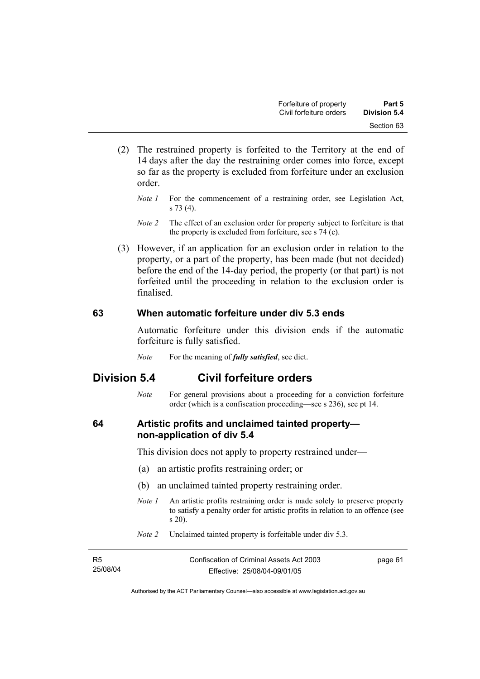- (2) The restrained property is forfeited to the Territory at the end of 14 days after the day the restraining order comes into force, except so far as the property is excluded from forfeiture under an exclusion order.
	- *Note 1* For the commencement of a restraining order, see Legislation Act, s 73 (4).
	- *Note 2* The effect of an exclusion order for property subject to forfeiture is that the property is excluded from forfeiture, see s 74 (c).
- (3) However, if an application for an exclusion order in relation to the property, or a part of the property, has been made (but not decided) before the end of the 14-day period, the property (or that part) is not forfeited until the proceeding in relation to the exclusion order is finalised.

#### **63 When automatic forfeiture under div 5.3 ends**

Automatic forfeiture under this division ends if the automatic forfeiture is fully satisfied.

*Note* For the meaning of *fully satisfied*, see dict.

# **Division 5.4 Civil forfeiture orders**

*Note* For general provisions about a proceeding for a conviction forfeiture order (which is a confiscation proceeding—see s 236), see pt 14.

### **64 Artistic profits and unclaimed tainted property non-application of div 5.4**

This division does not apply to property restrained under—

- (a) an artistic profits restraining order; or
- (b) an unclaimed tainted property restraining order.
- *Note 1* An artistic profits restraining order is made solely to preserve property to satisfy a penalty order for artistic profits in relation to an offence (see s 20).
- *Note 2* Unclaimed tainted property is forfeitable under div 5.3.

| - R5     | Confiscation of Criminal Assets Act 2003 | page 61 |
|----------|------------------------------------------|---------|
| 25/08/04 | Effective: 25/08/04-09/01/05             |         |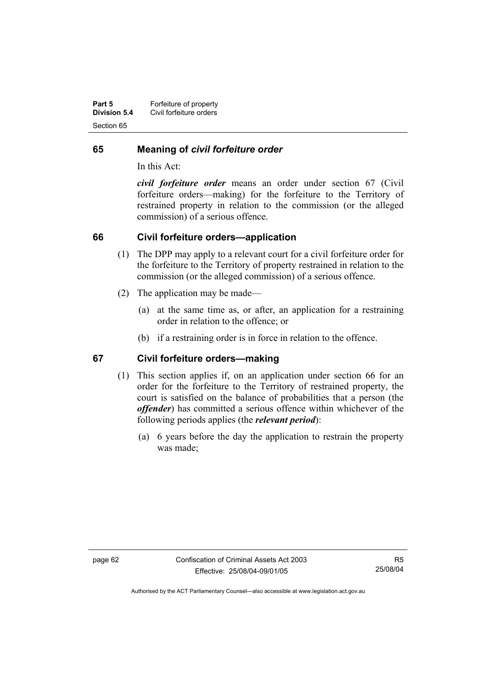| Part 5              | Forfeiture of property  |
|---------------------|-------------------------|
| <b>Division 5.4</b> | Civil forfeiture orders |
| Section 65          |                         |

#### **65 Meaning of** *civil forfeiture order*

In this Act:

*civil forfeiture order* means an order under section 67 (Civil forfeiture orders—making) for the forfeiture to the Territory of restrained property in relation to the commission (or the alleged commission) of a serious offence.

#### **66 Civil forfeiture orders—application**

- (1) The DPP may apply to a relevant court for a civil forfeiture order for the forfeiture to the Territory of property restrained in relation to the commission (or the alleged commission) of a serious offence.
- (2) The application may be made—
	- (a) at the same time as, or after, an application for a restraining order in relation to the offence; or
	- (b) if a restraining order is in force in relation to the offence.

#### **67 Civil forfeiture orders—making**

- (1) This section applies if, on an application under section 66 for an order for the forfeiture to the Territory of restrained property, the court is satisfied on the balance of probabilities that a person (the *offender*) has committed a serious offence within whichever of the following periods applies (the *relevant period*):
	- (a) 6 years before the day the application to restrain the property was made;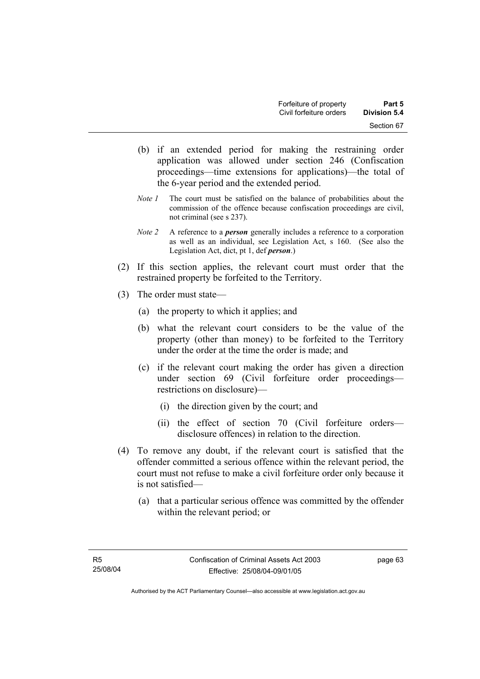- (b) if an extended period for making the restraining order application was allowed under section 246 (Confiscation proceedings—time extensions for applications)—the total of the 6-year period and the extended period.
- *Note 1* The court must be satisfied on the balance of probabilities about the commission of the offence because confiscation proceedings are civil, not criminal (see s 237).
- *Note 2* A reference to a *person* generally includes a reference to a corporation as well as an individual, see Legislation Act, s 160. (See also the Legislation Act, dict, pt 1, def *person*.)
- (2) If this section applies, the relevant court must order that the restrained property be forfeited to the Territory.
- (3) The order must state—
	- (a) the property to which it applies; and
	- (b) what the relevant court considers to be the value of the property (other than money) to be forfeited to the Territory under the order at the time the order is made; and
	- (c) if the relevant court making the order has given a direction under section 69 (Civil forfeiture order proceedings restrictions on disclosure)—
		- (i) the direction given by the court; and
		- (ii) the effect of section 70 (Civil forfeiture orders disclosure offences) in relation to the direction.
- (4) To remove any doubt, if the relevant court is satisfied that the offender committed a serious offence within the relevant period, the court must not refuse to make a civil forfeiture order only because it is not satisfied—
	- (a) that a particular serious offence was committed by the offender within the relevant period; or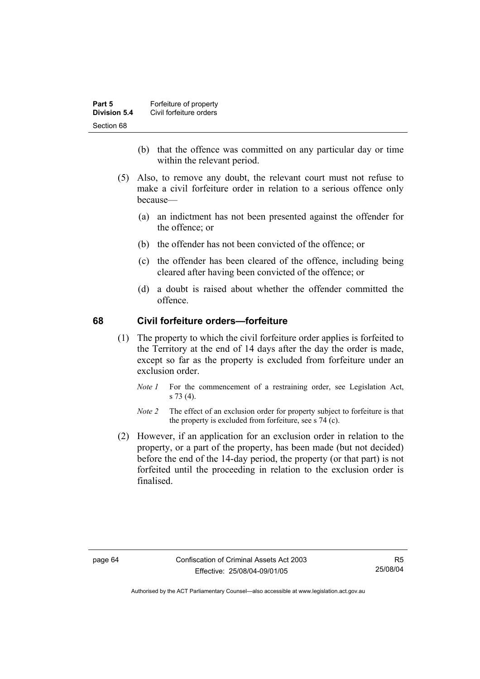| Part 5       | Forfeiture of property  |
|--------------|-------------------------|
| Division 5.4 | Civil forfeiture orders |
| Section 68   |                         |

- (b) that the offence was committed on any particular day or time within the relevant period.
- (5) Also, to remove any doubt, the relevant court must not refuse to make a civil forfeiture order in relation to a serious offence only because—
	- (a) an indictment has not been presented against the offender for the offence; or
	- (b) the offender has not been convicted of the offence; or
	- (c) the offender has been cleared of the offence, including being cleared after having been convicted of the offence; or
	- (d) a doubt is raised about whether the offender committed the offence.

#### **68 Civil forfeiture orders—forfeiture**

- (1) The property to which the civil forfeiture order applies is forfeited to the Territory at the end of 14 days after the day the order is made, except so far as the property is excluded from forfeiture under an exclusion order.
	- *Note 1* For the commencement of a restraining order, see Legislation Act, s 73 (4).
	- *Note 2* The effect of an exclusion order for property subject to forfeiture is that the property is excluded from forfeiture, see s 74 (c).
- (2) However, if an application for an exclusion order in relation to the property, or a part of the property, has been made (but not decided) before the end of the 14-day period, the property (or that part) is not forfeited until the proceeding in relation to the exclusion order is finalised.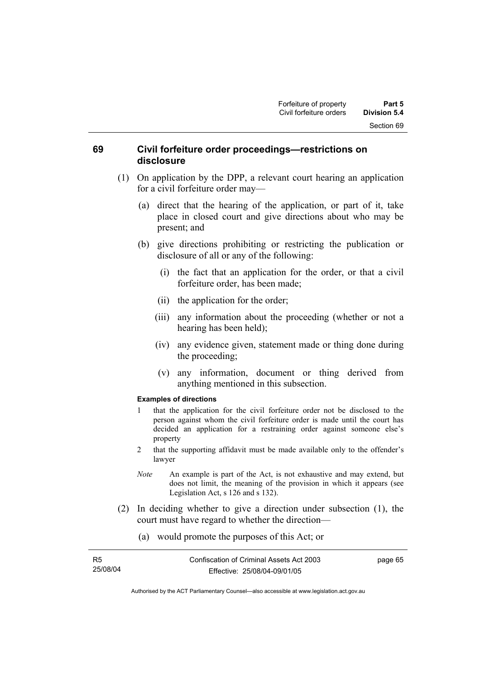#### **69 Civil forfeiture order proceedings—restrictions on disclosure**

- (1) On application by the DPP, a relevant court hearing an application for a civil forfeiture order may—
	- (a) direct that the hearing of the application, or part of it, take place in closed court and give directions about who may be present; and
	- (b) give directions prohibiting or restricting the publication or disclosure of all or any of the following:
		- (i) the fact that an application for the order, or that a civil forfeiture order, has been made;
		- (ii) the application for the order;
		- (iii) any information about the proceeding (whether or not a hearing has been held);
		- (iv) any evidence given, statement made or thing done during the proceeding;
		- (v) any information, document or thing derived from anything mentioned in this subsection.

#### **Examples of directions**

- 1 that the application for the civil forfeiture order not be disclosed to the person against whom the civil forfeiture order is made until the court has decided an application for a restraining order against someone else's property
- 2 that the supporting affidavit must be made available only to the offender's lawyer
- *Note* An example is part of the Act, is not exhaustive and may extend, but does not limit, the meaning of the provision in which it appears (see Legislation Act, s 126 and s 132).
- (2) In deciding whether to give a direction under subsection (1), the court must have regard to whether the direction—
	- (a) would promote the purposes of this Act; or

| R5       | Confiscation of Criminal Assets Act 2003 | page 65 |
|----------|------------------------------------------|---------|
| 25/08/04 | Effective: 25/08/04-09/01/05             |         |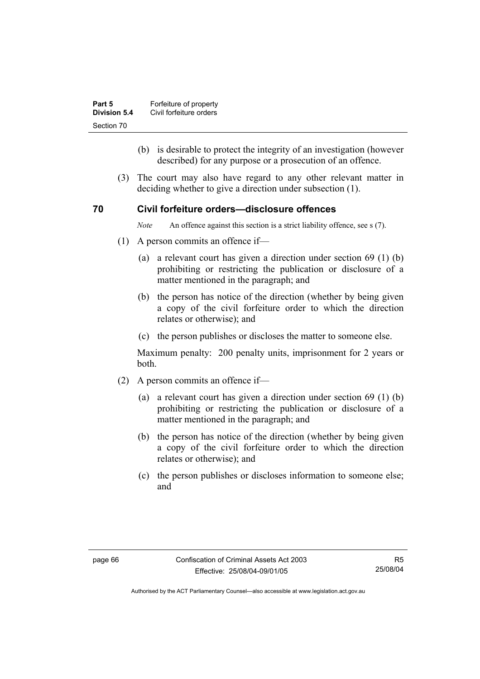| Part 5       | Forfeiture of property  |
|--------------|-------------------------|
| Division 5.4 | Civil forfeiture orders |
| Section 70   |                         |

- (b) is desirable to protect the integrity of an investigation (however described) for any purpose or a prosecution of an offence.
- (3) The court may also have regard to any other relevant matter in deciding whether to give a direction under subsection (1).

#### **70 Civil forfeiture orders—disclosure offences**

*Note* An offence against this section is a strict liability offence, see s (7).

- (1) A person commits an offence if—
	- (a) a relevant court has given a direction under section 69 (1) (b) prohibiting or restricting the publication or disclosure of a matter mentioned in the paragraph; and
	- (b) the person has notice of the direction (whether by being given a copy of the civil forfeiture order to which the direction relates or otherwise); and
	- (c) the person publishes or discloses the matter to someone else.

Maximum penalty: 200 penalty units, imprisonment for 2 years or both.

- (2) A person commits an offence if—
	- (a) a relevant court has given a direction under section 69 (1) (b) prohibiting or restricting the publication or disclosure of a matter mentioned in the paragraph; and
	- (b) the person has notice of the direction (whether by being given a copy of the civil forfeiture order to which the direction relates or otherwise); and
	- (c) the person publishes or discloses information to someone else; and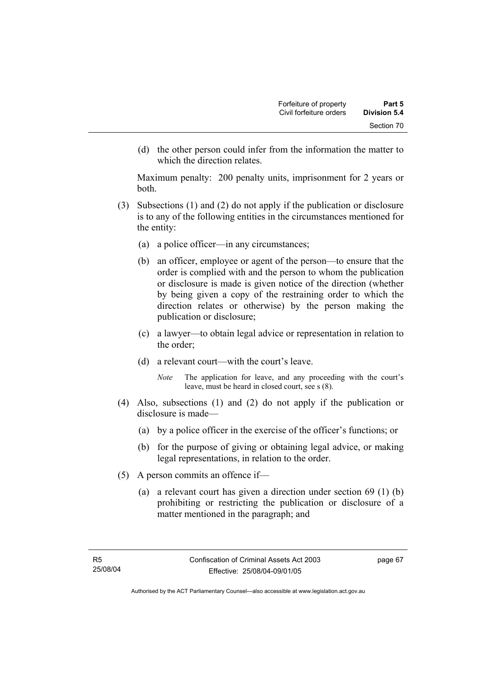(d) the other person could infer from the information the matter to which the direction relates.

Maximum penalty: 200 penalty units, imprisonment for 2 years or both.

- (3) Subsections (1) and (2) do not apply if the publication or disclosure is to any of the following entities in the circumstances mentioned for the entity:
	- (a) a police officer—in any circumstances;
	- (b) an officer, employee or agent of the person—to ensure that the order is complied with and the person to whom the publication or disclosure is made is given notice of the direction (whether by being given a copy of the restraining order to which the direction relates or otherwise) by the person making the publication or disclosure;
	- (c) a lawyer—to obtain legal advice or representation in relation to the order;
	- (d) a relevant court—with the court's leave.
		- *Note* The application for leave, and any proceeding with the court's leave, must be heard in closed court, see s (8).
- (4) Also, subsections (1) and (2) do not apply if the publication or disclosure is made—
	- (a) by a police officer in the exercise of the officer's functions; or
	- (b) for the purpose of giving or obtaining legal advice, or making legal representations, in relation to the order.
- (5) A person commits an offence if—
	- (a) a relevant court has given a direction under section 69 (1) (b) prohibiting or restricting the publication or disclosure of a matter mentioned in the paragraph; and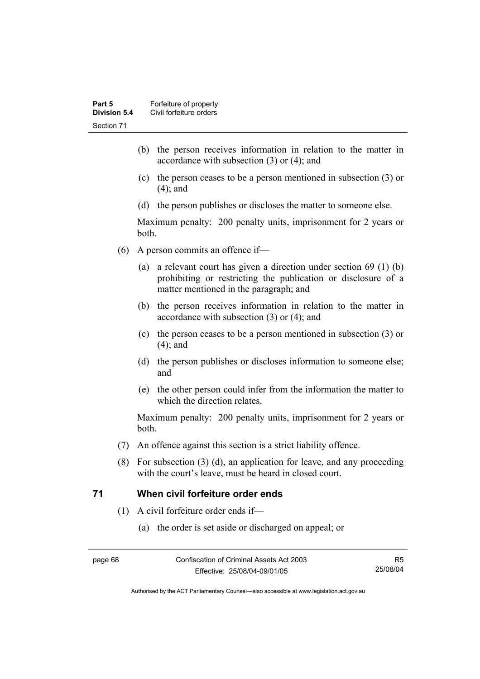- (b) the person receives information in relation to the matter in accordance with subsection (3) or (4); and
- (c) the person ceases to be a person mentioned in subsection (3) or (4); and
- (d) the person publishes or discloses the matter to someone else.

Maximum penalty: 200 penalty units, imprisonment for 2 years or both.

- (6) A person commits an offence if—
	- (a) a relevant court has given a direction under section 69 (1) (b) prohibiting or restricting the publication or disclosure of a matter mentioned in the paragraph; and
	- (b) the person receives information in relation to the matter in accordance with subsection (3) or (4); and
	- (c) the person ceases to be a person mentioned in subsection (3) or (4); and
	- (d) the person publishes or discloses information to someone else; and
	- (e) the other person could infer from the information the matter to which the direction relates.

Maximum penalty: 200 penalty units, imprisonment for 2 years or both.

- (7) An offence against this section is a strict liability offence.
- (8) For subsection (3) (d), an application for leave, and any proceeding with the court's leave, must be heard in closed court.

#### **71 When civil forfeiture order ends**

- (1) A civil forfeiture order ends if—
	- (a) the order is set aside or discharged on appeal; or

R5 25/08/04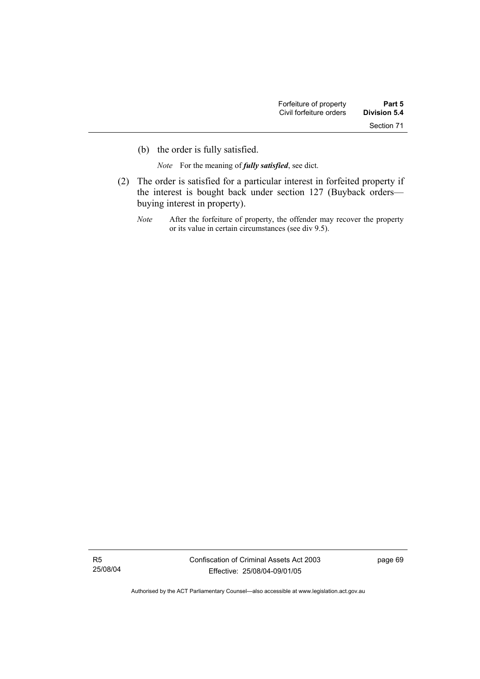(b) the order is fully satisfied.

*Note* For the meaning of *fully satisfied*, see dict.

- (2) The order is satisfied for a particular interest in forfeited property if the interest is bought back under section 127 (Buyback orders buying interest in property).
	- *Note* After the forfeiture of property, the offender may recover the property or its value in certain circumstances (see div 9.5).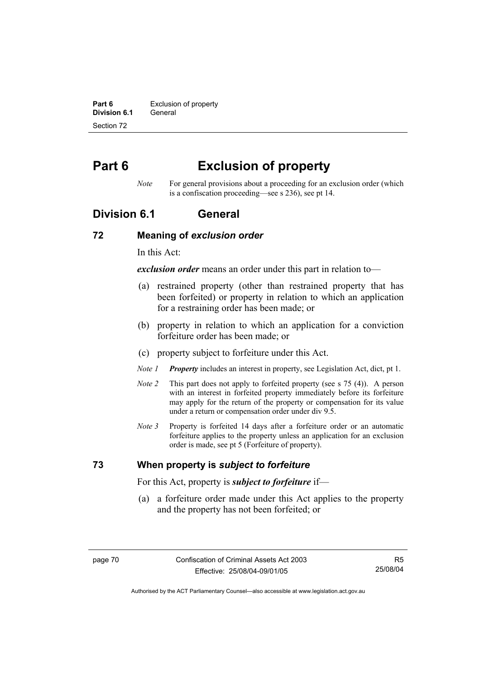**Part 6 Exclusion of property Division 6.1** General Section 72

# **Part 6 Exclusion of property**

*Note* For general provisions about a proceeding for an exclusion order (which is a confiscation proceeding—see s 236), see pt 14.

### **Division 6.1 General**

#### **72 Meaning of** *exclusion order*

In this Act:

*exclusion order* means an order under this part in relation to—

- (a) restrained property (other than restrained property that has been forfeited) or property in relation to which an application for a restraining order has been made; or
- (b) property in relation to which an application for a conviction forfeiture order has been made; or
- (c) property subject to forfeiture under this Act.
- *Note 1 Property* includes an interest in property, see Legislation Act, dict, pt 1.
- *Note 2* This part does not apply to forfeited property (see s 75 (4)). A person with an interest in forfeited property immediately before its forfeiture may apply for the return of the property or compensation for its value under a return or compensation order under div 9.5.
- *Note 3* Property is forfeited 14 days after a forfeiture order or an automatic forfeiture applies to the property unless an application for an exclusion order is made, see pt 5 (Forfeiture of property).

#### **73 When property is** *subject to forfeiture*

For this Act, property is *subject to forfeiture* if—

 (a) a forfeiture order made under this Act applies to the property and the property has not been forfeited; or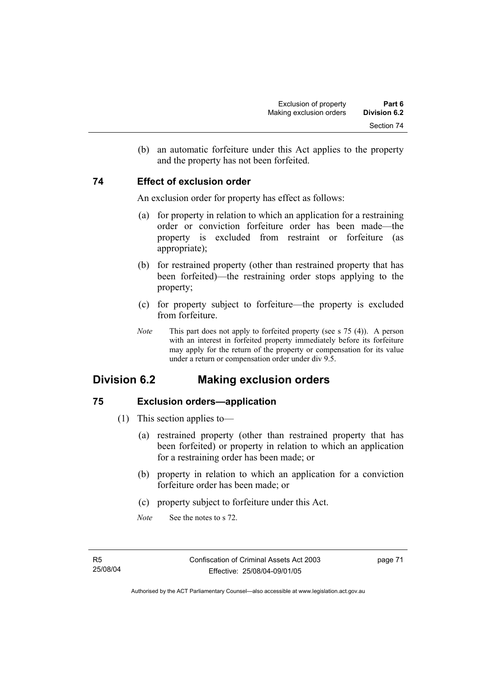(b) an automatic forfeiture under this Act applies to the property and the property has not been forfeited.

#### **74 Effect of exclusion order**

An exclusion order for property has effect as follows:

- (a) for property in relation to which an application for a restraining order or conviction forfeiture order has been made—the property is excluded from restraint or forfeiture (as appropriate);
- (b) for restrained property (other than restrained property that has been forfeited)—the restraining order stops applying to the property;
- (c) for property subject to forfeiture—the property is excluded from forfeiture.
- *Note* This part does not apply to forfeited property (see s 75 (4)). A person with an interest in forfeited property immediately before its forfeiture may apply for the return of the property or compensation for its value under a return or compensation order under div 9.5.

# **Division 6.2 Making exclusion orders**

### **75 Exclusion orders—application**

- (1) This section applies to—
	- (a) restrained property (other than restrained property that has been forfeited) or property in relation to which an application for a restraining order has been made; or
	- (b) property in relation to which an application for a conviction forfeiture order has been made; or
	- (c) property subject to forfeiture under this Act.
	- *Note* See the notes to s 72.

page 71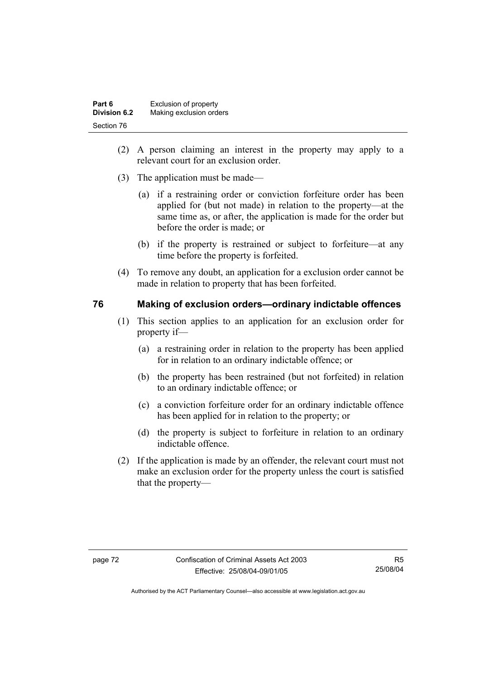| Part 6       | Exclusion of property   |
|--------------|-------------------------|
| Division 6.2 | Making exclusion orders |
| Section 76   |                         |

- (2) A person claiming an interest in the property may apply to a relevant court for an exclusion order.
- (3) The application must be made—
	- (a) if a restraining order or conviction forfeiture order has been applied for (but not made) in relation to the property—at the same time as, or after, the application is made for the order but before the order is made; or
	- (b) if the property is restrained or subject to forfeiture—at any time before the property is forfeited.
- (4) To remove any doubt, an application for a exclusion order cannot be made in relation to property that has been forfeited.

#### **76 Making of exclusion orders—ordinary indictable offences**

- (1) This section applies to an application for an exclusion order for property if—
	- (a) a restraining order in relation to the property has been applied for in relation to an ordinary indictable offence; or
	- (b) the property has been restrained (but not forfeited) in relation to an ordinary indictable offence; or
	- (c) a conviction forfeiture order for an ordinary indictable offence has been applied for in relation to the property; or
	- (d) the property is subject to forfeiture in relation to an ordinary indictable offence.
- (2) If the application is made by an offender, the relevant court must not make an exclusion order for the property unless the court is satisfied that the property—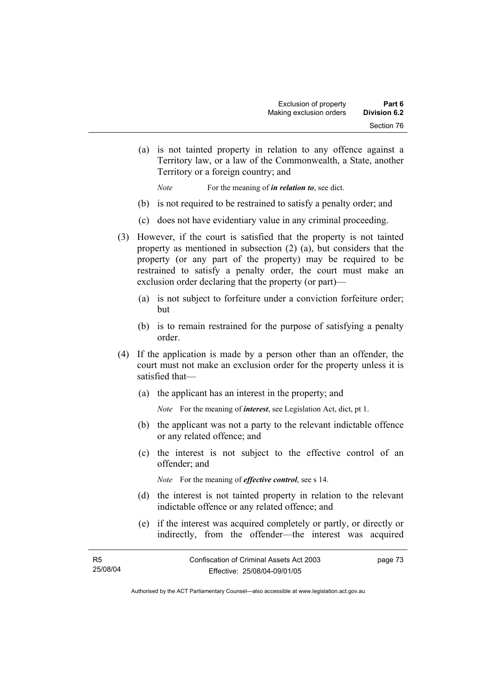(a) is not tainted property in relation to any offence against a Territory law, or a law of the Commonwealth, a State, another Territory or a foreign country; and

*Note* For the meaning of *in relation to*, see dict.

- (b) is not required to be restrained to satisfy a penalty order; and
- (c) does not have evidentiary value in any criminal proceeding.
- (3) However, if the court is satisfied that the property is not tainted property as mentioned in subsection (2) (a), but considers that the property (or any part of the property) may be required to be restrained to satisfy a penalty order, the court must make an exclusion order declaring that the property (or part)—
	- (a) is not subject to forfeiture under a conviction forfeiture order; but
	- (b) is to remain restrained for the purpose of satisfying a penalty order.
- (4) If the application is made by a person other than an offender, the court must not make an exclusion order for the property unless it is satisfied that—
	- (a) the applicant has an interest in the property; and

*Note* For the meaning of *interest*, see Legislation Act, dict, pt 1.

- (b) the applicant was not a party to the relevant indictable offence or any related offence; and
- (c) the interest is not subject to the effective control of an offender; and

*Note* For the meaning of *effective control*, see s 14.

- (d) the interest is not tainted property in relation to the relevant indictable offence or any related offence; and
- (e) if the interest was acquired completely or partly, or directly or indirectly, from the offender—the interest was acquired

| - R5     | Confiscation of Criminal Assets Act 2003 | page 73 |
|----------|------------------------------------------|---------|
| 25/08/04 | Effective: 25/08/04-09/01/05             |         |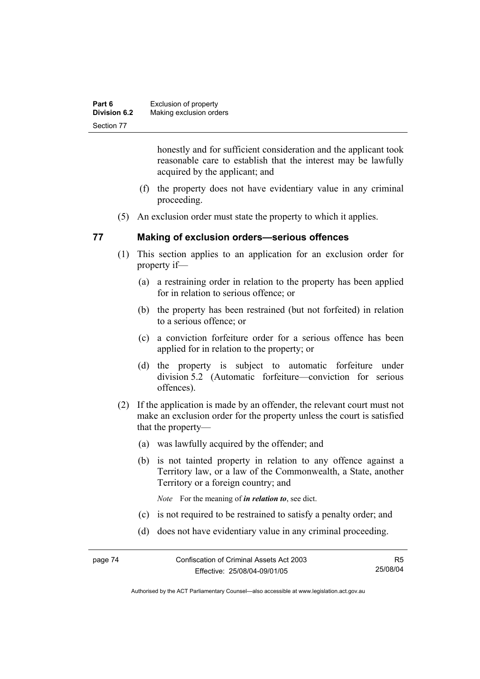| Part 6              | Exclusion of property   |
|---------------------|-------------------------|
| <b>Division 6.2</b> | Making exclusion orders |
| Section 77          |                         |

honestly and for sufficient consideration and the applicant took reasonable care to establish that the interest may be lawfully acquired by the applicant; and

- (f) the property does not have evidentiary value in any criminal proceeding.
- (5) An exclusion order must state the property to which it applies.

#### **77 Making of exclusion orders—serious offences**

- (1) This section applies to an application for an exclusion order for property if—
	- (a) a restraining order in relation to the property has been applied for in relation to serious offence; or
	- (b) the property has been restrained (but not forfeited) in relation to a serious offence; or
	- (c) a conviction forfeiture order for a serious offence has been applied for in relation to the property; or
	- (d) the property is subject to automatic forfeiture under division 5.2 (Automatic forfeiture—conviction for serious offences).
- (2) If the application is made by an offender, the relevant court must not make an exclusion order for the property unless the court is satisfied that the property—
	- (a) was lawfully acquired by the offender; and
	- (b) is not tainted property in relation to any offence against a Territory law, or a law of the Commonwealth, a State, another Territory or a foreign country; and

*Note* For the meaning of *in relation to*, see dict.

- (c) is not required to be restrained to satisfy a penalty order; and
- (d) does not have evidentiary value in any criminal proceeding.

R5 25/08/04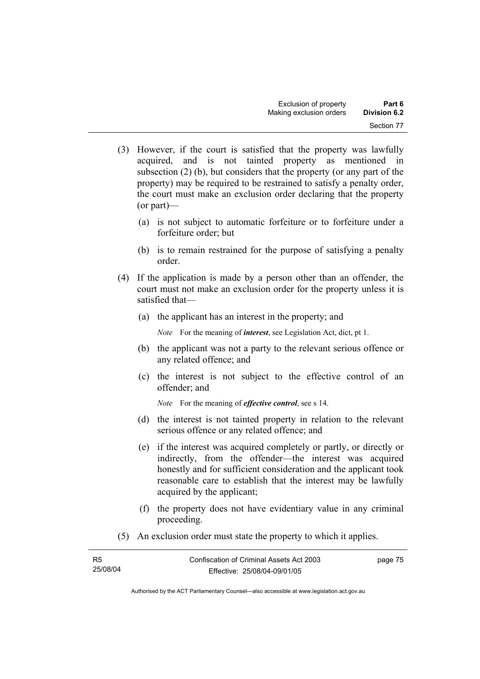- (3) However, if the court is satisfied that the property was lawfully acquired, and is not tainted property as mentioned in subsection (2) (b), but considers that the property (or any part of the property) may be required to be restrained to satisfy a penalty order, the court must make an exclusion order declaring that the property (or part)—
	- (a) is not subject to automatic forfeiture or to forfeiture under a forfeiture order; but
	- (b) is to remain restrained for the purpose of satisfying a penalty order.
- (4) If the application is made by a person other than an offender, the court must not make an exclusion order for the property unless it is satisfied that—
	- (a) the applicant has an interest in the property; and

*Note* For the meaning of *interest*, see Legislation Act, dict, pt 1.

- (b) the applicant was not a party to the relevant serious offence or any related offence; and
- (c) the interest is not subject to the effective control of an offender; and

*Note* For the meaning of *effective control*, see s 14.

- (d) the interest is not tainted property in relation to the relevant serious offence or any related offence; and
- (e) if the interest was acquired completely or partly, or directly or indirectly, from the offender—the interest was acquired honestly and for sufficient consideration and the applicant took reasonable care to establish that the interest may be lawfully acquired by the applicant;
- (f) the property does not have evidentiary value in any criminal proceeding.
- (5) An exclusion order must state the property to which it applies.

| R <sub>5</sub> | Confiscation of Criminal Assets Act 2003 | page 75 |
|----------------|------------------------------------------|---------|
| 25/08/04       | Effective: 25/08/04-09/01/05             |         |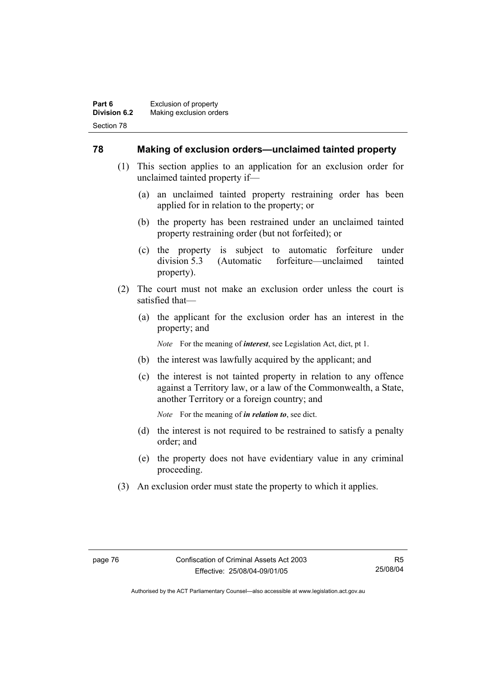#### **78 Making of exclusion orders—unclaimed tainted property**

- (1) This section applies to an application for an exclusion order for unclaimed tainted property if—
	- (a) an unclaimed tainted property restraining order has been applied for in relation to the property; or
	- (b) the property has been restrained under an unclaimed tainted property restraining order (but not forfeited); or
	- (c) the property is subject to automatic forfeiture under division 5.3 (Automatic forfeiture—unclaimed tainted property).
- (2) The court must not make an exclusion order unless the court is satisfied that—
	- (a) the applicant for the exclusion order has an interest in the property; and

*Note* For the meaning of *interest*, see Legislation Act, dict, pt 1.

- (b) the interest was lawfully acquired by the applicant; and
- (c) the interest is not tainted property in relation to any offence against a Territory law, or a law of the Commonwealth, a State, another Territory or a foreign country; and

*Note* For the meaning of *in relation to*, see dict.

- (d) the interest is not required to be restrained to satisfy a penalty order; and
- (e) the property does not have evidentiary value in any criminal proceeding.
- (3) An exclusion order must state the property to which it applies.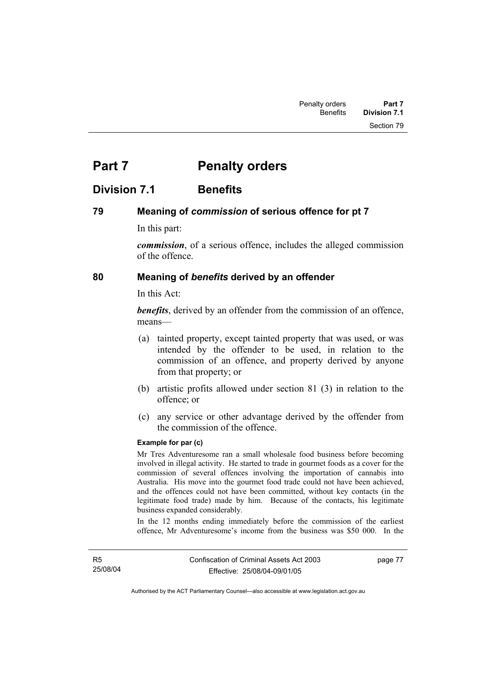# **Part 7** Penalty orders

# **Division 7.1 Benefits**

#### **79 Meaning of** *commission* **of serious offence for pt 7**

In this part:

*commission*, of a serious offence, includes the alleged commission of the offence.

#### **80 Meaning of** *benefits* **derived by an offender**

In this Act:

*benefits*, derived by an offender from the commission of an offence, means—

- (a) tainted property, except tainted property that was used, or was intended by the offender to be used, in relation to the commission of an offence, and property derived by anyone from that property; or
- (b) artistic profits allowed under section 81 (3) in relation to the offence; or
- (c) any service or other advantage derived by the offender from the commission of the offence.

#### **Example for par (c)**

Mr Tres Adventuresome ran a small wholesale food business before becoming involved in illegal activity. He started to trade in gourmet foods as a cover for the commission of several offences involving the importation of cannabis into Australia. His move into the gourmet food trade could not have been achieved, and the offences could not have been committed, without key contacts (in the legitimate food trade) made by him. Because of the contacts, his legitimate business expanded considerably.

In the 12 months ending immediately before the commission of the earliest offence, Mr Adventuresome's income from the business was \$50 000. In the

page 77

Authorised by the ACT Parliamentary Counsel—also accessible at www.legislation.act.gov.au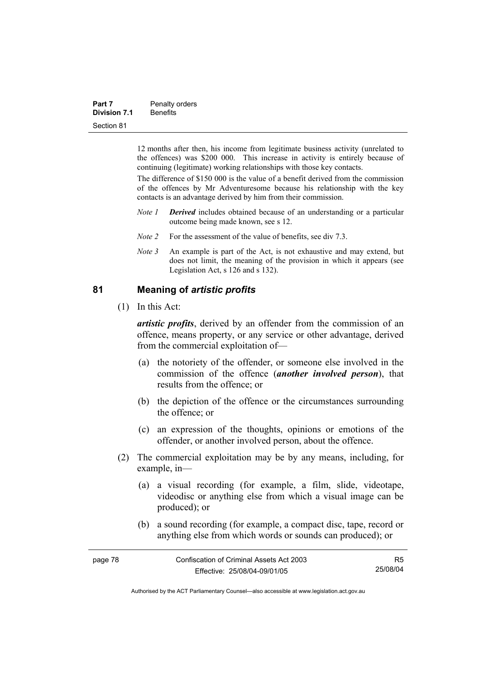| Part 7              | Penalty orders  |  |
|---------------------|-----------------|--|
| <b>Division 7.1</b> | <b>Benefits</b> |  |
| Section 81          |                 |  |

12 months after then, his income from legitimate business activity (unrelated to the offences) was \$200 000. This increase in activity is entirely because of continuing (legitimate) working relationships with those key contacts.

The difference of \$150 000 is the value of a benefit derived from the commission of the offences by Mr Adventuresome because his relationship with the key contacts is an advantage derived by him from their commission.

- *Note 1 Derived* includes obtained because of an understanding or a particular outcome being made known, see s 12.
- *Note 2* For the assessment of the value of benefits, see div 7.3.
- *Note 3* An example is part of the Act, is not exhaustive and may extend, but does not limit, the meaning of the provision in which it appears (see Legislation Act, s 126 and s 132).

#### **81 Meaning of** *artistic profits*

(1) In this Act:

*artistic profits*, derived by an offender from the commission of an offence, means property, or any service or other advantage, derived from the commercial exploitation of—

- (a) the notoriety of the offender, or someone else involved in the commission of the offence (*another involved person*), that results from the offence; or
- (b) the depiction of the offence or the circumstances surrounding the offence; or
- (c) an expression of the thoughts, opinions or emotions of the offender, or another involved person, about the offence.
- (2) The commercial exploitation may be by any means, including, for example, in—
	- (a) a visual recording (for example, a film, slide, videotape, videodisc or anything else from which a visual image can be produced); or
	- (b) a sound recording (for example, a compact disc, tape, record or anything else from which words or sounds can produced); or

| page 78 | Confiscation of Criminal Assets Act 2003 | R5       |
|---------|------------------------------------------|----------|
|         | Effective: 25/08/04-09/01/05             | 25/08/04 |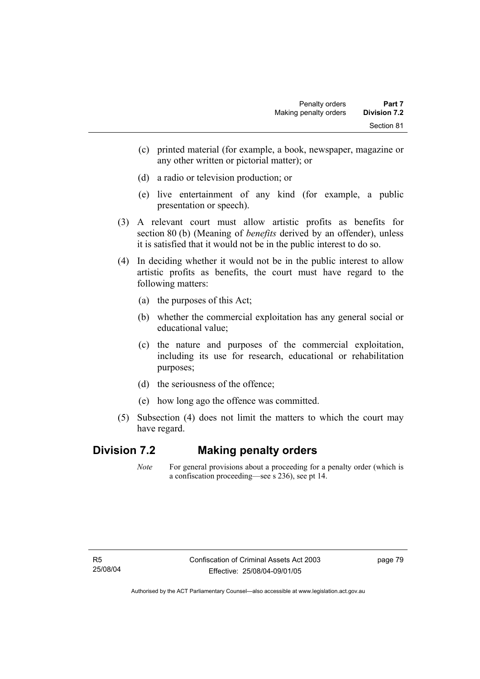- (c) printed material (for example, a book, newspaper, magazine or any other written or pictorial matter); or
- (d) a radio or television production; or
- (e) live entertainment of any kind (for example, a public presentation or speech).
- (3) A relevant court must allow artistic profits as benefits for section 80 (b) (Meaning of *benefits* derived by an offender), unless it is satisfied that it would not be in the public interest to do so.
- (4) In deciding whether it would not be in the public interest to allow artistic profits as benefits, the court must have regard to the following matters:
	- (a) the purposes of this Act;
	- (b) whether the commercial exploitation has any general social or educational value;
	- (c) the nature and purposes of the commercial exploitation, including its use for research, educational or rehabilitation purposes;
	- (d) the seriousness of the offence;
	- (e) how long ago the offence was committed.
- (5) Subsection (4) does not limit the matters to which the court may have regard.

### **Division 7.2 Making penalty orders**

*Note* For general provisions about a proceeding for a penalty order (which is a confiscation proceeding—see s 236), see pt 14.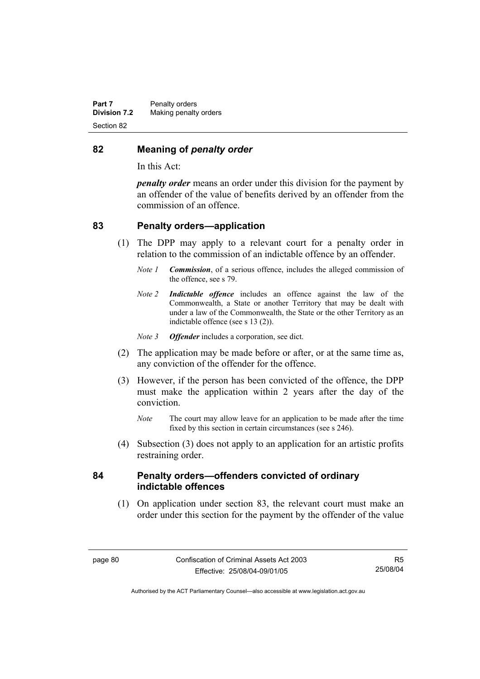#### **82 Meaning of** *penalty order*

In this Act:

*penalty order* means an order under this division for the payment by an offender of the value of benefits derived by an offender from the commission of an offence.

#### **83 Penalty orders—application**

- (1) The DPP may apply to a relevant court for a penalty order in relation to the commission of an indictable offence by an offender.
	- *Note 1 Commission*, of a serious offence, includes the alleged commission of the offence, see s 79.
	- *Note 2 Indictable offence* includes an offence against the law of the Commonwealth, a State or another Territory that may be dealt with under a law of the Commonwealth, the State or the other Territory as an indictable offence (see s 13 (2)).
	- *Note 3 Offender* includes a corporation, see dict.
- (2) The application may be made before or after, or at the same time as, any conviction of the offender for the offence.
- (3) However, if the person has been convicted of the offence, the DPP must make the application within 2 years after the day of the conviction.
	- *Note* The court may allow leave for an application to be made after the time fixed by this section in certain circumstances (see s 246).
- (4) Subsection (3) does not apply to an application for an artistic profits restraining order.

#### **84 Penalty orders—offenders convicted of ordinary indictable offences**

 (1) On application under section 83, the relevant court must make an order under this section for the payment by the offender of the value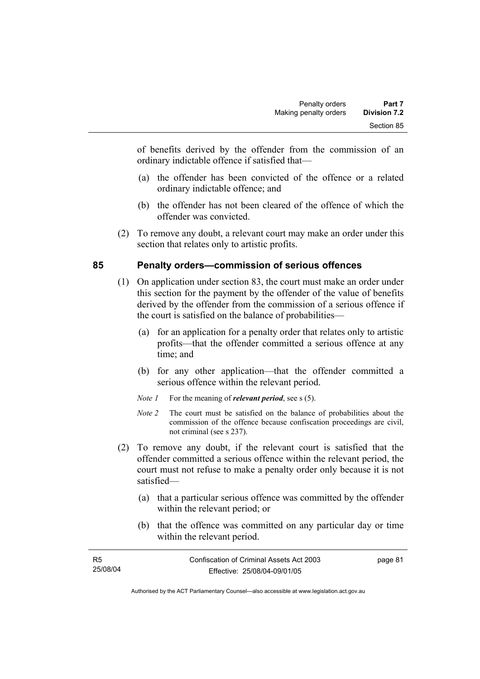of benefits derived by the offender from the commission of an ordinary indictable offence if satisfied that—

- (a) the offender has been convicted of the offence or a related ordinary indictable offence; and
- (b) the offender has not been cleared of the offence of which the offender was convicted.
- (2) To remove any doubt, a relevant court may make an order under this section that relates only to artistic profits.

### **85 Penalty orders—commission of serious offences**

- (1) On application under section 83, the court must make an order under this section for the payment by the offender of the value of benefits derived by the offender from the commission of a serious offence if the court is satisfied on the balance of probabilities—
	- (a) for an application for a penalty order that relates only to artistic profits—that the offender committed a serious offence at any time; and
	- (b) for any other application—that the offender committed a serious offence within the relevant period.
	- *Note 1* For the meaning of *relevant period*, see s (5).
	- *Note 2* The court must be satisfied on the balance of probabilities about the commission of the offence because confiscation proceedings are civil, not criminal (see s 237).
- (2) To remove any doubt, if the relevant court is satisfied that the offender committed a serious offence within the relevant period, the court must not refuse to make a penalty order only because it is not satisfied—
	- (a) that a particular serious offence was committed by the offender within the relevant period; or
	- (b) that the offence was committed on any particular day or time within the relevant period.

| <b>R5</b> | Confiscation of Criminal Assets Act 2003 | page 81 |
|-----------|------------------------------------------|---------|
| 25/08/04  | Effective: 25/08/04-09/01/05             |         |
|           |                                          |         |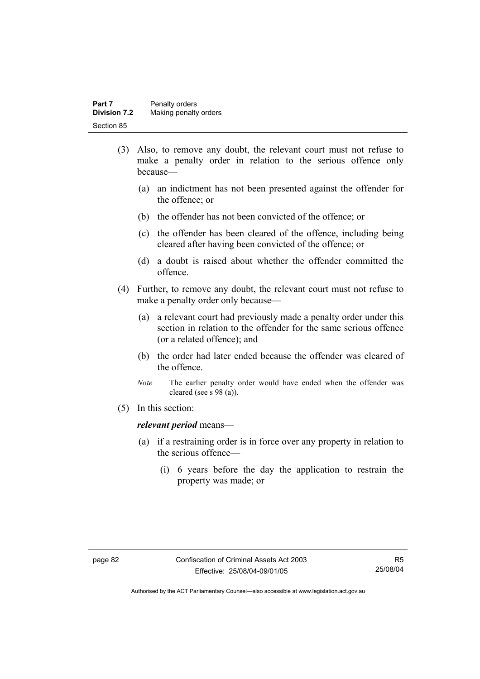| Part 7              | Penalty orders        |
|---------------------|-----------------------|
| <b>Division 7.2</b> | Making penalty orders |
| Section 85          |                       |

- (3) Also, to remove any doubt, the relevant court must not refuse to make a penalty order in relation to the serious offence only because—
	- (a) an indictment has not been presented against the offender for the offence; or
	- (b) the offender has not been convicted of the offence; or
	- (c) the offender has been cleared of the offence, including being cleared after having been convicted of the offence; or
	- (d) a doubt is raised about whether the offender committed the offence.
- (4) Further, to remove any doubt, the relevant court must not refuse to make a penalty order only because—
	- (a) a relevant court had previously made a penalty order under this section in relation to the offender for the same serious offence (or a related offence); and
	- (b) the order had later ended because the offender was cleared of the offence.
	- *Note* The earlier penalty order would have ended when the offender was cleared (see s 98 (a)).
- (5) In this section:

#### *relevant period* means—

- (a) if a restraining order is in force over any property in relation to the serious offence—
	- (i) 6 years before the day the application to restrain the property was made; or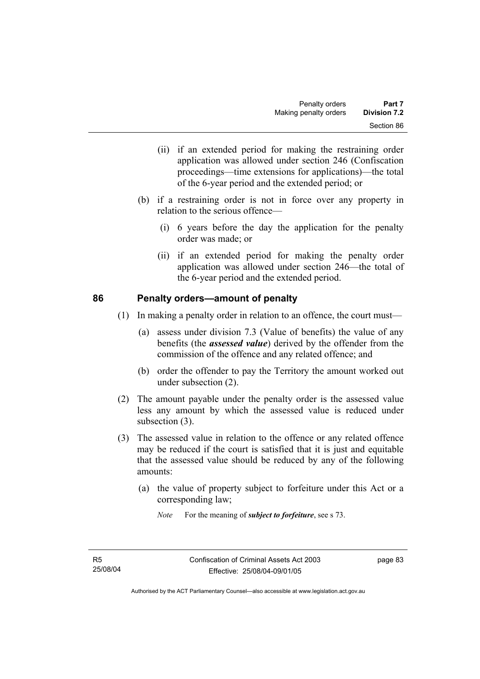- (ii) if an extended period for making the restraining order application was allowed under section 246 (Confiscation proceedings—time extensions for applications)—the total of the 6-year period and the extended period; or
- (b) if a restraining order is not in force over any property in relation to the serious offence—
	- (i) 6 years before the day the application for the penalty order was made; or
	- (ii) if an extended period for making the penalty order application was allowed under section 246—the total of the 6-year period and the extended period.

#### **86 Penalty orders—amount of penalty**

- (1) In making a penalty order in relation to an offence, the court must—
	- (a) assess under division 7.3 (Value of benefits) the value of any benefits (the *assessed value*) derived by the offender from the commission of the offence and any related offence; and
	- (b) order the offender to pay the Territory the amount worked out under subsection (2).
- (2) The amount payable under the penalty order is the assessed value less any amount by which the assessed value is reduced under subsection (3).
- (3) The assessed value in relation to the offence or any related offence may be reduced if the court is satisfied that it is just and equitable that the assessed value should be reduced by any of the following amounts:
	- (a) the value of property subject to forfeiture under this Act or a corresponding law;
		- *Note* For the meaning of *subject to forfeiture*, see s 73.

page 83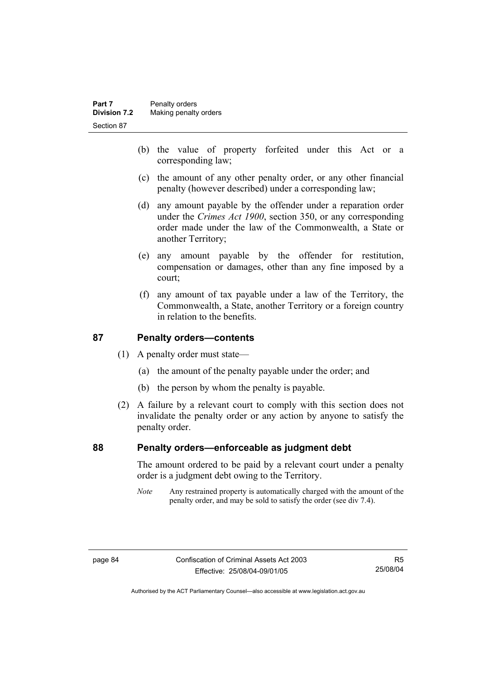- (b) the value of property forfeited under this Act or a corresponding law;
- (c) the amount of any other penalty order, or any other financial penalty (however described) under a corresponding law;
- (d) any amount payable by the offender under a reparation order under the *Crimes Act 1900*, section 350, or any corresponding order made under the law of the Commonwealth, a State or another Territory;
- (e) any amount payable by the offender for restitution, compensation or damages, other than any fine imposed by a court;
- (f) any amount of tax payable under a law of the Territory, the Commonwealth, a State, another Territory or a foreign country in relation to the benefits.

### **87 Penalty orders—contents**

- (1) A penalty order must state—
	- (a) the amount of the penalty payable under the order; and
	- (b) the person by whom the penalty is payable.
- (2) A failure by a relevant court to comply with this section does not invalidate the penalty order or any action by anyone to satisfy the penalty order.

#### **88 Penalty orders—enforceable as judgment debt**

The amount ordered to be paid by a relevant court under a penalty order is a judgment debt owing to the Territory.

*Note* Any restrained property is automatically charged with the amount of the penalty order, and may be sold to satisfy the order (see div 7.4).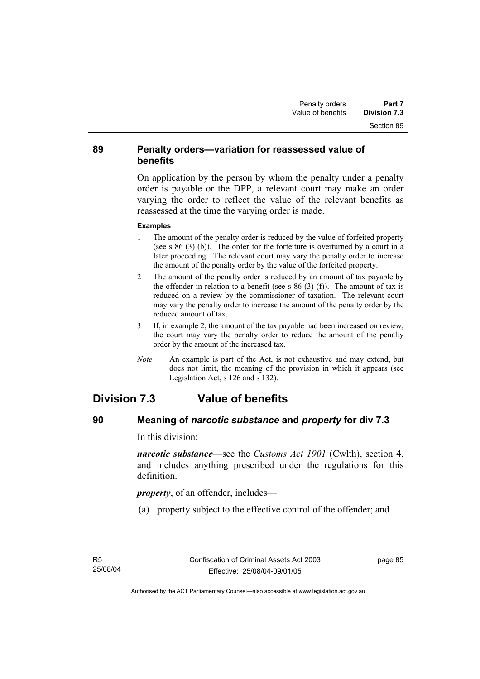#### **89 Penalty orders—variation for reassessed value of benefits**

On application by the person by whom the penalty under a penalty order is payable or the DPP, a relevant court may make an order varying the order to reflect the value of the relevant benefits as reassessed at the time the varying order is made.

#### **Examples**

- 1 The amount of the penalty order is reduced by the value of forfeited property (see s 86 (3) (b)). The order for the forfeiture is overturned by a court in a later proceeding. The relevant court may vary the penalty order to increase the amount of the penalty order by the value of the forfeited property.
- 2 The amount of the penalty order is reduced by an amount of tax payable by the offender in relation to a benefit (see s  $86$  (3) (f)). The amount of tax is reduced on a review by the commissioner of taxation. The relevant court may vary the penalty order to increase the amount of the penalty order by the reduced amount of tax.
- 3 If, in example 2, the amount of the tax payable had been increased on review, the court may vary the penalty order to reduce the amount of the penalty order by the amount of the increased tax.
- *Note* An example is part of the Act, is not exhaustive and may extend, but does not limit, the meaning of the provision in which it appears (see Legislation Act, s 126 and s 132).

# **Division 7.3 Value of benefits**

### **90 Meaning of** *narcotic substance* **and** *property* **for div 7.3**

In this division:

*narcotic substance*—see the *Customs Act 1901* (Cwlth), section 4, and includes anything prescribed under the regulations for this definition.

*property*, of an offender, includes—

(a) property subject to the effective control of the offender; and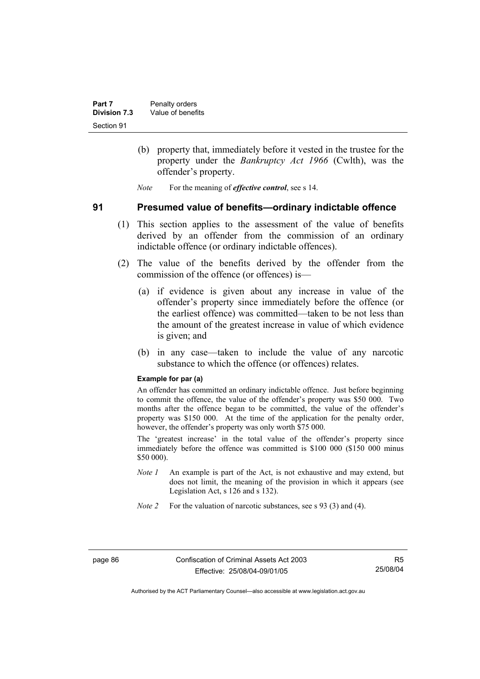- (b) property that, immediately before it vested in the trustee for the property under the *Bankruptcy Act 1966* (Cwlth), was the offender's property.
- *Note* For the meaning of *effective control*, see s 14.

#### **91 Presumed value of benefits—ordinary indictable offence**

- (1) This section applies to the assessment of the value of benefits derived by an offender from the commission of an ordinary indictable offence (or ordinary indictable offences).
- (2) The value of the benefits derived by the offender from the commission of the offence (or offences) is—
	- (a) if evidence is given about any increase in value of the offender's property since immediately before the offence (or the earliest offence) was committed—taken to be not less than the amount of the greatest increase in value of which evidence is given; and
	- (b) in any case—taken to include the value of any narcotic substance to which the offence (or offences) relates.

#### **Example for par (a)**

An offender has committed an ordinary indictable offence. Just before beginning to commit the offence, the value of the offender's property was \$50 000. Two months after the offence began to be committed, the value of the offender's property was \$150 000. At the time of the application for the penalty order, however, the offender's property was only worth \$75 000.

The 'greatest increase' in the total value of the offender's property since immediately before the offence was committed is \$100 000 (\$150 000 minus \$50 000).

- *Note 1* An example is part of the Act, is not exhaustive and may extend, but does not limit, the meaning of the provision in which it appears (see Legislation Act, s 126 and s 132).
- *Note 2* For the valuation of narcotic substances, see s 93 (3) and (4).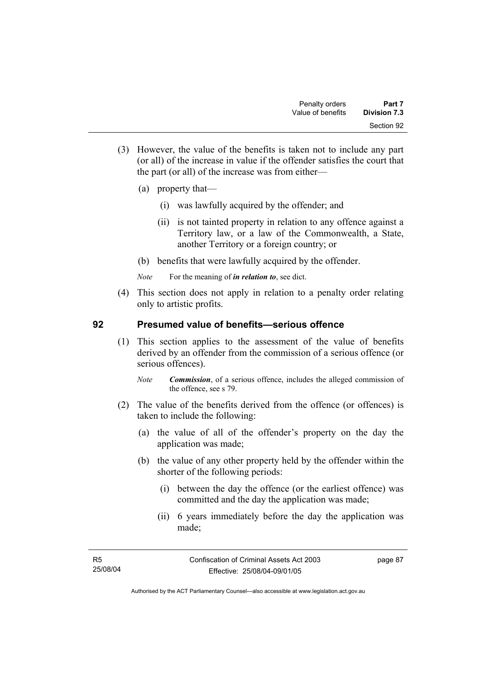- (3) However, the value of the benefits is taken not to include any part (or all) of the increase in value if the offender satisfies the court that the part (or all) of the increase was from either—
	- (a) property that—
		- (i) was lawfully acquired by the offender; and
		- (ii) is not tainted property in relation to any offence against a Territory law, or a law of the Commonwealth, a State, another Territory or a foreign country; or
	- (b) benefits that were lawfully acquired by the offender.
	- *Note* For the meaning of *in relation to*, see dict.
- (4) This section does not apply in relation to a penalty order relating only to artistic profits.

#### **92 Presumed value of benefits—serious offence**

- (1) This section applies to the assessment of the value of benefits derived by an offender from the commission of a serious offence (or serious offences).
	- *Note Commission*, of a serious offence, includes the alleged commission of the offence, see s 79.
- (2) The value of the benefits derived from the offence (or offences) is taken to include the following:
	- (a) the value of all of the offender's property on the day the application was made;
	- (b) the value of any other property held by the offender within the shorter of the following periods:
		- (i) between the day the offence (or the earliest offence) was committed and the day the application was made;
		- (ii) 6 years immediately before the day the application was made;

page 87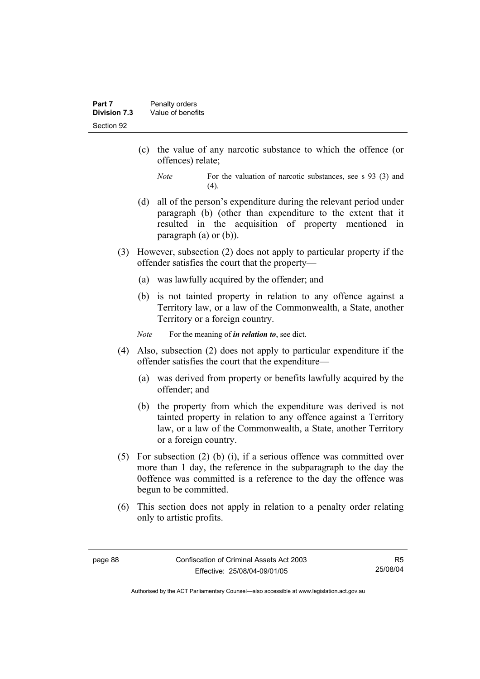- (c) the value of any narcotic substance to which the offence (or offences) relate;
	- *Note* For the valuation of narcotic substances, see s 93 (3) and  $(4)$ .
- (d) all of the person's expenditure during the relevant period under paragraph (b) (other than expenditure to the extent that it resulted in the acquisition of property mentioned in paragraph (a) or (b)).
- (3) However, subsection (2) does not apply to particular property if the offender satisfies the court that the property—
	- (a) was lawfully acquired by the offender; and
	- (b) is not tainted property in relation to any offence against a Territory law, or a law of the Commonwealth, a State, another Territory or a foreign country.

*Note* For the meaning of *in relation to*, see dict.

- (4) Also, subsection (2) does not apply to particular expenditure if the offender satisfies the court that the expenditure—
	- (a) was derived from property or benefits lawfully acquired by the offender; and
	- (b) the property from which the expenditure was derived is not tainted property in relation to any offence against a Territory law, or a law of the Commonwealth, a State, another Territory or a foreign country.
- (5) For subsection (2) (b) (i), if a serious offence was committed over more than 1 day, the reference in the subparagraph to the day the 0offence was committed is a reference to the day the offence was begun to be committed.
- (6) This section does not apply in relation to a penalty order relating only to artistic profits.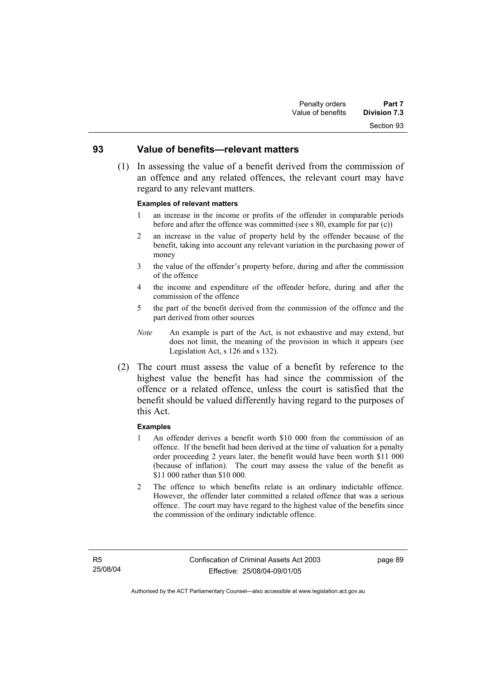# Section 93

#### **93 Value of benefits—relevant matters**

 (1) In assessing the value of a benefit derived from the commission of an offence and any related offences, the relevant court may have regard to any relevant matters.

#### **Examples of relevant matters**

- 1 an increase in the income or profits of the offender in comparable periods before and after the offence was committed (see s 80, example for par (c))
- 2 an increase in the value of property held by the offender because of the benefit, taking into account any relevant variation in the purchasing power of money
- 3 the value of the offender's property before, during and after the commission of the offence
- 4 the income and expenditure of the offender before, during and after the commission of the offence
- 5 the part of the benefit derived from the commission of the offence and the part derived from other sources
- *Note* An example is part of the Act, is not exhaustive and may extend, but does not limit, the meaning of the provision in which it appears (see Legislation Act, s 126 and s 132).
- (2) The court must assess the value of a benefit by reference to the highest value the benefit has had since the commission of the offence or a related offence, unless the court is satisfied that the benefit should be valued differently having regard to the purposes of this Act.

#### **Examples**

- 1 An offender derives a benefit worth \$10 000 from the commission of an offence. If the benefit had been derived at the time of valuation for a penalty order proceeding 2 years later, the benefit would have been worth \$11 000 (because of inflation). The court may assess the value of the benefit as \$11 000 rather than \$10 000.
- 2 The offence to which benefits relate is an ordinary indictable offence. However, the offender later committed a related offence that was a serious offence. The court may have regard to the highest value of the benefits since the commission of the ordinary indictable offence.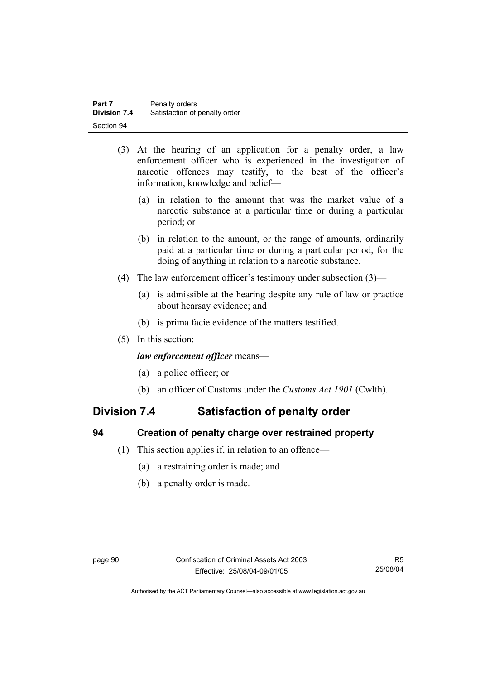- (3) At the hearing of an application for a penalty order, a law enforcement officer who is experienced in the investigation of narcotic offences may testify, to the best of the officer's information, knowledge and belief—
	- (a) in relation to the amount that was the market value of a narcotic substance at a particular time or during a particular period; or
	- (b) in relation to the amount, or the range of amounts, ordinarily paid at a particular time or during a particular period, for the doing of anything in relation to a narcotic substance.
- (4) The law enforcement officer's testimony under subsection (3)—
	- (a) is admissible at the hearing despite any rule of law or practice about hearsay evidence; and
	- (b) is prima facie evidence of the matters testified.
- (5) In this section:

#### *law enforcement officer* means—

- (a) a police officer; or
- (b) an officer of Customs under the *Customs Act 1901* (Cwlth).

# **Division 7.4 Satisfaction of penalty order**

#### **94 Creation of penalty charge over restrained property**

- (1) This section applies if, in relation to an offence—
	- (a) a restraining order is made; and
	- (b) a penalty order is made.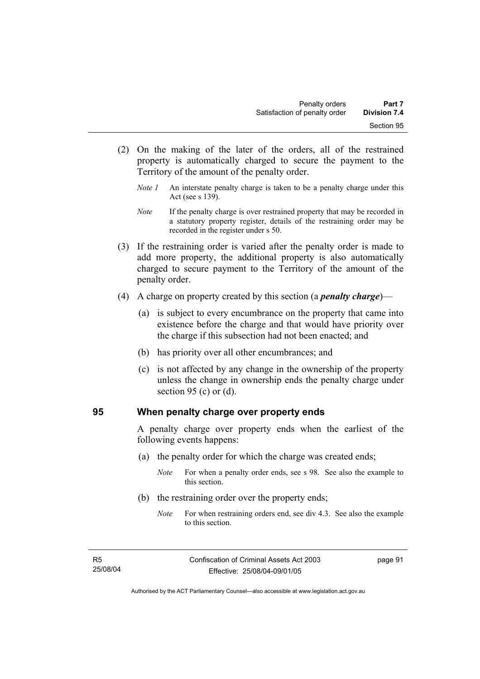- (2) On the making of the later of the orders, all of the restrained property is automatically charged to secure the payment to the Territory of the amount of the penalty order.
	- *Note 1* An interstate penalty charge is taken to be a penalty charge under this Act (see s 139).
	- *Note* If the penalty charge is over restrained property that may be recorded in a statutory property register, details of the restraining order may be recorded in the register under s 50.
- (3) If the restraining order is varied after the penalty order is made to add more property, the additional property is also automatically charged to secure payment to the Territory of the amount of the penalty order.
- (4) A charge on property created by this section (a *penalty charge*)—
	- (a) is subject to every encumbrance on the property that came into existence before the charge and that would have priority over the charge if this subsection had not been enacted; and
	- (b) has priority over all other encumbrances; and
	- (c) is not affected by any change in the ownership of the property unless the change in ownership ends the penalty charge under section 95 (c) or  $(d)$ .

#### **95 When penalty charge over property ends**

A penalty charge over property ends when the earliest of the following events happens:

- (a) the penalty order for which the charge was created ends;
	- *Note* For when a penalty order ends, see s 98. See also the example to this section.
- (b) the restraining order over the property ends;
	- *Note* For when restraining orders end, see div 4.3. See also the example to this section.

page 91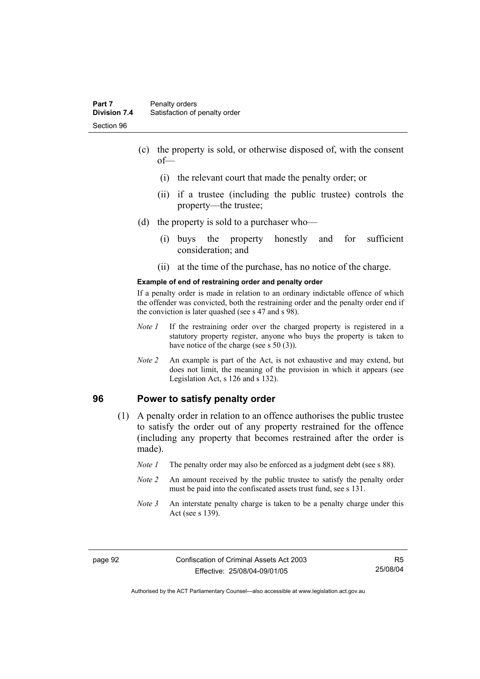- (c) the property is sold, or otherwise disposed of, with the consent of—
	- (i) the relevant court that made the penalty order; or
	- (ii) if a trustee (including the public trustee) controls the property—the trustee;
- (d) the property is sold to a purchaser who—
	- (i) buys the property honestly and for sufficient consideration; and
	- (ii) at the time of the purchase, has no notice of the charge.

#### **Example of end of restraining order and penalty order**

If a penalty order is made in relation to an ordinary indictable offence of which the offender was convicted, both the restraining order and the penalty order end if the conviction is later quashed (see s 47 and s 98).

- *Note 1* If the restraining order over the charged property is registered in a statutory property register, anyone who buys the property is taken to have notice of the charge (see s 50 (3)).
- *Note* 2 An example is part of the Act, is not exhaustive and may extend, but does not limit, the meaning of the provision in which it appears (see Legislation Act, s 126 and s 132).

#### **96 Power to satisfy penalty order**

- (1) A penalty order in relation to an offence authorises the public trustee to satisfy the order out of any property restrained for the offence (including any property that becomes restrained after the order is made).
	- *Note 1* The penalty order may also be enforced as a judgment debt (see s 88).
	- *Note 2* An amount received by the public trustee to satisfy the penalty order must be paid into the confiscated assets trust fund, see s 131.
	- *Note 3* An interstate penalty charge is taken to be a penalty charge under this Act (see s 139).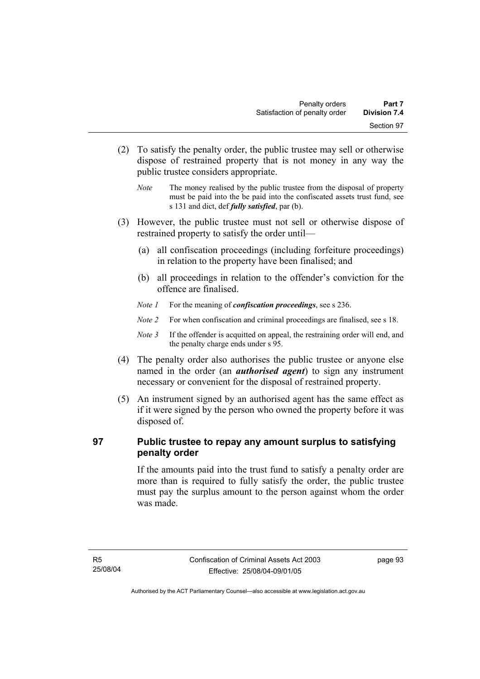- (2) To satisfy the penalty order, the public trustee may sell or otherwise dispose of restrained property that is not money in any way the public trustee considers appropriate.
	- *Note* The money realised by the public trustee from the disposal of property must be paid into the be paid into the confiscated assets trust fund, see s 131 and dict, def *fully satisfied*, par (b).
- (3) However, the public trustee must not sell or otherwise dispose of restrained property to satisfy the order until—
	- (a) all confiscation proceedings (including forfeiture proceedings) in relation to the property have been finalised; and
	- (b) all proceedings in relation to the offender's conviction for the offence are finalised.
	- *Note 1* For the meaning of *confiscation proceedings*, see s 236.
	- *Note 2* For when confiscation and criminal proceedings are finalised, see s 18.
	- *Note 3* If the offender is acquitted on appeal, the restraining order will end, and the penalty charge ends under s 95.
- (4) The penalty order also authorises the public trustee or anyone else named in the order (an *authorised agent*) to sign any instrument necessary or convenient for the disposal of restrained property.
- (5) An instrument signed by an authorised agent has the same effect as if it were signed by the person who owned the property before it was disposed of.

### **97 Public trustee to repay any amount surplus to satisfying penalty order**

If the amounts paid into the trust fund to satisfy a penalty order are more than is required to fully satisfy the order, the public trustee must pay the surplus amount to the person against whom the order was made.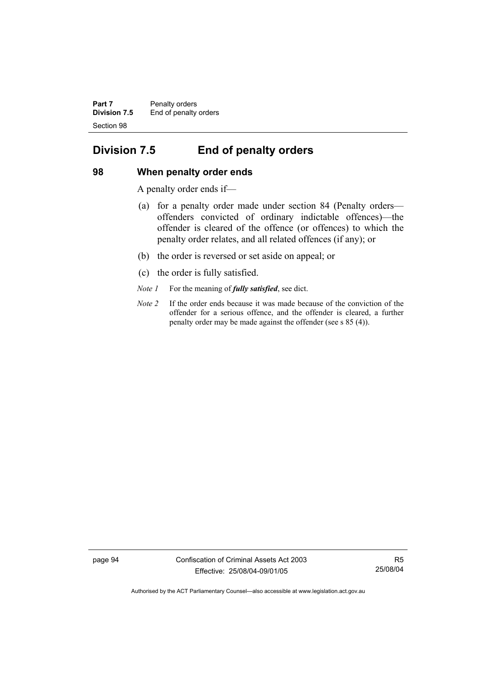**Part 7** Penalty orders **Division 7.5** End of penalty orders Section 98

# **Division 7.5 End of penalty orders**

### **98 When penalty order ends**

A penalty order ends if—

- (a) for a penalty order made under section 84 (Penalty orders offenders convicted of ordinary indictable offences)—the offender is cleared of the offence (or offences) to which the penalty order relates, and all related offences (if any); or
- (b) the order is reversed or set aside on appeal; or
- (c) the order is fully satisfied.
- *Note 1* For the meaning of *fully satisfied*, see dict.
- *Note 2* If the order ends because it was made because of the conviction of the offender for a serious offence, and the offender is cleared, a further penalty order may be made against the offender (see s 85 (4)).

page 94 Confiscation of Criminal Assets Act 2003 Effective: 25/08/04-09/01/05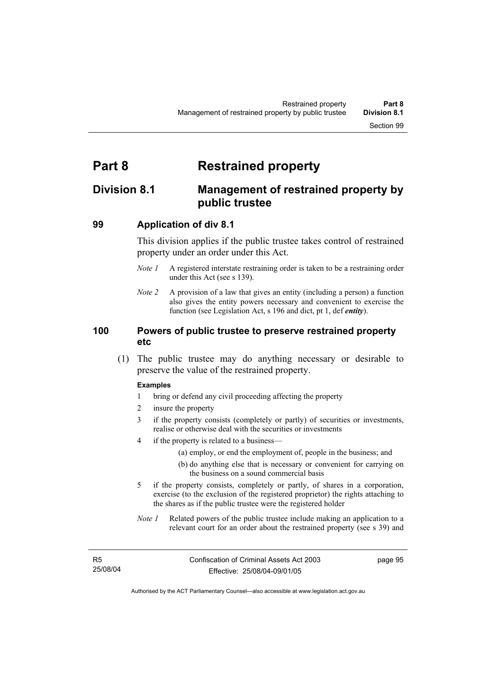# **Part 8 Restrained property**

# **Division 8.1 Management of restrained property by public trustee**

### **99 Application of div 8.1**

This division applies if the public trustee takes control of restrained property under an order under this Act.

- *Note 1* A registered interstate restraining order is taken to be a restraining order under this Act (see s 139).
- *Note 2* A provision of a law that gives an entity (including a person) a function also gives the entity powers necessary and convenient to exercise the function (see Legislation Act, s 196 and dict, pt 1, def *entity*).

### **100 Powers of public trustee to preserve restrained property etc**

 (1) The public trustee may do anything necessary or desirable to preserve the value of the restrained property.

### **Examples**

- 1 bring or defend any civil proceeding affecting the property
- 2 insure the property
- 3 if the property consists (completely or partly) of securities or investments, realise or otherwise deal with the securities or investments
- 4 if the property is related to a business—
	- (a) employ, or end the employment of, people in the business; and
	- (b) do anything else that is necessary or convenient for carrying on the business on a sound commercial basis
- 5 if the property consists, completely or partly, of shares in a corporation, exercise (to the exclusion of the registered proprietor) the rights attaching to the shares as if the public trustee were the registered holder
- *Note 1* Related powers of the public trustee include making an application to a relevant court for an order about the restrained property (see s 39) and

page 95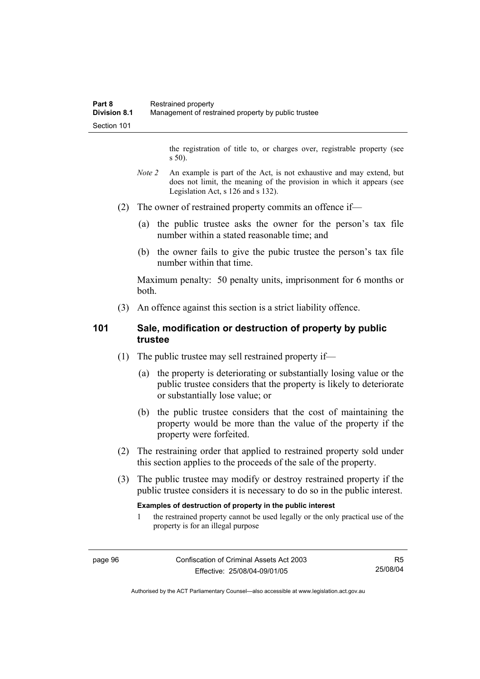the registration of title to, or charges over, registrable property (see s 50).

- *Note* 2 An example is part of the Act, is not exhaustive and may extend, but does not limit, the meaning of the provision in which it appears (see Legislation Act, s 126 and s 132).
- (2) The owner of restrained property commits an offence if—
	- (a) the public trustee asks the owner for the person's tax file number within a stated reasonable time; and
	- (b) the owner fails to give the pubic trustee the person's tax file number within that time.

Maximum penalty: 50 penalty units, imprisonment for 6 months or both.

(3) An offence against this section is a strict liability offence.

### **101 Sale, modification or destruction of property by public trustee**

- (1) The public trustee may sell restrained property if—
	- (a) the property is deteriorating or substantially losing value or the public trustee considers that the property is likely to deteriorate or substantially lose value; or
	- (b) the public trustee considers that the cost of maintaining the property would be more than the value of the property if the property were forfeited.
- (2) The restraining order that applied to restrained property sold under this section applies to the proceeds of the sale of the property.
- (3) The public trustee may modify or destroy restrained property if the public trustee considers it is necessary to do so in the public interest.

### **Examples of destruction of property in the public interest**

1 the restrained property cannot be used legally or the only practical use of the property is for an illegal purpose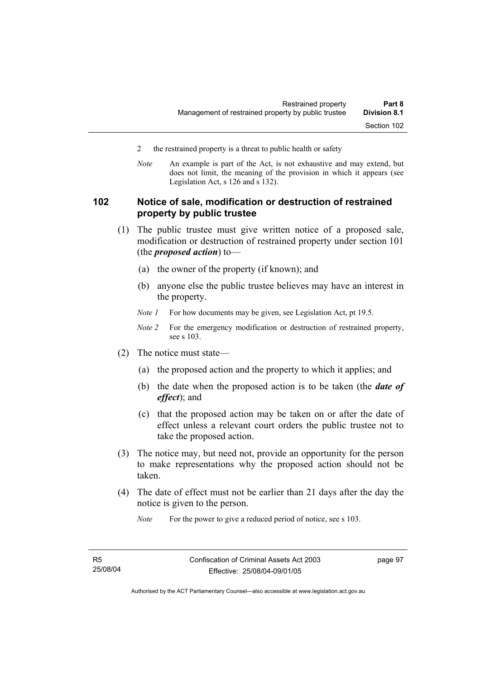- 2 the restrained property is a threat to public health or safety
- *Note* An example is part of the Act, is not exhaustive and may extend, but does not limit, the meaning of the provision in which it appears (see Legislation Act, s 126 and s 132).

### **102 Notice of sale, modification or destruction of restrained property by public trustee**

- (1) The public trustee must give written notice of a proposed sale, modification or destruction of restrained property under section 101 (the *proposed action*) to—
	- (a) the owner of the property (if known); and
	- (b) anyone else the public trustee believes may have an interest in the property.
	- *Note 1* For how documents may be given, see Legislation Act, pt 19.5.
	- *Note 2* For the emergency modification or destruction of restrained property, see s 103.
- (2) The notice must state—
	- (a) the proposed action and the property to which it applies; and
	- (b) the date when the proposed action is to be taken (the *date of effect*); and
	- (c) that the proposed action may be taken on or after the date of effect unless a relevant court orders the public trustee not to take the proposed action.
- (3) The notice may, but need not, provide an opportunity for the person to make representations why the proposed action should not be taken.
- (4) The date of effect must not be earlier than 21 days after the day the notice is given to the person.

*Note* For the power to give a reduced period of notice, see s 103.

page 97

Authorised by the ACT Parliamentary Counsel—also accessible at www.legislation.act.gov.au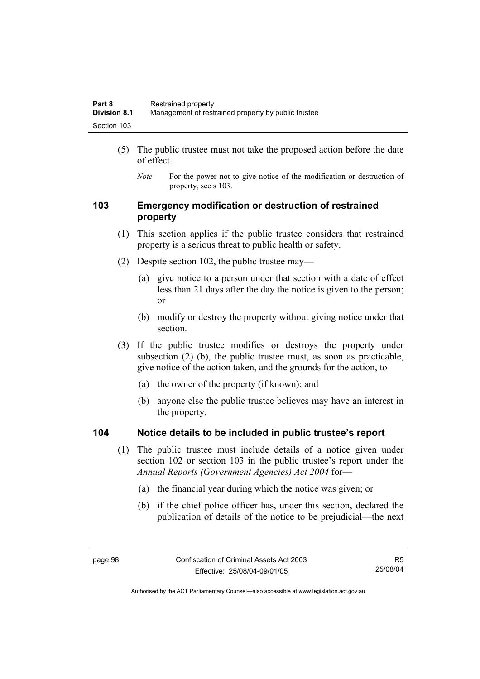- (5) The public trustee must not take the proposed action before the date of effect.
	- *Note* For the power not to give notice of the modification or destruction of property, see s 103.

### **103 Emergency modification or destruction of restrained property**

- (1) This section applies if the public trustee considers that restrained property is a serious threat to public health or safety.
- (2) Despite section 102, the public trustee may—
	- (a) give notice to a person under that section with a date of effect less than 21 days after the day the notice is given to the person; or
	- (b) modify or destroy the property without giving notice under that section.
- (3) If the public trustee modifies or destroys the property under subsection (2) (b), the public trustee must, as soon as practicable, give notice of the action taken, and the grounds for the action, to—
	- (a) the owner of the property (if known); and
	- (b) anyone else the public trustee believes may have an interest in the property.

### **104 Notice details to be included in public trustee's report**

- (1) The public trustee must include details of a notice given under section 102 or section 103 in the public trustee's report under the *Annual Reports (Government Agencies) Act 2004* for—
	- (a) the financial year during which the notice was given; or
	- (b) if the chief police officer has, under this section, declared the publication of details of the notice to be prejudicial—the next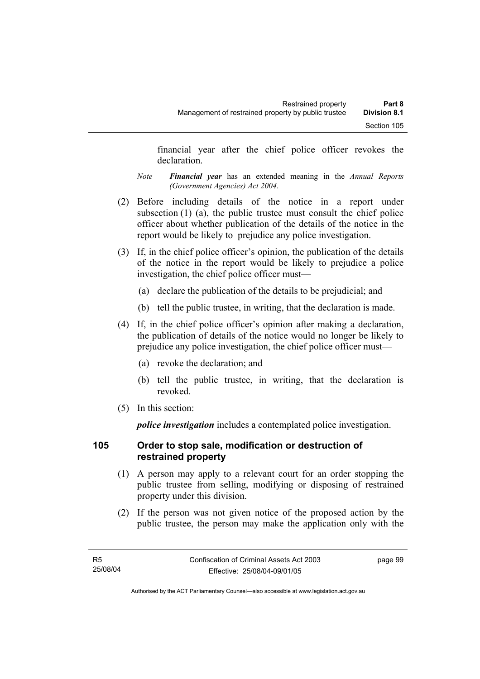financial year after the chief police officer revokes the declaration.

- *Note Financial year* has an extended meaning in the *Annual Reports (Government Agencies) Act 2004*.
- (2) Before including details of the notice in a report under subsection (1) (a), the public trustee must consult the chief police officer about whether publication of the details of the notice in the report would be likely to prejudice any police investigation.
- (3) If, in the chief police officer's opinion, the publication of the details of the notice in the report would be likely to prejudice a police investigation, the chief police officer must—
	- (a) declare the publication of the details to be prejudicial; and
	- (b) tell the public trustee, in writing, that the declaration is made.
- (4) If, in the chief police officer's opinion after making a declaration, the publication of details of the notice would no longer be likely to prejudice any police investigation, the chief police officer must—
	- (a) revoke the declaration; and
	- (b) tell the public trustee, in writing, that the declaration is revoked.
- (5) In this section:

*police investigation* includes a contemplated police investigation.

## **105 Order to stop sale, modification or destruction of restrained property**

- (1) A person may apply to a relevant court for an order stopping the public trustee from selling, modifying or disposing of restrained property under this division.
- (2) If the person was not given notice of the proposed action by the public trustee, the person may make the application only with the

page 99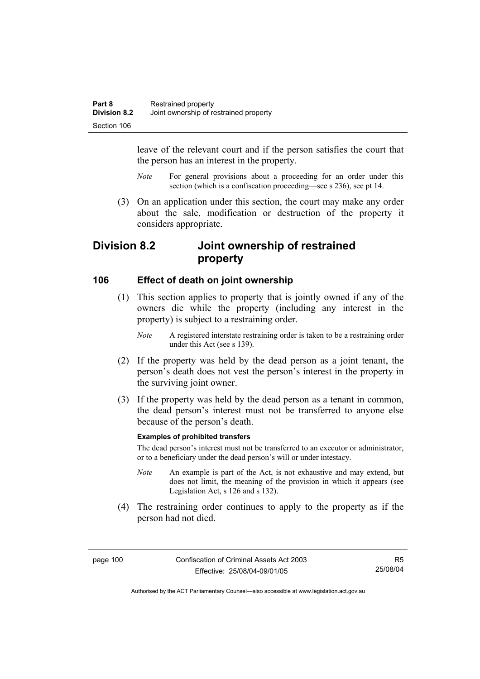leave of the relevant court and if the person satisfies the court that the person has an interest in the property.

- *Note* For general provisions about a proceeding for an order under this section (which is a confiscation proceeding—see s 236), see pt 14.
- (3) On an application under this section, the court may make any order about the sale, modification or destruction of the property it considers appropriate.

# **Division 8.2 Joint ownership of restrained property**

### **106 Effect of death on joint ownership**

- (1) This section applies to property that is jointly owned if any of the owners die while the property (including any interest in the property) is subject to a restraining order.
	- *Note* A registered interstate restraining order is taken to be a restraining order under this Act (see s 139).
- (2) If the property was held by the dead person as a joint tenant, the person's death does not vest the person's interest in the property in the surviving joint owner.
- (3) If the property was held by the dead person as a tenant in common, the dead person's interest must not be transferred to anyone else because of the person's death.

### **Examples of prohibited transfers**

The dead person's interest must not be transferred to an executor or administrator, or to a beneficiary under the dead person's will or under intestacy.

- *Note* An example is part of the Act, is not exhaustive and may extend, but does not limit, the meaning of the provision in which it appears (see Legislation Act, s 126 and s 132).
- (4) The restraining order continues to apply to the property as if the person had not died.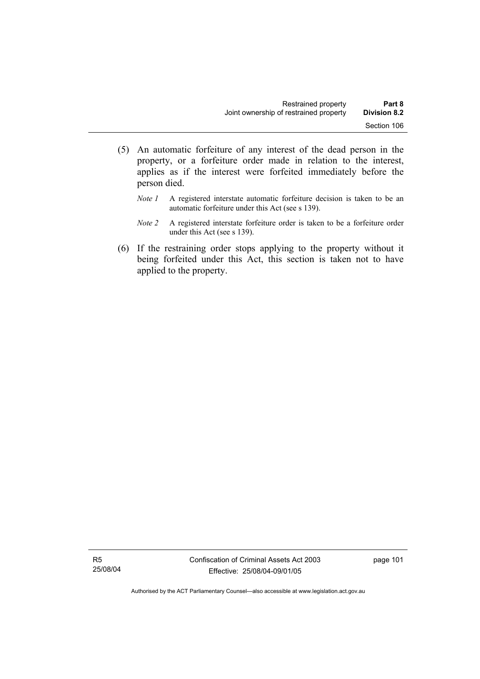- (5) An automatic forfeiture of any interest of the dead person in the property, or a forfeiture order made in relation to the interest, applies as if the interest were forfeited immediately before the person died.
	- *Note 1* A registered interstate automatic forfeiture decision is taken to be an automatic forfeiture under this Act (see s 139).
	- *Note 2* A registered interstate forfeiture order is taken to be a forfeiture order under this Act (see s 139).
- (6) If the restraining order stops applying to the property without it being forfeited under this Act, this section is taken not to have applied to the property.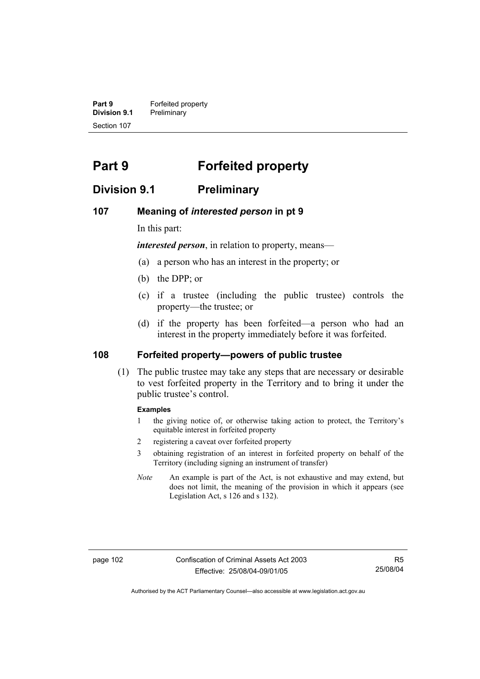**Part 9 Forfeited property Division 9.1** Preliminary Section 107

# **Part 9 Forfeited property**

## **Division 9.1 Preliminary**

### **107 Meaning of** *interested person* **in pt 9**

In this part:

*interested person*, in relation to property, means—

- (a) a person who has an interest in the property; or
- (b) the DPP; or
- (c) if a trustee (including the public trustee) controls the property—the trustee; or
- (d) if the property has been forfeited—a person who had an interest in the property immediately before it was forfeited.

### **108 Forfeited property—powers of public trustee**

 (1) The public trustee may take any steps that are necessary or desirable to vest forfeited property in the Territory and to bring it under the public trustee's control.

### **Examples**

- 1 the giving notice of, or otherwise taking action to protect, the Territory's equitable interest in forfeited property
- 2 registering a caveat over forfeited property
- 3 obtaining registration of an interest in forfeited property on behalf of the Territory (including signing an instrument of transfer)
- *Note* An example is part of the Act, is not exhaustive and may extend, but does not limit, the meaning of the provision in which it appears (see Legislation Act, s 126 and s 132).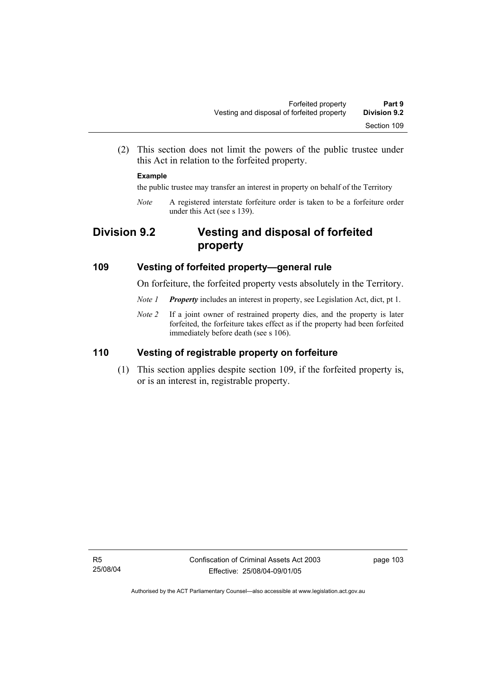(2) This section does not limit the powers of the public trustee under this Act in relation to the forfeited property.

### **Example**

the public trustee may transfer an interest in property on behalf of the Territory

*Note* A registered interstate forfeiture order is taken to be a forfeiture order under this Act (see s 139).

# **Division 9.2 Vesting and disposal of forfeited property**

### **109 Vesting of forfeited property—general rule**

On forfeiture, the forfeited property vests absolutely in the Territory.

- *Note 1 Property* includes an interest in property, see Legislation Act, dict, pt 1.
- *Note 2* If a joint owner of restrained property dies, and the property is later forfeited, the forfeiture takes effect as if the property had been forfeited immediately before death (see s 106).

## **110 Vesting of registrable property on forfeiture**

 (1) This section applies despite section 109, if the forfeited property is, or is an interest in, registrable property.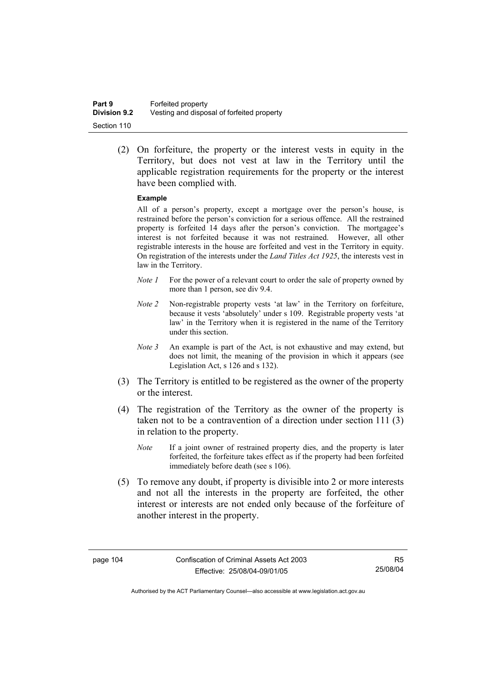(2) On forfeiture, the property or the interest vests in equity in the Territory, but does not vest at law in the Territory until the applicable registration requirements for the property or the interest have been complied with.

### **Example**

All of a person's property, except a mortgage over the person's house, is restrained before the person's conviction for a serious offence. All the restrained property is forfeited 14 days after the person's conviction. The mortgagee's interest is not forfeited because it was not restrained. However, all other registrable interests in the house are forfeited and vest in the Territory in equity. On registration of the interests under the *Land Titles Act 1925*, the interests vest in law in the Territory.

- *Note 1* For the power of a relevant court to order the sale of property owned by more than 1 person, see div 9.4.
- *Note 2* Non-registrable property vests 'at law' in the Territory on forfeiture, because it vests 'absolutely' under s 109. Registrable property vests 'at law' in the Territory when it is registered in the name of the Territory under this section.
- *Note 3* An example is part of the Act, is not exhaustive and may extend, but does not limit, the meaning of the provision in which it appears (see Legislation Act, s 126 and s 132).
- (3) The Territory is entitled to be registered as the owner of the property or the interest.
- (4) The registration of the Territory as the owner of the property is taken not to be a contravention of a direction under section 111 (3) in relation to the property.
	- *Note* If a joint owner of restrained property dies, and the property is later forfeited, the forfeiture takes effect as if the property had been forfeited immediately before death (see s 106).
- (5) To remove any doubt, if property is divisible into 2 or more interests and not all the interests in the property are forfeited, the other interest or interests are not ended only because of the forfeiture of another interest in the property.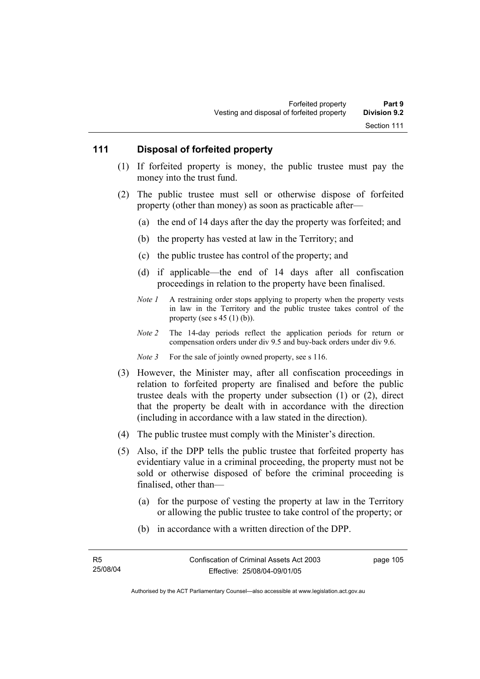### **111 Disposal of forfeited property**

- (1) If forfeited property is money, the public trustee must pay the money into the trust fund.
- (2) The public trustee must sell or otherwise dispose of forfeited property (other than money) as soon as practicable after—
	- (a) the end of 14 days after the day the property was forfeited; and
	- (b) the property has vested at law in the Territory; and
	- (c) the public trustee has control of the property; and
	- (d) if applicable—the end of 14 days after all confiscation proceedings in relation to the property have been finalised.
	- *Note 1* A restraining order stops applying to property when the property vests in law in the Territory and the public trustee takes control of the property (see s  $45$  (1) (b)).
	- *Note 2* The 14-day periods reflect the application periods for return or compensation orders under div 9.5 and buy-back orders under div 9.6.
	- *Note 3* For the sale of jointly owned property, see s 116.
- (3) However, the Minister may, after all confiscation proceedings in relation to forfeited property are finalised and before the public trustee deals with the property under subsection (1) or (2), direct that the property be dealt with in accordance with the direction (including in accordance with a law stated in the direction).
- (4) The public trustee must comply with the Minister's direction.
- (5) Also, if the DPP tells the public trustee that forfeited property has evidentiary value in a criminal proceeding, the property must not be sold or otherwise disposed of before the criminal proceeding is finalised, other than—
	- (a) for the purpose of vesting the property at law in the Territory or allowing the public trustee to take control of the property; or
	- (b) in accordance with a written direction of the DPP.

page 105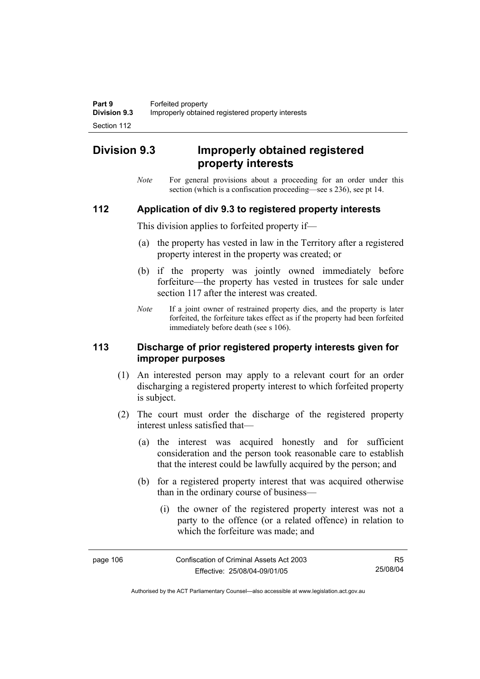# **Division 9.3 Improperly obtained registered property interests**

*Note* For general provisions about a proceeding for an order under this section (which is a confiscation proceeding—see s 236), see pt 14.

### **112 Application of div 9.3 to registered property interests**

This division applies to forfeited property if—

- (a) the property has vested in law in the Territory after a registered property interest in the property was created; or
- (b) if the property was jointly owned immediately before forfeiture—the property has vested in trustees for sale under section 117 after the interest was created.
- *Note* If a joint owner of restrained property dies, and the property is later forfeited, the forfeiture takes effect as if the property had been forfeited immediately before death (see s 106).

### **113 Discharge of prior registered property interests given for improper purposes**

- (1) An interested person may apply to a relevant court for an order discharging a registered property interest to which forfeited property is subject.
- (2) The court must order the discharge of the registered property interest unless satisfied that—
	- (a) the interest was acquired honestly and for sufficient consideration and the person took reasonable care to establish that the interest could be lawfully acquired by the person; and
	- (b) for a registered property interest that was acquired otherwise than in the ordinary course of business—
		- (i) the owner of the registered property interest was not a party to the offence (or a related offence) in relation to which the forfeiture was made; and

| page 106 | Confiscation of Criminal Assets Act 2003 | R5       |
|----------|------------------------------------------|----------|
|          | Effective: 25/08/04-09/01/05             | 25/08/04 |

Authorised by the ACT Parliamentary Counsel—also accessible at www.legislation.act.gov.au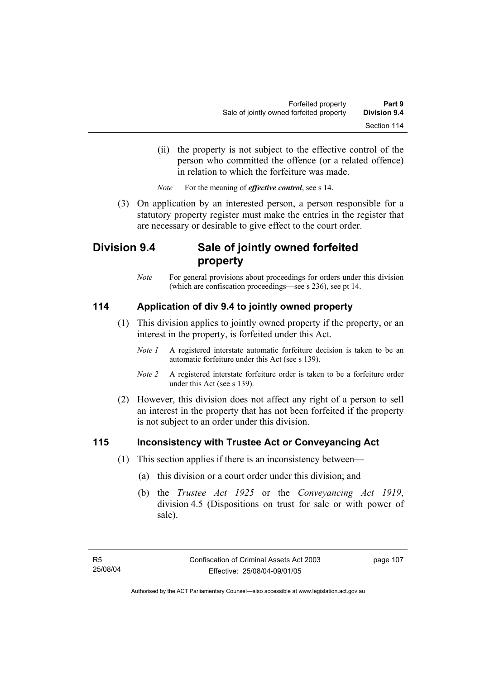(ii) the property is not subject to the effective control of the person who committed the offence (or a related offence) in relation to which the forfeiture was made.

*Note* For the meaning of *effective control*, see s 14.

 (3) On application by an interested person, a person responsible for a statutory property register must make the entries in the register that are necessary or desirable to give effect to the court order.

# **Division 9.4 Sale of jointly owned forfeited property**

*Note* For general provisions about proceedings for orders under this division (which are confiscation proceedings—see s 236), see pt 14.

## **114 Application of div 9.4 to jointly owned property**

- (1) This division applies to jointly owned property if the property, or an interest in the property, is forfeited under this Act.
	- *Note 1* A registered interstate automatic forfeiture decision is taken to be an automatic forfeiture under this Act (see s 139).
	- *Note 2* A registered interstate forfeiture order is taken to be a forfeiture order under this Act (see s 139).
- (2) However, this division does not affect any right of a person to sell an interest in the property that has not been forfeited if the property is not subject to an order under this division.

## **115 Inconsistency with Trustee Act or Conveyancing Act**

- (1) This section applies if there is an inconsistency between—
	- (a) this division or a court order under this division; and
	- (b) the *Trustee Act 1925* or the *Conveyancing Act 1919*, division 4.5 (Dispositions on trust for sale or with power of sale).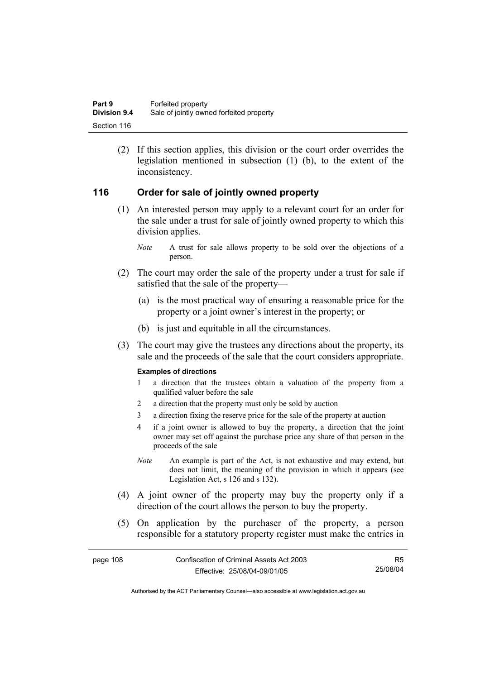(2) If this section applies, this division or the court order overrides the legislation mentioned in subsection (1) (b), to the extent of the inconsistency.

### **116 Order for sale of jointly owned property**

- (1) An interested person may apply to a relevant court for an order for the sale under a trust for sale of jointly owned property to which this division applies.
	- *Note* A trust for sale allows property to be sold over the objections of a person.
- (2) The court may order the sale of the property under a trust for sale if satisfied that the sale of the property—
	- (a) is the most practical way of ensuring a reasonable price for the property or a joint owner's interest in the property; or
	- (b) is just and equitable in all the circumstances.
- (3) The court may give the trustees any directions about the property, its sale and the proceeds of the sale that the court considers appropriate.

### **Examples of directions**

- 1 a direction that the trustees obtain a valuation of the property from a qualified valuer before the sale
- 2 a direction that the property must only be sold by auction
- 3 a direction fixing the reserve price for the sale of the property at auction
- 4 if a joint owner is allowed to buy the property, a direction that the joint owner may set off against the purchase price any share of that person in the proceeds of the sale
- *Note* An example is part of the Act, is not exhaustive and may extend, but does not limit, the meaning of the provision in which it appears (see Legislation Act, s 126 and s 132).
- (4) A joint owner of the property may buy the property only if a direction of the court allows the person to buy the property.
- (5) On application by the purchaser of the property, a person responsible for a statutory property register must make the entries in

| page 108 | Confiscation of Criminal Assets Act 2003 | R5       |
|----------|------------------------------------------|----------|
|          | Effective: 25/08/04-09/01/05             | 25/08/04 |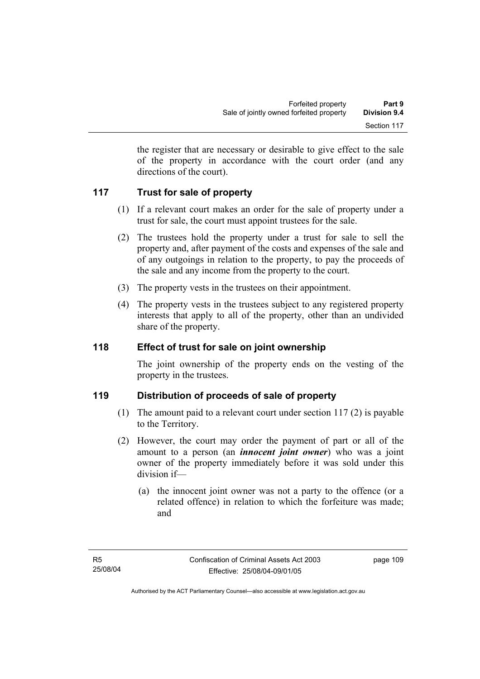the register that are necessary or desirable to give effect to the sale of the property in accordance with the court order (and any directions of the court).

## **117 Trust for sale of property**

- (1) If a relevant court makes an order for the sale of property under a trust for sale, the court must appoint trustees for the sale.
- (2) The trustees hold the property under a trust for sale to sell the property and, after payment of the costs and expenses of the sale and of any outgoings in relation to the property, to pay the proceeds of the sale and any income from the property to the court.
- (3) The property vests in the trustees on their appointment.
- (4) The property vests in the trustees subject to any registered property interests that apply to all of the property, other than an undivided share of the property.

## **118 Effect of trust for sale on joint ownership**

The joint ownership of the property ends on the vesting of the property in the trustees.

## **119 Distribution of proceeds of sale of property**

- (1) The amount paid to a relevant court under section 117 (2) is payable to the Territory.
- (2) However, the court may order the payment of part or all of the amount to a person (an *innocent joint owner*) who was a joint owner of the property immediately before it was sold under this division if—
	- (a) the innocent joint owner was not a party to the offence (or a related offence) in relation to which the forfeiture was made; and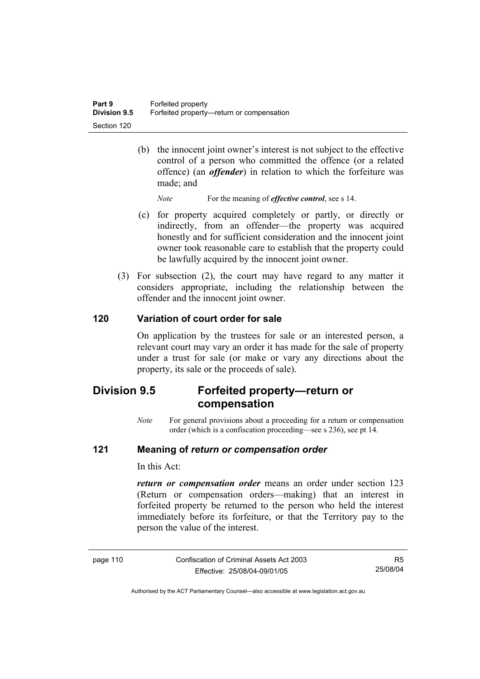(b) the innocent joint owner's interest is not subject to the effective control of a person who committed the offence (or a related offence) (an *offender*) in relation to which the forfeiture was made; and

*Note* For the meaning of *effective control*, see s 14.

- (c) for property acquired completely or partly, or directly or indirectly, from an offender—the property was acquired honestly and for sufficient consideration and the innocent joint owner took reasonable care to establish that the property could be lawfully acquired by the innocent joint owner.
- (3) For subsection (2), the court may have regard to any matter it considers appropriate, including the relationship between the offender and the innocent joint owner.

### **120 Variation of court order for sale**

On application by the trustees for sale or an interested person, a relevant court may vary an order it has made for the sale of property under a trust for sale (or make or vary any directions about the property, its sale or the proceeds of sale).

# **Division 9.5 Forfeited property—return or compensation**

*Note* For general provisions about a proceeding for a return or compensation order (which is a confiscation proceeding—see s 236), see pt 14.

### **121 Meaning of** *return or compensation order*

In this Act:

*return or compensation order* means an order under section 123 (Return or compensation orders—making) that an interest in forfeited property be returned to the person who held the interest immediately before its forfeiture, or that the Territory pay to the person the value of the interest.

| page 110 |  |  |  |
|----------|--|--|--|
|          |  |  |  |

Confiscation of Criminal Assets Act 2003 Effective: 25/08/04-09/01/05

R5 25/08/04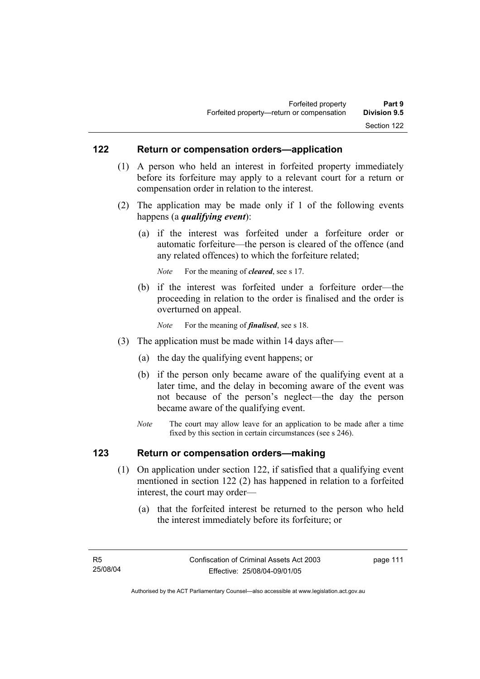### **122 Return or compensation orders—application**

- (1) A person who held an interest in forfeited property immediately before its forfeiture may apply to a relevant court for a return or compensation order in relation to the interest.
- (2) The application may be made only if 1 of the following events happens (a *qualifying event*):
	- (a) if the interest was forfeited under a forfeiture order or automatic forfeiture—the person is cleared of the offence (and any related offences) to which the forfeiture related;

*Note* For the meaning of *cleared*, see s 17.

- (b) if the interest was forfeited under a forfeiture order—the proceeding in relation to the order is finalised and the order is overturned on appeal.
	- *Note* For the meaning of *finalised*, see s 18.
- (3) The application must be made within 14 days after—
	- (a) the day the qualifying event happens; or
	- (b) if the person only became aware of the qualifying event at a later time, and the delay in becoming aware of the event was not because of the person's neglect—the day the person became aware of the qualifying event.
	- *Note* The court may allow leave for an application to be made after a time fixed by this section in certain circumstances (see s 246).

### **123 Return or compensation orders—making**

- (1) On application under section 122, if satisfied that a qualifying event mentioned in section 122 (2) has happened in relation to a forfeited interest, the court may order—
	- (a) that the forfeited interest be returned to the person who held the interest immediately before its forfeiture; or

page 111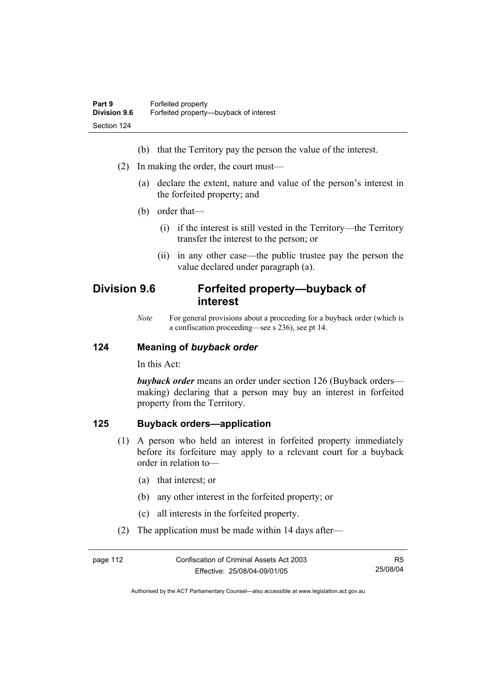- (b) that the Territory pay the person the value of the interest.
- (2) In making the order, the court must—
	- (a) declare the extent, nature and value of the person's interest in the forfeited property; and
	- (b) order that—
		- (i) if the interest is still vested in the Territory—the Territory transfer the interest to the person; or
		- (ii) in any other case—the public trustee pay the person the value declared under paragraph (a).

# **Division 9.6 Forfeited property—buyback of interest**

*Note* For general provisions about a proceeding for a buyback order (which is a confiscation proceeding—see s 236), see pt 14.

### **124 Meaning of** *buyback order*

In this Act:

*buyback order* means an order under section 126 (Buyback orders making) declaring that a person may buy an interest in forfeited property from the Territory.

### **125 Buyback orders—application**

- (1) A person who held an interest in forfeited property immediately before its forfeiture may apply to a relevant court for a buyback order in relation to—
	- (a) that interest; or
	- (b) any other interest in the forfeited property; or
	- (c) all interests in the forfeited property.
- (2) The application must be made within 14 days after—

| page 112 | Confiscation of Criminal Assets Act 2003 | R5       |
|----------|------------------------------------------|----------|
|          | Effective: 25/08/04-09/01/05             | 25/08/04 |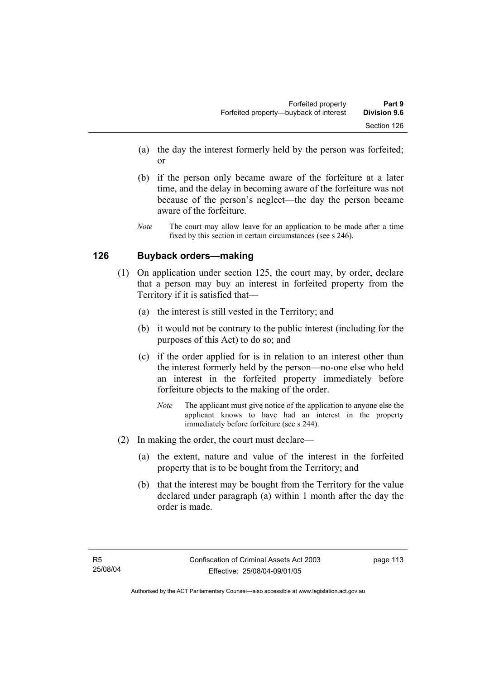- (a) the day the interest formerly held by the person was forfeited; or
- (b) if the person only became aware of the forfeiture at a later time, and the delay in becoming aware of the forfeiture was not because of the person's neglect—the day the person became aware of the forfeiture.
- *Note* The court may allow leave for an application to be made after a time fixed by this section in certain circumstances (see s 246).

### **126 Buyback orders—making**

- (1) On application under section 125, the court may, by order, declare that a person may buy an interest in forfeited property from the Territory if it is satisfied that—
	- (a) the interest is still vested in the Territory; and
	- (b) it would not be contrary to the public interest (including for the purposes of this Act) to do so; and
	- (c) if the order applied for is in relation to an interest other than the interest formerly held by the person—no-one else who held an interest in the forfeited property immediately before forfeiture objects to the making of the order.
		- *Note* The applicant must give notice of the application to anyone else the applicant knows to have had an interest in the property immediately before forfeiture (see s 244).
- (2) In making the order, the court must declare—
	- (a) the extent, nature and value of the interest in the forfeited property that is to be bought from the Territory; and
	- (b) that the interest may be bought from the Territory for the value declared under paragraph (a) within 1 month after the day the order is made.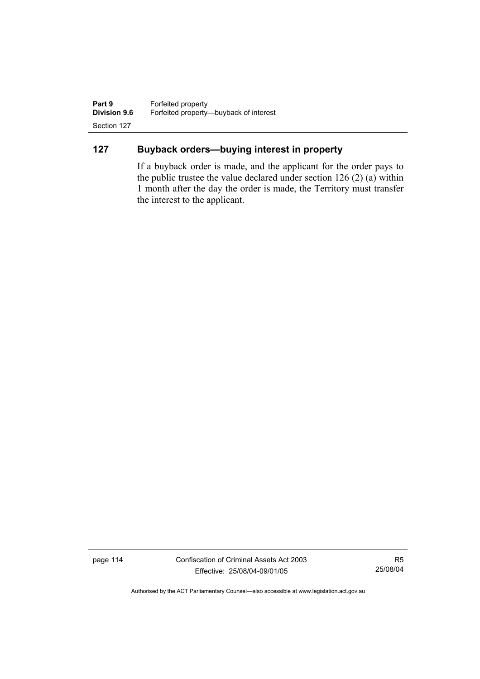**Part 9 Forfeited property**<br>**Division 9.6 Forfeited property-Division 9.6** Forfeited property—buyback of interest Section 127

## **127 Buyback orders—buying interest in property**

If a buyback order is made, and the applicant for the order pays to the public trustee the value declared under section 126 (2) (a) within 1 month after the day the order is made, the Territory must transfer the interest to the applicant.

page 114 Confiscation of Criminal Assets Act 2003 Effective: 25/08/04-09/01/05

R5 25/08/04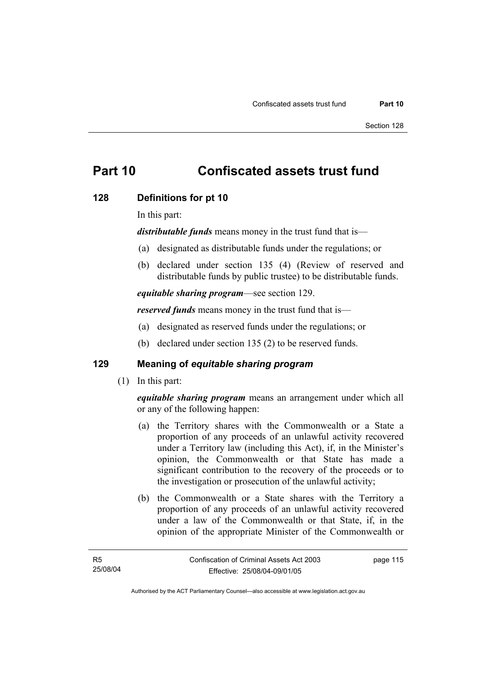# **Part 10 Confiscated assets trust fund**

### **128 Definitions for pt 10**

In this part:

*distributable funds* means money in the trust fund that is—

- (a) designated as distributable funds under the regulations; or
- (b) declared under section 135 (4) (Review of reserved and distributable funds by public trustee) to be distributable funds.

*equitable sharing program*—see section 129.

*reserved funds* means money in the trust fund that is—

- (a) designated as reserved funds under the regulations; or
- (b) declared under section 135 (2) to be reserved funds.

## **129 Meaning of** *equitable sharing program*

(1) In this part:

*equitable sharing program* means an arrangement under which all or any of the following happen:

- (a) the Territory shares with the Commonwealth or a State a proportion of any proceeds of an unlawful activity recovered under a Territory law (including this Act), if, in the Minister's opinion, the Commonwealth or that State has made a significant contribution to the recovery of the proceeds or to the investigation or prosecution of the unlawful activity;
- (b) the Commonwealth or a State shares with the Territory a proportion of any proceeds of an unlawful activity recovered under a law of the Commonwealth or that State, if, in the opinion of the appropriate Minister of the Commonwealth or

page 115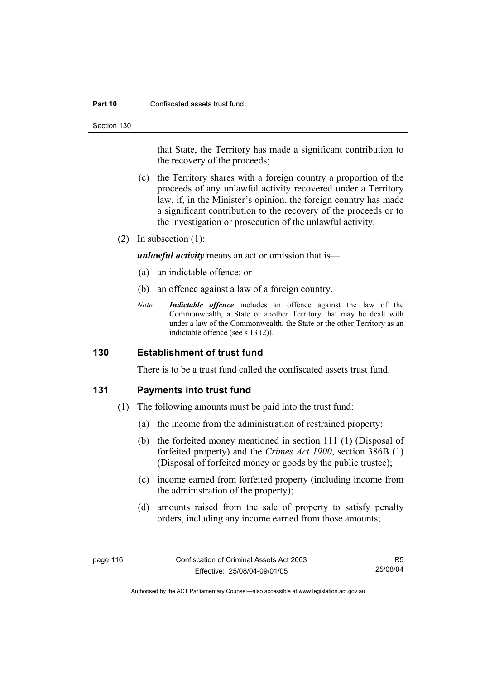#### **Part 10** Confiscated assets trust fund

Section 130

that State, the Territory has made a significant contribution to the recovery of the proceeds;

- (c) the Territory shares with a foreign country a proportion of the proceeds of any unlawful activity recovered under a Territory law, if, in the Minister's opinion, the foreign country has made a significant contribution to the recovery of the proceeds or to the investigation or prosecution of the unlawful activity.
- (2) In subsection (1):

*unlawful activity* means an act or omission that is—

- (a) an indictable offence; or
- (b) an offence against a law of a foreign country.
- *Note Indictable offence* includes an offence against the law of the Commonwealth, a State or another Territory that may be dealt with under a law of the Commonwealth, the State or the other Territory as an indictable offence (see s 13 (2)).

### **130 Establishment of trust fund**

There is to be a trust fund called the confiscated assets trust fund.

### **131 Payments into trust fund**

- (1) The following amounts must be paid into the trust fund:
	- (a) the income from the administration of restrained property;
	- (b) the forfeited money mentioned in section 111 (1) (Disposal of forfeited property) and the *Crimes Act 1900*, section 386B (1) (Disposal of forfeited money or goods by the public trustee);
	- (c) income earned from forfeited property (including income from the administration of the property);
	- (d) amounts raised from the sale of property to satisfy penalty orders, including any income earned from those amounts;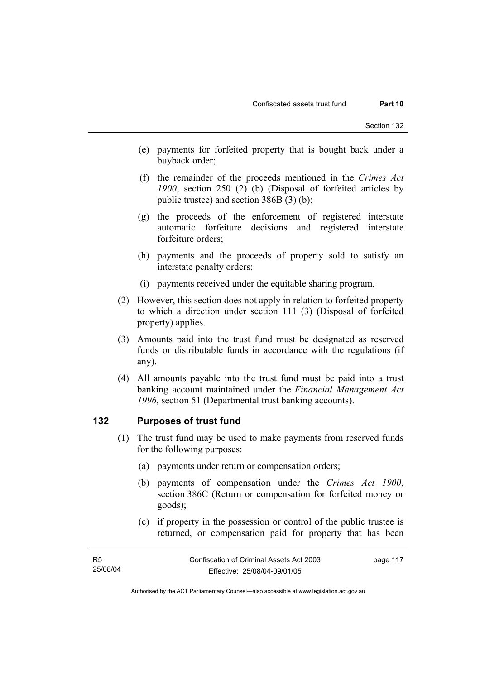- (e) payments for forfeited property that is bought back under a buyback order;
- (f) the remainder of the proceeds mentioned in the *Crimes Act 1900*, section 250 (2) (b) (Disposal of forfeited articles by public trustee) and section 386B (3) (b);
- (g) the proceeds of the enforcement of registered interstate automatic forfeiture decisions and registered interstate forfeiture orders;
- (h) payments and the proceeds of property sold to satisfy an interstate penalty orders;
- (i) payments received under the equitable sharing program.
- (2) However, this section does not apply in relation to forfeited property to which a direction under section 111 (3) (Disposal of forfeited property) applies.
- (3) Amounts paid into the trust fund must be designated as reserved funds or distributable funds in accordance with the regulations (if any).
- (4) All amounts payable into the trust fund must be paid into a trust banking account maintained under the *Financial Management Act 1996*, section 51 (Departmental trust banking accounts).

### **132 Purposes of trust fund**

- (1) The trust fund may be used to make payments from reserved funds for the following purposes:
	- (a) payments under return or compensation orders;
	- (b) payments of compensation under the *Crimes Act 1900*, section 386C (Return or compensation for forfeited money or goods);
	- (c) if property in the possession or control of the public trustee is returned, or compensation paid for property that has been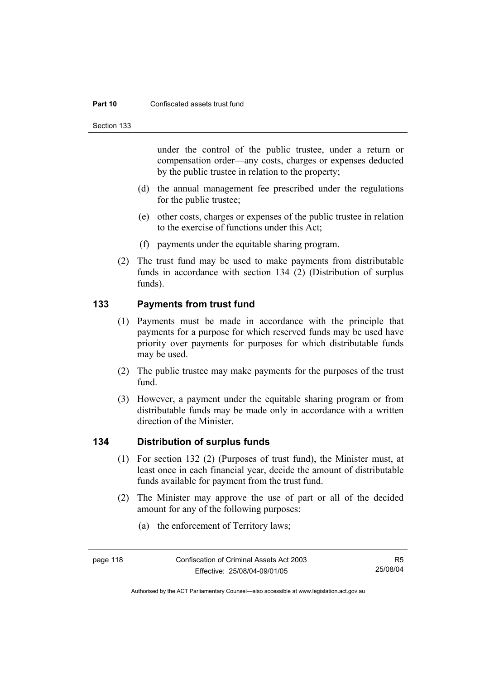#### **Part 10** Confiscated assets trust fund

Section 133

under the control of the public trustee, under a return or compensation order—any costs, charges or expenses deducted by the public trustee in relation to the property;

- (d) the annual management fee prescribed under the regulations for the public trustee;
- (e) other costs, charges or expenses of the public trustee in relation to the exercise of functions under this Act;
- (f) payments under the equitable sharing program.
- (2) The trust fund may be used to make payments from distributable funds in accordance with section 134 (2) (Distribution of surplus funds).

## **133 Payments from trust fund**

- (1) Payments must be made in accordance with the principle that payments for a purpose for which reserved funds may be used have priority over payments for purposes for which distributable funds may be used.
- (2) The public trustee may make payments for the purposes of the trust fund.
- (3) However, a payment under the equitable sharing program or from distributable funds may be made only in accordance with a written direction of the Minister.

### **134 Distribution of surplus funds**

- (1) For section 132 (2) (Purposes of trust fund), the Minister must, at least once in each financial year, decide the amount of distributable funds available for payment from the trust fund.
- (2) The Minister may approve the use of part or all of the decided amount for any of the following purposes:
	- (a) the enforcement of Territory laws;

Authorised by the ACT Parliamentary Counsel—also accessible at www.legislation.act.gov.au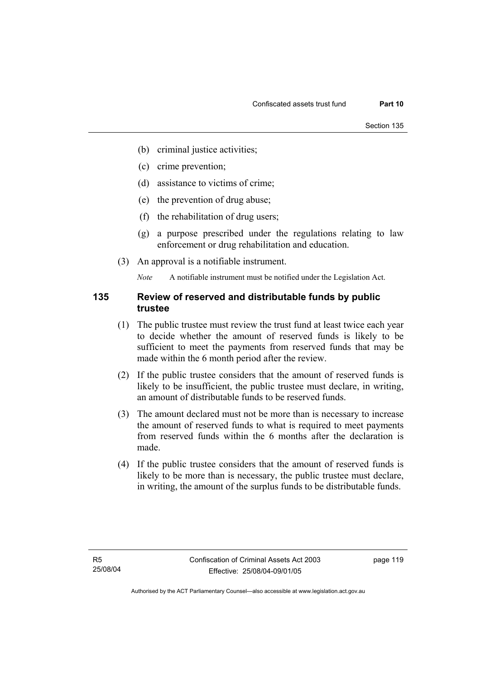- (b) criminal justice activities;
- (c) crime prevention;
- (d) assistance to victims of crime;
- (e) the prevention of drug abuse;
- (f) the rehabilitation of drug users;
- (g) a purpose prescribed under the regulations relating to law enforcement or drug rehabilitation and education.
- (3) An approval is a notifiable instrument.

*Note* A notifiable instrument must be notified under the Legislation Act.

### **135 Review of reserved and distributable funds by public trustee**

- (1) The public trustee must review the trust fund at least twice each year to decide whether the amount of reserved funds is likely to be sufficient to meet the payments from reserved funds that may be made within the 6 month period after the review.
- (2) If the public trustee considers that the amount of reserved funds is likely to be insufficient, the public trustee must declare, in writing, an amount of distributable funds to be reserved funds.
- (3) The amount declared must not be more than is necessary to increase the amount of reserved funds to what is required to meet payments from reserved funds within the 6 months after the declaration is made.
- (4) If the public trustee considers that the amount of reserved funds is likely to be more than is necessary, the public trustee must declare, in writing, the amount of the surplus funds to be distributable funds.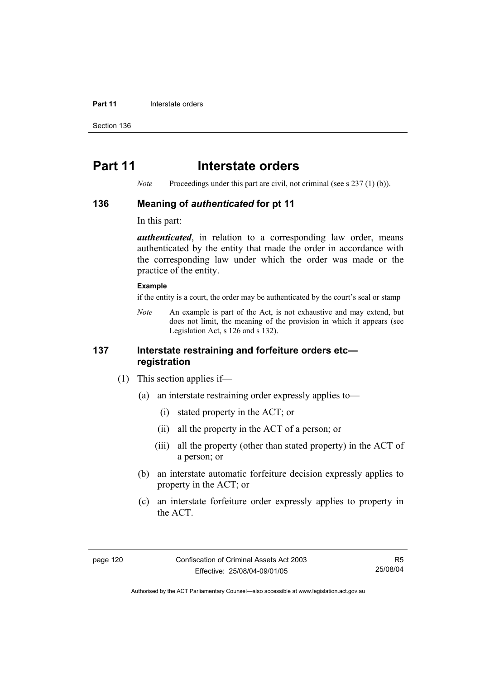#### **Part 11 Interstate orders**

Section 136

# **Part 11** Interstate orders

*Note* Proceedings under this part are civil, not criminal (see s 237 (1) (b)).

### **136 Meaning of** *authenticated* **for pt 11**

In this part:

*authenticated*, in relation to a corresponding law order, means authenticated by the entity that made the order in accordance with the corresponding law under which the order was made or the practice of the entity.

### **Example**

if the entity is a court, the order may be authenticated by the court's seal or stamp

*Note* An example is part of the Act, is not exhaustive and may extend, but does not limit, the meaning of the provision in which it appears (see Legislation Act, s 126 and s 132).

### **137 Interstate restraining and forfeiture orders etc registration**

- (1) This section applies if—
	- (a) an interstate restraining order expressly applies to—
		- (i) stated property in the ACT; or
		- (ii) all the property in the ACT of a person; or
		- (iii) all the property (other than stated property) in the ACT of a person; or
	- (b) an interstate automatic forfeiture decision expressly applies to property in the ACT; or
	- (c) an interstate forfeiture order expressly applies to property in the ACT.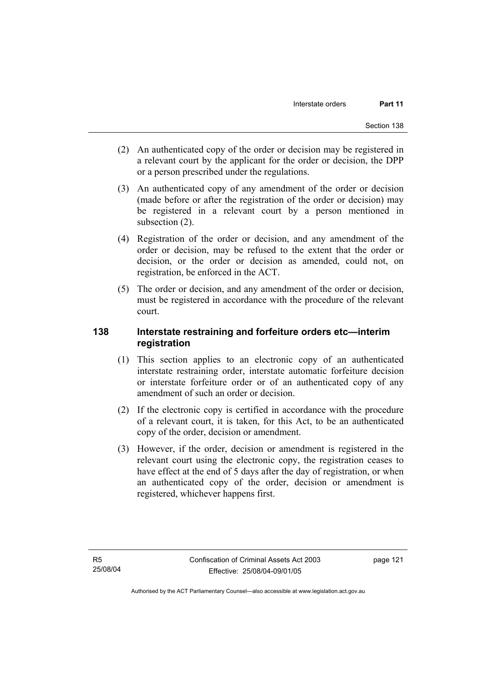- (2) An authenticated copy of the order or decision may be registered in a relevant court by the applicant for the order or decision, the DPP or a person prescribed under the regulations.
- (3) An authenticated copy of any amendment of the order or decision (made before or after the registration of the order or decision) may be registered in a relevant court by a person mentioned in subsection (2).
- (4) Registration of the order or decision, and any amendment of the order or decision, may be refused to the extent that the order or decision, or the order or decision as amended, could not, on registration, be enforced in the ACT.
- (5) The order or decision, and any amendment of the order or decision, must be registered in accordance with the procedure of the relevant court.

## **138 Interstate restraining and forfeiture orders etc—interim registration**

- (1) This section applies to an electronic copy of an authenticated interstate restraining order, interstate automatic forfeiture decision or interstate forfeiture order or of an authenticated copy of any amendment of such an order or decision.
- (2) If the electronic copy is certified in accordance with the procedure of a relevant court, it is taken, for this Act, to be an authenticated copy of the order, decision or amendment.
- (3) However, if the order, decision or amendment is registered in the relevant court using the electronic copy, the registration ceases to have effect at the end of 5 days after the day of registration, or when an authenticated copy of the order, decision or amendment is registered, whichever happens first.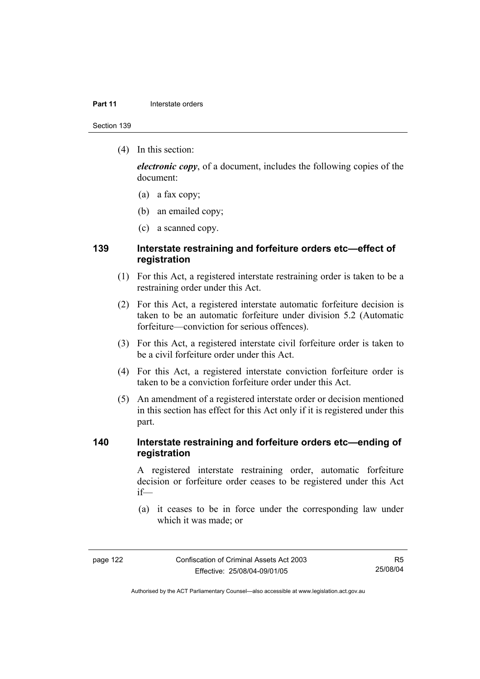#### **Part 11 Interstate orders**

Section 139

(4) In this section:

*electronic copy*, of a document, includes the following copies of the document:

- (a) a fax copy;
- (b) an emailed copy;
- (c) a scanned copy.

### **139 Interstate restraining and forfeiture orders etc—effect of registration**

- (1) For this Act, a registered interstate restraining order is taken to be a restraining order under this Act.
- (2) For this Act, a registered interstate automatic forfeiture decision is taken to be an automatic forfeiture under division 5.2 (Automatic forfeiture—conviction for serious offences).
- (3) For this Act, a registered interstate civil forfeiture order is taken to be a civil forfeiture order under this Act.
- (4) For this Act, a registered interstate conviction forfeiture order is taken to be a conviction forfeiture order under this Act.
- (5) An amendment of a registered interstate order or decision mentioned in this section has effect for this Act only if it is registered under this part.

### **140 Interstate restraining and forfeiture orders etc—ending of registration**

A registered interstate restraining order, automatic forfeiture decision or forfeiture order ceases to be registered under this Act if—

 (a) it ceases to be in force under the corresponding law under which it was made; or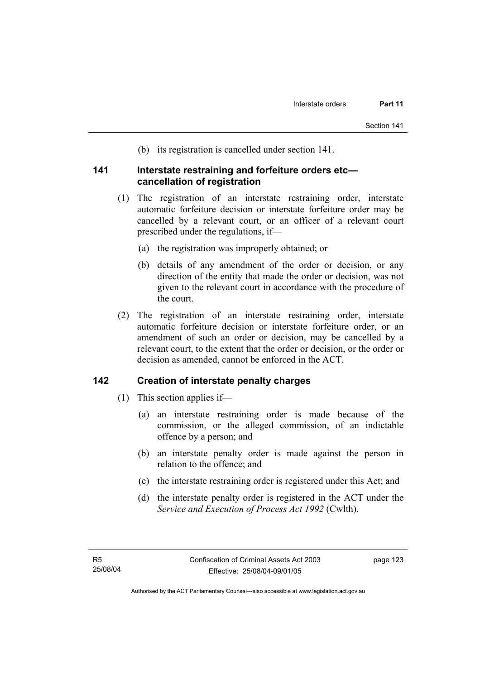(b) its registration is cancelled under section 141.

### **141 Interstate restraining and forfeiture orders etc cancellation of registration**

- (1) The registration of an interstate restraining order, interstate automatic forfeiture decision or interstate forfeiture order may be cancelled by a relevant court, or an officer of a relevant court prescribed under the regulations, if—
	- (a) the registration was improperly obtained; or
	- (b) details of any amendment of the order or decision, or any direction of the entity that made the order or decision, was not given to the relevant court in accordance with the procedure of the court.
- (2) The registration of an interstate restraining order, interstate automatic forfeiture decision or interstate forfeiture order, or an amendment of such an order or decision, may be cancelled by a relevant court, to the extent that the order or decision, or the order or decision as amended, cannot be enforced in the ACT.

### **142 Creation of interstate penalty charges**

- (1) This section applies if—
	- (a) an interstate restraining order is made because of the commission, or the alleged commission, of an indictable offence by a person; and
	- (b) an interstate penalty order is made against the person in relation to the offence; and
	- (c) the interstate restraining order is registered under this Act; and
	- (d) the interstate penalty order is registered in the ACT under the *Service and Execution of Process Act 1992* (Cwlth).

page 123

Authorised by the ACT Parliamentary Counsel—also accessible at www.legislation.act.gov.au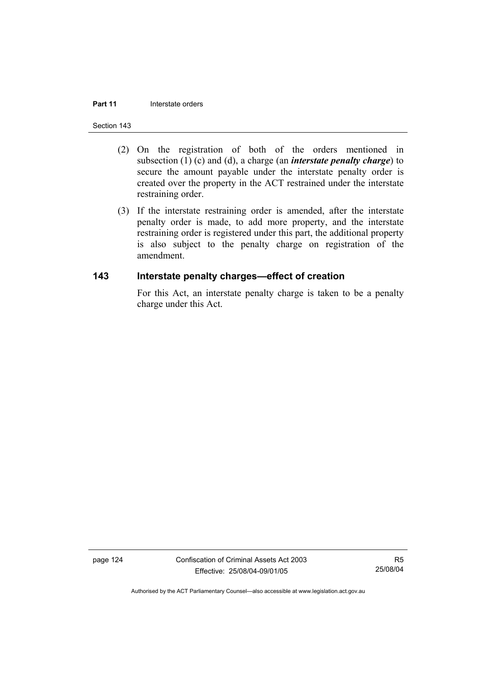#### **Part 11 Interstate orders**

#### Section 143

- (2) On the registration of both of the orders mentioned in subsection (1) (c) and (d), a charge (an *interstate penalty charge*) to secure the amount payable under the interstate penalty order is created over the property in the ACT restrained under the interstate restraining order.
- (3) If the interstate restraining order is amended, after the interstate penalty order is made, to add more property, and the interstate restraining order is registered under this part, the additional property is also subject to the penalty charge on registration of the amendment.

### **143 Interstate penalty charges—effect of creation**

For this Act, an interstate penalty charge is taken to be a penalty charge under this Act.

page 124 Confiscation of Criminal Assets Act 2003 Effective: 25/08/04-09/01/05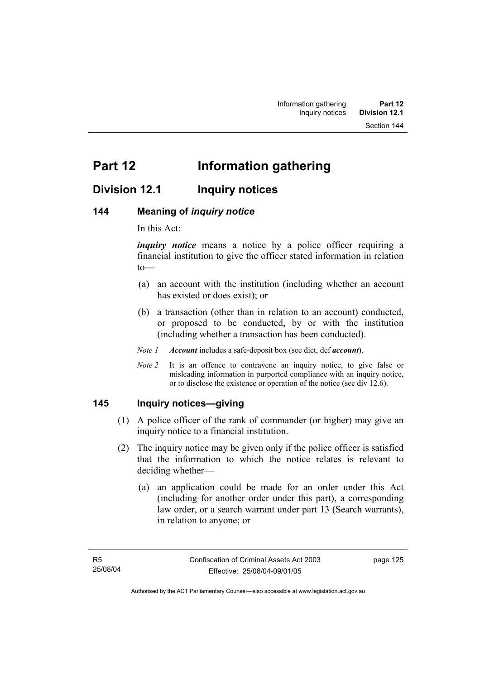# **Division 12.1 Inquiry notices**

### **144 Meaning of** *inquiry notice*

In this Act:

*inquiry notice* means a notice by a police officer requiring a financial institution to give the officer stated information in relation to—

- (a) an account with the institution (including whether an account has existed or does exist); or
- (b) a transaction (other than in relation to an account) conducted, or proposed to be conducted, by or with the institution (including whether a transaction has been conducted).

*Note 1 Account* includes a safe-deposit box (see dict, def *account*).

*Note 2* It is an offence to contravene an inquiry notice, to give false or misleading information in purported compliance with an inquiry notice, or to disclose the existence or operation of the notice (see div 12.6).

### **145 Inquiry notices—giving**

- (1) A police officer of the rank of commander (or higher) may give an inquiry notice to a financial institution.
- (2) The inquiry notice may be given only if the police officer is satisfied that the information to which the notice relates is relevant to deciding whether—
	- (a) an application could be made for an order under this Act (including for another order under this part), a corresponding law order, or a search warrant under part 13 (Search warrants), in relation to anyone; or

page 125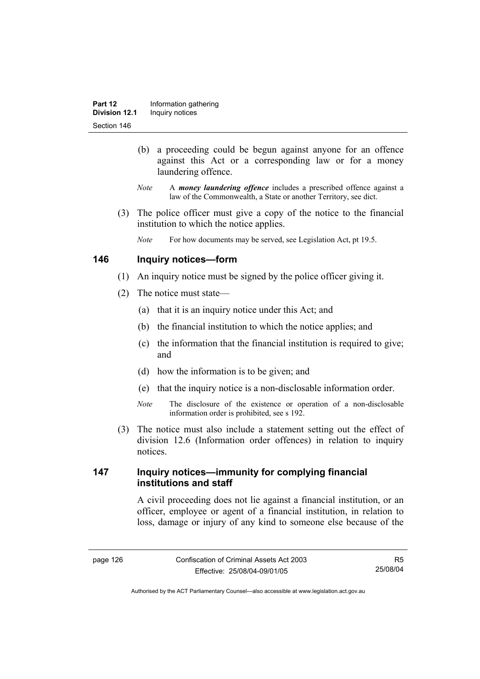- (b) a proceeding could be begun against anyone for an offence against this Act or a corresponding law or for a money laundering offence.
- *Note* A *money laundering offence* includes a prescribed offence against a law of the Commonwealth, a State or another Territory, see dict.
- (3) The police officer must give a copy of the notice to the financial institution to which the notice applies.
	- *Note* For how documents may be served, see Legislation Act, pt 19.5.

### **146 Inquiry notices—form**

- (1) An inquiry notice must be signed by the police officer giving it.
- (2) The notice must state—
	- (a) that it is an inquiry notice under this Act; and
	- (b) the financial institution to which the notice applies; and
	- (c) the information that the financial institution is required to give; and
	- (d) how the information is to be given; and
	- (e) that the inquiry notice is a non-disclosable information order.
	- *Note* The disclosure of the existence or operation of a non-disclosable information order is prohibited, see s 192.
- (3) The notice must also include a statement setting out the effect of division 12.6 (Information order offences) in relation to inquiry notices.

### **147 Inquiry notices—immunity for complying financial institutions and staff**

A civil proceeding does not lie against a financial institution, or an officer, employee or agent of a financial institution, in relation to loss, damage or injury of any kind to someone else because of the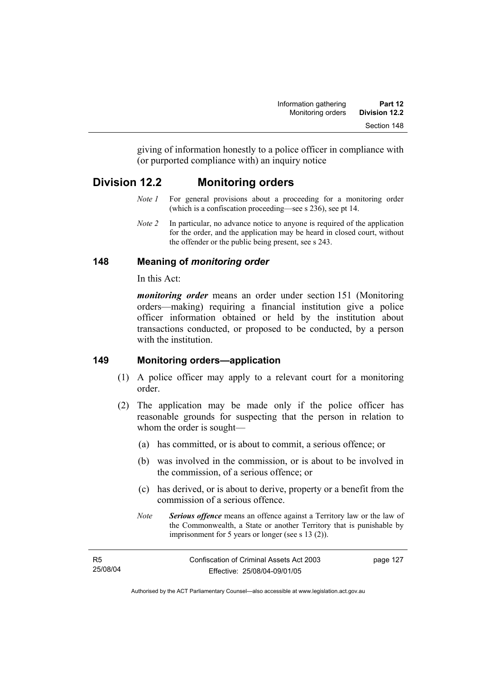giving of information honestly to a police officer in compliance with (or purported compliance with) an inquiry notice

# **Division 12.2 Monitoring orders**

- *Note 1* For general provisions about a proceeding for a monitoring order (which is a confiscation proceeding—see s 236), see pt 14.
- *Note 2* In particular, no advance notice to anyone is required of the application for the order, and the application may be heard in closed court, without the offender or the public being present, see s 243.

## **148 Meaning of** *monitoring order*

In this Act:

*monitoring order* means an order under section 151 (Monitoring orders—making) requiring a financial institution give a police officer information obtained or held by the institution about transactions conducted, or proposed to be conducted, by a person with the institution

## **149 Monitoring orders—application**

- (1) A police officer may apply to a relevant court for a monitoring order.
- (2) The application may be made only if the police officer has reasonable grounds for suspecting that the person in relation to whom the order is sought—
	- (a) has committed, or is about to commit, a serious offence; or
	- (b) was involved in the commission, or is about to be involved in the commission, of a serious offence; or
	- (c) has derived, or is about to derive, property or a benefit from the commission of a serious offence.
	- *Note Serious offence* means an offence against a Territory law or the law of the Commonwealth, a State or another Territory that is punishable by imprisonment for 5 years or longer (see s 13 (2)).

| - R5     | Confiscation of Criminal Assets Act 2003 | page 127 |
|----------|------------------------------------------|----------|
| 25/08/04 | Effective: 25/08/04-09/01/05             |          |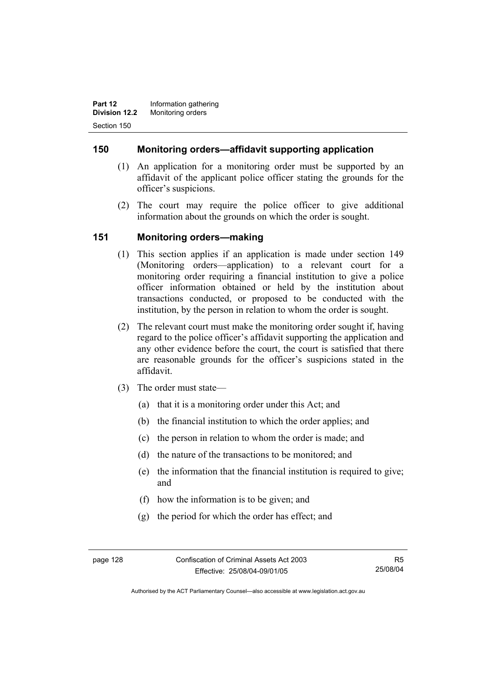**Part 12 Information gathering Division 12.2** Monitoring orders Section 150

### **150 Monitoring orders—affidavit supporting application**

- (1) An application for a monitoring order must be supported by an affidavit of the applicant police officer stating the grounds for the officer's suspicions.
- (2) The court may require the police officer to give additional information about the grounds on which the order is sought.

### **151 Monitoring orders—making**

- (1) This section applies if an application is made under section 149 (Monitoring orders—application) to a relevant court for a monitoring order requiring a financial institution to give a police officer information obtained or held by the institution about transactions conducted, or proposed to be conducted with the institution, by the person in relation to whom the order is sought.
- (2) The relevant court must make the monitoring order sought if, having regard to the police officer's affidavit supporting the application and any other evidence before the court, the court is satisfied that there are reasonable grounds for the officer's suspicions stated in the affidavit.
- (3) The order must state—
	- (a) that it is a monitoring order under this Act; and
	- (b) the financial institution to which the order applies; and
	- (c) the person in relation to whom the order is made; and
	- (d) the nature of the transactions to be monitored; and
	- (e) the information that the financial institution is required to give; and
	- (f) how the information is to be given; and
	- (g) the period for which the order has effect; and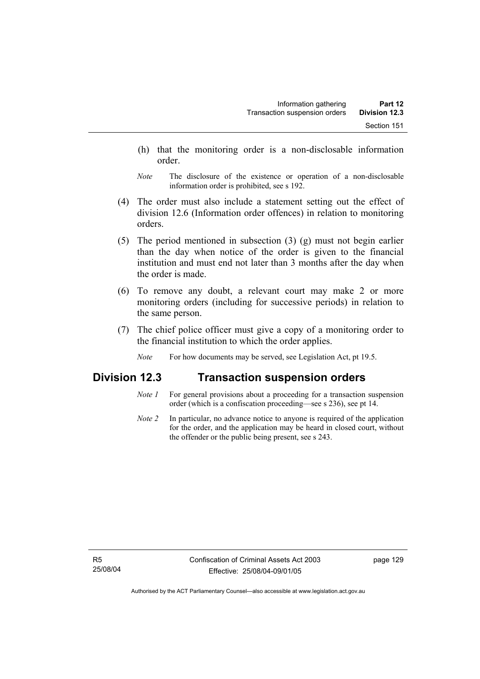- (h) that the monitoring order is a non-disclosable information order.
- *Note* The disclosure of the existence or operation of a non-disclosable information order is prohibited, see s 192.
- (4) The order must also include a statement setting out the effect of division 12.6 (Information order offences) in relation to monitoring orders.
- (5) The period mentioned in subsection (3) (g) must not begin earlier than the day when notice of the order is given to the financial institution and must end not later than 3 months after the day when the order is made.
- (6) To remove any doubt, a relevant court may make 2 or more monitoring orders (including for successive periods) in relation to the same person.
- (7) The chief police officer must give a copy of a monitoring order to the financial institution to which the order applies.
	- *Note* For how documents may be served, see Legislation Act, pt 19.5.

## **Division 12.3 Transaction suspension orders**

- *Note 1* For general provisions about a proceeding for a transaction suspension order (which is a confiscation proceeding—see s 236), see pt 14.
- *Note 2* In particular, no advance notice to anyone is required of the application for the order, and the application may be heard in closed court, without the offender or the public being present, see s 243.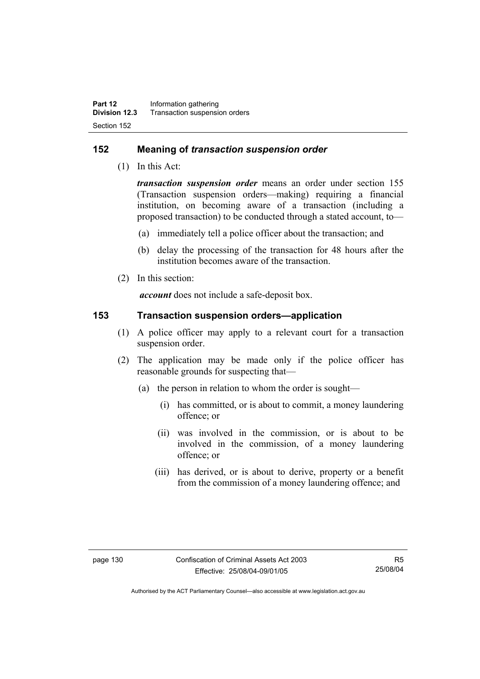### **152 Meaning of** *transaction suspension order*

(1) In this Act:

*transaction suspension order* means an order under section 155 (Transaction suspension orders—making) requiring a financial institution, on becoming aware of a transaction (including a proposed transaction) to be conducted through a stated account, to—

- (a) immediately tell a police officer about the transaction; and
- (b) delay the processing of the transaction for 48 hours after the institution becomes aware of the transaction.
- (2) In this section:

*account* does not include a safe-deposit box.

### **153 Transaction suspension orders—application**

- (1) A police officer may apply to a relevant court for a transaction suspension order.
- (2) The application may be made only if the police officer has reasonable grounds for suspecting that—
	- (a) the person in relation to whom the order is sought—
		- (i) has committed, or is about to commit, a money laundering offence; or
		- (ii) was involved in the commission, or is about to be involved in the commission, of a money laundering offence; or
		- (iii) has derived, or is about to derive, property or a benefit from the commission of a money laundering offence; and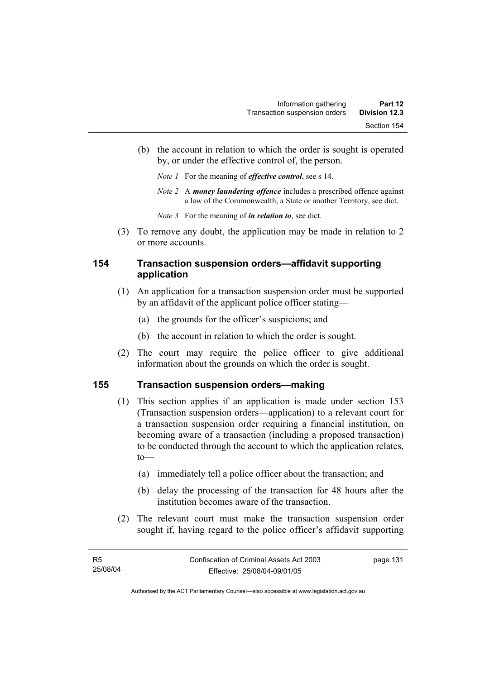- (b) the account in relation to which the order is sought is operated by, or under the effective control of, the person.
	- *Note 1* For the meaning of *effective control*, see s 14.
	- *Note 2* A *money laundering offence* includes a prescribed offence against a law of the Commonwealth, a State or another Territory, see dict.
	- *Note 3* For the meaning of *in relation to*, see dict.
- (3) To remove any doubt, the application may be made in relation to 2 or more accounts.

## **154 Transaction suspension orders—affidavit supporting application**

- (1) An application for a transaction suspension order must be supported by an affidavit of the applicant police officer stating—
	- (a) the grounds for the officer's suspicions; and
	- (b) the account in relation to which the order is sought.
- (2) The court may require the police officer to give additional information about the grounds on which the order is sought.

#### **155 Transaction suspension orders—making**

- (1) This section applies if an application is made under section 153 (Transaction suspension orders—application) to a relevant court for a transaction suspension order requiring a financial institution, on becoming aware of a transaction (including a proposed transaction) to be conducted through the account to which the application relates,  $to$ —
	- (a) immediately tell a police officer about the transaction; and
	- (b) delay the processing of the transaction for 48 hours after the institution becomes aware of the transaction.
- (2) The relevant court must make the transaction suspension order sought if, having regard to the police officer's affidavit supporting

page 131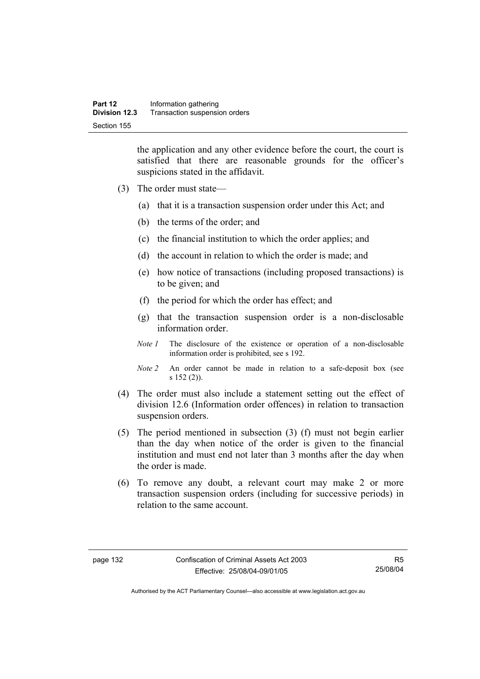the application and any other evidence before the court, the court is satisfied that there are reasonable grounds for the officer's suspicions stated in the affidavit.

- (3) The order must state—
	- (a) that it is a transaction suspension order under this Act; and
	- (b) the terms of the order; and
	- (c) the financial institution to which the order applies; and
	- (d) the account in relation to which the order is made; and
	- (e) how notice of transactions (including proposed transactions) is to be given; and
	- (f) the period for which the order has effect; and
	- (g) that the transaction suspension order is a non-disclosable information order.
	- *Note 1* The disclosure of the existence or operation of a non-disclosable information order is prohibited, see s 192.
	- *Note 2* An order cannot be made in relation to a safe-deposit box (see s 152 (2)).
- (4) The order must also include a statement setting out the effect of division 12.6 (Information order offences) in relation to transaction suspension orders.
- (5) The period mentioned in subsection (3) (f) must not begin earlier than the day when notice of the order is given to the financial institution and must end not later than 3 months after the day when the order is made.
- (6) To remove any doubt, a relevant court may make 2 or more transaction suspension orders (including for successive periods) in relation to the same account.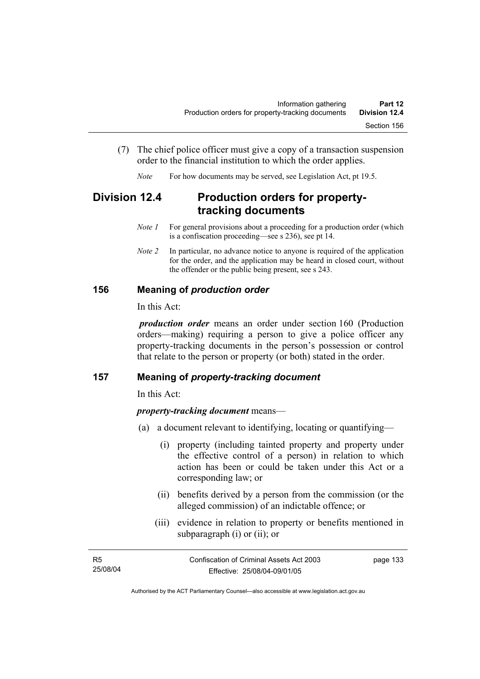- (7) The chief police officer must give a copy of a transaction suspension order to the financial institution to which the order applies.
	- *Note* For how documents may be served, see Legislation Act, pt 19.5.

# **Division 12.4 Production orders for propertytracking documents**

- *Note 1* For general provisions about a proceeding for a production order (which is a confiscation proceeding—see s 236), see pt 14.
- *Note 2* In particular, no advance notice to anyone is required of the application for the order, and the application may be heard in closed court, without the offender or the public being present, see s 243.

## **156 Meaning of** *production order*

In this Act:

*production order* means an order under section 160 (Production orders—making) requiring a person to give a police officer any property-tracking documents in the person's possession or control that relate to the person or property (or both) stated in the order.

#### **157 Meaning of** *property-tracking document*

In this Act:

#### *property-tracking document* means—

- (a) a document relevant to identifying, locating or quantifying—
	- (i) property (including tainted property and property under the effective control of a person) in relation to which action has been or could be taken under this Act or a corresponding law; or
	- (ii) benefits derived by a person from the commission (or the alleged commission) of an indictable offence; or
	- (iii) evidence in relation to property or benefits mentioned in subparagraph (i) or (ii); or

| - R5     | Confiscation of Criminal Assets Act 2003 | page 133 |
|----------|------------------------------------------|----------|
| 25/08/04 | Effective: 25/08/04-09/01/05             |          |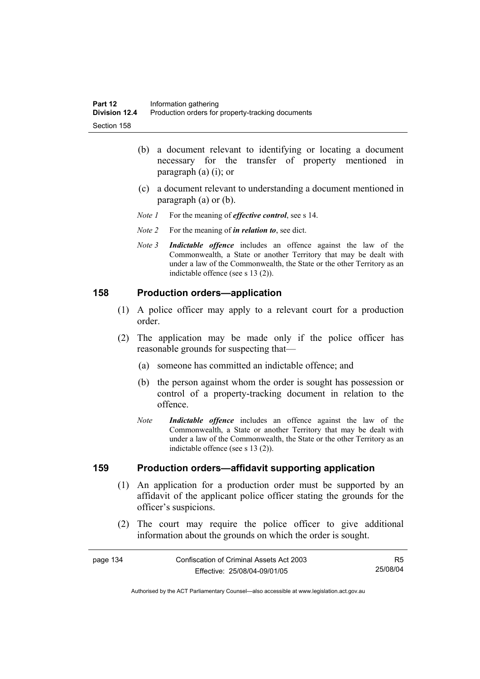- (b) a document relevant to identifying or locating a document necessary for the transfer of property mentioned in paragraph (a) (i); or
- (c) a document relevant to understanding a document mentioned in paragraph (a) or (b).
- *Note 1* For the meaning of *effective control*, see s 14.
- *Note 2* For the meaning of *in relation to*, see dict.
- *Note 3 Indictable offence* includes an offence against the law of the Commonwealth, a State or another Territory that may be dealt with under a law of the Commonwealth, the State or the other Territory as an indictable offence (see s 13 (2)).

#### **158 Production orders—application**

- (1) A police officer may apply to a relevant court for a production order.
- (2) The application may be made only if the police officer has reasonable grounds for suspecting that—
	- (a) someone has committed an indictable offence; and
	- (b) the person against whom the order is sought has possession or control of a property-tracking document in relation to the offence.
	- *Note Indictable offence* includes an offence against the law of the Commonwealth, a State or another Territory that may be dealt with under a law of the Commonwealth, the State or the other Territory as an indictable offence (see s 13 (2)).

#### **159 Production orders—affidavit supporting application**

- (1) An application for a production order must be supported by an affidavit of the applicant police officer stating the grounds for the officer's suspicions.
- (2) The court may require the police officer to give additional information about the grounds on which the order is sought.

| Confiscation of Criminal Assets Act 2003<br>page 134 |                              | R5       |
|------------------------------------------------------|------------------------------|----------|
|                                                      | Effective: 25/08/04-09/01/05 | 25/08/04 |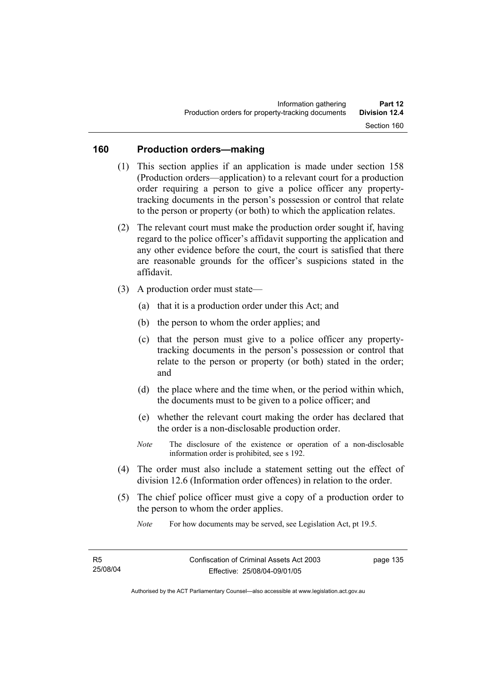## **160 Production orders—making**

- (1) This section applies if an application is made under section 158 (Production orders—application) to a relevant court for a production order requiring a person to give a police officer any propertytracking documents in the person's possession or control that relate to the person or property (or both) to which the application relates.
- (2) The relevant court must make the production order sought if, having regard to the police officer's affidavit supporting the application and any other evidence before the court, the court is satisfied that there are reasonable grounds for the officer's suspicions stated in the affidavit.
- (3) A production order must state—
	- (a) that it is a production order under this Act; and
	- (b) the person to whom the order applies; and
	- (c) that the person must give to a police officer any propertytracking documents in the person's possession or control that relate to the person or property (or both) stated in the order; and
	- (d) the place where and the time when, or the period within which, the documents must to be given to a police officer; and
	- (e) whether the relevant court making the order has declared that the order is a non-disclosable production order.
	- *Note* The disclosure of the existence or operation of a non-disclosable information order is prohibited, see s 192.
- (4) The order must also include a statement setting out the effect of division 12.6 (Information order offences) in relation to the order.
- (5) The chief police officer must give a copy of a production order to the person to whom the order applies.

*Note* For how documents may be served, see Legislation Act, pt 19.5.

page 135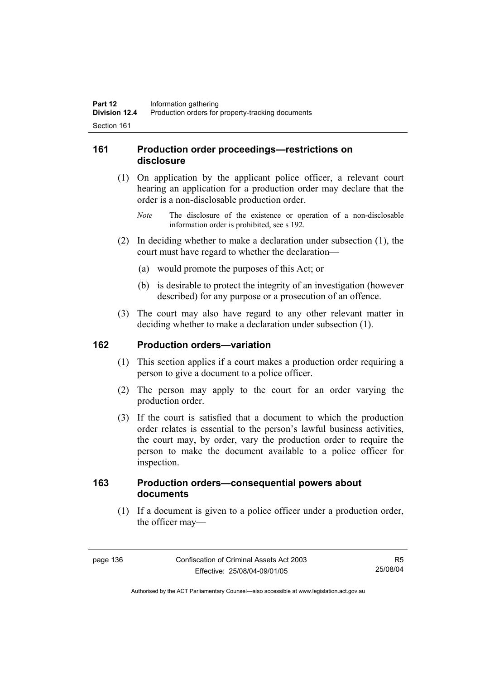## **161 Production order proceedings—restrictions on disclosure**

- (1) On application by the applicant police officer, a relevant court hearing an application for a production order may declare that the order is a non-disclosable production order.
	- *Note* The disclosure of the existence or operation of a non-disclosable information order is prohibited, see s 192.
- (2) In deciding whether to make a declaration under subsection (1), the court must have regard to whether the declaration—
	- (a) would promote the purposes of this Act; or
	- (b) is desirable to protect the integrity of an investigation (however described) for any purpose or a prosecution of an offence.
- (3) The court may also have regard to any other relevant matter in deciding whether to make a declaration under subsection (1).

#### **162 Production orders—variation**

- (1) This section applies if a court makes a production order requiring a person to give a document to a police officer.
- (2) The person may apply to the court for an order varying the production order.
- (3) If the court is satisfied that a document to which the production order relates is essential to the person's lawful business activities, the court may, by order, vary the production order to require the person to make the document available to a police officer for inspection.

## **163 Production orders—consequential powers about documents**

 (1) If a document is given to a police officer under a production order, the officer may—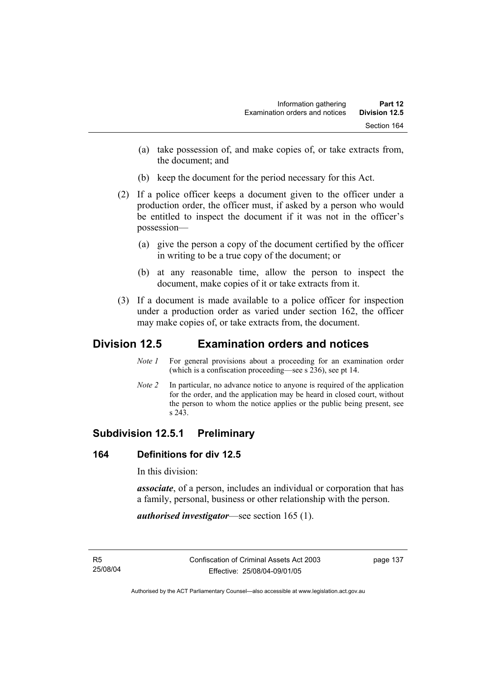- (a) take possession of, and make copies of, or take extracts from, the document; and
- (b) keep the document for the period necessary for this Act.
- (2) If a police officer keeps a document given to the officer under a production order, the officer must, if asked by a person who would be entitled to inspect the document if it was not in the officer's possession—
	- (a) give the person a copy of the document certified by the officer in writing to be a true copy of the document; or
	- (b) at any reasonable time, allow the person to inspect the document, make copies of it or take extracts from it.
- (3) If a document is made available to a police officer for inspection under a production order as varied under section 162, the officer may make copies of, or take extracts from, the document.

# **Division 12.5 Examination orders and notices**

- *Note 1* For general provisions about a proceeding for an examination order (which is a confiscation proceeding—see s 236), see pt 14.
- *Note 2* In particular, no advance notice to anyone is required of the application for the order, and the application may be heard in closed court, without the person to whom the notice applies or the public being present, see s 243.

# **Subdivision 12.5.1 Preliminary**

## **164 Definitions for div 12.5**

In this division:

*associate*, of a person, includes an individual or corporation that has a family, personal, business or other relationship with the person.

*authorised investigator*—see section 165 (1).

page 137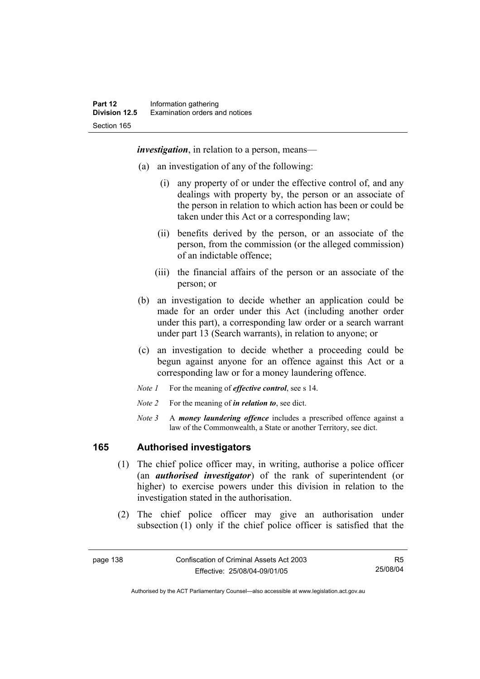*investigation*, in relation to a person, means—

- (a) an investigation of any of the following:
	- (i) any property of or under the effective control of, and any dealings with property by, the person or an associate of the person in relation to which action has been or could be taken under this Act or a corresponding law;
	- (ii) benefits derived by the person, or an associate of the person, from the commission (or the alleged commission) of an indictable offence;
	- (iii) the financial affairs of the person or an associate of the person; or
- (b) an investigation to decide whether an application could be made for an order under this Act (including another order under this part), a corresponding law order or a search warrant under part 13 (Search warrants), in relation to anyone; or
- (c) an investigation to decide whether a proceeding could be begun against anyone for an offence against this Act or a corresponding law or for a money laundering offence.
- *Note 1* For the meaning of *effective control*, see s 14.
- *Note 2* For the meaning of *in relation to*, see dict.
- *Note 3* A *money laundering offence* includes a prescribed offence against a law of the Commonwealth, a State or another Territory, see dict.

## **165 Authorised investigators**

- (1) The chief police officer may, in writing, authorise a police officer (an *authorised investigator*) of the rank of superintendent (or higher) to exercise powers under this division in relation to the investigation stated in the authorisation.
- (2) The chief police officer may give an authorisation under subsection (1) only if the chief police officer is satisfied that the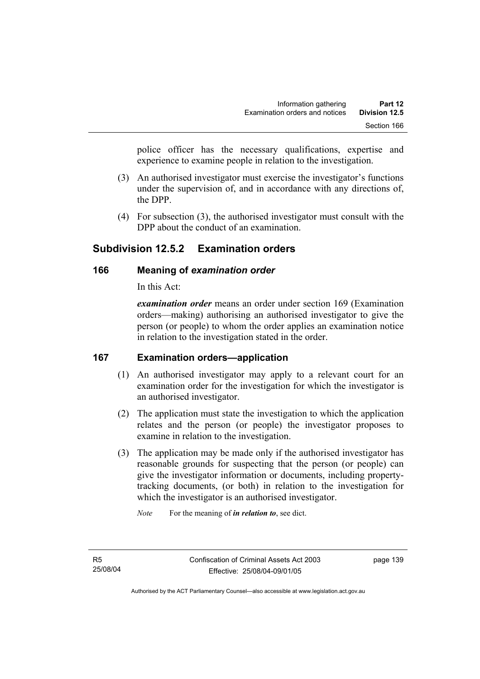police officer has the necessary qualifications, expertise and experience to examine people in relation to the investigation.

- (3) An authorised investigator must exercise the investigator's functions under the supervision of, and in accordance with any directions of, the DPP.
- (4) For subsection (3), the authorised investigator must consult with the DPP about the conduct of an examination.

# **Subdivision 12.5.2 Examination orders**

## **166 Meaning of** *examination order*

In this Act:

*examination order* means an order under section 169 (Examination orders—making) authorising an authorised investigator to give the person (or people) to whom the order applies an examination notice in relation to the investigation stated in the order.

## **167 Examination orders—application**

- (1) An authorised investigator may apply to a relevant court for an examination order for the investigation for which the investigator is an authorised investigator.
- (2) The application must state the investigation to which the application relates and the person (or people) the investigator proposes to examine in relation to the investigation.
- (3) The application may be made only if the authorised investigator has reasonable grounds for suspecting that the person (or people) can give the investigator information or documents, including propertytracking documents, (or both) in relation to the investigation for which the investigator is an authorised investigator.

*Note* For the meaning of *in relation to*, see dict.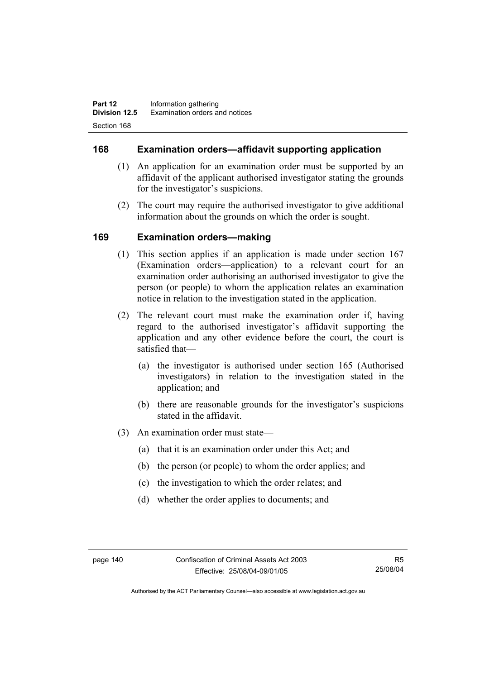## **168 Examination orders—affidavit supporting application**

- (1) An application for an examination order must be supported by an affidavit of the applicant authorised investigator stating the grounds for the investigator's suspicions.
- (2) The court may require the authorised investigator to give additional information about the grounds on which the order is sought.

## **169 Examination orders—making**

- (1) This section applies if an application is made under section 167 (Examination orders—application) to a relevant court for an examination order authorising an authorised investigator to give the person (or people) to whom the application relates an examination notice in relation to the investigation stated in the application.
- (2) The relevant court must make the examination order if, having regard to the authorised investigator's affidavit supporting the application and any other evidence before the court, the court is satisfied that—
	- (a) the investigator is authorised under section 165 (Authorised investigators) in relation to the investigation stated in the application; and
	- (b) there are reasonable grounds for the investigator's suspicions stated in the affidavit.
- (3) An examination order must state—
	- (a) that it is an examination order under this Act; and
	- (b) the person (or people) to whom the order applies; and
	- (c) the investigation to which the order relates; and
	- (d) whether the order applies to documents; and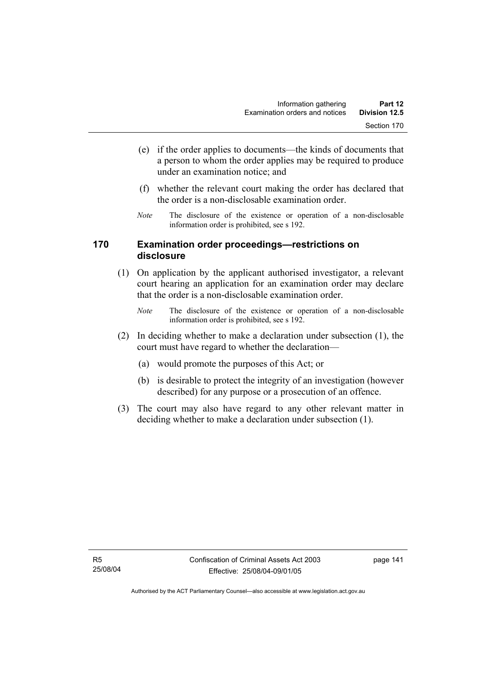- (e) if the order applies to documents—the kinds of documents that a person to whom the order applies may be required to produce under an examination notice; and
- (f) whether the relevant court making the order has declared that the order is a non-disclosable examination order.
- *Note* The disclosure of the existence or operation of a non-disclosable information order is prohibited, see s 192.

## **170 Examination order proceedings—restrictions on disclosure**

- (1) On application by the applicant authorised investigator, a relevant court hearing an application for an examination order may declare that the order is a non-disclosable examination order.
	- *Note* The disclosure of the existence or operation of a non-disclosable information order is prohibited, see s 192.
- (2) In deciding whether to make a declaration under subsection (1), the court must have regard to whether the declaration—
	- (a) would promote the purposes of this Act; or
	- (b) is desirable to protect the integrity of an investigation (however described) for any purpose or a prosecution of an offence.
- (3) The court may also have regard to any other relevant matter in deciding whether to make a declaration under subsection (1).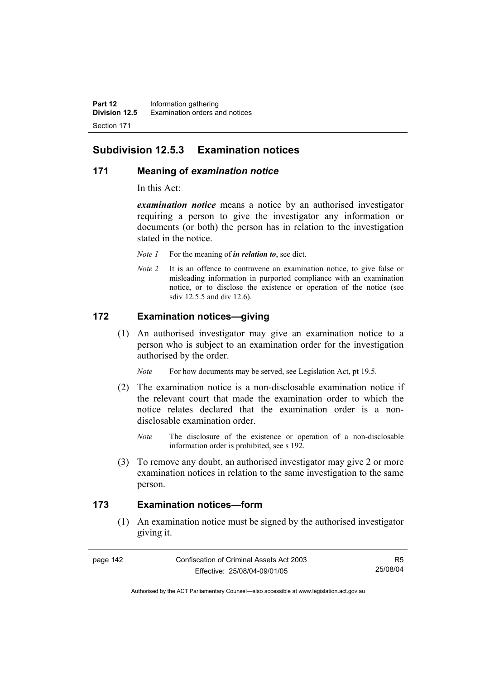## **Subdivision 12.5.3 Examination notices**

#### **171 Meaning of** *examination notice*

In this Act:

*examination notice* means a notice by an authorised investigator requiring a person to give the investigator any information or documents (or both) the person has in relation to the investigation stated in the notice.

- *Note 1* For the meaning of *in relation to*, see dict.
- *Note 2* It is an offence to contravene an examination notice, to give false or misleading information in purported compliance with an examination notice, or to disclose the existence or operation of the notice (see sdiv 12.5.5 and div 12.6).

## **172 Examination notices—giving**

 (1) An authorised investigator may give an examination notice to a person who is subject to an examination order for the investigation authorised by the order.

*Note* For how documents may be served, see Legislation Act, pt 19.5.

- (2) The examination notice is a non-disclosable examination notice if the relevant court that made the examination order to which the notice relates declared that the examination order is a nondisclosable examination order.
	- *Note* The disclosure of the existence or operation of a non-disclosable information order is prohibited, see s 192.
- (3) To remove any doubt, an authorised investigator may give 2 or more examination notices in relation to the same investigation to the same person.

## **173 Examination notices—form**

 (1) An examination notice must be signed by the authorised investigator giving it.

R5 25/08/04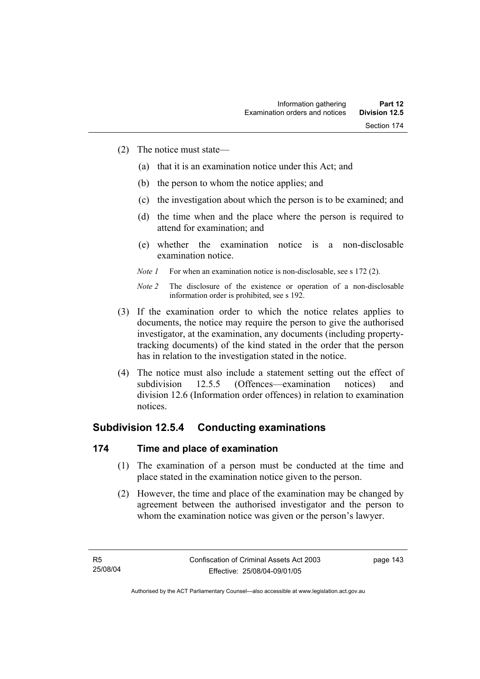- (2) The notice must state—
	- (a) that it is an examination notice under this Act; and
	- (b) the person to whom the notice applies; and
	- (c) the investigation about which the person is to be examined; and
	- (d) the time when and the place where the person is required to attend for examination; and
	- (e) whether the examination notice is a non-disclosable examination notice.
	- *Note 1* For when an examination notice is non-disclosable, see s 172 (2).

- (3) If the examination order to which the notice relates applies to documents, the notice may require the person to give the authorised investigator, at the examination, any documents (including propertytracking documents) of the kind stated in the order that the person has in relation to the investigation stated in the notice.
- (4) The notice must also include a statement setting out the effect of subdivision 12.5.5 (Offences—examination notices) and division 12.6 (Information order offences) in relation to examination notices.

# **Subdivision 12.5.4 Conducting examinations**

## **174 Time and place of examination**

- (1) The examination of a person must be conducted at the time and place stated in the examination notice given to the person.
- (2) However, the time and place of the examination may be changed by agreement between the authorised investigator and the person to whom the examination notice was given or the person's lawyer.

*Note 2* The disclosure of the existence or operation of a non-disclosable information order is prohibited, see s 192.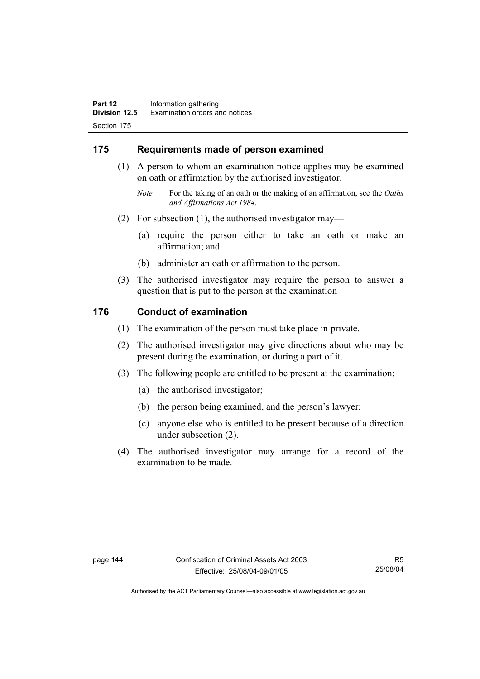## **175 Requirements made of person examined**

- (1) A person to whom an examination notice applies may be examined on oath or affirmation by the authorised investigator.
	- *Note* For the taking of an oath or the making of an affirmation, see the *Oaths and Affirmations Act 1984.*
- (2) For subsection (1), the authorised investigator may—
	- (a) require the person either to take an oath or make an affirmation; and
	- (b) administer an oath or affirmation to the person.
- (3) The authorised investigator may require the person to answer a question that is put to the person at the examination

#### **176 Conduct of examination**

- (1) The examination of the person must take place in private.
- (2) The authorised investigator may give directions about who may be present during the examination, or during a part of it.
- (3) The following people are entitled to be present at the examination:
	- (a) the authorised investigator;
	- (b) the person being examined, and the person's lawyer;
	- (c) anyone else who is entitled to be present because of a direction under subsection (2).
- (4) The authorised investigator may arrange for a record of the examination to be made.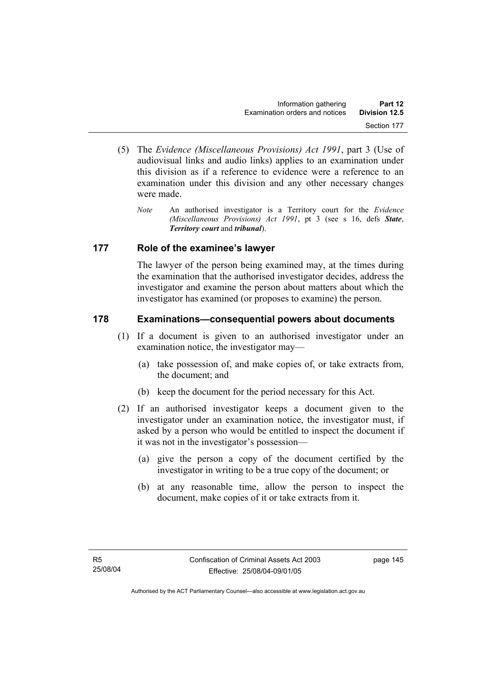- (5) The *Evidence (Miscellaneous Provisions) Act 1991*, part 3 (Use of audiovisual links and audio links) applies to an examination under this division as if a reference to evidence were a reference to an examination under this division and any other necessary changes were made.
	- *Note* An authorised investigator is a Territory court for the *Evidence (Miscellaneous Provisions) Act 1991*, pt 3 (see s 16, defs *State*, *Territory court* and *tribunal*).

## **177 Role of the examinee's lawyer**

The lawyer of the person being examined may, at the times during the examination that the authorised investigator decides, address the investigator and examine the person about matters about which the investigator has examined (or proposes to examine) the person.

## **178 Examinations—consequential powers about documents**

- (1) If a document is given to an authorised investigator under an examination notice, the investigator may—
	- (a) take possession of, and make copies of, or take extracts from, the document; and
	- (b) keep the document for the period necessary for this Act.
- (2) If an authorised investigator keeps a document given to the investigator under an examination notice, the investigator must, if asked by a person who would be entitled to inspect the document if it was not in the investigator's possession—
	- (a) give the person a copy of the document certified by the investigator in writing to be a true copy of the document; or
	- (b) at any reasonable time, allow the person to inspect the document, make copies of it or take extracts from it.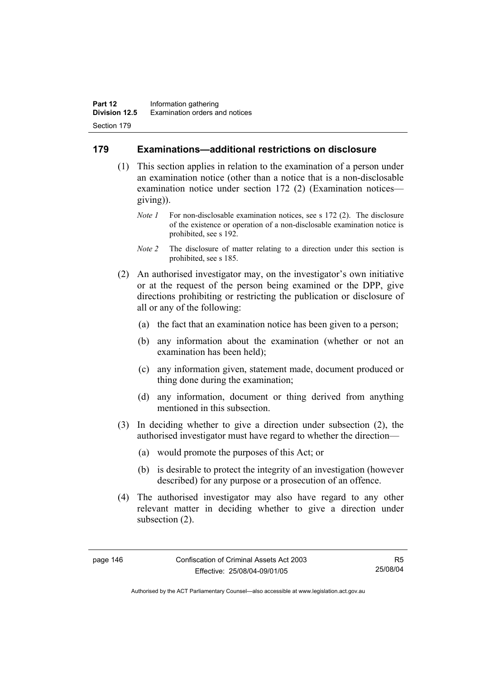### **179 Examinations—additional restrictions on disclosure**

- (1) This section applies in relation to the examination of a person under an examination notice (other than a notice that is a non-disclosable examination notice under section 172 (2) (Examination notices giving)).
	- *Note 1* For non-disclosable examination notices, see s 172 (2). The disclosure of the existence or operation of a non-disclosable examination notice is prohibited, see s 192.
	- *Note 2* The disclosure of matter relating to a direction under this section is prohibited, see s 185.
- (2) An authorised investigator may, on the investigator's own initiative or at the request of the person being examined or the DPP, give directions prohibiting or restricting the publication or disclosure of all or any of the following:
	- (a) the fact that an examination notice has been given to a person;
	- (b) any information about the examination (whether or not an examination has been held);
	- (c) any information given, statement made, document produced or thing done during the examination;
	- (d) any information, document or thing derived from anything mentioned in this subsection.
- (3) In deciding whether to give a direction under subsection (2), the authorised investigator must have regard to whether the direction—
	- (a) would promote the purposes of this Act; or
	- (b) is desirable to protect the integrity of an investigation (however described) for any purpose or a prosecution of an offence.
- (4) The authorised investigator may also have regard to any other relevant matter in deciding whether to give a direction under subsection (2).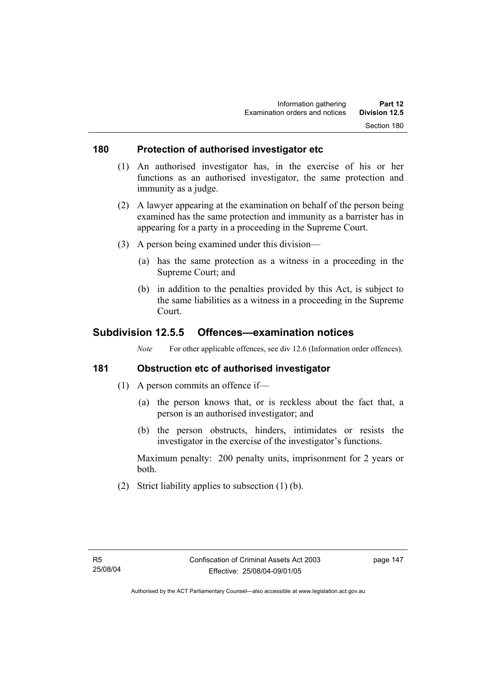#### **180 Protection of authorised investigator etc**

- (1) An authorised investigator has, in the exercise of his or her functions as an authorised investigator, the same protection and immunity as a judge.
- (2) A lawyer appearing at the examination on behalf of the person being examined has the same protection and immunity as a barrister has in appearing for a party in a proceeding in the Supreme Court.
- (3) A person being examined under this division—
	- (a) has the same protection as a witness in a proceeding in the Supreme Court; and
	- (b) in addition to the penalties provided by this Act, is subject to the same liabilities as a witness in a proceeding in the Supreme Court.

## **Subdivision 12.5.5 Offences—examination notices**

*Note* For other applicable offences, see div 12.6 (Information order offences).

## **181 Obstruction etc of authorised investigator**

- (1) A person commits an offence if—
	- (a) the person knows that, or is reckless about the fact that, a person is an authorised investigator; and
	- (b) the person obstructs, hinders, intimidates or resists the investigator in the exercise of the investigator's functions.

Maximum penalty: 200 penalty units, imprisonment for 2 years or both.

(2) Strict liability applies to subsection (1) (b).

page 147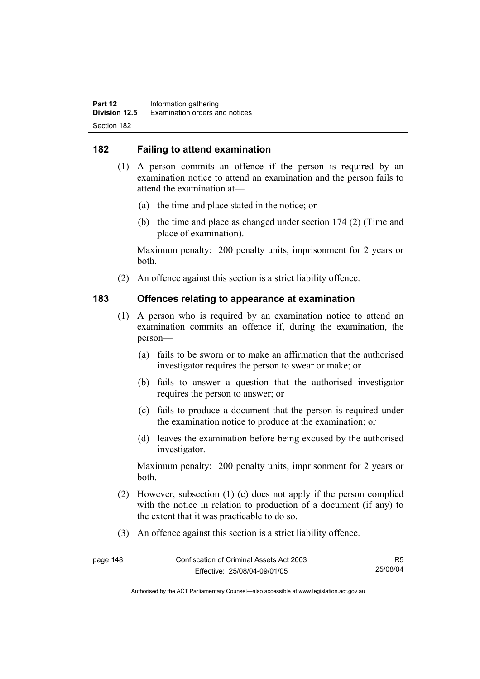## **182 Failing to attend examination**

- (1) A person commits an offence if the person is required by an examination notice to attend an examination and the person fails to attend the examination at—
	- (a) the time and place stated in the notice; or
	- (b) the time and place as changed under section 174 (2) (Time and place of examination).

Maximum penalty: 200 penalty units, imprisonment for 2 years or both.

(2) An offence against this section is a strict liability offence.

#### **183 Offences relating to appearance at examination**

- (1) A person who is required by an examination notice to attend an examination commits an offence if, during the examination, the person—
	- (a) fails to be sworn or to make an affirmation that the authorised investigator requires the person to swear or make; or
	- (b) fails to answer a question that the authorised investigator requires the person to answer; or
	- (c) fails to produce a document that the person is required under the examination notice to produce at the examination; or
	- (d) leaves the examination before being excused by the authorised investigator.

Maximum penalty: 200 penalty units, imprisonment for 2 years or both.

- (2) However, subsection (1) (c) does not apply if the person complied with the notice in relation to production of a document (if any) to the extent that it was practicable to do so.
- (3) An offence against this section is a strict liability offence.

| page 148 | Confiscation of Criminal Assets Act 2003 | R5       |
|----------|------------------------------------------|----------|
|          | Effective: 25/08/04-09/01/05             | 25/08/04 |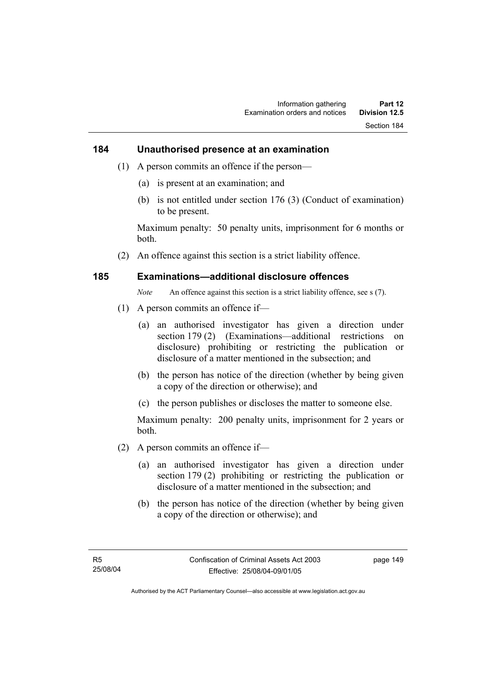#### **184 Unauthorised presence at an examination**

- (1) A person commits an offence if the person—
	- (a) is present at an examination; and
	- (b) is not entitled under section 176 (3) (Conduct of examination) to be present.

Maximum penalty: 50 penalty units, imprisonment for 6 months or both.

(2) An offence against this section is a strict liability offence.

#### **185 Examinations—additional disclosure offences**

*Note* An offence against this section is a strict liability offence, see s (7).

- (1) A person commits an offence if—
	- (a) an authorised investigator has given a direction under section 179 (2) (Examinations—additional restrictions on disclosure) prohibiting or restricting the publication or disclosure of a matter mentioned in the subsection; and
	- (b) the person has notice of the direction (whether by being given a copy of the direction or otherwise); and
	- (c) the person publishes or discloses the matter to someone else.

Maximum penalty: 200 penalty units, imprisonment for 2 years or both.

- (2) A person commits an offence if—
	- (a) an authorised investigator has given a direction under section 179 (2) prohibiting or restricting the publication or disclosure of a matter mentioned in the subsection; and
	- (b) the person has notice of the direction (whether by being given a copy of the direction or otherwise); and

page 149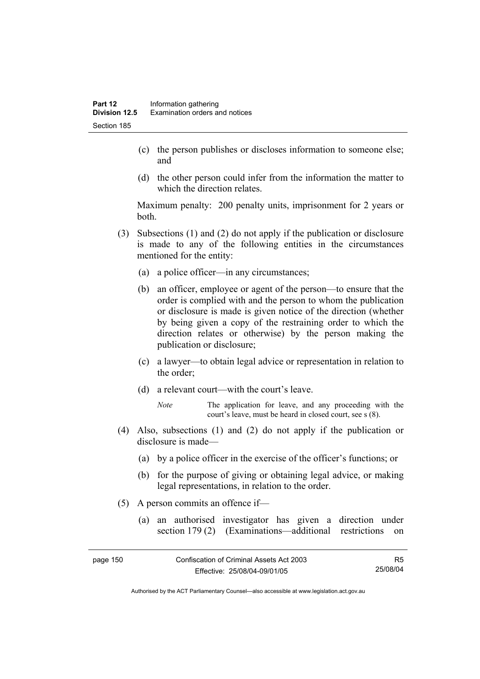- (c) the person publishes or discloses information to someone else; and
- (d) the other person could infer from the information the matter to which the direction relates.

Maximum penalty: 200 penalty units, imprisonment for 2 years or both.

- (3) Subsections (1) and (2) do not apply if the publication or disclosure is made to any of the following entities in the circumstances mentioned for the entity:
	- (a) a police officer—in any circumstances;
	- (b) an officer, employee or agent of the person—to ensure that the order is complied with and the person to whom the publication or disclosure is made is given notice of the direction (whether by being given a copy of the restraining order to which the direction relates or otherwise) by the person making the publication or disclosure;
	- (c) a lawyer—to obtain legal advice or representation in relation to the order;
	- (d) a relevant court—with the court's leave.
		- *Note* The application for leave, and any proceeding with the court's leave, must be heard in closed court, see s (8).
- (4) Also, subsections (1) and (2) do not apply if the publication or disclosure is made—
	- (a) by a police officer in the exercise of the officer's functions; or
	- (b) for the purpose of giving or obtaining legal advice, or making legal representations, in relation to the order.
- (5) A person commits an offence if—
	- (a) an authorised investigator has given a direction under section 179 (2) (Examinations—additional restrictions on

| page 150 | Confiscation of Criminal Assets Act 2003 | R5       |
|----------|------------------------------------------|----------|
|          | Effective: 25/08/04-09/01/05             | 25/08/04 |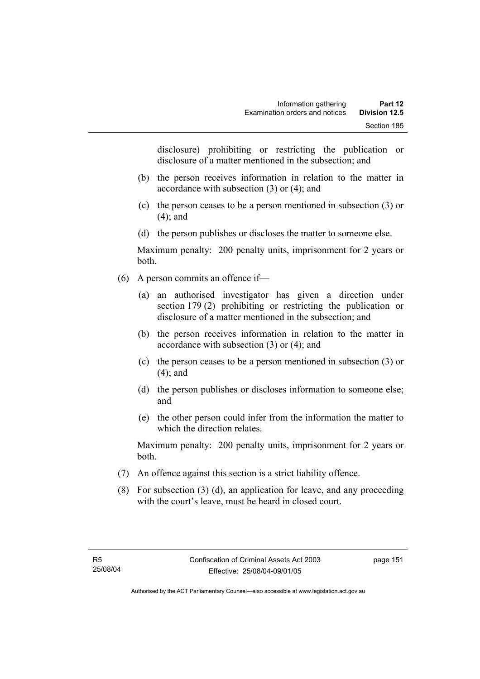disclosure) prohibiting or restricting the publication or disclosure of a matter mentioned in the subsection; and

- (b) the person receives information in relation to the matter in accordance with subsection (3) or (4); and
- (c) the person ceases to be a person mentioned in subsection (3) or (4); and
- (d) the person publishes or discloses the matter to someone else.

Maximum penalty: 200 penalty units, imprisonment for 2 years or both.

- (6) A person commits an offence if—
	- (a) an authorised investigator has given a direction under section 179 (2) prohibiting or restricting the publication or disclosure of a matter mentioned in the subsection; and
	- (b) the person receives information in relation to the matter in accordance with subsection (3) or (4); and
	- (c) the person ceases to be a person mentioned in subsection (3) or (4); and
	- (d) the person publishes or discloses information to someone else; and
	- (e) the other person could infer from the information the matter to which the direction relates.

Maximum penalty: 200 penalty units, imprisonment for 2 years or both.

- (7) An offence against this section is a strict liability offence.
- (8) For subsection (3) (d), an application for leave, and any proceeding with the court's leave, must be heard in closed court.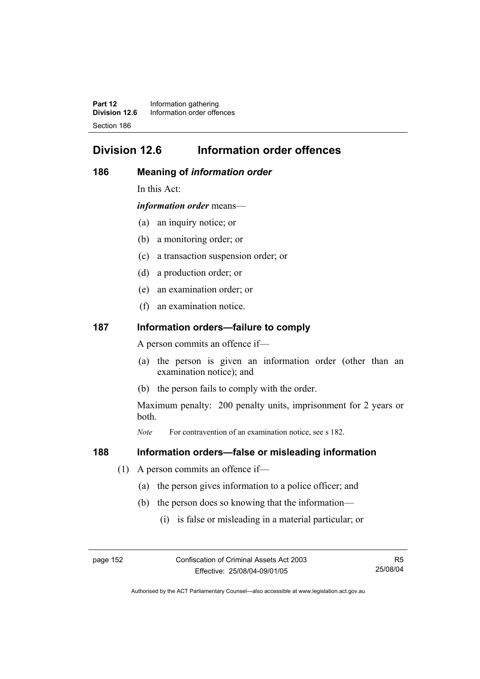**Part 12** Information gathering<br>**Division 12.6** Information order offer **Division 12.6** Information order offences Section 186

# **Division 12.6 Information order offences**

#### **186 Meaning of** *information order*

In this Act:

*information order* means—

- (a) an inquiry notice; or
- (b) a monitoring order; or
- (c) a transaction suspension order; or
- (d) a production order; or
- (e) an examination order; or
- (f) an examination notice.

#### **187 Information orders—failure to comply**

A person commits an offence if—

- (a) the person is given an information order (other than an examination notice); and
- (b) the person fails to comply with the order.

Maximum penalty: 200 penalty units, imprisonment for 2 years or both.

*Note* For contravention of an examination notice, see s 182.

#### **188 Information orders—false or misleading information**

- (1) A person commits an offence if—
	- (a) the person gives information to a police officer; and
	- (b) the person does so knowing that the information—
		- (i) is false or misleading in a material particular; or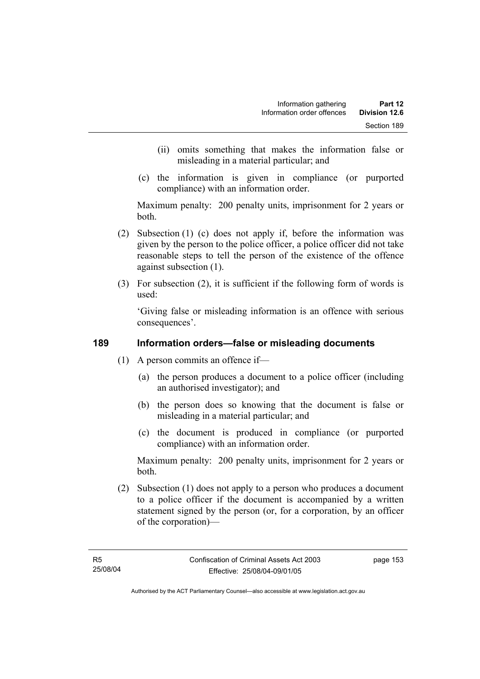- (ii) omits something that makes the information false or misleading in a material particular; and
- (c) the information is given in compliance (or purported compliance) with an information order.

Maximum penalty: 200 penalty units, imprisonment for 2 years or both.

- (2) Subsection (1) (c) does not apply if, before the information was given by the person to the police officer, a police officer did not take reasonable steps to tell the person of the existence of the offence against subsection (1).
- (3) For subsection (2), it is sufficient if the following form of words is used:

'Giving false or misleading information is an offence with serious consequences'.

## **189 Information orders—false or misleading documents**

- (1) A person commits an offence if—
	- (a) the person produces a document to a police officer (including an authorised investigator); and
	- (b) the person does so knowing that the document is false or misleading in a material particular; and
	- (c) the document is produced in compliance (or purported compliance) with an information order.

Maximum penalty: 200 penalty units, imprisonment for 2 years or both.

 (2) Subsection (1) does not apply to a person who produces a document to a police officer if the document is accompanied by a written statement signed by the person (or, for a corporation, by an officer of the corporation)—

page 153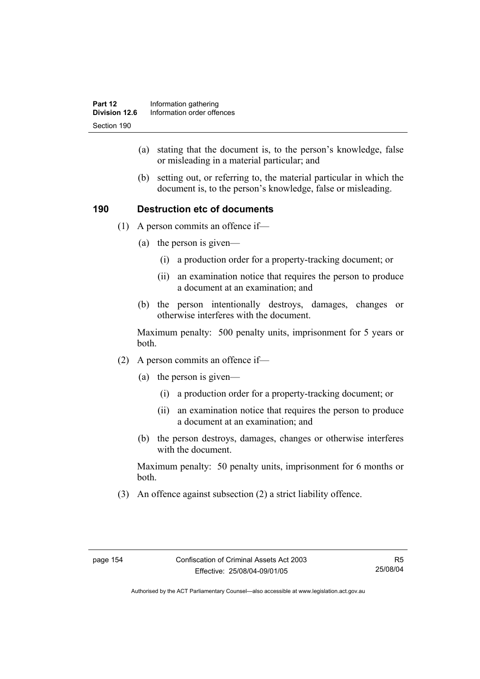- (a) stating that the document is, to the person's knowledge, false or misleading in a material particular; and
- (b) setting out, or referring to, the material particular in which the document is, to the person's knowledge, false or misleading.

## **190 Destruction etc of documents**

- (1) A person commits an offence if—
	- (a) the person is given—
		- (i) a production order for a property-tracking document; or
		- (ii) an examination notice that requires the person to produce a document at an examination; and
	- (b) the person intentionally destroys, damages, changes or otherwise interferes with the document.

Maximum penalty: 500 penalty units, imprisonment for 5 years or both.

- (2) A person commits an offence if—
	- (a) the person is given—
		- (i) a production order for a property-tracking document; or
		- (ii) an examination notice that requires the person to produce a document at an examination; and
	- (b) the person destroys, damages, changes or otherwise interferes with the document.

Maximum penalty: 50 penalty units, imprisonment for 6 months or both.

(3) An offence against subsection (2) a strict liability offence.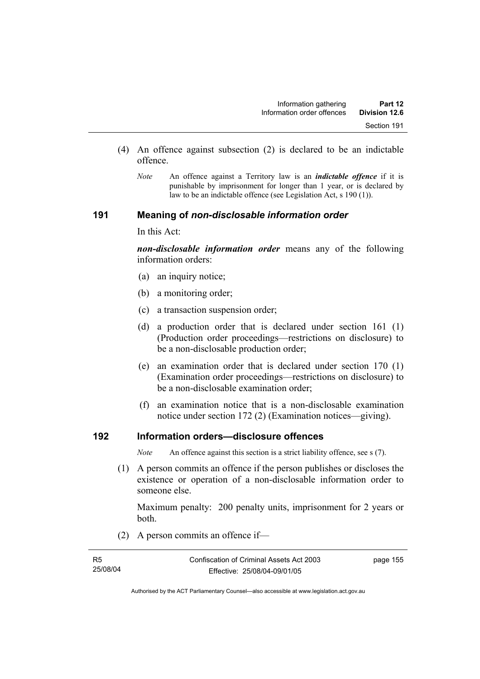- (4) An offence against subsection (2) is declared to be an indictable offence.
	- *Note* An offence against a Territory law is an *indictable offence* if it is punishable by imprisonment for longer than 1 year, or is declared by law to be an indictable offence (see Legislation Act, s 190 (1)).

#### **191 Meaning of** *non-disclosable information order*

In this Act:

*non-disclosable information order* means any of the following information orders:

- (a) an inquiry notice;
- (b) a monitoring order;
- (c) a transaction suspension order;
- (d) a production order that is declared under section 161 (1) (Production order proceedings—restrictions on disclosure) to be a non-disclosable production order;
- (e) an examination order that is declared under section 170 (1) (Examination order proceedings—restrictions on disclosure) to be a non-disclosable examination order;
- (f) an examination notice that is a non-disclosable examination notice under section 172 (2) (Examination notices—giving).

## **192 Information orders—disclosure offences**

*Note* An offence against this section is a strict liability offence, see s (7).

 (1) A person commits an offence if the person publishes or discloses the existence or operation of a non-disclosable information order to someone else.

Maximum penalty: 200 penalty units, imprisonment for 2 years or both.

(2) A person commits an offence if—

| R5       | Confiscation of Criminal Assets Act 2003 | page 155 |
|----------|------------------------------------------|----------|
| 25/08/04 | Effective: 25/08/04-09/01/05             |          |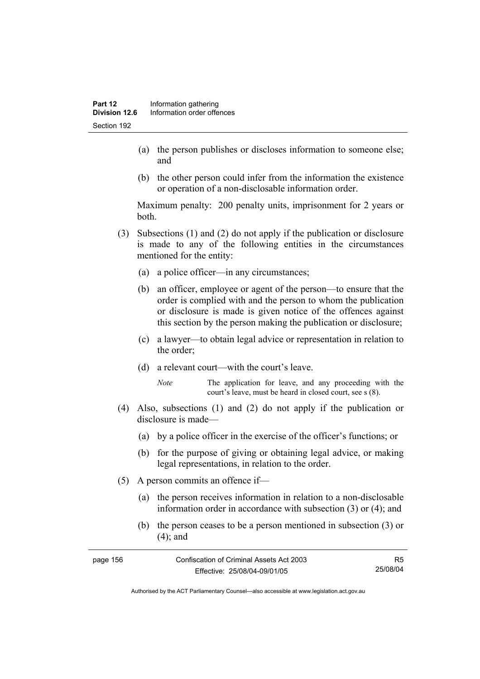- (a) the person publishes or discloses information to someone else; and
- (b) the other person could infer from the information the existence or operation of a non-disclosable information order.

Maximum penalty: 200 penalty units, imprisonment for 2 years or both.

- (3) Subsections (1) and (2) do not apply if the publication or disclosure is made to any of the following entities in the circumstances mentioned for the entity:
	- (a) a police officer—in any circumstances;
	- (b) an officer, employee or agent of the person—to ensure that the order is complied with and the person to whom the publication or disclosure is made is given notice of the offences against this section by the person making the publication or disclosure;
	- (c) a lawyer—to obtain legal advice or representation in relation to the order;
	- (d) a relevant court—with the court's leave.
		- *Note* The application for leave, and any proceeding with the court's leave, must be heard in closed court, see s (8).
- (4) Also, subsections (1) and (2) do not apply if the publication or disclosure is made—
	- (a) by a police officer in the exercise of the officer's functions; or
	- (b) for the purpose of giving or obtaining legal advice, or making legal representations, in relation to the order.
- (5) A person commits an offence if—
	- (a) the person receives information in relation to a non-disclosable information order in accordance with subsection (3) or (4); and
	- (b) the person ceases to be a person mentioned in subsection (3) or (4); and

| page 156 | Confiscation of Criminal Assets Act 2003 | R5       |
|----------|------------------------------------------|----------|
|          | Effective: 25/08/04-09/01/05             | 25/08/04 |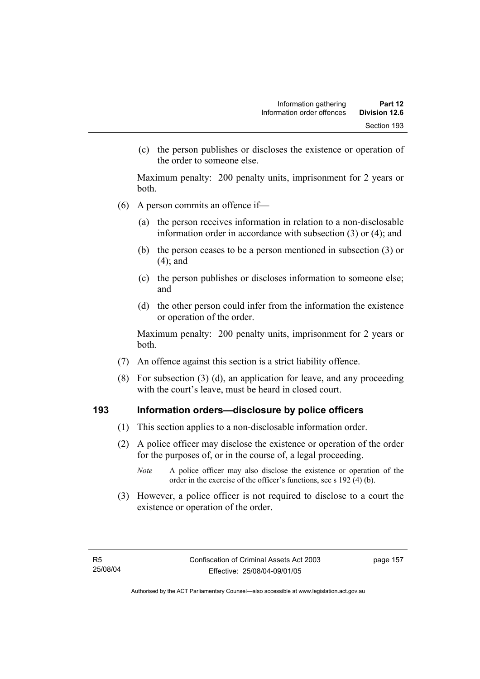(c) the person publishes or discloses the existence or operation of the order to someone else.

Maximum penalty: 200 penalty units, imprisonment for 2 years or both.

- (6) A person commits an offence if—
	- (a) the person receives information in relation to a non-disclosable information order in accordance with subsection (3) or (4); and
	- (b) the person ceases to be a person mentioned in subsection (3) or (4); and
	- (c) the person publishes or discloses information to someone else; and
	- (d) the other person could infer from the information the existence or operation of the order.

Maximum penalty: 200 penalty units, imprisonment for 2 years or both.

- (7) An offence against this section is a strict liability offence.
- (8) For subsection (3) (d), an application for leave, and any proceeding with the court's leave, must be heard in closed court.

#### **193 Information orders—disclosure by police officers**

- (1) This section applies to a non-disclosable information order.
- (2) A police officer may disclose the existence or operation of the order for the purposes of, or in the course of, a legal proceeding.
	- *Note* A police officer may also disclose the existence or operation of the order in the exercise of the officer's functions, see s 192 (4) (b).
- (3) However, a police officer is not required to disclose to a court the existence or operation of the order.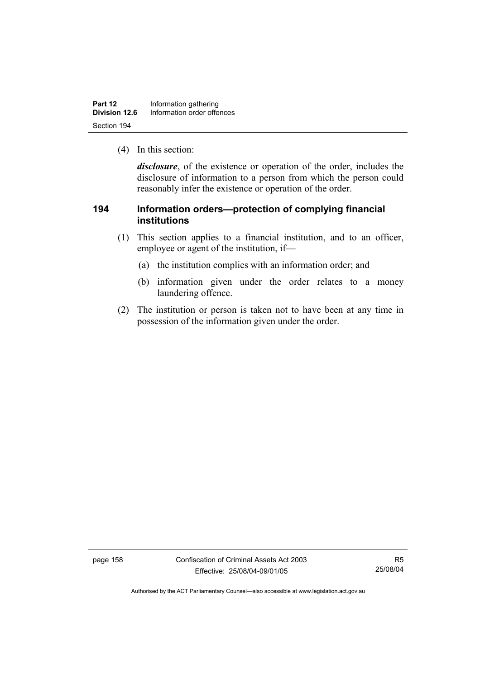| Part 12       | Information gathering      |  |
|---------------|----------------------------|--|
| Division 12.6 | Information order offences |  |
| Section 194   |                            |  |

(4) In this section:

*disclosure*, of the existence or operation of the order, includes the disclosure of information to a person from which the person could reasonably infer the existence or operation of the order.

## **194 Information orders—protection of complying financial institutions**

- (1) This section applies to a financial institution, and to an officer, employee or agent of the institution, if—
	- (a) the institution complies with an information order; and
	- (b) information given under the order relates to a money laundering offence.
- (2) The institution or person is taken not to have been at any time in possession of the information given under the order.

page 158 Confiscation of Criminal Assets Act 2003 Effective: 25/08/04-09/01/05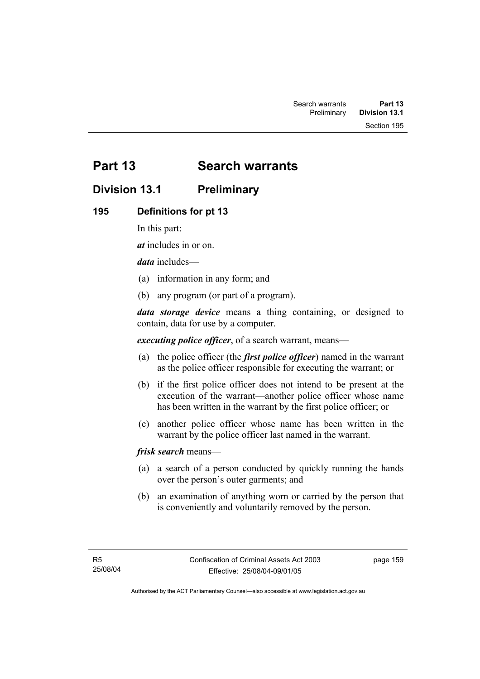Section 195

# **Part 13 Search warrants**

# **Division 13.1 Preliminary**

## **195 Definitions for pt 13**

In this part:

*at* includes in or on.

*data* includes—

- (a) information in any form; and
- (b) any program (or part of a program).

*data storage device* means a thing containing, or designed to contain, data for use by a computer.

*executing police officer*, of a search warrant, means—

- (a) the police officer (the *first police officer*) named in the warrant as the police officer responsible for executing the warrant; or
- (b) if the first police officer does not intend to be present at the execution of the warrant—another police officer whose name has been written in the warrant by the first police officer; or
- (c) another police officer whose name has been written in the warrant by the police officer last named in the warrant.

*frisk search* means—

- (a) a search of a person conducted by quickly running the hands over the person's outer garments; and
- (b) an examination of anything worn or carried by the person that is conveniently and voluntarily removed by the person.

page 159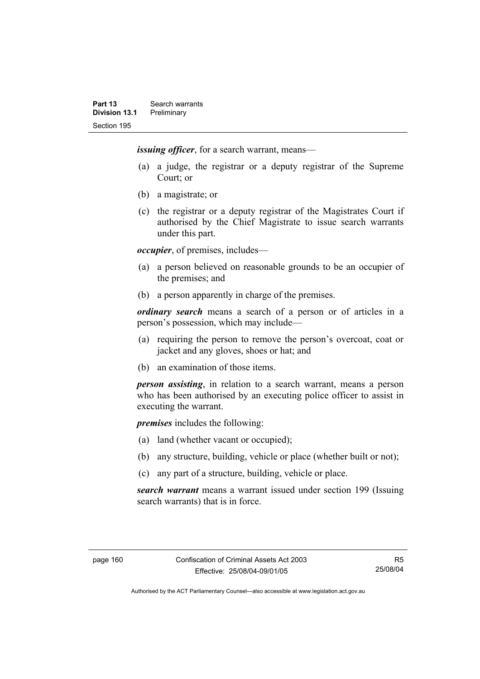*issuing officer*, for a search warrant, means—

- (a) a judge, the registrar or a deputy registrar of the Supreme Court; or
- (b) a magistrate; or
- (c) the registrar or a deputy registrar of the Magistrates Court if authorised by the Chief Magistrate to issue search warrants under this part.

*occupier*, of premises, includes—

- (a) a person believed on reasonable grounds to be an occupier of the premises; and
- (b) a person apparently in charge of the premises.

*ordinary search* means a search of a person or of articles in a person's possession, which may include—

- (a) requiring the person to remove the person's overcoat, coat or jacket and any gloves, shoes or hat; and
- (b) an examination of those items.

*person assisting*, in relation to a search warrant, means a person who has been authorised by an executing police officer to assist in executing the warrant.

*premises* includes the following:

- (a) land (whether vacant or occupied);
- (b) any structure, building, vehicle or place (whether built or not);
- (c) any part of a structure, building, vehicle or place.

*search warrant* means a warrant issued under section 199 (Issuing search warrants) that is in force.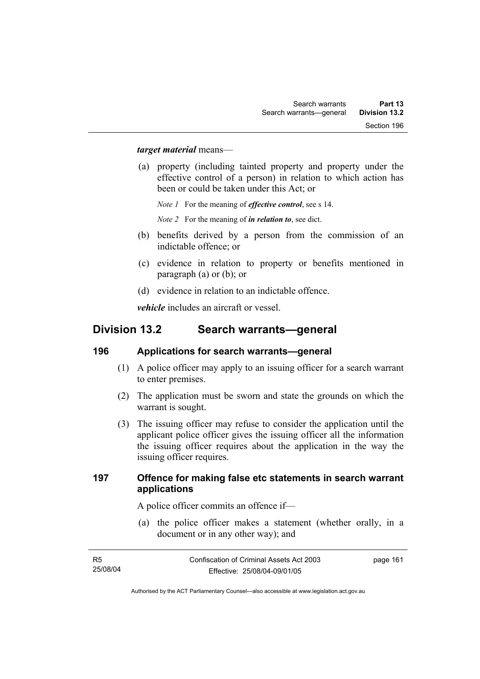#### *target material* means—

 (a) property (including tainted property and property under the effective control of a person) in relation to which action has been or could be taken under this Act; or

*Note 1* For the meaning of *effective control*, see s 14.

*Note 2* For the meaning of *in relation to*, see dict.

- (b) benefits derived by a person from the commission of an indictable offence; or
- (c) evidence in relation to property or benefits mentioned in paragraph (a) or (b); or
- (d) evidence in relation to an indictable offence.

*vehicle* includes an aircraft or vessel.

## **Division 13.2 Search warrants—general**

#### **196 Applications for search warrants—general**

- (1) A police officer may apply to an issuing officer for a search warrant to enter premises.
- (2) The application must be sworn and state the grounds on which the warrant is sought.
- (3) The issuing officer may refuse to consider the application until the applicant police officer gives the issuing officer all the information the issuing officer requires about the application in the way the issuing officer requires.

#### **197 Offence for making false etc statements in search warrant applications**

A police officer commits an offence if—

 (a) the police officer makes a statement (whether orally, in a document or in any other way); and

| - R5     | Confiscation of Criminal Assets Act 2003 | page 161 |
|----------|------------------------------------------|----------|
| 25/08/04 | Effective: 25/08/04-09/01/05             |          |
|          |                                          |          |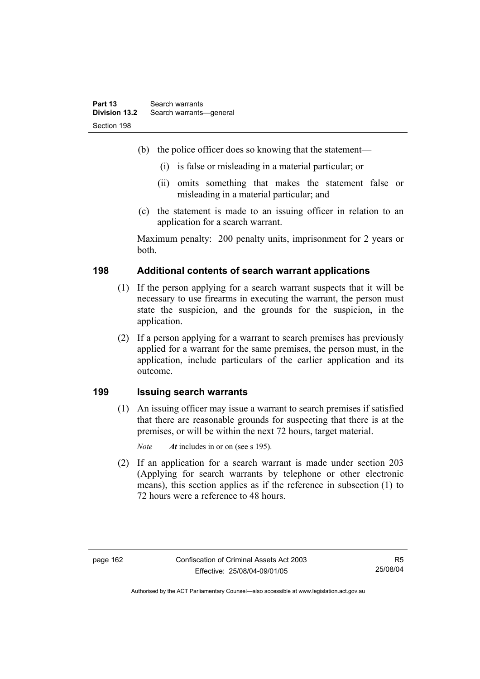- (b) the police officer does so knowing that the statement—
	- (i) is false or misleading in a material particular; or
	- (ii) omits something that makes the statement false or misleading in a material particular; and
- (c) the statement is made to an issuing officer in relation to an application for a search warrant.

Maximum penalty: 200 penalty units, imprisonment for 2 years or both.

## **198 Additional contents of search warrant applications**

- (1) If the person applying for a search warrant suspects that it will be necessary to use firearms in executing the warrant, the person must state the suspicion, and the grounds for the suspicion, in the application.
- (2) If a person applying for a warrant to search premises has previously applied for a warrant for the same premises, the person must, in the application, include particulars of the earlier application and its outcome.

#### **199 Issuing search warrants**

 (1) An issuing officer may issue a warrant to search premises if satisfied that there are reasonable grounds for suspecting that there is at the premises, or will be within the next 72 hours, target material.

*Note At* includes in or on (see s 195).

 (2) If an application for a search warrant is made under section 203 (Applying for search warrants by telephone or other electronic means), this section applies as if the reference in subsection (1) to 72 hours were a reference to 48 hours.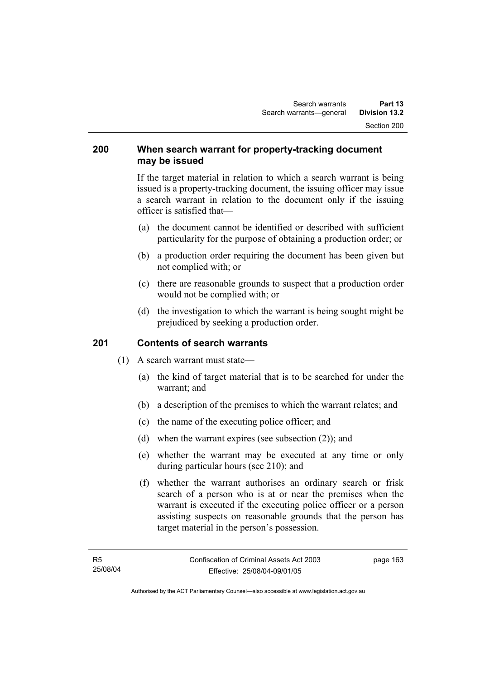#### **200 When search warrant for property-tracking document may be issued**

If the target material in relation to which a search warrant is being issued is a property-tracking document, the issuing officer may issue a search warrant in relation to the document only if the issuing officer is satisfied that—

- (a) the document cannot be identified or described with sufficient particularity for the purpose of obtaining a production order; or
- (b) a production order requiring the document has been given but not complied with; or
- (c) there are reasonable grounds to suspect that a production order would not be complied with; or
- (d) the investigation to which the warrant is being sought might be prejudiced by seeking a production order.

## **201 Contents of search warrants**

- (1) A search warrant must state—
	- (a) the kind of target material that is to be searched for under the warrant; and
	- (b) a description of the premises to which the warrant relates; and
	- (c) the name of the executing police officer; and
	- (d) when the warrant expires (see subsection (2)); and
	- (e) whether the warrant may be executed at any time or only during particular hours (see 210); and
	- (f) whether the warrant authorises an ordinary search or frisk search of a person who is at or near the premises when the warrant is executed if the executing police officer or a person assisting suspects on reasonable grounds that the person has target material in the person's possession.

page 163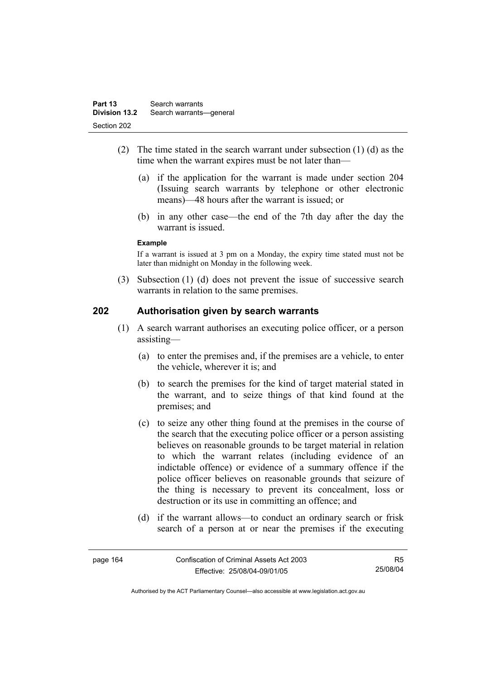- (2) The time stated in the search warrant under subsection (1) (d) as the time when the warrant expires must be not later than—
	- (a) if the application for the warrant is made under section 204 (Issuing search warrants by telephone or other electronic means)—48 hours after the warrant is issued; or
	- (b) in any other case—the end of the 7th day after the day the warrant is issued.

#### **Example**

If a warrant is issued at 3 pm on a Monday, the expiry time stated must not be later than midnight on Monday in the following week.

 (3) Subsection (1) (d) does not prevent the issue of successive search warrants in relation to the same premises.

#### **202 Authorisation given by search warrants**

- (1) A search warrant authorises an executing police officer, or a person assisting—
	- (a) to enter the premises and, if the premises are a vehicle, to enter the vehicle, wherever it is: and
	- (b) to search the premises for the kind of target material stated in the warrant, and to seize things of that kind found at the premises; and
	- (c) to seize any other thing found at the premises in the course of the search that the executing police officer or a person assisting believes on reasonable grounds to be target material in relation to which the warrant relates (including evidence of an indictable offence) or evidence of a summary offence if the police officer believes on reasonable grounds that seizure of the thing is necessary to prevent its concealment, loss or destruction or its use in committing an offence; and
	- (d) if the warrant allows—to conduct an ordinary search or frisk search of a person at or near the premises if the executing

| page 164 | Confiscation of Criminal Assets Act 2003 | R5       |
|----------|------------------------------------------|----------|
|          | Effective: 25/08/04-09/01/05             | 25/08/04 |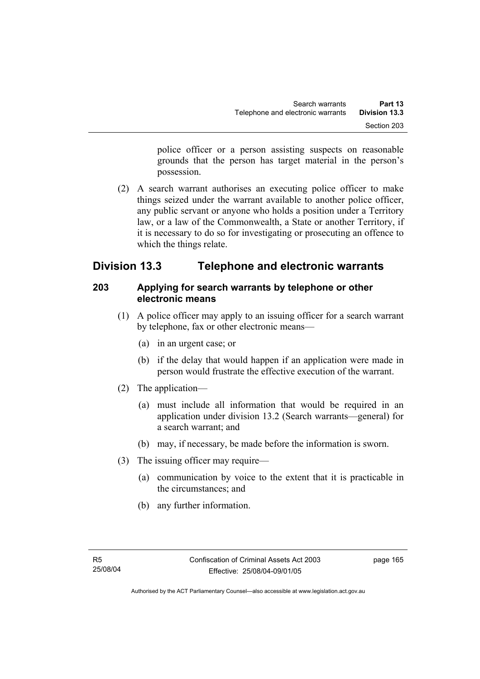police officer or a person assisting suspects on reasonable grounds that the person has target material in the person's possession.

 (2) A search warrant authorises an executing police officer to make things seized under the warrant available to another police officer, any public servant or anyone who holds a position under a Territory law, or a law of the Commonwealth, a State or another Territory, if it is necessary to do so for investigating or prosecuting an offence to which the things relate.

# **Division 13.3 Telephone and electronic warrants**

## **203 Applying for search warrants by telephone or other electronic means**

- (1) A police officer may apply to an issuing officer for a search warrant by telephone, fax or other electronic means—
	- (a) in an urgent case; or
	- (b) if the delay that would happen if an application were made in person would frustrate the effective execution of the warrant.
- (2) The application—
	- (a) must include all information that would be required in an application under division 13.2 (Search warrants—general) for a search warrant; and
	- (b) may, if necessary, be made before the information is sworn.
- (3) The issuing officer may require—
	- (a) communication by voice to the extent that it is practicable in the circumstances; and
	- (b) any further information.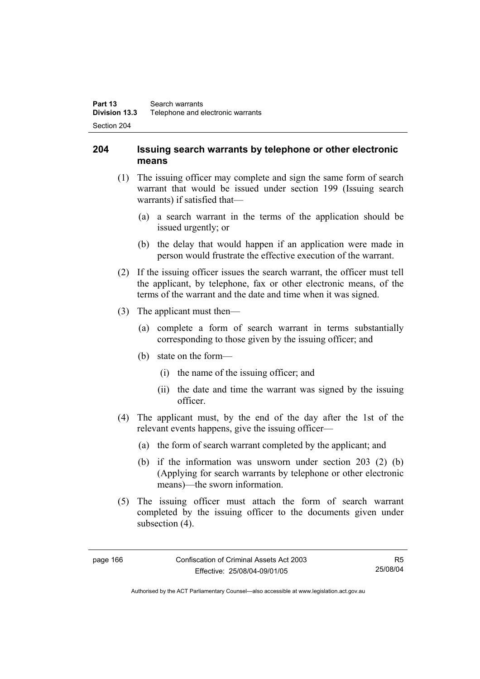## **204 Issuing search warrants by telephone or other electronic means**

- (1) The issuing officer may complete and sign the same form of search warrant that would be issued under section 199 (Issuing search warrants) if satisfied that—
	- (a) a search warrant in the terms of the application should be issued urgently; or
	- (b) the delay that would happen if an application were made in person would frustrate the effective execution of the warrant.
- (2) If the issuing officer issues the search warrant, the officer must tell the applicant, by telephone, fax or other electronic means, of the terms of the warrant and the date and time when it was signed.
- (3) The applicant must then—
	- (a) complete a form of search warrant in terms substantially corresponding to those given by the issuing officer; and
	- (b) state on the form—
		- (i) the name of the issuing officer; and
		- (ii) the date and time the warrant was signed by the issuing officer.
- (4) The applicant must, by the end of the day after the 1st of the relevant events happens, give the issuing officer—
	- (a) the form of search warrant completed by the applicant; and
	- (b) if the information was unsworn under section 203 (2) (b) (Applying for search warrants by telephone or other electronic means)—the sworn information.
- (5) The issuing officer must attach the form of search warrant completed by the issuing officer to the documents given under subsection  $(4)$ .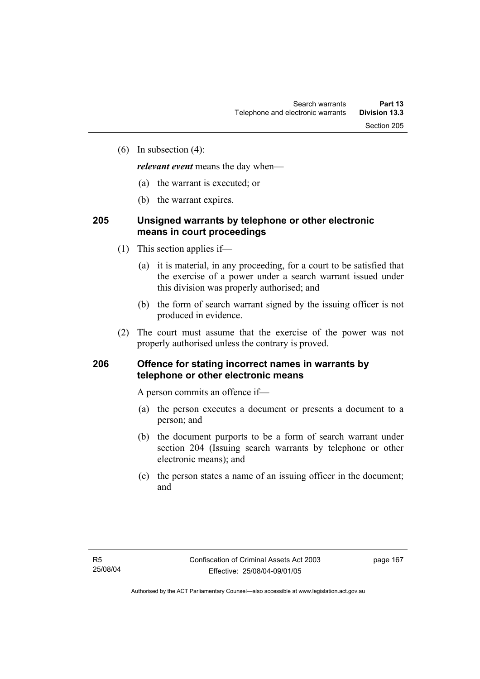(6) In subsection (4):

*relevant event* means the day when—

- (a) the warrant is executed; or
- (b) the warrant expires.

# **205 Unsigned warrants by telephone or other electronic means in court proceedings**

- (1) This section applies if—
	- (a) it is material, in any proceeding, for a court to be satisfied that the exercise of a power under a search warrant issued under this division was properly authorised; and
	- (b) the form of search warrant signed by the issuing officer is not produced in evidence.
- (2) The court must assume that the exercise of the power was not properly authorised unless the contrary is proved.

### **206 Offence for stating incorrect names in warrants by telephone or other electronic means**

A person commits an offence if—

- (a) the person executes a document or presents a document to a person; and
- (b) the document purports to be a form of search warrant under section 204 (Issuing search warrants by telephone or other electronic means); and
- (c) the person states a name of an issuing officer in the document; and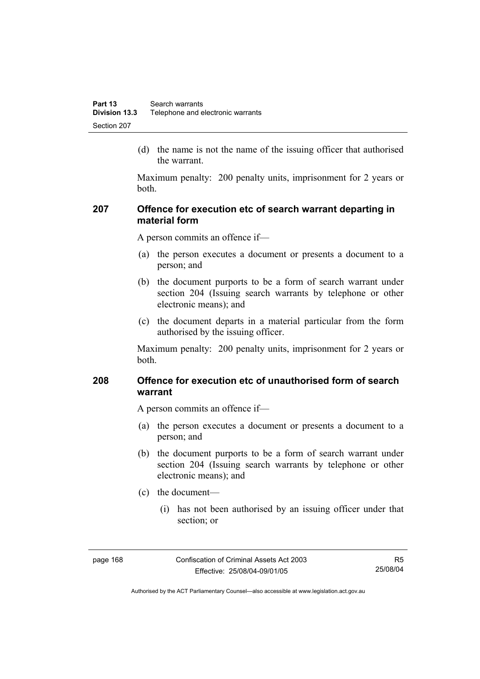(d) the name is not the name of the issuing officer that authorised the warrant.

Maximum penalty: 200 penalty units, imprisonment for 2 years or both.

## **207 Offence for execution etc of search warrant departing in material form**

A person commits an offence if—

- (a) the person executes a document or presents a document to a person; and
- (b) the document purports to be a form of search warrant under section 204 (Issuing search warrants by telephone or other electronic means); and
- (c) the document departs in a material particular from the form authorised by the issuing officer.

Maximum penalty: 200 penalty units, imprisonment for 2 years or both.

## **208 Offence for execution etc of unauthorised form of search warrant**

A person commits an offence if—

- (a) the person executes a document or presents a document to a person; and
- (b) the document purports to be a form of search warrant under section 204 (Issuing search warrants by telephone or other electronic means); and
- (c) the document—
	- (i) has not been authorised by an issuing officer under that section; or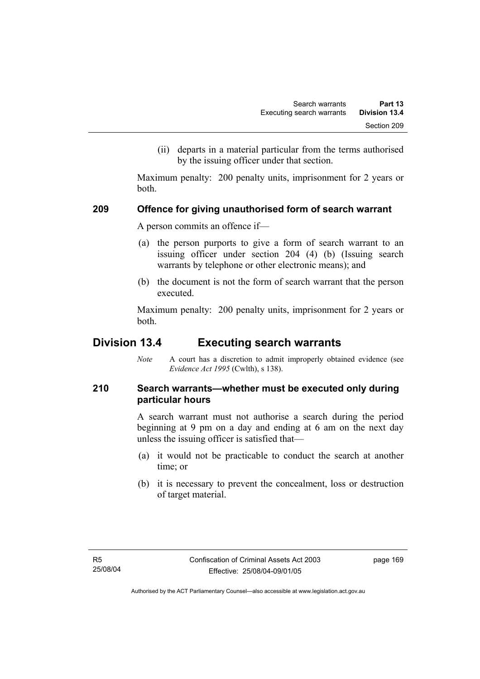(ii) departs in a material particular from the terms authorised by the issuing officer under that section.

Maximum penalty: 200 penalty units, imprisonment for 2 years or both.

### **209 Offence for giving unauthorised form of search warrant**

A person commits an offence if—

- (a) the person purports to give a form of search warrant to an issuing officer under section 204 (4) (b) (Issuing search warrants by telephone or other electronic means); and
- (b) the document is not the form of search warrant that the person executed.

Maximum penalty: 200 penalty units, imprisonment for 2 years or both.

# **Division 13.4 Executing search warrants**

*Note* A court has a discretion to admit improperly obtained evidence (see *Evidence Act 1995* (Cwlth), s 138).

# **210 Search warrants—whether must be executed only during particular hours**

A search warrant must not authorise a search during the period beginning at 9 pm on a day and ending at 6 am on the next day unless the issuing officer is satisfied that—

- (a) it would not be practicable to conduct the search at another time; or
- (b) it is necessary to prevent the concealment, loss or destruction of target material.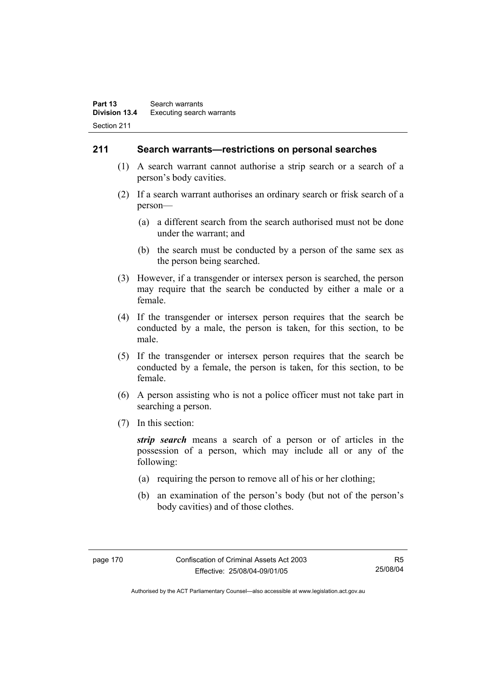### **211 Search warrants—restrictions on personal searches**

- (1) A search warrant cannot authorise a strip search or a search of a person's body cavities.
- (2) If a search warrant authorises an ordinary search or frisk search of a person—
	- (a) a different search from the search authorised must not be done under the warrant; and
	- (b) the search must be conducted by a person of the same sex as the person being searched.
- (3) However, if a transgender or intersex person is searched, the person may require that the search be conducted by either a male or a female.
- (4) If the transgender or intersex person requires that the search be conducted by a male, the person is taken, for this section, to be male.
- (5) If the transgender or intersex person requires that the search be conducted by a female, the person is taken, for this section, to be female.
- (6) A person assisting who is not a police officer must not take part in searching a person.
- (7) In this section:

*strip search* means a search of a person or of articles in the possession of a person, which may include all or any of the following:

- (a) requiring the person to remove all of his or her clothing;
- (b) an examination of the person's body (but not of the person's body cavities) and of those clothes.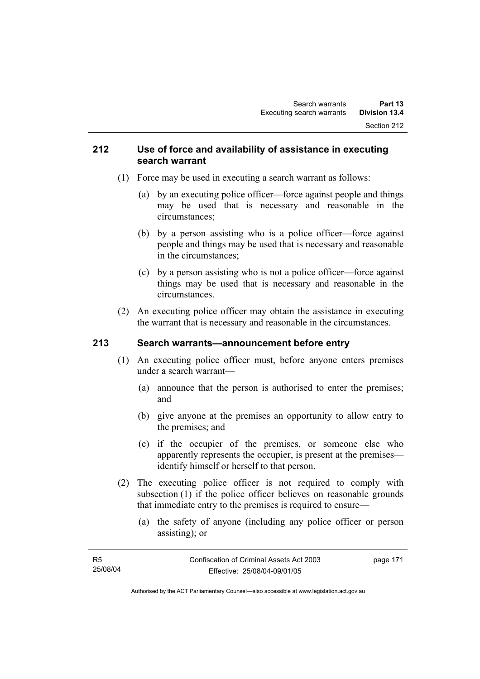### **212 Use of force and availability of assistance in executing search warrant**

- (1) Force may be used in executing a search warrant as follows:
	- (a) by an executing police officer—force against people and things may be used that is necessary and reasonable in the circumstances;
	- (b) by a person assisting who is a police officer—force against people and things may be used that is necessary and reasonable in the circumstances;
	- (c) by a person assisting who is not a police officer—force against things may be used that is necessary and reasonable in the circumstances.
- (2) An executing police officer may obtain the assistance in executing the warrant that is necessary and reasonable in the circumstances.

# **213 Search warrants—announcement before entry**

- (1) An executing police officer must, before anyone enters premises under a search warrant—
	- (a) announce that the person is authorised to enter the premises; and
	- (b) give anyone at the premises an opportunity to allow entry to the premises; and
	- (c) if the occupier of the premises, or someone else who apparently represents the occupier, is present at the premises identify himself or herself to that person.
- (2) The executing police officer is not required to comply with subsection (1) if the police officer believes on reasonable grounds that immediate entry to the premises is required to ensure—
	- (a) the safety of anyone (including any police officer or person assisting); or

| - R5     | Confiscation of Criminal Assets Act 2003 | page 171 |
|----------|------------------------------------------|----------|
| 25/08/04 | Effective: 25/08/04-09/01/05             |          |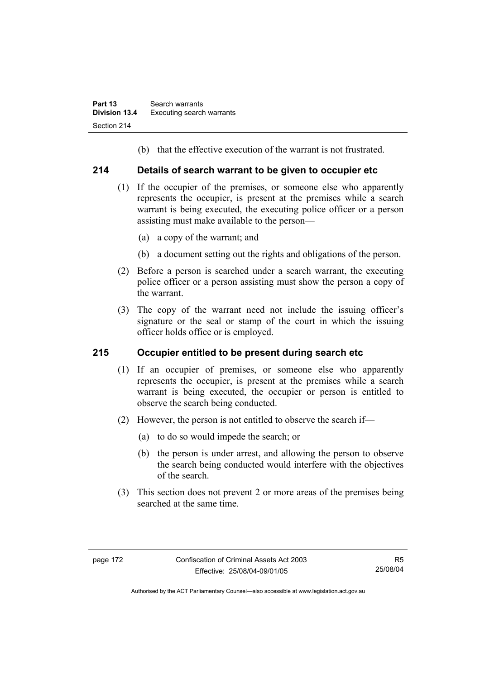(b) that the effective execution of the warrant is not frustrated.

## **214 Details of search warrant to be given to occupier etc**

- (1) If the occupier of the premises, or someone else who apparently represents the occupier, is present at the premises while a search warrant is being executed, the executing police officer or a person assisting must make available to the person—
	- (a) a copy of the warrant; and
	- (b) a document setting out the rights and obligations of the person.
- (2) Before a person is searched under a search warrant, the executing police officer or a person assisting must show the person a copy of the warrant.
- (3) The copy of the warrant need not include the issuing officer's signature or the seal or stamp of the court in which the issuing officer holds office or is employed.

# **215 Occupier entitled to be present during search etc**

- (1) If an occupier of premises, or someone else who apparently represents the occupier, is present at the premises while a search warrant is being executed, the occupier or person is entitled to observe the search being conducted.
- (2) However, the person is not entitled to observe the search if—
	- (a) to do so would impede the search; or
	- (b) the person is under arrest, and allowing the person to observe the search being conducted would interfere with the objectives of the search.
- (3) This section does not prevent 2 or more areas of the premises being searched at the same time.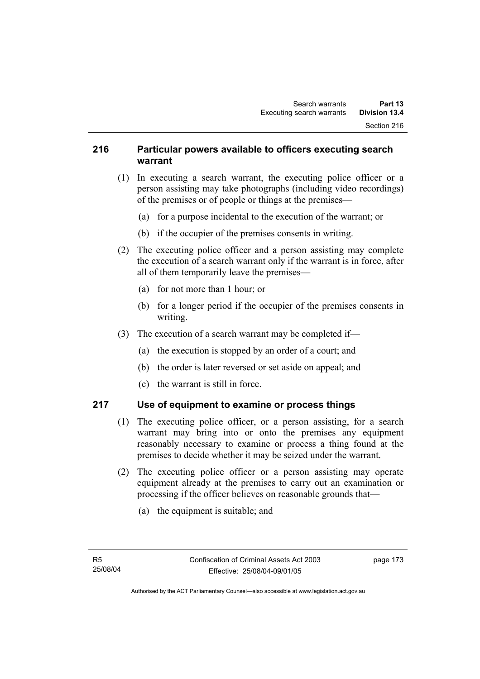## **216 Particular powers available to officers executing search warrant**

- (1) In executing a search warrant, the executing police officer or a person assisting may take photographs (including video recordings) of the premises or of people or things at the premises—
	- (a) for a purpose incidental to the execution of the warrant; or
	- (b) if the occupier of the premises consents in writing.
- (2) The executing police officer and a person assisting may complete the execution of a search warrant only if the warrant is in force, after all of them temporarily leave the premises—
	- (a) for not more than 1 hour; or
	- (b) for a longer period if the occupier of the premises consents in writing.
- (3) The execution of a search warrant may be completed if—
	- (a) the execution is stopped by an order of a court; and
	- (b) the order is later reversed or set aside on appeal; and
	- (c) the warrant is still in force.

# **217 Use of equipment to examine or process things**

- (1) The executing police officer, or a person assisting, for a search warrant may bring into or onto the premises any equipment reasonably necessary to examine or process a thing found at the premises to decide whether it may be seized under the warrant.
- (2) The executing police officer or a person assisting may operate equipment already at the premises to carry out an examination or processing if the officer believes on reasonable grounds that—
	- (a) the equipment is suitable; and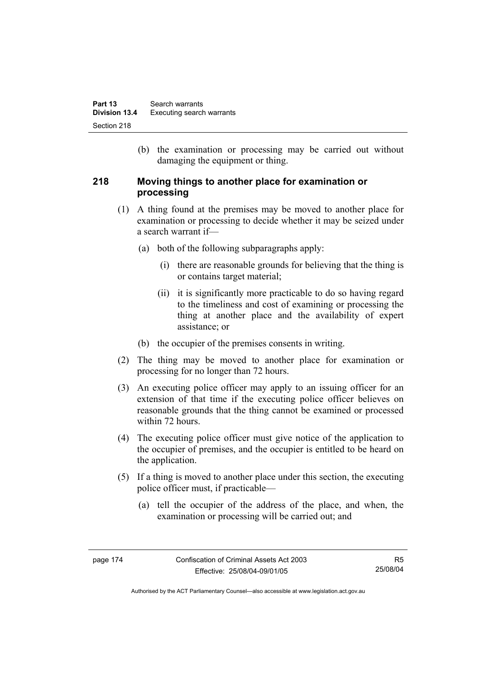(b) the examination or processing may be carried out without damaging the equipment or thing.

## **218 Moving things to another place for examination or processing**

- (1) A thing found at the premises may be moved to another place for examination or processing to decide whether it may be seized under a search warrant if—
	- (a) both of the following subparagraphs apply:
		- (i) there are reasonable grounds for believing that the thing is or contains target material;
		- (ii) it is significantly more practicable to do so having regard to the timeliness and cost of examining or processing the thing at another place and the availability of expert assistance; or
	- (b) the occupier of the premises consents in writing.
- (2) The thing may be moved to another place for examination or processing for no longer than 72 hours.
- (3) An executing police officer may apply to an issuing officer for an extension of that time if the executing police officer believes on reasonable grounds that the thing cannot be examined or processed within 72 hours.
- (4) The executing police officer must give notice of the application to the occupier of premises, and the occupier is entitled to be heard on the application.
- (5) If a thing is moved to another place under this section, the executing police officer must, if practicable—
	- (a) tell the occupier of the address of the place, and when, the examination or processing will be carried out; and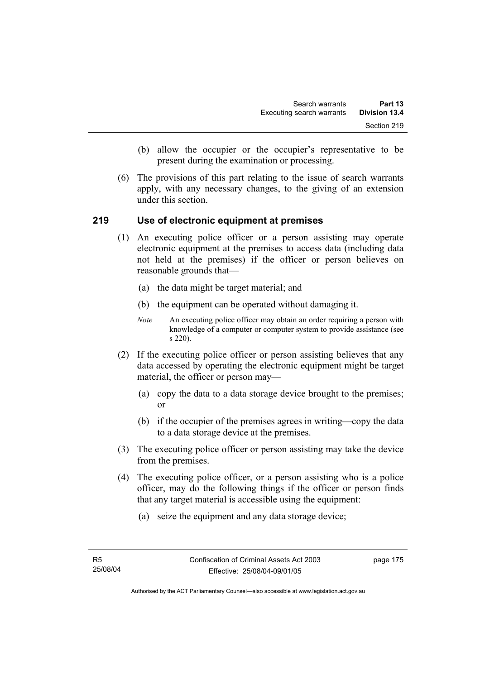- (b) allow the occupier or the occupier's representative to be present during the examination or processing.
- (6) The provisions of this part relating to the issue of search warrants apply, with any necessary changes, to the giving of an extension under this section.

### **219 Use of electronic equipment at premises**

- (1) An executing police officer or a person assisting may operate electronic equipment at the premises to access data (including data not held at the premises) if the officer or person believes on reasonable grounds that—
	- (a) the data might be target material; and
	- (b) the equipment can be operated without damaging it.
	- *Note* An executing police officer may obtain an order requiring a person with knowledge of a computer or computer system to provide assistance (see s 220).
- (2) If the executing police officer or person assisting believes that any data accessed by operating the electronic equipment might be target material, the officer or person may—
	- (a) copy the data to a data storage device brought to the premises; or
	- (b) if the occupier of the premises agrees in writing—copy the data to a data storage device at the premises.
- (3) The executing police officer or person assisting may take the device from the premises.
- (4) The executing police officer, or a person assisting who is a police officer, may do the following things if the officer or person finds that any target material is accessible using the equipment:
	- (a) seize the equipment and any data storage device;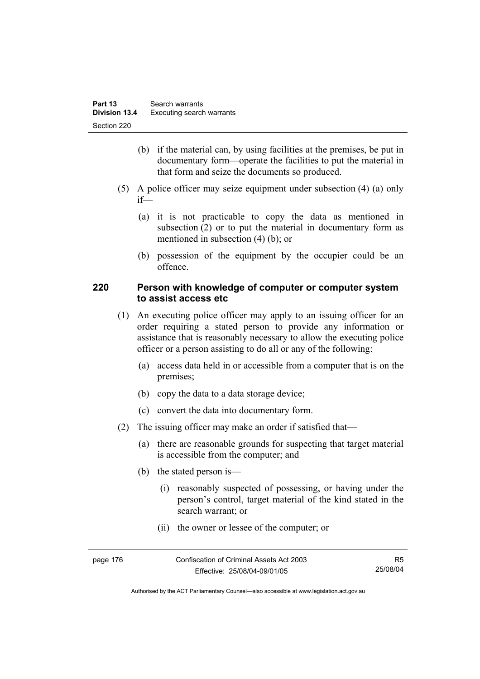- (b) if the material can, by using facilities at the premises, be put in documentary form—operate the facilities to put the material in that form and seize the documents so produced.
- (5) A police officer may seize equipment under subsection (4) (a) only if—
	- (a) it is not practicable to copy the data as mentioned in subsection (2) or to put the material in documentary form as mentioned in subsection (4) (b); or
	- (b) possession of the equipment by the occupier could be an offence.

### **220 Person with knowledge of computer or computer system to assist access etc**

- (1) An executing police officer may apply to an issuing officer for an order requiring a stated person to provide any information or assistance that is reasonably necessary to allow the executing police officer or a person assisting to do all or any of the following:
	- (a) access data held in or accessible from a computer that is on the premises;
	- (b) copy the data to a data storage device;
	- (c) convert the data into documentary form.
- (2) The issuing officer may make an order if satisfied that—
	- (a) there are reasonable grounds for suspecting that target material is accessible from the computer; and
	- (b) the stated person is—
		- (i) reasonably suspected of possessing, or having under the person's control, target material of the kind stated in the search warrant; or
		- (ii) the owner or lessee of the computer; or

| page 176 | Confiscation of Criminal Assets Act 2003 | R5       |
|----------|------------------------------------------|----------|
|          | Effective: 25/08/04-09/01/05             | 25/08/04 |

Authorised by the ACT Parliamentary Counsel—also accessible at www.legislation.act.gov.au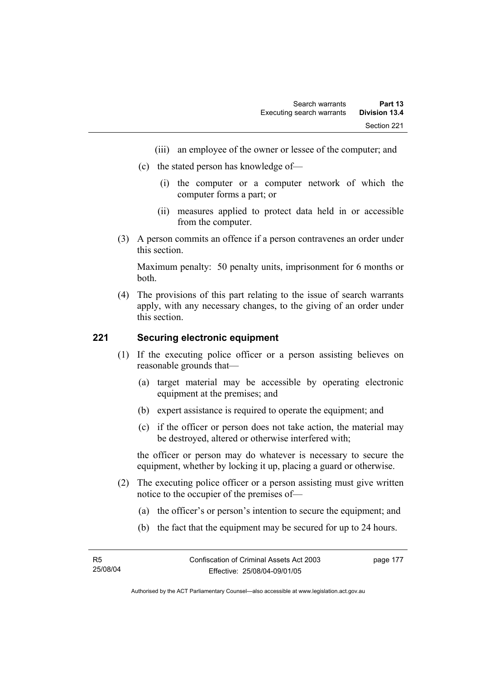- (iii) an employee of the owner or lessee of the computer; and
- (c) the stated person has knowledge of—
	- (i) the computer or a computer network of which the computer forms a part; or
	- (ii) measures applied to protect data held in or accessible from the computer.
- (3) A person commits an offence if a person contravenes an order under this section.

Maximum penalty: 50 penalty units, imprisonment for 6 months or both.

 (4) The provisions of this part relating to the issue of search warrants apply, with any necessary changes, to the giving of an order under this section.

### **221 Securing electronic equipment**

- (1) If the executing police officer or a person assisting believes on reasonable grounds that—
	- (a) target material may be accessible by operating electronic equipment at the premises; and
	- (b) expert assistance is required to operate the equipment; and
	- (c) if the officer or person does not take action, the material may be destroyed, altered or otherwise interfered with;

the officer or person may do whatever is necessary to secure the equipment, whether by locking it up, placing a guard or otherwise.

- (2) The executing police officer or a person assisting must give written notice to the occupier of the premises of—
	- (a) the officer's or person's intention to secure the equipment; and
	- (b) the fact that the equipment may be secured for up to 24 hours.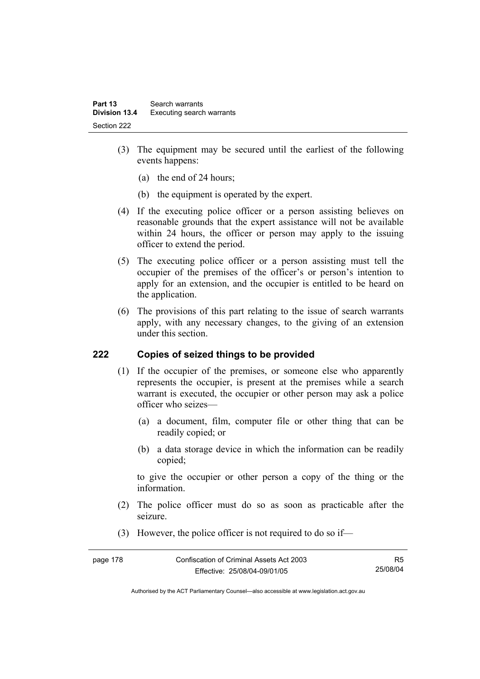- (3) The equipment may be secured until the earliest of the following events happens:
	- (a) the end of 24 hours;
	- (b) the equipment is operated by the expert.
- (4) If the executing police officer or a person assisting believes on reasonable grounds that the expert assistance will not be available within 24 hours, the officer or person may apply to the issuing officer to extend the period.
- (5) The executing police officer or a person assisting must tell the occupier of the premises of the officer's or person's intention to apply for an extension, and the occupier is entitled to be heard on the application.
- (6) The provisions of this part relating to the issue of search warrants apply, with any necessary changes, to the giving of an extension under this section.

# **222 Copies of seized things to be provided**

- (1) If the occupier of the premises, or someone else who apparently represents the occupier, is present at the premises while a search warrant is executed, the occupier or other person may ask a police officer who seizes—
	- (a) a document, film, computer file or other thing that can be readily copied; or
	- (b) a data storage device in which the information can be readily copied;

to give the occupier or other person a copy of the thing or the information.

- (2) The police officer must do so as soon as practicable after the seizure.
- (3) However, the police officer is not required to do so if—

| page 178 | Confiscation of Criminal Assets Act 2003 |          |
|----------|------------------------------------------|----------|
|          | Effective: 25/08/04-09/01/05             | 25/08/04 |

Authorised by the ACT Parliamentary Counsel—also accessible at www.legislation.act.gov.au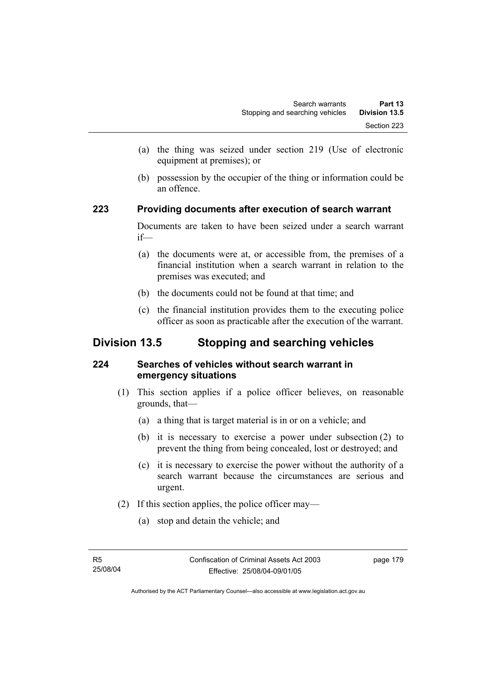- (a) the thing was seized under section 219 (Use of electronic equipment at premises); or
- (b) possession by the occupier of the thing or information could be an offence.

## **223 Providing documents after execution of search warrant**

Documents are taken to have been seized under a search warrant if—

- (a) the documents were at, or accessible from, the premises of a financial institution when a search warrant in relation to the premises was executed; and
- (b) the documents could not be found at that time; and
- (c) the financial institution provides them to the executing police officer as soon as practicable after the execution of the warrant.

# **Division 13.5 Stopping and searching vehicles**

# **224 Searches of vehicles without search warrant in emergency situations**

- (1) This section applies if a police officer believes, on reasonable grounds, that—
	- (a) a thing that is target material is in or on a vehicle; and
	- (b) it is necessary to exercise a power under subsection (2) to prevent the thing from being concealed, lost or destroyed; and
	- (c) it is necessary to exercise the power without the authority of a search warrant because the circumstances are serious and urgent.
- (2) If this section applies, the police officer may—
	- (a) stop and detain the vehicle; and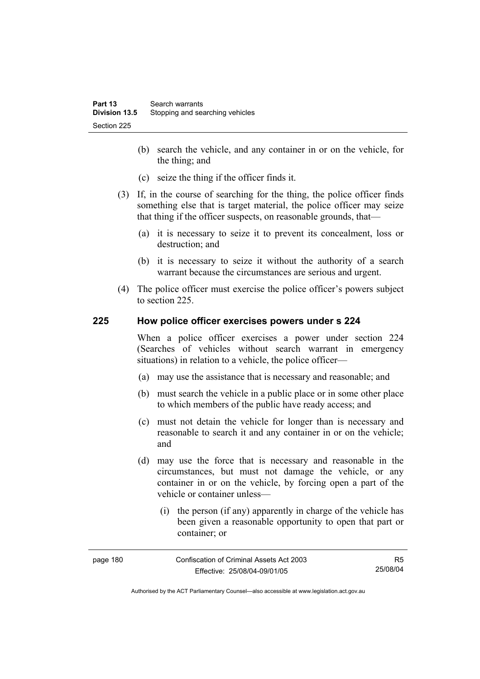- (b) search the vehicle, and any container in or on the vehicle, for the thing; and
- (c) seize the thing if the officer finds it.
- (3) If, in the course of searching for the thing, the police officer finds something else that is target material, the police officer may seize that thing if the officer suspects, on reasonable grounds, that—
	- (a) it is necessary to seize it to prevent its concealment, loss or destruction; and
	- (b) it is necessary to seize it without the authority of a search warrant because the circumstances are serious and urgent.
- (4) The police officer must exercise the police officer's powers subject to section 225.

### **225 How police officer exercises powers under s 224**

When a police officer exercises a power under section 224 (Searches of vehicles without search warrant in emergency situations) in relation to a vehicle, the police officer—

- (a) may use the assistance that is necessary and reasonable; and
- (b) must search the vehicle in a public place or in some other place to which members of the public have ready access; and
- (c) must not detain the vehicle for longer than is necessary and reasonable to search it and any container in or on the vehicle; and
- (d) may use the force that is necessary and reasonable in the circumstances, but must not damage the vehicle, or any container in or on the vehicle, by forcing open a part of the vehicle or container unless—
	- (i) the person (if any) apparently in charge of the vehicle has been given a reasonable opportunity to open that part or container; or

| page 180 | Confiscation of Criminal Assets Act 2003 | R5       |
|----------|------------------------------------------|----------|
|          | Effective: 25/08/04-09/01/05             | 25/08/04 |

Authorised by the ACT Parliamentary Counsel—also accessible at www.legislation.act.gov.au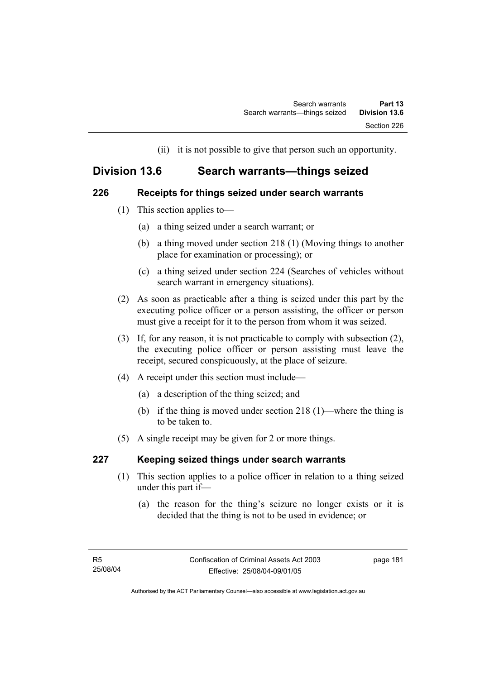(ii) it is not possible to give that person such an opportunity.

# **Division 13.6 Search warrants—things seized**

## **226 Receipts for things seized under search warrants**

- (1) This section applies to—
	- (a) a thing seized under a search warrant; or
	- (b) a thing moved under section 218 (1) (Moving things to another place for examination or processing); or
	- (c) a thing seized under section 224 (Searches of vehicles without search warrant in emergency situations).
- (2) As soon as practicable after a thing is seized under this part by the executing police officer or a person assisting, the officer or person must give a receipt for it to the person from whom it was seized.
- (3) If, for any reason, it is not practicable to comply with subsection (2), the executing police officer or person assisting must leave the receipt, secured conspicuously, at the place of seizure.
- (4) A receipt under this section must include—
	- (a) a description of the thing seized; and
	- (b) if the thing is moved under section 218 (1)—where the thing is to be taken to.
- (5) A single receipt may be given for 2 or more things.

# **227 Keeping seized things under search warrants**

- (1) This section applies to a police officer in relation to a thing seized under this part if—
	- (a) the reason for the thing's seizure no longer exists or it is decided that the thing is not to be used in evidence; or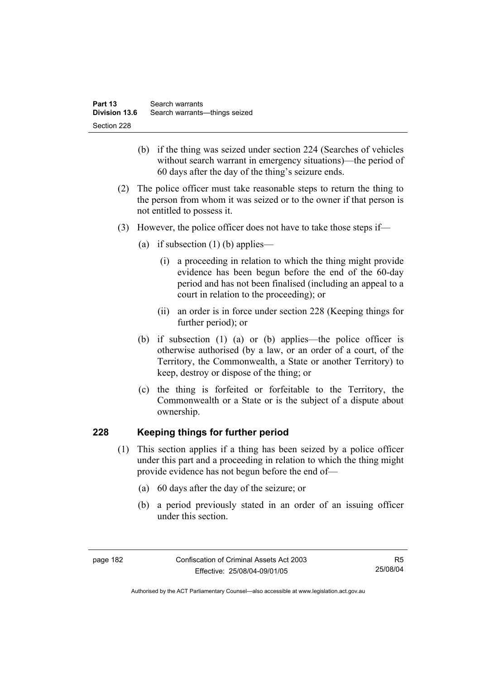- (b) if the thing was seized under section 224 (Searches of vehicles without search warrant in emergency situations)—the period of 60 days after the day of the thing's seizure ends.
- (2) The police officer must take reasonable steps to return the thing to the person from whom it was seized or to the owner if that person is not entitled to possess it.
- (3) However, the police officer does not have to take those steps if—
	- (a) if subsection  $(1)$  (b) applies—
		- (i) a proceeding in relation to which the thing might provide evidence has been begun before the end of the 60-day period and has not been finalised (including an appeal to a court in relation to the proceeding); or
		- (ii) an order is in force under section 228 (Keeping things for further period); or
	- (b) if subsection (1) (a) or (b) applies—the police officer is otherwise authorised (by a law, or an order of a court, of the Territory, the Commonwealth, a State or another Territory) to keep, destroy or dispose of the thing; or
	- (c) the thing is forfeited or forfeitable to the Territory, the Commonwealth or a State or is the subject of a dispute about ownership.

# **228 Keeping things for further period**

- (1) This section applies if a thing has been seized by a police officer under this part and a proceeding in relation to which the thing might provide evidence has not begun before the end of—
	- (a) 60 days after the day of the seizure; or
	- (b) a period previously stated in an order of an issuing officer under this section.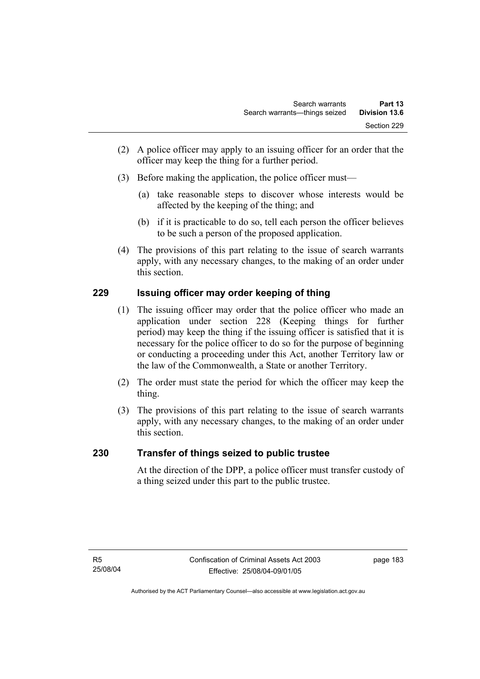- (2) A police officer may apply to an issuing officer for an order that the officer may keep the thing for a further period.
- (3) Before making the application, the police officer must—
	- (a) take reasonable steps to discover whose interests would be affected by the keeping of the thing; and
	- (b) if it is practicable to do so, tell each person the officer believes to be such a person of the proposed application.
- (4) The provisions of this part relating to the issue of search warrants apply, with any necessary changes, to the making of an order under this section.

# **229 Issuing officer may order keeping of thing**

- (1) The issuing officer may order that the police officer who made an application under section 228 (Keeping things for further period) may keep the thing if the issuing officer is satisfied that it is necessary for the police officer to do so for the purpose of beginning or conducting a proceeding under this Act, another Territory law or the law of the Commonwealth, a State or another Territory.
- (2) The order must state the period for which the officer may keep the thing.
- (3) The provisions of this part relating to the issue of search warrants apply, with any necessary changes, to the making of an order under this section.

# **230 Transfer of things seized to public trustee**

At the direction of the DPP, a police officer must transfer custody of a thing seized under this part to the public trustee.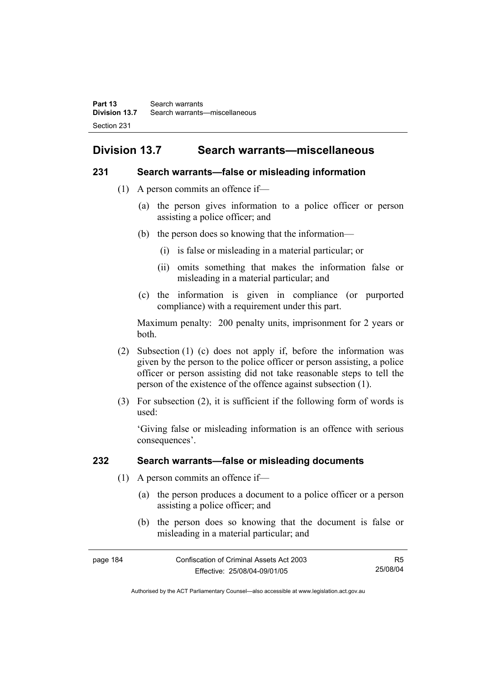# **Division 13.7 Search warrants—miscellaneous**

### **231 Search warrants—false or misleading information**

- (1) A person commits an offence if—
	- (a) the person gives information to a police officer or person assisting a police officer; and
	- (b) the person does so knowing that the information—
		- (i) is false or misleading in a material particular; or
		- (ii) omits something that makes the information false or misleading in a material particular; and
	- (c) the information is given in compliance (or purported compliance) with a requirement under this part.

Maximum penalty: 200 penalty units, imprisonment for 2 years or both.

- (2) Subsection (1) (c) does not apply if, before the information was given by the person to the police officer or person assisting, a police officer or person assisting did not take reasonable steps to tell the person of the existence of the offence against subsection (1).
- (3) For subsection (2), it is sufficient if the following form of words is used:

'Giving false or misleading information is an offence with serious consequences'.

# **232 Search warrants—false or misleading documents**

- (1) A person commits an offence if—
	- (a) the person produces a document to a police officer or a person assisting a police officer; and
	- (b) the person does so knowing that the document is false or misleading in a material particular; and

| page 184 | Confiscation of Criminal Assets Act 2003 | R5       |
|----------|------------------------------------------|----------|
|          | Effective: 25/08/04-09/01/05             | 25/08/04 |

Authorised by the ACT Parliamentary Counsel—also accessible at www.legislation.act.gov.au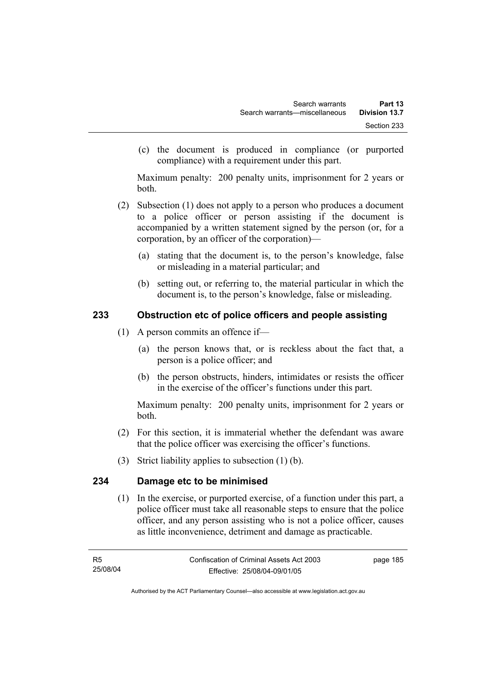(c) the document is produced in compliance (or purported compliance) with a requirement under this part.

Maximum penalty: 200 penalty units, imprisonment for 2 years or both.

- (2) Subsection (1) does not apply to a person who produces a document to a police officer or person assisting if the document is accompanied by a written statement signed by the person (or, for a corporation, by an officer of the corporation)—
	- (a) stating that the document is, to the person's knowledge, false or misleading in a material particular; and
	- (b) setting out, or referring to, the material particular in which the document is, to the person's knowledge, false or misleading.

# **233 Obstruction etc of police officers and people assisting**

- (1) A person commits an offence if—
	- (a) the person knows that, or is reckless about the fact that, a person is a police officer; and
	- (b) the person obstructs, hinders, intimidates or resists the officer in the exercise of the officer's functions under this part.

Maximum penalty: 200 penalty units, imprisonment for 2 years or both.

- (2) For this section, it is immaterial whether the defendant was aware that the police officer was exercising the officer's functions.
- (3) Strict liability applies to subsection (1) (b).

# **234 Damage etc to be minimised**

 (1) In the exercise, or purported exercise, of a function under this part, a police officer must take all reasonable steps to ensure that the police officer, and any person assisting who is not a police officer, causes as little inconvenience, detriment and damage as practicable.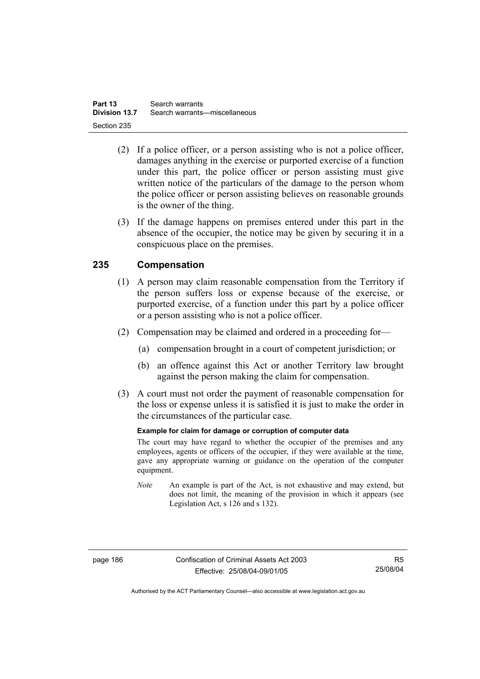- (2) If a police officer, or a person assisting who is not a police officer, damages anything in the exercise or purported exercise of a function under this part, the police officer or person assisting must give written notice of the particulars of the damage to the person whom the police officer or person assisting believes on reasonable grounds is the owner of the thing.
- (3) If the damage happens on premises entered under this part in the absence of the occupier, the notice may be given by securing it in a conspicuous place on the premises.

# **235 Compensation**

- (1) A person may claim reasonable compensation from the Territory if the person suffers loss or expense because of the exercise, or purported exercise, of a function under this part by a police officer or a person assisting who is not a police officer.
- (2) Compensation may be claimed and ordered in a proceeding for—
	- (a) compensation brought in a court of competent jurisdiction; or
	- (b) an offence against this Act or another Territory law brought against the person making the claim for compensation.
- (3) A court must not order the payment of reasonable compensation for the loss or expense unless it is satisfied it is just to make the order in the circumstances of the particular case.

### **Example for claim for damage or corruption of computer data**

The court may have regard to whether the occupier of the premises and any employees, agents or officers of the occupier, if they were available at the time, gave any appropriate warning or guidance on the operation of the computer equipment.

*Note* An example is part of the Act, is not exhaustive and may extend, but does not limit, the meaning of the provision in which it appears (see Legislation Act, s 126 and s 132).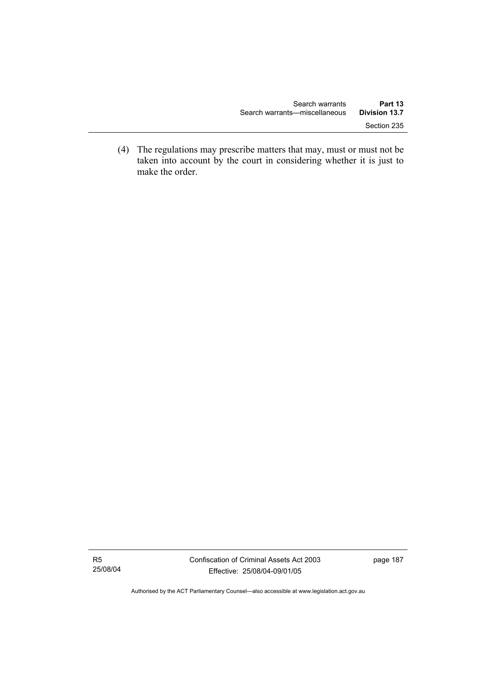(4) The regulations may prescribe matters that may, must or must not be taken into account by the court in considering whether it is just to make the order.

R5 25/08/04

Authorised by the ACT Parliamentary Counsel—also accessible at www.legislation.act.gov.au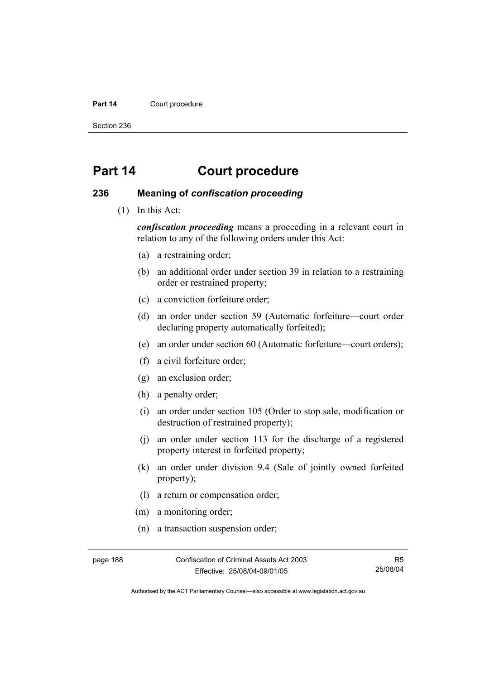#### Part 14 **Court procedure**

Section 236

# **Part 14 Court procedure**

### **236 Meaning of** *confiscation proceeding*

(1) In this Act:

*confiscation proceeding* means a proceeding in a relevant court in relation to any of the following orders under this Act:

- (a) a restraining order;
- (b) an additional order under section 39 in relation to a restraining order or restrained property;
- (c) a conviction forfeiture order;
- (d) an order under section 59 (Automatic forfeiture—court order declaring property automatically forfeited);
- (e) an order under section 60 (Automatic forfeiture—court orders);
- (f) a civil forfeiture order;
- (g) an exclusion order;
- (h) a penalty order;
- (i) an order under section 105 (Order to stop sale, modification or destruction of restrained property);
- (j) an order under section 113 for the discharge of a registered property interest in forfeited property;
- (k) an order under division 9.4 (Sale of jointly owned forfeited property);
- (l) a return or compensation order;
- (m) a monitoring order;
- (n) a transaction suspension order;

page 188 Confiscation of Criminal Assets Act 2003 Effective: 25/08/04-09/01/05

R5 25/08/04

Authorised by the ACT Parliamentary Counsel—also accessible at www.legislation.act.gov.au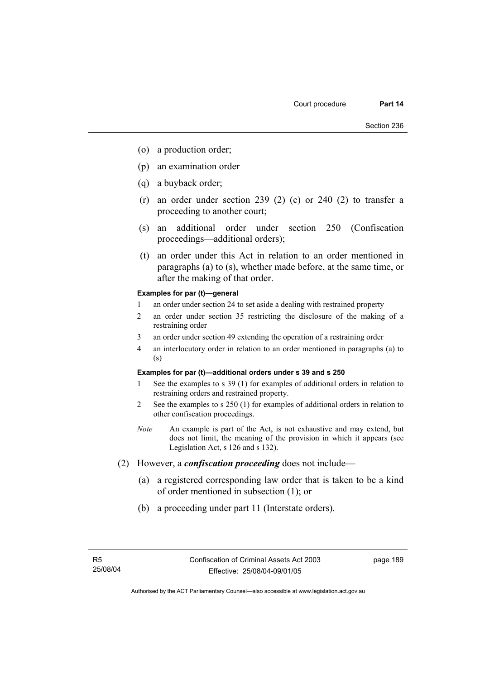- (o) a production order;
- (p) an examination order
- (q) a buyback order;
- (r) an order under section 239 (2) (c) or 240 (2) to transfer a proceeding to another court;
- (s) an additional order under section 250 (Confiscation proceedings—additional orders);
- (t) an order under this Act in relation to an order mentioned in paragraphs (a) to (s), whether made before, at the same time, or after the making of that order.

#### **Examples for par (t)—general**

- 1 an order under section 24 to set aside a dealing with restrained property
- 2 an order under section 35 restricting the disclosure of the making of a restraining order
- 3 an order under section 49 extending the operation of a restraining order
- 4 an interlocutory order in relation to an order mentioned in paragraphs (a) to (s)

#### **Examples for par (t)—additional orders under s 39 and s 250**

- 1 See the examples to s 39 (1) for examples of additional orders in relation to restraining orders and restrained property.
- 2 See the examples to s 250 (1) for examples of additional orders in relation to other confiscation proceedings.
- *Note* An example is part of the Act, is not exhaustive and may extend, but does not limit, the meaning of the provision in which it appears (see Legislation Act, s 126 and s 132).
- (2) However, a *confiscation proceeding* does not include—
	- (a) a registered corresponding law order that is taken to be a kind of order mentioned in subsection (1); or
	- (b) a proceeding under part 11 (Interstate orders).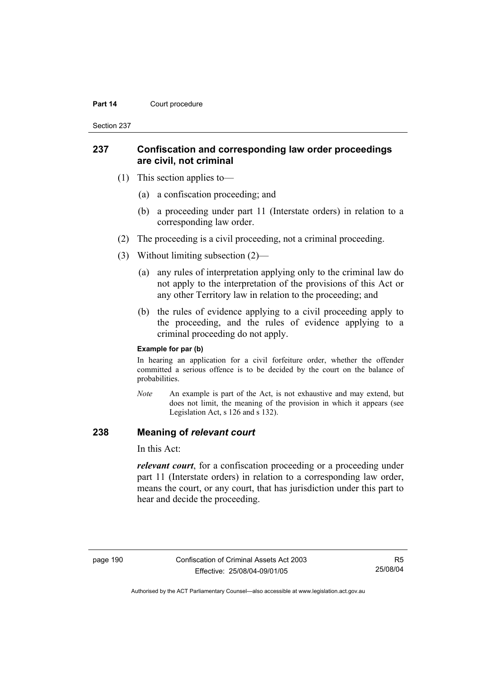#### **Part 14 Court procedure**

Section 237

### **237 Confiscation and corresponding law order proceedings are civil, not criminal**

- (1) This section applies to—
	- (a) a confiscation proceeding; and
	- (b) a proceeding under part 11 (Interstate orders) in relation to a corresponding law order.
- (2) The proceeding is a civil proceeding, not a criminal proceeding.
- (3) Without limiting subsection (2)—
	- (a) any rules of interpretation applying only to the criminal law do not apply to the interpretation of the provisions of this Act or any other Territory law in relation to the proceeding; and
	- (b) the rules of evidence applying to a civil proceeding apply to the proceeding, and the rules of evidence applying to a criminal proceeding do not apply.

#### **Example for par (b)**

In hearing an application for a civil forfeiture order, whether the offender committed a serious offence is to be decided by the court on the balance of probabilities.

*Note* An example is part of the Act, is not exhaustive and may extend, but does not limit, the meaning of the provision in which it appears (see Legislation Act, s 126 and s 132).

### **238 Meaning of** *relevant court*

In this Act:

*relevant court*, for a confiscation proceeding or a proceeding under part 11 (Interstate orders) in relation to a corresponding law order, means the court, or any court, that has jurisdiction under this part to hear and decide the proceeding.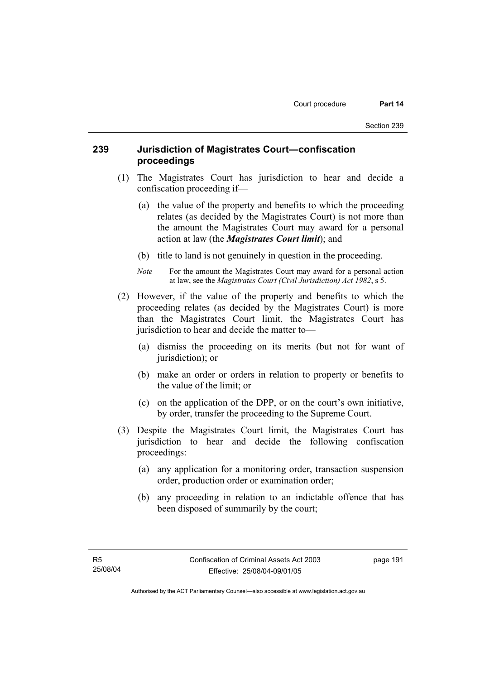## **239 Jurisdiction of Magistrates Court—confiscation proceedings**

- (1) The Magistrates Court has jurisdiction to hear and decide a confiscation proceeding if—
	- (a) the value of the property and benefits to which the proceeding relates (as decided by the Magistrates Court) is not more than the amount the Magistrates Court may award for a personal action at law (the *Magistrates Court limit*); and
	- (b) title to land is not genuinely in question in the proceeding.
	- *Note* For the amount the Magistrates Court may award for a personal action at law, see the *Magistrates Court (Civil Jurisdiction) Act 1982*, s 5.
- (2) However, if the value of the property and benefits to which the proceeding relates (as decided by the Magistrates Court) is more than the Magistrates Court limit, the Magistrates Court has jurisdiction to hear and decide the matter to—
	- (a) dismiss the proceeding on its merits (but not for want of jurisdiction); or
	- (b) make an order or orders in relation to property or benefits to the value of the limit; or
	- (c) on the application of the DPP, or on the court's own initiative, by order, transfer the proceeding to the Supreme Court.
- (3) Despite the Magistrates Court limit, the Magistrates Court has jurisdiction to hear and decide the following confiscation proceedings:
	- (a) any application for a monitoring order, transaction suspension order, production order or examination order;
	- (b) any proceeding in relation to an indictable offence that has been disposed of summarily by the court;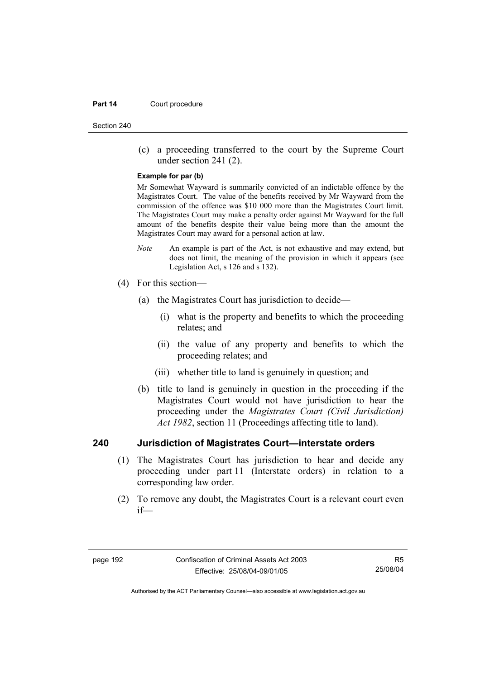#### **Part 14 Court procedure**

Section 240

 (c) a proceeding transferred to the court by the Supreme Court under section 241 (2).

#### **Example for par (b)**

Mr Somewhat Wayward is summarily convicted of an indictable offence by the Magistrates Court. The value of the benefits received by Mr Wayward from the commission of the offence was \$10 000 more than the Magistrates Court limit. The Magistrates Court may make a penalty order against Mr Wayward for the full amount of the benefits despite their value being more than the amount the Magistrates Court may award for a personal action at law.

- *Note* An example is part of the Act, is not exhaustive and may extend, but does not limit, the meaning of the provision in which it appears (see Legislation Act, s 126 and s 132).
- (4) For this section—
	- (a) the Magistrates Court has jurisdiction to decide—
		- (i) what is the property and benefits to which the proceeding relates; and
		- (ii) the value of any property and benefits to which the proceeding relates; and
		- (iii) whether title to land is genuinely in question; and
	- (b) title to land is genuinely in question in the proceeding if the Magistrates Court would not have jurisdiction to hear the proceeding under the *Magistrates Court (Civil Jurisdiction) Act 1982*, section 11 (Proceedings affecting title to land).

### **240 Jurisdiction of Magistrates Court—interstate orders**

- (1) The Magistrates Court has jurisdiction to hear and decide any proceeding under part 11 (Interstate orders) in relation to a corresponding law order.
- (2) To remove any doubt, the Magistrates Court is a relevant court even if—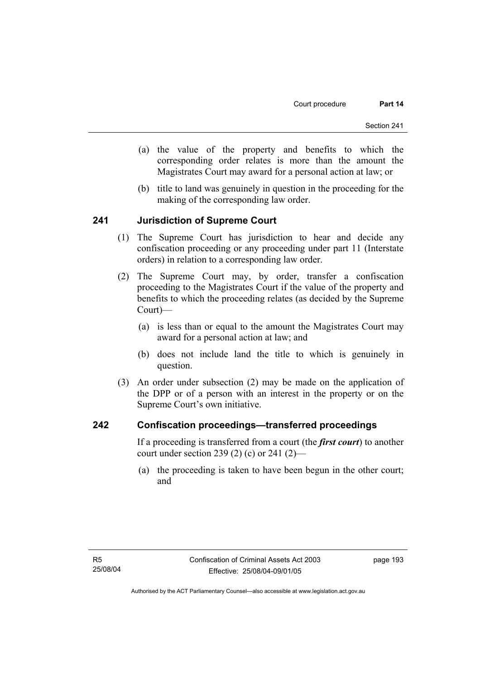- (a) the value of the property and benefits to which the corresponding order relates is more than the amount the Magistrates Court may award for a personal action at law; or
- (b) title to land was genuinely in question in the proceeding for the making of the corresponding law order.

### **241 Jurisdiction of Supreme Court**

- (1) The Supreme Court has jurisdiction to hear and decide any confiscation proceeding or any proceeding under part 11 (Interstate orders) in relation to a corresponding law order.
- (2) The Supreme Court may, by order, transfer a confiscation proceeding to the Magistrates Court if the value of the property and benefits to which the proceeding relates (as decided by the Supreme Court)—
	- (a) is less than or equal to the amount the Magistrates Court may award for a personal action at law; and
	- (b) does not include land the title to which is genuinely in question.
- (3) An order under subsection (2) may be made on the application of the DPP or of a person with an interest in the property or on the Supreme Court's own initiative.

### **242 Confiscation proceedings—transferred proceedings**

If a proceeding is transferred from a court (the *first court*) to another court under section 239 (2) (c) or 241 (2)—

 (a) the proceeding is taken to have been begun in the other court; and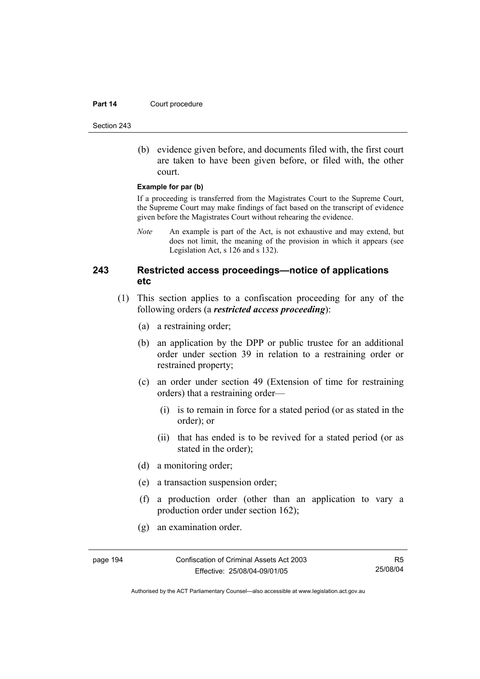#### **Part 14 Court procedure**

Section 243

 (b) evidence given before, and documents filed with, the first court are taken to have been given before, or filed with, the other court.

#### **Example for par (b)**

If a proceeding is transferred from the Magistrates Court to the Supreme Court, the Supreme Court may make findings of fact based on the transcript of evidence given before the Magistrates Court without rehearing the evidence.

*Note* An example is part of the Act, is not exhaustive and may extend, but does not limit, the meaning of the provision in which it appears (see Legislation Act, s 126 and s 132).

# **243 Restricted access proceedings—notice of applications etc**

- (1) This section applies to a confiscation proceeding for any of the following orders (a *restricted access proceeding*):
	- (a) a restraining order;
	- (b) an application by the DPP or public trustee for an additional order under section 39 in relation to a restraining order or restrained property;
	- (c) an order under section 49 (Extension of time for restraining orders) that a restraining order—
		- (i) is to remain in force for a stated period (or as stated in the order); or
		- (ii) that has ended is to be revived for a stated period (or as stated in the order);
	- (d) a monitoring order;
	- (e) a transaction suspension order;
	- (f) a production order (other than an application to vary a production order under section 162);
	- (g) an examination order.

R5 25/08/04

Authorised by the ACT Parliamentary Counsel—also accessible at www.legislation.act.gov.au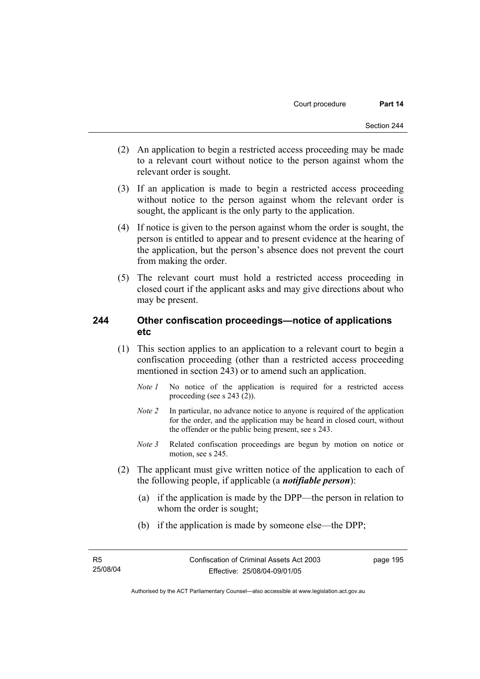- (2) An application to begin a restricted access proceeding may be made to a relevant court without notice to the person against whom the relevant order is sought.
- (3) If an application is made to begin a restricted access proceeding without notice to the person against whom the relevant order is sought, the applicant is the only party to the application.
- (4) If notice is given to the person against whom the order is sought, the person is entitled to appear and to present evidence at the hearing of the application, but the person's absence does not prevent the court from making the order.
- (5) The relevant court must hold a restricted access proceeding in closed court if the applicant asks and may give directions about who may be present.

## **244 Other confiscation proceedings—notice of applications etc**

- (1) This section applies to an application to a relevant court to begin a confiscation proceeding (other than a restricted access proceeding mentioned in section 243) or to amend such an application.
	- *Note 1* No notice of the application is required for a restricted access proceeding (see s 243 (2)).
	- *Note 2* In particular, no advance notice to anyone is required of the application for the order, and the application may be heard in closed court, without the offender or the public being present, see s 243.
	- *Note 3* Related confiscation proceedings are begun by motion on notice or motion, see s 245.
- (2) The applicant must give written notice of the application to each of the following people, if applicable (a *notifiable person*):
	- (a) if the application is made by the DPP—the person in relation to whom the order is sought;
	- (b) if the application is made by someone else—the DPP;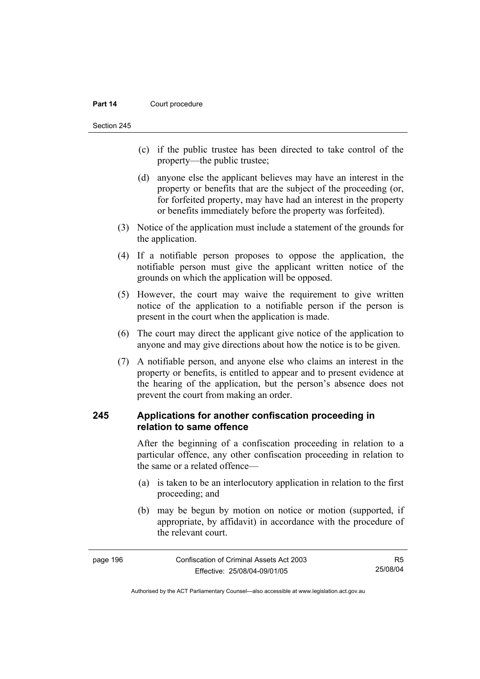#### **Part 14 Court procedure**

Section 245

- (c) if the public trustee has been directed to take control of the property—the public trustee;
- (d) anyone else the applicant believes may have an interest in the property or benefits that are the subject of the proceeding (or, for forfeited property, may have had an interest in the property or benefits immediately before the property was forfeited).
- (3) Notice of the application must include a statement of the grounds for the application.
- (4) If a notifiable person proposes to oppose the application, the notifiable person must give the applicant written notice of the grounds on which the application will be opposed.
- (5) However, the court may waive the requirement to give written notice of the application to a notifiable person if the person is present in the court when the application is made.
- (6) The court may direct the applicant give notice of the application to anyone and may give directions about how the notice is to be given.
- (7) A notifiable person, and anyone else who claims an interest in the property or benefits, is entitled to appear and to present evidence at the hearing of the application, but the person's absence does not prevent the court from making an order.

## **245 Applications for another confiscation proceeding in relation to same offence**

After the beginning of a confiscation proceeding in relation to a particular offence, any other confiscation proceeding in relation to the same or a related offence—

- (a) is taken to be an interlocutory application in relation to the first proceeding; and
- (b) may be begun by motion on notice or motion (supported, if appropriate, by affidavit) in accordance with the procedure of the relevant court.

| page 196 | Confiscation of Criminal Assets Act 2003 | R5       |
|----------|------------------------------------------|----------|
|          | Effective: 25/08/04-09/01/05             | 25/08/04 |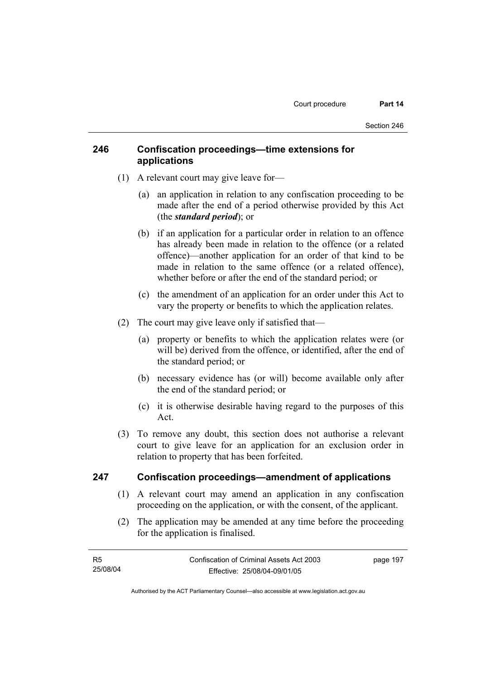# **246 Confiscation proceedings—time extensions for applications**

- (1) A relevant court may give leave for—
	- (a) an application in relation to any confiscation proceeding to be made after the end of a period otherwise provided by this Act (the *standard period*); or
	- (b) if an application for a particular order in relation to an offence has already been made in relation to the offence (or a related offence)—another application for an order of that kind to be made in relation to the same offence (or a related offence), whether before or after the end of the standard period; or
	- (c) the amendment of an application for an order under this Act to vary the property or benefits to which the application relates.
- (2) The court may give leave only if satisfied that—
	- (a) property or benefits to which the application relates were (or will be) derived from the offence, or identified, after the end of the standard period; or
	- (b) necessary evidence has (or will) become available only after the end of the standard period; or
	- (c) it is otherwise desirable having regard to the purposes of this Act.
- (3) To remove any doubt, this section does not authorise a relevant court to give leave for an application for an exclusion order in relation to property that has been forfeited.

### **247 Confiscation proceedings—amendment of applications**

- (1) A relevant court may amend an application in any confiscation proceeding on the application, or with the consent, of the applicant.
- (2) The application may be amended at any time before the proceeding for the application is finalised.

| - R5     | Confiscation of Criminal Assets Act 2003 | page 197 |
|----------|------------------------------------------|----------|
| 25/08/04 | Effective: 25/08/04-09/01/05             |          |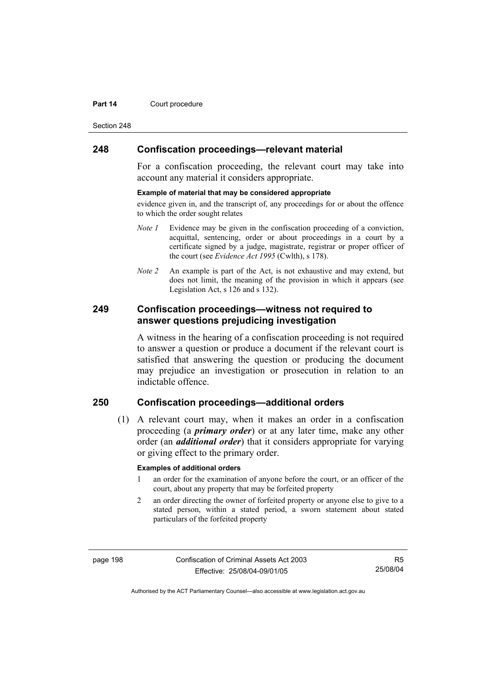#### **Part 14 Court procedure**

Section 248

### **248 Confiscation proceedings—relevant material**

For a confiscation proceeding, the relevant court may take into account any material it considers appropriate.

#### **Example of material that may be considered appropriate**

evidence given in, and the transcript of, any proceedings for or about the offence to which the order sought relates

- *Note 1* Evidence may be given in the confiscation proceeding of a conviction, acquittal, sentencing, order or about proceedings in a court by a certificate signed by a judge, magistrate, registrar or proper officer of the court (see *Evidence Act 1995* (Cwlth), s 178).
- *Note* 2 An example is part of the Act, is not exhaustive and may extend, but does not limit, the meaning of the provision in which it appears (see Legislation Act, s 126 and s 132).

### **249 Confiscation proceedings—witness not required to answer questions prejudicing investigation**

A witness in the hearing of a confiscation proceeding is not required to answer a question or produce a document if the relevant court is satisfied that answering the question or producing the document may prejudice an investigation or prosecution in relation to an indictable offence.

# **250 Confiscation proceedings—additional orders**

 (1) A relevant court may, when it makes an order in a confiscation proceeding (a *primary order*) or at any later time, make any other order (an *additional order*) that it considers appropriate for varying or giving effect to the primary order.

#### **Examples of additional orders**

- 1 an order for the examination of anyone before the court, or an officer of the court, about any property that may be forfeited property
- 2 an order directing the owner of forfeited property or anyone else to give to a stated person, within a stated period, a sworn statement about stated particulars of the forfeited property

page 198 Confiscation of Criminal Assets Act 2003 Effective: 25/08/04-09/01/05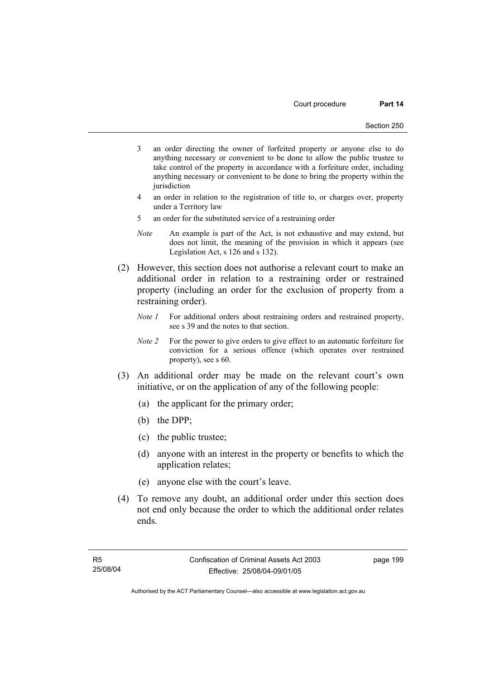- 3 an order directing the owner of forfeited property or anyone else to do anything necessary or convenient to be done to allow the public trustee to take control of the property in accordance with a forfeiture order, including anything necessary or convenient to be done to bring the property within the iurisdiction
- 4 an order in relation to the registration of title to, or charges over, property under a Territory law
- 5 an order for the substituted service of a restraining order
- *Note* An example is part of the Act, is not exhaustive and may extend, but does not limit, the meaning of the provision in which it appears (see Legislation Act, s 126 and s 132).
- (2) However, this section does not authorise a relevant court to make an additional order in relation to a restraining order or restrained property (including an order for the exclusion of property from a restraining order).
	- *Note 1* For additional orders about restraining orders and restrained property, see s 39 and the notes to that section.
	- *Note 2* For the power to give orders to give effect to an automatic forfeiture for conviction for a serious offence (which operates over restrained property), see s 60.
- (3) An additional order may be made on the relevant court's own initiative, or on the application of any of the following people:
	- (a) the applicant for the primary order;
	- (b) the DPP;
	- (c) the public trustee;
	- (d) anyone with an interest in the property or benefits to which the application relates;
	- (e) anyone else with the court's leave.
- (4) To remove any doubt, an additional order under this section does not end only because the order to which the additional order relates ends.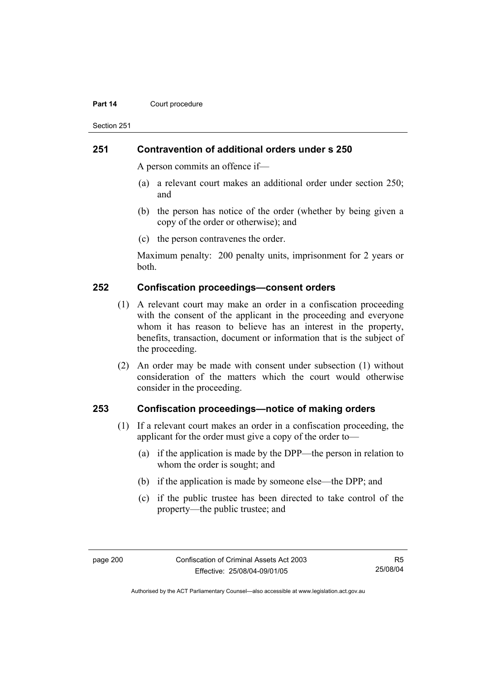#### **Part 14 Court procedure**

Section 251

### **251 Contravention of additional orders under s 250**

A person commits an offence if—

- (a) a relevant court makes an additional order under section 250; and
- (b) the person has notice of the order (whether by being given a copy of the order or otherwise); and
- (c) the person contravenes the order.

Maximum penalty: 200 penalty units, imprisonment for 2 years or both.

### **252 Confiscation proceedings—consent orders**

- (1) A relevant court may make an order in a confiscation proceeding with the consent of the applicant in the proceeding and everyone whom it has reason to believe has an interest in the property, benefits, transaction, document or information that is the subject of the proceeding.
- (2) An order may be made with consent under subsection (1) without consideration of the matters which the court would otherwise consider in the proceeding.

### **253 Confiscation proceedings—notice of making orders**

- (1) If a relevant court makes an order in a confiscation proceeding, the applicant for the order must give a copy of the order to—
	- (a) if the application is made by the DPP—the person in relation to whom the order is sought; and
	- (b) if the application is made by someone else—the DPP; and
	- (c) if the public trustee has been directed to take control of the property—the public trustee; and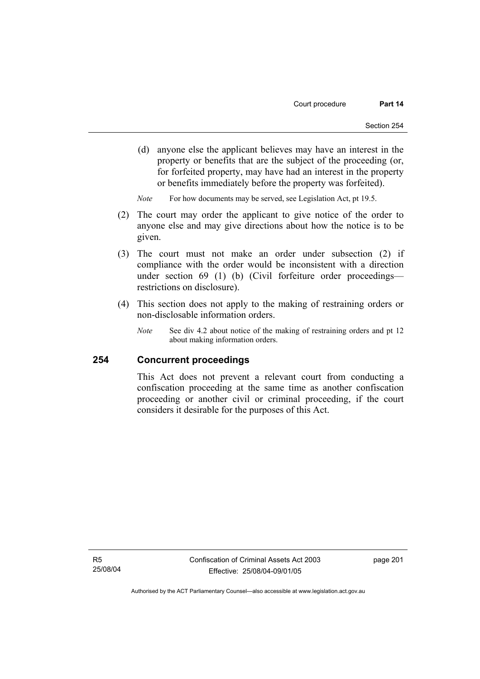(d) anyone else the applicant believes may have an interest in the property or benefits that are the subject of the proceeding (or, for forfeited property, may have had an interest in the property or benefits immediately before the property was forfeited).

*Note* For how documents may be served, see Legislation Act, pt 19.5.

- (2) The court may order the applicant to give notice of the order to anyone else and may give directions about how the notice is to be given.
- (3) The court must not make an order under subsection (2) if compliance with the order would be inconsistent with a direction under section 69 (1) (b) (Civil forfeiture order proceedings restrictions on disclosure).
- (4) This section does not apply to the making of restraining orders or non-disclosable information orders.
	- *Note* See div 4.2 about notice of the making of restraining orders and pt 12 about making information orders.

### **254 Concurrent proceedings**

This Act does not prevent a relevant court from conducting a confiscation proceeding at the same time as another confiscation proceeding or another civil or criminal proceeding, if the court considers it desirable for the purposes of this Act.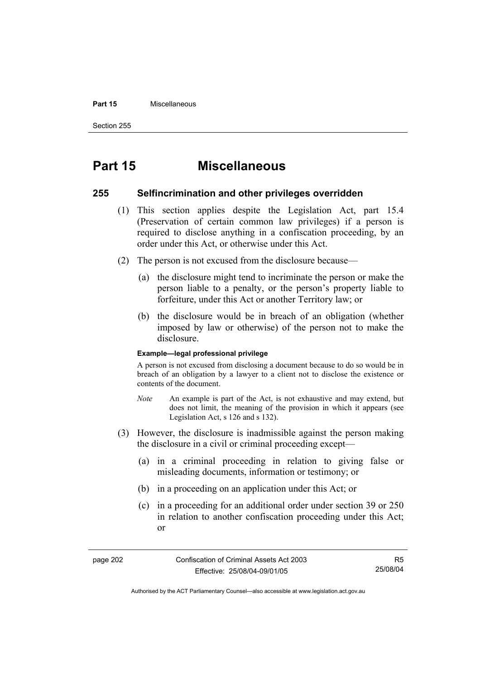#### **Part 15** Miscellaneous

Section 255

# **Part 15 Miscellaneous**

### **255 Selfincrimination and other privileges overridden**

- (1) This section applies despite the Legislation Act, part 15.4 (Preservation of certain common law privileges) if a person is required to disclose anything in a confiscation proceeding, by an order under this Act, or otherwise under this Act.
- (2) The person is not excused from the disclosure because—
	- (a) the disclosure might tend to incriminate the person or make the person liable to a penalty, or the person's property liable to forfeiture, under this Act or another Territory law; or
	- (b) the disclosure would be in breach of an obligation (whether imposed by law or otherwise) of the person not to make the disclosure.

#### **Example—legal professional privilege**

A person is not excused from disclosing a document because to do so would be in breach of an obligation by a lawyer to a client not to disclose the existence or contents of the document.

- *Note* An example is part of the Act, is not exhaustive and may extend, but does not limit, the meaning of the provision in which it appears (see Legislation Act, s 126 and s 132).
- (3) However, the disclosure is inadmissible against the person making the disclosure in a civil or criminal proceeding except—
	- (a) in a criminal proceeding in relation to giving false or misleading documents, information or testimony; or
	- (b) in a proceeding on an application under this Act; or
	- (c) in a proceeding for an additional order under section 39 or 250 in relation to another confiscation proceeding under this Act; or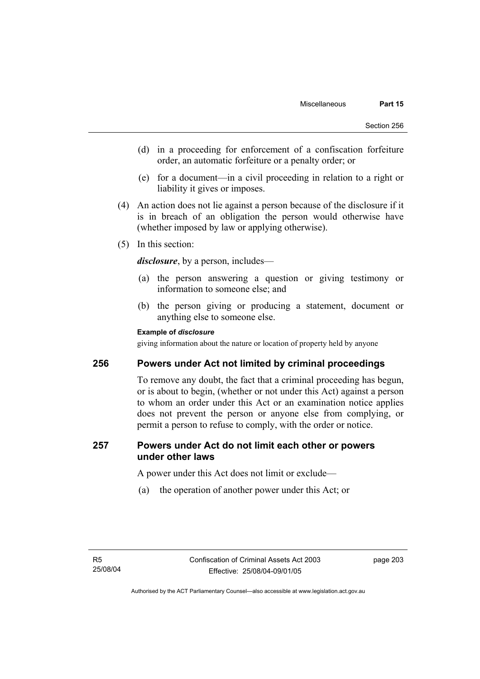- (d) in a proceeding for enforcement of a confiscation forfeiture order, an automatic forfeiture or a penalty order; or
- (e) for a document—in a civil proceeding in relation to a right or liability it gives or imposes.
- (4) An action does not lie against a person because of the disclosure if it is in breach of an obligation the person would otherwise have (whether imposed by law or applying otherwise).
- (5) In this section:

*disclosure*, by a person, includes—

- (a) the person answering a question or giving testimony or information to someone else; and
- (b) the person giving or producing a statement, document or anything else to someone else.

## **Example of** *disclosure*

giving information about the nature or location of property held by anyone

## **256 Powers under Act not limited by criminal proceedings**

To remove any doubt, the fact that a criminal proceeding has begun, or is about to begin, (whether or not under this Act) against a person to whom an order under this Act or an examination notice applies does not prevent the person or anyone else from complying, or permit a person to refuse to comply, with the order or notice.

## **257 Powers under Act do not limit each other or powers under other laws**

A power under this Act does not limit or exclude—

(a) the operation of another power under this Act; or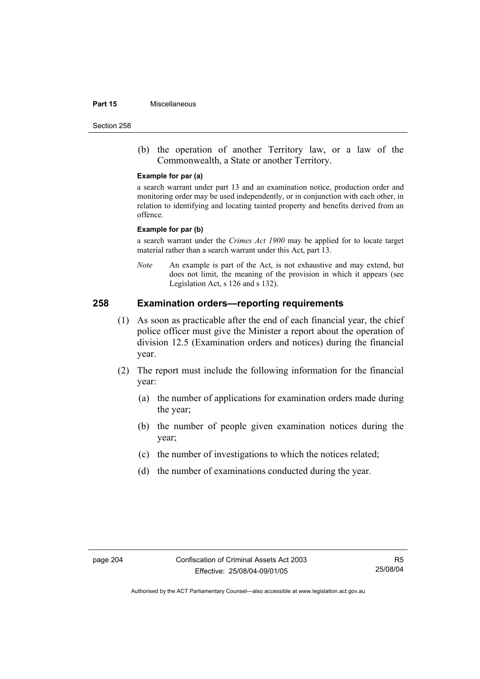#### **Part 15** Miscellaneous

Section 258

 (b) the operation of another Territory law, or a law of the Commonwealth, a State or another Territory.

#### **Example for par (a)**

a search warrant under part 13 and an examination notice, production order and monitoring order may be used independently, or in conjunction with each other, in relation to identifying and locating tainted property and benefits derived from an offence.

#### **Example for par (b)**

a search warrant under the *Crimes Act 1900* may be applied for to locate target material rather than a search warrant under this Act, part 13.

*Note* An example is part of the Act, is not exhaustive and may extend, but does not limit, the meaning of the provision in which it appears (see Legislation Act, s 126 and s 132).

## **258 Examination orders—reporting requirements**

- (1) As soon as practicable after the end of each financial year, the chief police officer must give the Minister a report about the operation of division 12.5 (Examination orders and notices) during the financial year.
- (2) The report must include the following information for the financial year:
	- (a) the number of applications for examination orders made during the year;
	- (b) the number of people given examination notices during the year;
	- (c) the number of investigations to which the notices related;
	- (d) the number of examinations conducted during the year.

R5 25/08/04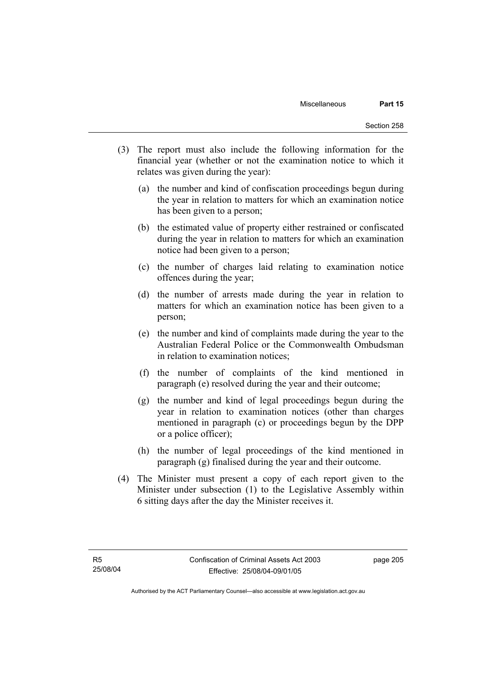- (3) The report must also include the following information for the financial year (whether or not the examination notice to which it relates was given during the year):
	- (a) the number and kind of confiscation proceedings begun during the year in relation to matters for which an examination notice has been given to a person;
	- (b) the estimated value of property either restrained or confiscated during the year in relation to matters for which an examination notice had been given to a person;
	- (c) the number of charges laid relating to examination notice offences during the year;
	- (d) the number of arrests made during the year in relation to matters for which an examination notice has been given to a person;
	- (e) the number and kind of complaints made during the year to the Australian Federal Police or the Commonwealth Ombudsman in relation to examination notices;
	- (f) the number of complaints of the kind mentioned in paragraph (e) resolved during the year and their outcome;
	- (g) the number and kind of legal proceedings begun during the year in relation to examination notices (other than charges mentioned in paragraph (c) or proceedings begun by the DPP or a police officer);
	- (h) the number of legal proceedings of the kind mentioned in paragraph (g) finalised during the year and their outcome.
- (4) The Minister must present a copy of each report given to the Minister under subsection (1) to the Legislative Assembly within 6 sitting days after the day the Minister receives it.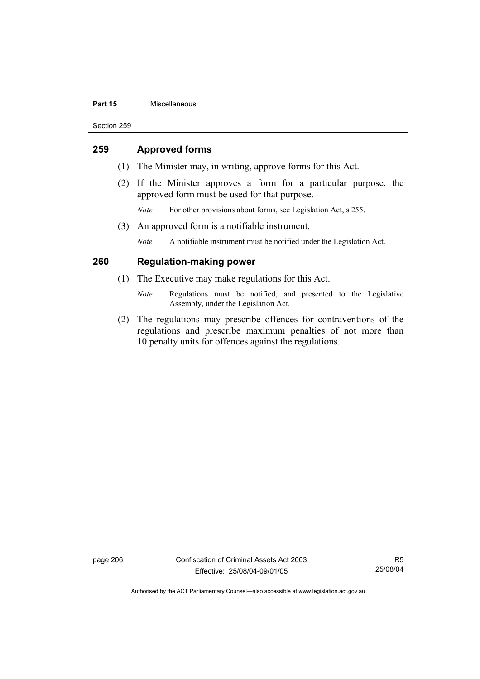#### **Part 15** Miscellaneous

Section 259

## **259 Approved forms**

- (1) The Minister may, in writing, approve forms for this Act.
- (2) If the Minister approves a form for a particular purpose, the approved form must be used for that purpose.
	- *Note* For other provisions about forms, see Legislation Act, s 255.
- (3) An approved form is a notifiable instrument.

*Note* A notifiable instrument must be notified under the Legislation Act.

## **260 Regulation-making power**

- (1) The Executive may make regulations for this Act.
	- *Note* Regulations must be notified, and presented to the Legislative Assembly, under the Legislation Act.
- (2) The regulations may prescribe offences for contraventions of the regulations and prescribe maximum penalties of not more than 10 penalty units for offences against the regulations.

page 206 Confiscation of Criminal Assets Act 2003 Effective: 25/08/04-09/01/05

R5 25/08/04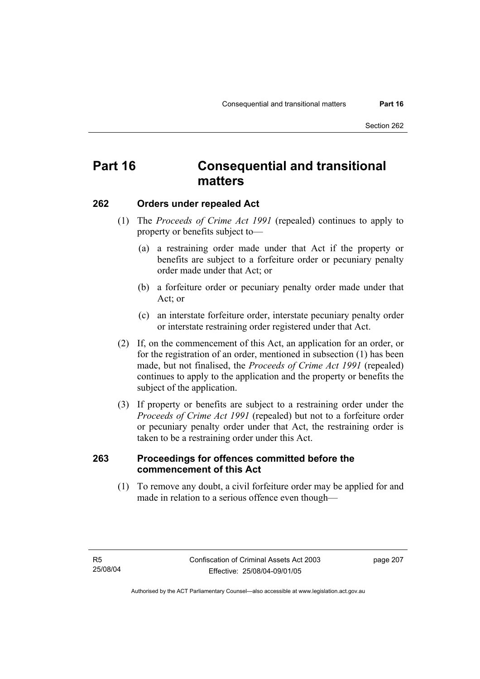## **Part 16 Consequential and transitional matters**

## **262 Orders under repealed Act**

- (1) The *Proceeds of Crime Act 1991* (repealed) continues to apply to property or benefits subject to—
	- (a) a restraining order made under that Act if the property or benefits are subject to a forfeiture order or pecuniary penalty order made under that Act; or
	- (b) a forfeiture order or pecuniary penalty order made under that Act; or
	- (c) an interstate forfeiture order, interstate pecuniary penalty order or interstate restraining order registered under that Act.
- (2) If, on the commencement of this Act, an application for an order, or for the registration of an order, mentioned in subsection (1) has been made, but not finalised, the *Proceeds of Crime Act 1991* (repealed) continues to apply to the application and the property or benefits the subject of the application.
- (3) If property or benefits are subject to a restraining order under the *Proceeds of Crime Act 1991* (repealed) but not to a forfeiture order or pecuniary penalty order under that Act, the restraining order is taken to be a restraining order under this Act.

## **263 Proceedings for offences committed before the commencement of this Act**

 (1) To remove any doubt, a civil forfeiture order may be applied for and made in relation to a serious offence even though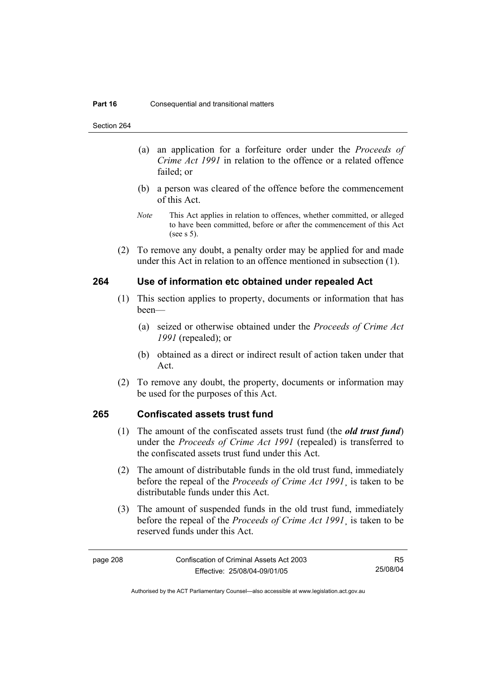Section 264

- (a) an application for a forfeiture order under the *Proceeds of Crime Act 1991* in relation to the offence or a related offence failed; or
- (b) a person was cleared of the offence before the commencement of this Act.
- *Note* This Act applies in relation to offences, whether committed, or alleged to have been committed, before or after the commencement of this Act (see s 5).
- (2) To remove any doubt, a penalty order may be applied for and made under this Act in relation to an offence mentioned in subsection (1).

## **264 Use of information etc obtained under repealed Act**

- (1) This section applies to property, documents or information that has been—
	- (a) seized or otherwise obtained under the *Proceeds of Crime Act 1991* (repealed); or
	- (b) obtained as a direct or indirect result of action taken under that Act.
- (2) To remove any doubt, the property, documents or information may be used for the purposes of this Act.

## **265 Confiscated assets trust fund**

- (1) The amount of the confiscated assets trust fund (the *old trust fund*) under the *Proceeds of Crime Act 1991* (repealed) is transferred to the confiscated assets trust fund under this Act.
- (2) The amount of distributable funds in the old trust fund, immediately before the repeal of the *Proceeds of Crime Act 1991*¸ is taken to be distributable funds under this Act.
- (3) The amount of suspended funds in the old trust fund, immediately before the repeal of the *Proceeds of Crime Act 1991*¸ is taken to be reserved funds under this Act.

R5 25/08/04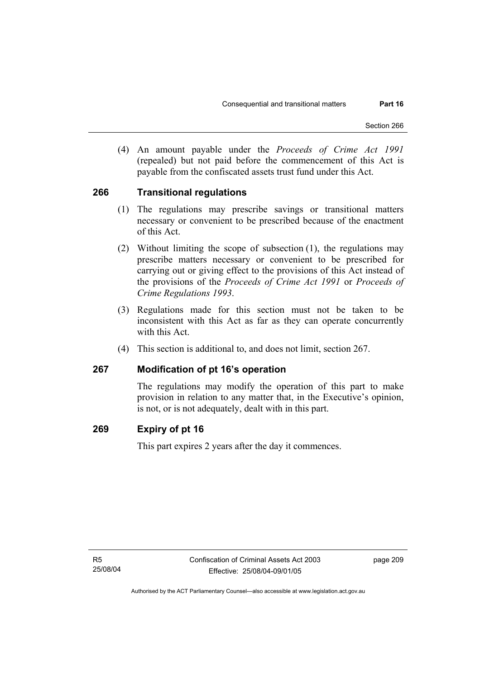(4) An amount payable under the *Proceeds of Crime Act 1991* (repealed) but not paid before the commencement of this Act is payable from the confiscated assets trust fund under this Act.

## **266 Transitional regulations**

- (1) The regulations may prescribe savings or transitional matters necessary or convenient to be prescribed because of the enactment of this Act.
- (2) Without limiting the scope of subsection (1), the regulations may prescribe matters necessary or convenient to be prescribed for carrying out or giving effect to the provisions of this Act instead of the provisions of the *Proceeds of Crime Act 1991* or *Proceeds of Crime Regulations 1993*.
- (3) Regulations made for this section must not be taken to be inconsistent with this Act as far as they can operate concurrently with this Act.
- (4) This section is additional to, and does not limit, section 267.

## **267 Modification of pt 16's operation**

The regulations may modify the operation of this part to make provision in relation to any matter that, in the Executive's opinion, is not, or is not adequately, dealt with in this part.

## **269 Expiry of pt 16**

This part expires 2 years after the day it commences.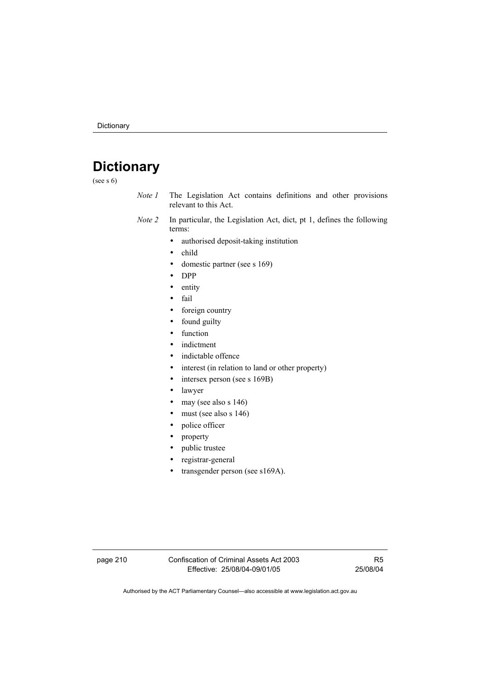# **Dictionary**

(see s 6)

- *Note 1* The Legislation Act contains definitions and other provisions relevant to this Act.
- *Note 2* In particular, the Legislation Act, dict, pt 1, defines the following terms:
	- authorised deposit-taking institution
	- child
	- domestic partner (see s 169)
	- DPP
	- entity
	- fail
	- foreign country
	- found guilty
	- function
	- indictment
	- indictable offence
	- interest (in relation to land or other property)
	- intersex person (see s 169B)
	- lawyer
	- may (see also s 146)
	- must (see also s 146)
	- police officer
	- property
	- public trustee
	- registrar-general
	- transgender person (see s169A).

page 210 Confiscation of Criminal Assets Act 2003 Effective: 25/08/04-09/01/05

R5 25/08/04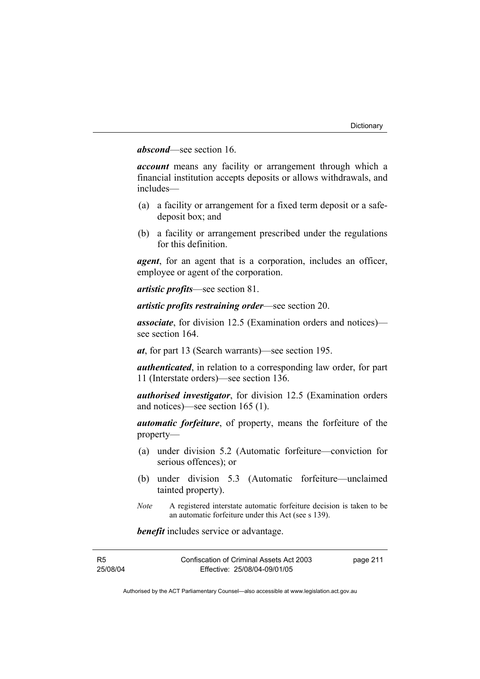## *abscond*—see section 16.

*account* means any facility or arrangement through which a financial institution accepts deposits or allows withdrawals, and includes—

- (a) a facility or arrangement for a fixed term deposit or a safedeposit box; and
- (b) a facility or arrangement prescribed under the regulations for this definition.

*agent*, for an agent that is a corporation, includes an officer, employee or agent of the corporation.

*artistic profits*—see section 81.

*artistic profits restraining order*—see section 20.

*associate*, for division 12.5 (Examination orders and notices) see section 164.

*at*, for part 13 (Search warrants)—see section 195.

*authenticated*, in relation to a corresponding law order, for part 11 (Interstate orders)—see section 136.

*authorised investigator*, for division 12.5 (Examination orders and notices)—see section 165 (1).

*automatic forfeiture*, of property, means the forfeiture of the property—

- (a) under division 5.2 (Automatic forfeiture—conviction for serious offences); or
- (b) under division 5.3 (Automatic forfeiture—unclaimed tainted property).
- *Note* A registered interstate automatic forfeiture decision is taken to be an automatic forfeiture under this Act (see s 139).

*benefit* includes service or advantage.

| R5       | Confiscation of Criminal Assets Act 2003 | page 211 |
|----------|------------------------------------------|----------|
| 25/08/04 | Effective: 25/08/04-09/01/05             |          |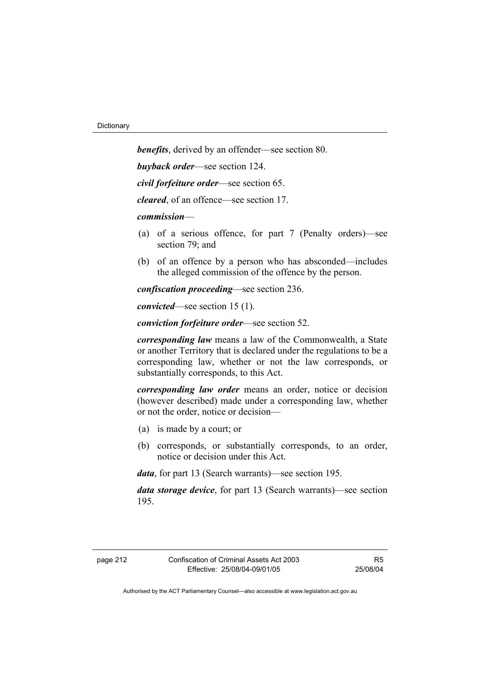*benefits*, derived by an offender—see section 80. *buyback order*—see section 124. *civil forfeiture order*—see section 65.

*cleared*, of an offence—see section 17.

*commission*—

- (a) of a serious offence, for part 7 (Penalty orders)—see section 79; and
- (b) of an offence by a person who has absconded—includes the alleged commission of the offence by the person.

*confiscation proceeding*—see section 236.

*convicted*—see section 15 (1).

*conviction forfeiture order*—see section 52.

*corresponding law* means a law of the Commonwealth, a State or another Territory that is declared under the regulations to be a corresponding law, whether or not the law corresponds, or substantially corresponds, to this Act.

*corresponding law order* means an order, notice or decision (however described) made under a corresponding law, whether or not the order, notice or decision—

- (a) is made by a court; or
- (b) corresponds, or substantially corresponds, to an order, notice or decision under this Act.

*data*, for part 13 (Search warrants)—see section 195.

*data storage device*, for part 13 (Search warrants)—see section 195.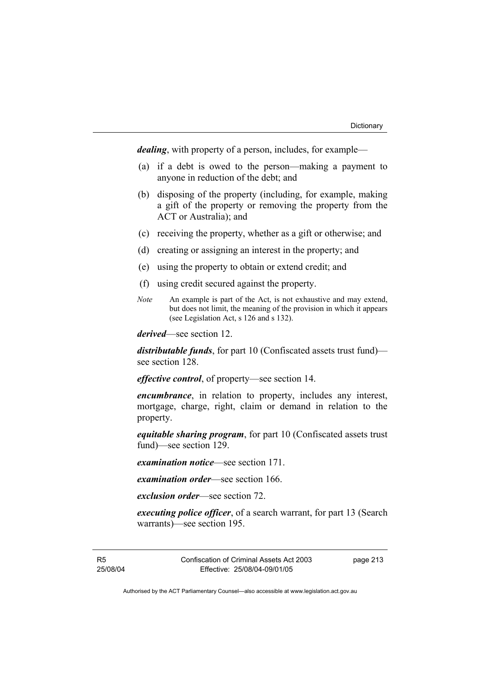*dealing*, with property of a person, includes, for example—

- (a) if a debt is owed to the person—making a payment to anyone in reduction of the debt; and
- (b) disposing of the property (including, for example, making a gift of the property or removing the property from the ACT or Australia); and
- (c) receiving the property, whether as a gift or otherwise; and
- (d) creating or assigning an interest in the property; and
- (e) using the property to obtain or extend credit; and
- (f) using credit secured against the property.
- *Note* An example is part of the Act, is not exhaustive and may extend, but does not limit, the meaning of the provision in which it appears (see Legislation Act, s 126 and s 132).

*derived*—see section 12.

*distributable funds*, for part 10 (Confiscated assets trust fund) see section 128.

*effective control*, of property—see section 14.

*encumbrance*, in relation to property, includes any interest, mortgage, charge, right, claim or demand in relation to the property.

*equitable sharing program*, for part 10 (Confiscated assets trust fund)—see section 129.

*examination notice*—see section 171.

*examination order*—see section 166.

*exclusion order*—see section 72.

*executing police officer*, of a search warrant, for part 13 (Search warrants)—see section 195.

R5 25/08/04 Confiscation of Criminal Assets Act 2003 Effective: 25/08/04-09/01/05

page 213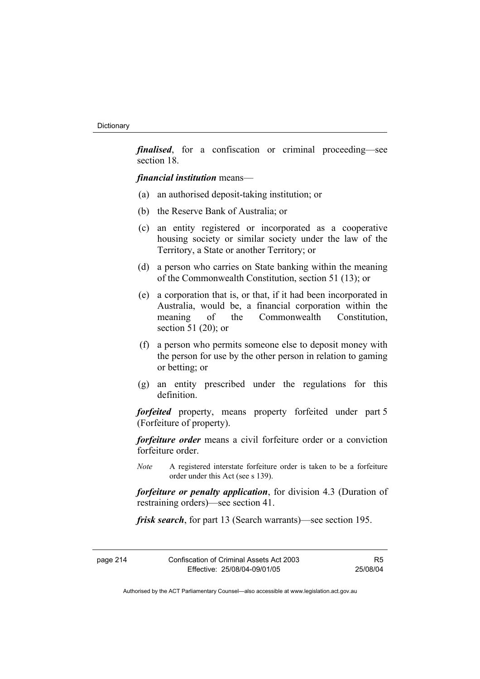*finalised*, for a confiscation or criminal proceeding—see section 18.

*financial institution* means—

- (a) an authorised deposit-taking institution; or
- (b) the Reserve Bank of Australia; or
- (c) an entity registered or incorporated as a cooperative housing society or similar society under the law of the Territory, a State or another Territory; or
- (d) a person who carries on State banking within the meaning of the Commonwealth Constitution, section 51 (13); or
- (e) a corporation that is, or that, if it had been incorporated in Australia, would be, a financial corporation within the meaning of the Commonwealth Constitution section 51 (20); or
- (f) a person who permits someone else to deposit money with the person for use by the other person in relation to gaming or betting; or
- (g) an entity prescribed under the regulations for this definition.

*forfeited* property, means property forfeited under part 5 (Forfeiture of property).

*forfeiture order* means a civil forfeiture order or a conviction forfeiture order.

*Note* A registered interstate forfeiture order is taken to be a forfeiture order under this Act (see s 139).

*forfeiture or penalty application*, for division 4.3 (Duration of restraining orders)—see section 41.

*frisk search*, for part 13 (Search warrants)—see section 195.

| page 214 | Confiscation of Criminal Assets Act 2003 | R5       |
|----------|------------------------------------------|----------|
|          | Effective: 25/08/04-09/01/05             | 25/08/04 |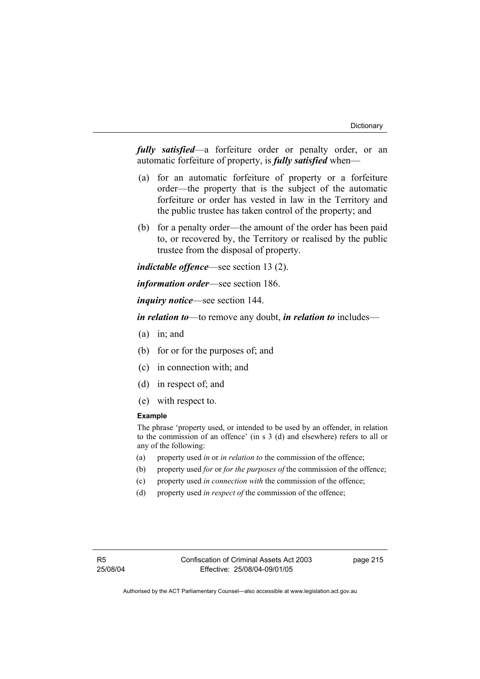*fully satisfied*—a forfeiture order or penalty order, or an automatic forfeiture of property, is *fully satisfied* when—

- (a) for an automatic forfeiture of property or a forfeiture order—the property that is the subject of the automatic forfeiture or order has vested in law in the Territory and the public trustee has taken control of the property; and
- (b) for a penalty order—the amount of the order has been paid to, or recovered by, the Territory or realised by the public trustee from the disposal of property.

*indictable offence*—see section 13 (2).

*information order*—see section 186.

*inquiry notice*—see section 144.

*in relation to*—to remove any doubt, *in relation to* includes—

- (a) in; and
- (b) for or for the purposes of; and
- (c) in connection with; and
- (d) in respect of; and
- (e) with respect to.

#### **Example**

The phrase 'property used, or intended to be used by an offender, in relation to the commission of an offence' (in s 3 (d) and elsewhere) refers to all or any of the following:

- (a) property used *in* or *in relation to* the commission of the offence;
- (b) property used *for* or *for the purposes of* the commission of the offence;
- (c) property used *in connection with* the commission of the offence;
- (d) property used *in respect of* the commission of the offence;

page 215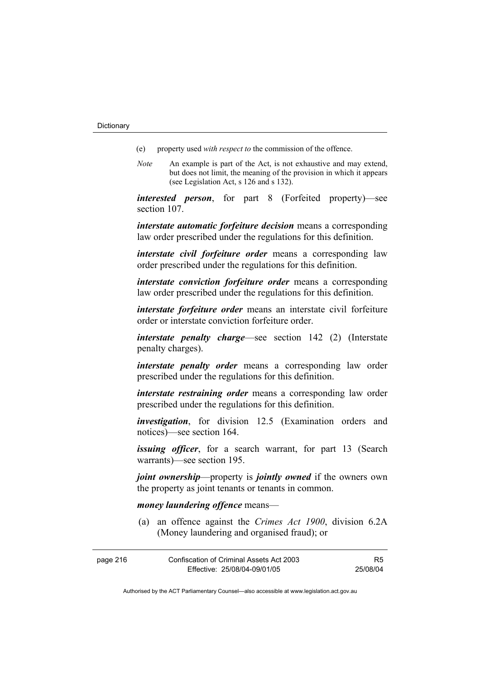- (e) property used *with respect to* the commission of the offence.
- *Note* An example is part of the Act, is not exhaustive and may extend, but does not limit, the meaning of the provision in which it appears (see Legislation Act, s 126 and s 132).

*interested person*, for part 8 (Forfeited property)—see section 107.

*interstate automatic forfeiture decision* means a corresponding law order prescribed under the regulations for this definition.

*interstate civil forfeiture order* means a corresponding law order prescribed under the regulations for this definition.

*interstate conviction forfeiture order* means a corresponding law order prescribed under the regulations for this definition.

*interstate forfeiture order* means an interstate civil forfeiture order or interstate conviction forfeiture order.

*interstate penalty charge*—see section 142 (2) (Interstate penalty charges).

*interstate penalty order* means a corresponding law order prescribed under the regulations for this definition.

*interstate restraining order* means a corresponding law order prescribed under the regulations for this definition.

*investigation*, for division 12.5 (Examination orders and notices)—see section 164.

*issuing officer*, for a search warrant, for part 13 (Search warrants)—see section 195.

*joint ownership*—property is *jointly owned* if the owners own the property as joint tenants or tenants in common.

#### *money laundering offence* means—

 (a) an offence against the *Crimes Act 1900*, division 6.2A (Money laundering and organised fraud); or

| page 216 | Confiscation of Criminal Assets Act 2003 | R5.      |
|----------|------------------------------------------|----------|
|          | Effective: 25/08/04-09/01/05             | 25/08/04 |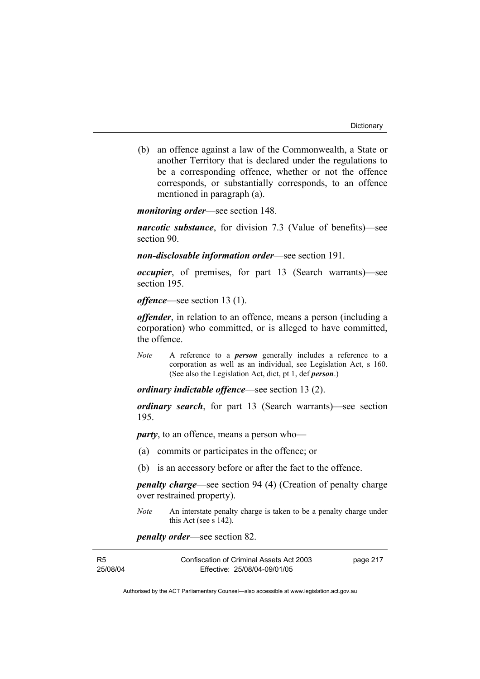(b) an offence against a law of the Commonwealth, a State or another Territory that is declared under the regulations to be a corresponding offence, whether or not the offence corresponds, or substantially corresponds, to an offence mentioned in paragraph (a).

*monitoring order*—see section 148.

*narcotic substance*, for division 7.3 (Value of benefits)—see section 90.

*non-disclosable information order*—see section 191.

*occupier*, of premises, for part 13 (Search warrants)—see section 195.

*offence*—see section 13 (1).

*offender*, in relation to an offence, means a person (including a corporation) who committed, or is alleged to have committed, the offence.

*Note* A reference to a *person* generally includes a reference to a corporation as well as an individual, see Legislation Act, s 160. (See also the Legislation Act, dict, pt 1, def *person*.)

*ordinary indictable offence*—see section 13 (2).

*ordinary search*, for part 13 (Search warrants)—see section 195.

*party*, to an offence, means a person who—

- (a) commits or participates in the offence; or
- (b) is an accessory before or after the fact to the offence.

*penalty charge*—see section 94 (4) (Creation of penalty charge over restrained property).

*Note* An interstate penalty charge is taken to be a penalty charge under this Act (see s 142).

*penalty order*—see section 82.

| R5       | Confiscation of Criminal Assets Act 2003 | page 217 |
|----------|------------------------------------------|----------|
| 25/08/04 | Effective: 25/08/04-09/01/05             |          |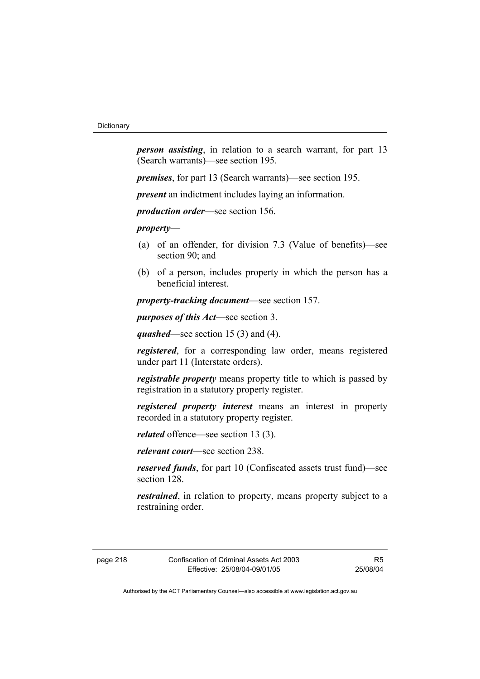*person assisting*, in relation to a search warrant, for part 13 (Search warrants)—see section 195.

*premises*, for part 13 (Search warrants)—see section 195.

*present* an indictment includes laying an information.

*production order*—see section 156.

*property*—

- (a) of an offender, for division 7.3 (Value of benefits)—see section 90; and
- (b) of a person, includes property in which the person has a beneficial interest.

*property-tracking document*—see section 157.

*purposes of this Act*—see section 3.

*quashed*—see section 15 (3) and (4).

*registered*, for a corresponding law order, means registered under part 11 (Interstate orders).

*registrable property* means property title to which is passed by registration in a statutory property register.

*registered property interest* means an interest in property recorded in a statutory property register.

*related* offence—see section 13 (3).

*relevant court*—see section 238.

*reserved funds*, for part 10 (Confiscated assets trust fund)—see section 128.

*restrained*, in relation to property, means property subject to a restraining order.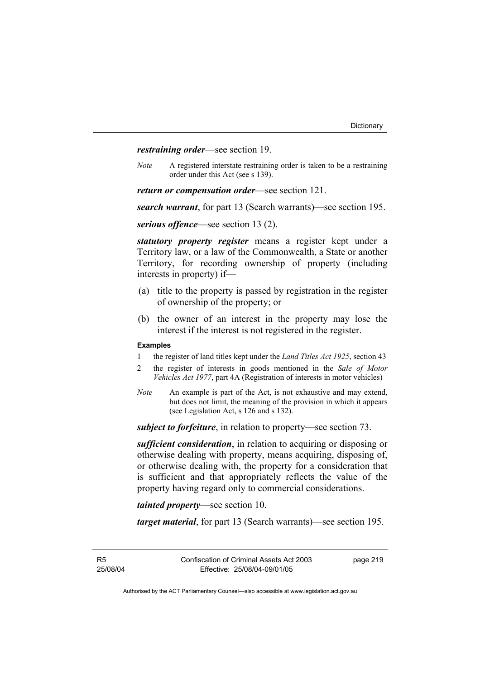*restraining order*—see section 19.

*Note* A registered interstate restraining order is taken to be a restraining order under this Act (see s 139).

*return or compensation order*—see section 121.

*search warrant*, for part 13 (Search warrants)—see section 195.

*serious offence*—see section 13 (2).

*statutory property register* means a register kept under a Territory law, or a law of the Commonwealth, a State or another Territory, for recording ownership of property (including interests in property) if—

- (a) title to the property is passed by registration in the register of ownership of the property; or
- (b) the owner of an interest in the property may lose the interest if the interest is not registered in the register.

#### **Examples**

- 1 the register of land titles kept under the *Land Titles Act 1925*, section 43
- 2 the register of interests in goods mentioned in the *Sale of Motor Vehicles Act 1977*, part 4A (Registration of interests in motor vehicles)
- *Note* An example is part of the Act, is not exhaustive and may extend, but does not limit, the meaning of the provision in which it appears (see Legislation Act, s 126 and s 132).

*subject to forfeiture*, in relation to property—see section 73.

*sufficient consideration*, in relation to acquiring or disposing or otherwise dealing with property, means acquiring, disposing of, or otherwise dealing with, the property for a consideration that is sufficient and that appropriately reflects the value of the property having regard only to commercial considerations.

*tainted property*—see section 10.

*target material*, for part 13 (Search warrants)—see section 195.

R5 25/08/04 page 219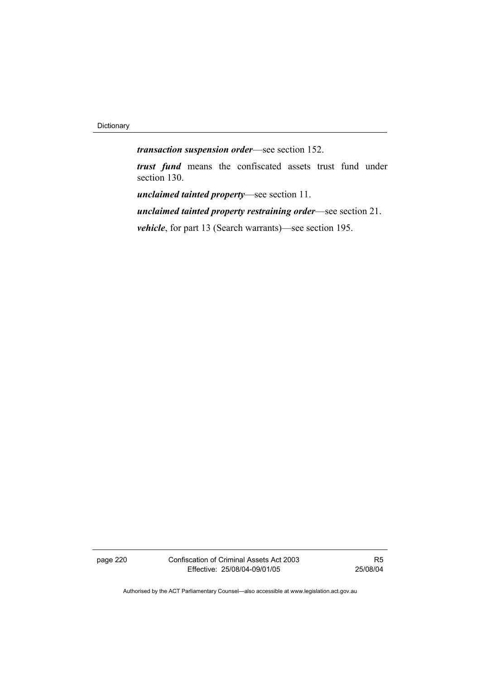Dictionary

*transaction suspension order*—see section 152.

*trust fund* means the confiscated assets trust fund under section 130.

*unclaimed tainted property*—see section 11.

*unclaimed tainted property restraining order*—see section 21.

*vehicle*, for part 13 (Search warrants)—see section 195.

page 220 Confiscation of Criminal Assets Act 2003 Effective: 25/08/04-09/01/05

R5 25/08/04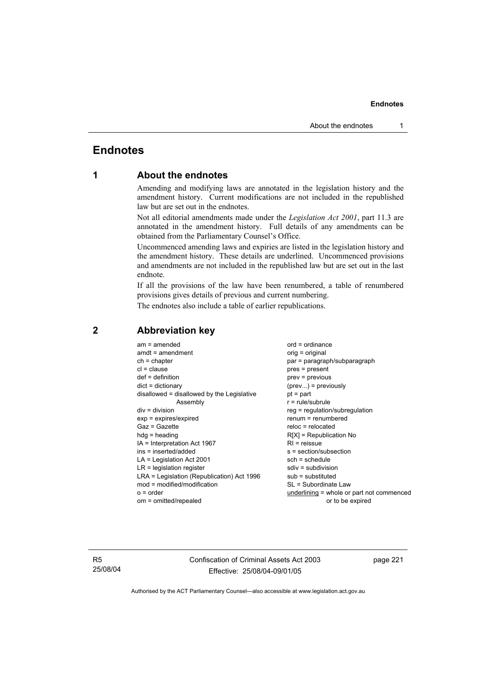## **Endnotes**

## **1 About the endnotes**

Amending and modifying laws are annotated in the legislation history and the amendment history. Current modifications are not included in the republished law but are set out in the endnotes.

Not all editorial amendments made under the *Legislation Act 2001*, part 11.3 are annotated in the amendment history. Full details of any amendments can be obtained from the Parliamentary Counsel's Office.

Uncommenced amending laws and expiries are listed in the legislation history and the amendment history. These details are underlined. Uncommenced provisions and amendments are not included in the republished law but are set out in the last endnote.

If all the provisions of the law have been renumbered, a table of renumbered provisions gives details of previous and current numbering.

The endnotes also include a table of earlier republications.

| $am = amended$                             | $ord = ordinance$                         |
|--------------------------------------------|-------------------------------------------|
| $amdt = amendment$                         | orig = original                           |
| $ch = chapter$                             | par = paragraph/subparagraph              |
| $cl = clause$                              | $pres = present$                          |
| $def = definition$                         | $prev = previous$                         |
| $dict = dictionary$                        | $(\text{prev})$ = previously              |
| disallowed = disallowed by the Legislative | $pt = part$                               |
| Assembly                                   | $r = rule/subrule$                        |
| $div = division$                           | reg = regulation/subregulation            |
| $exp = expires/expired$                    | $renum = renumbered$                      |
| $Gaz = Gazette$                            | $reloc = relocated$                       |
| $hdg = heading$                            | $R[X]$ = Republication No                 |
| $IA = Interpretation Act 1967$             | $R1$ = reissue                            |
| ins = inserted/added                       | s = section/subsection                    |
| $LA =$ Legislation Act 2001                | $sch = schedule$                          |
| $LR =$ legislation register                | $sdiv = subdivision$                      |
| LRA = Legislation (Republication) Act 1996 | $sub =$ substituted                       |
| $mod = modified/modification$              | SL = Subordinate Law                      |
|                                            |                                           |
| $o = order$                                | underlining = whole or part not commenced |
| om = omitted/repealed                      | or to be expired                          |
|                                            |                                           |

## **2 Abbreviation key**

R5 25/08/04 Confiscation of Criminal Assets Act 2003 Effective: 25/08/04-09/01/05

page 221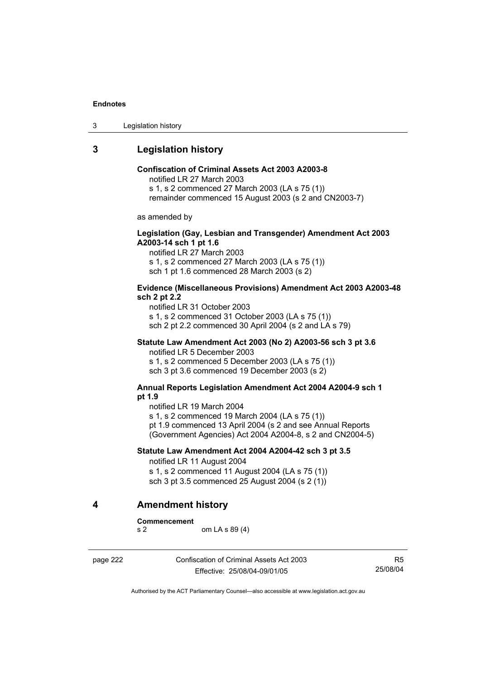3 Legislation history

## **3 Legislation history**

## **Confiscation of Criminal Assets Act 2003 A2003-8**

notified LR 27 March 2003

s 1, s 2 commenced 27 March 2003 (LA s 75 (1))

remainder commenced 15 August 2003 (s 2 and CN2003-7)

as amended by

#### **Legislation (Gay, Lesbian and Transgender) Amendment Act 2003 A2003-14 sch 1 pt 1.6**

notified LR 27 March 2003 s 1, s 2 commenced 27 March 2003 (LA s 75 (1)) sch 1 pt 1.6 commenced 28 March 2003 (s 2)

#### **Evidence (Miscellaneous Provisions) Amendment Act 2003 A2003-48 sch 2 pt 2.2**

notified LR 31 October 2003 s 1, s 2 commenced 31 October 2003 (LA s 75 (1)) sch 2 pt 2.2 commenced 30 April 2004 (s 2 and LA s 79)

## **Statute Law Amendment Act 2003 (No 2) A2003-56 sch 3 pt 3.6**

notified LR 5 December 2003 s 1, s 2 commenced 5 December 2003 (LA s 75 (1)) sch 3 pt 3.6 commenced 19 December 2003 (s 2)

#### **Annual Reports Legislation Amendment Act 2004 A2004-9 sch 1 pt 1.9**

notified LR 19 March 2004

s 1, s 2 commenced 19 March 2004 (LA s 75 (1))

pt 1.9 commenced 13 April 2004 (s 2 and see Annual Reports (Government Agencies) Act 2004 A2004-8, s 2 and CN2004-5)

## **Statute Law Amendment Act 2004 A2004-42 sch 3 pt 3.5**  notified LR 11 August 2004

s 1, s 2 commenced 11 August 2004 (LA s 75 (1)) sch 3 pt 3.5 commenced 25 August 2004 (s 2 (1))

## **4 Amendment history**

**Commencement** 

s 2 om LA s 89 (4)

page 222 Confiscation of Criminal Assets Act 2003 Effective: 25/08/04-09/01/05

R5 25/08/04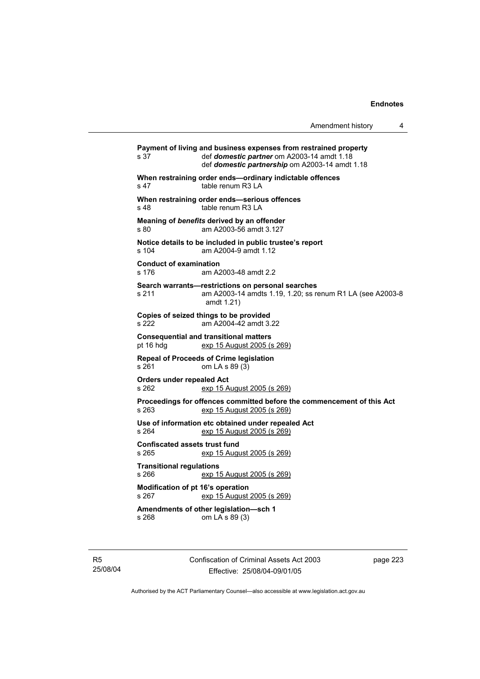|                                               |                                                                                                                                                                  | 4<br>Amendment history |
|-----------------------------------------------|------------------------------------------------------------------------------------------------------------------------------------------------------------------|------------------------|
| s 37                                          | Payment of living and business expenses from restrained property<br>def domestic partner om A2003-14 amdt 1.18<br>def domestic partnership om A2003-14 amdt 1.18 |                        |
| s 47                                          | When restraining order ends-ordinary indictable offences<br>table renum R3 LA                                                                                    |                        |
| s 48                                          | When restraining order ends-serious offences<br>table renum R3 LA                                                                                                |                        |
| s 80                                          | Meaning of benefits derived by an offender<br>am A2003-56 amdt 3.127                                                                                             |                        |
| s 104                                         | Notice details to be included in public trustee's report<br>am A2004-9 amdt 1.12                                                                                 |                        |
| <b>Conduct of examination</b><br>s 176        | am A2003-48 amdt 2.2                                                                                                                                             |                        |
| s 211                                         | Search warrants-restrictions on personal searches<br>am A2003-14 amdts 1.19, 1.20; ss renum R1 LA (see A2003-8<br>amdt 1.21)                                     |                        |
| s 222                                         | Copies of seized things to be provided<br>am A2004-42 amdt 3.22                                                                                                  |                        |
| pt 16 hdg                                     | <b>Consequential and transitional matters</b><br>exp 15 August 2005 (s 269)                                                                                      |                        |
| s 261                                         | <b>Repeal of Proceeds of Crime legislation</b><br>om LA s 89 (3)                                                                                                 |                        |
| <b>Orders under repealed Act</b><br>s 262     | exp 15 August 2005 (s 269)                                                                                                                                       |                        |
| s 263                                         | Proceedings for offences committed before the commencement of this Act<br>exp 15 August 2005 (s 269)                                                             |                        |
| s 264                                         | Use of information etc obtained under repealed Act<br>exp 15 August 2005 (s 269)                                                                                 |                        |
| <b>Confiscated assets trust fund</b><br>s 265 | exp 15 August 2005 (s 269)                                                                                                                                       |                        |
| <b>Transitional regulations</b><br>s 266      | exp 15 August 2005 (s 269)                                                                                                                                       |                        |
| Modification of pt 16's operation<br>s 267    | exp 15 August 2005 (s 269)                                                                                                                                       |                        |
| s 268                                         | Amendments of other legislation-sch 1<br>om LA s 89 (3)                                                                                                          |                        |
|                                               |                                                                                                                                                                  |                        |

R5 25/08/04 Confiscation of Criminal Assets Act 2003 Effective: 25/08/04-09/01/05

page 223